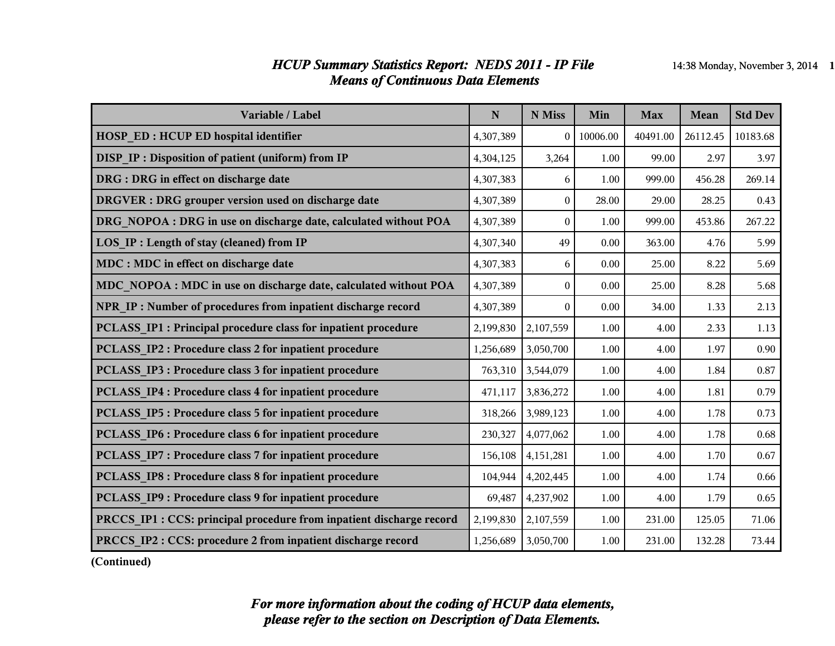#### *HCUP Summary Statistics Report: NEDS 2011 - IP File* 14:38 Monday, November 3, 2014 1 *Means of Continuous Data Elements*

| Variable / Label                                                     | $\mathbf N$ | N Miss           | Min      | <b>Max</b> | Mean     | <b>Std Dev</b> |
|----------------------------------------------------------------------|-------------|------------------|----------|------------|----------|----------------|
| <b>HOSP ED: HCUP ED hospital identifier</b>                          | 4,307,389   | $\theta$         | 10006.00 | 40491.00   | 26112.45 | 10183.68       |
| <b>DISP IP: Disposition of patient (uniform) from IP</b>             | 4,304,125   | 3,264            | 1.00     | 99.00      | 2.97     | 3.97           |
| DRG : DRG in effect on discharge date                                | 4,307,383   | 6                | 1.00     | 999.00     | 456.28   | 269.14         |
| DRGVER : DRG grouper version used on discharge date                  | 4,307,389   | $\mathbf{0}$     | 28.00    | 29.00      | 28.25    | 0.43           |
| DRG NOPOA : DRG in use on discharge date, calculated without POA     | 4,307,389   | $\boldsymbol{0}$ | 1.00     | 999.00     | 453.86   | 267.22         |
| <b>LOS IP: Length of stay (cleaned) from IP</b>                      | 4,307,340   | 49               | 0.00     | 363.00     | 4.76     | 5.99           |
| MDC : MDC in effect on discharge date                                | 4,307,383   | 6                | 0.00     | 25.00      | 8.22     | 5.69           |
| MDC NOPOA : MDC in use on discharge date, calculated without POA     | 4,307,389   | $\boldsymbol{0}$ | 0.00     | 25.00      | 8.28     | 5.68           |
| NPR IP : Number of procedures from inpatient discharge record        | 4,307,389   | $\theta$         | 0.00     | 34.00      | 1.33     | 2.13           |
| PCLASS IP1 : Principal procedure class for inpatient procedure       | 2,199,830   | 2,107,559        | 1.00     | 4.00       | 2.33     | 1.13           |
| PCLASS IP2 : Procedure class 2 for inpatient procedure               | 1,256,689   | 3,050,700        | 1.00     | 4.00       | 1.97     | 0.90           |
| <b>PCLASS IP3 : Procedure class 3 for inpatient procedure</b>        | 763,310     | 3,544,079        | 1.00     | 4.00       | 1.84     | 0.87           |
| PCLASS IP4 : Procedure class 4 for inpatient procedure               | 471,117     | 3,836,272        | 1.00     | 4.00       | 1.81     | 0.79           |
| PCLASS IP5 : Procedure class 5 for inpatient procedure               | 318,266     | 3,989,123        | 1.00     | 4.00       | 1.78     | 0.73           |
| PCLASS IP6 : Procedure class 6 for inpatient procedure               | 230,327     | 4,077,062        | 1.00     | 4.00       | 1.78     | 0.68           |
| <b>PCLASS IP7: Procedure class 7 for inpatient procedure</b>         | 156,108     | 4,151,281        | 1.00     | 4.00       | 1.70     | 0.67           |
| <b>PCLASS IP8 : Procedure class 8 for inpatient procedure</b>        | 104,944     | 4,202,445        | 1.00     | 4.00       | 1.74     | 0.66           |
| PCLASS_IP9: Procedure class 9 for inpatient procedure                | 69,487      | 4,237,902        | 1.00     | 4.00       | 1.79     | 0.65           |
| PRCCS IP1 : CCS: principal procedure from inpatient discharge record | 2,199,830   | 2,107,559        | 1.00     | 231.00     | 125.05   | 71.06          |
| <b>PRCCS IP2: CCS: procedure 2 from inpatient discharge record</b>   | 1,256,689   | 3,050,700        | 1.00     | 231.00     | 132.28   | 73.44          |

**(Continued)**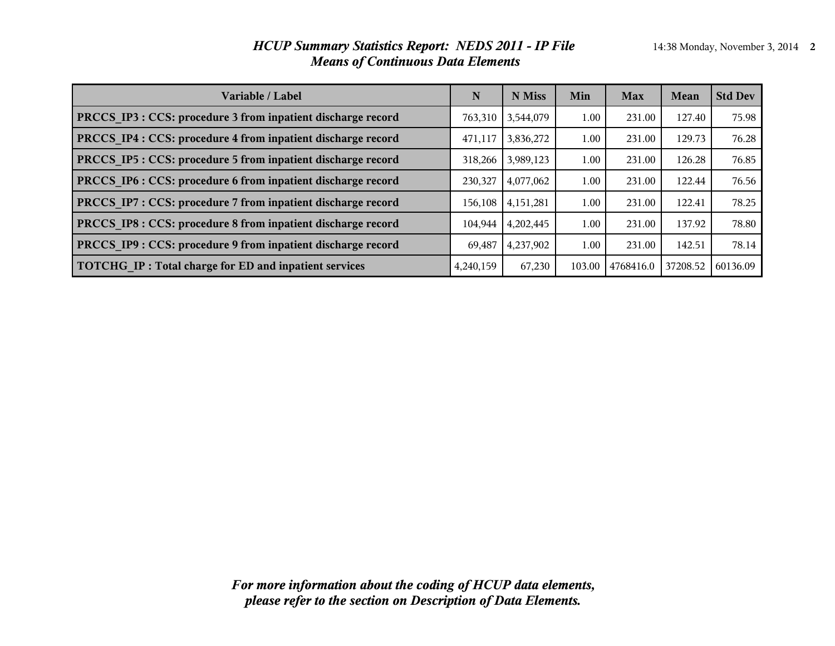#### *HCUP Summary Statistics Report: NEDS 2011 - IP File* 14:38 Monday, November 3, 2014 2 *Means of Continuous Data Elements*

| Variable / Label                                             | N         | N Miss      | Min    | <b>Max</b> | Mean     | <b>Std Dev</b> |
|--------------------------------------------------------------|-----------|-------------|--------|------------|----------|----------------|
| PRCCS IP3 : CCS: procedure 3 from inpatient discharge record | 763,310   | 3,544,079   | 1.00   | 231.00     | 127.40   | 75.98          |
| PRCCS IP4 : CCS: procedure 4 from inpatient discharge record | 471,117   | 3,836,272   | 1.00   | 231.00     | 129.73   | 76.28          |
| PRCCS IP5 : CCS: procedure 5 from inpatient discharge record | 318,266   | 3,989,123   | 1.00   | 231.00     | 126.28   | 76.85          |
| PRCCS IP6 : CCS: procedure 6 from inpatient discharge record | 230,327   | 4,077,062   | 1.00   | 231.00     | 122.44   | 76.56          |
| PRCCS IP7 : CCS: procedure 7 from inpatient discharge record | 156,108   | 4, 151, 281 | 1.00   | 231.00     | 122.41   | 78.25          |
| PRCCS IP8 : CCS: procedure 8 from inpatient discharge record | 104,944   | 4,202,445   | 1.00   | 231.00     | 137.92   | 78.80          |
| PRCCS IP9 : CCS: procedure 9 from inpatient discharge record | 69.487    | 4,237,902   | 1.00   | 231.00     | 142.51   | 78.14          |
| TOTCHG IP: Total charge for ED and inpatient services        | 4,240,159 | 67,230      | 103.00 | 4768416.0  | 37208.52 | 60136.09       |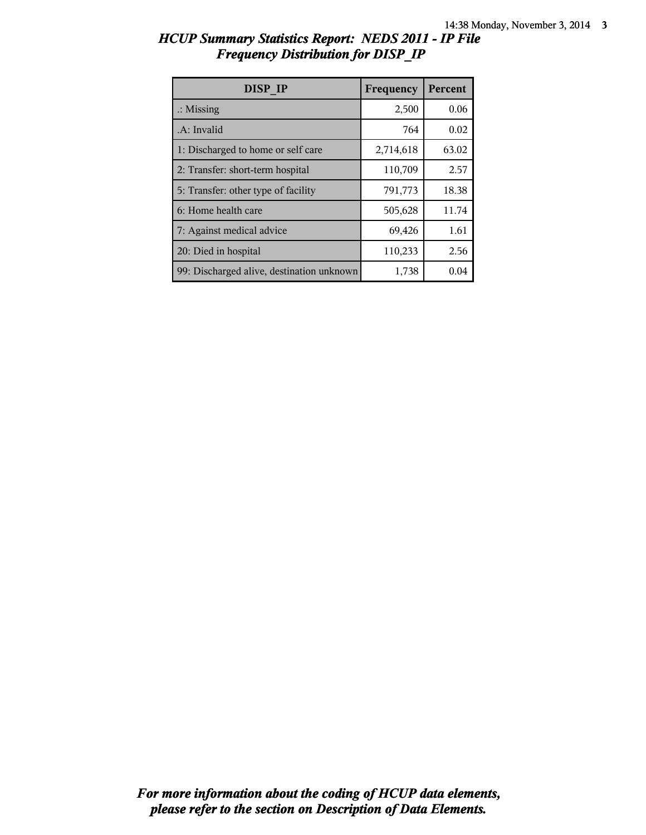| HCUP Summary Statistics Report: NEDS 2011 - IP File |  |
|-----------------------------------------------------|--|
| <b>Frequency Distribution for DISP IP</b>           |  |

| DISP IP                                   | Frequency | Percent |
|-------------------------------------------|-----------|---------|
| $\therefore$ Missing                      | 2,500     | 0.06    |
| .A: Invalid                               | 764       | 0.02    |
| 1: Discharged to home or self care        | 2,714,618 | 63.02   |
| 2: Transfer: short-term hospital          | 110,709   | 2.57    |
| 5: Transfer: other type of facility       | 791,773   | 18.38   |
| 6: Home health care                       | 505,628   | 11.74   |
| 7: Against medical advice                 | 69,426    | 1.61    |
| 20: Died in hospital                      | 110,233   | 2.56    |
| 99: Discharged alive, destination unknown | 1,738     | 0.04    |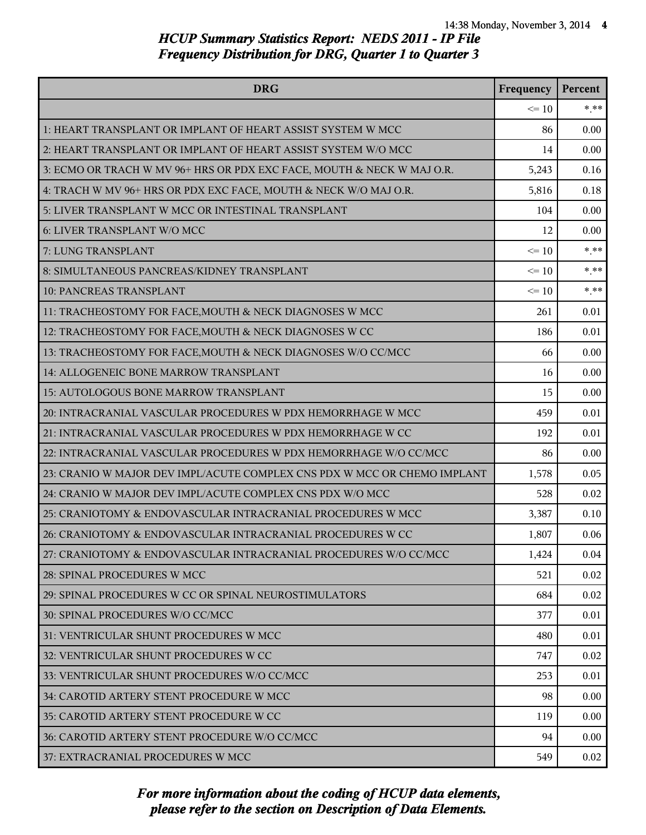| <b>DRG</b>                                                               | Frequency | Percent |
|--------------------------------------------------------------------------|-----------|---------|
|                                                                          | $\leq 10$ | $*$ **  |
| 1: HEART TRANSPLANT OR IMPLANT OF HEART ASSIST SYSTEM W MCC              | 86        | 0.00    |
| 2: HEART TRANSPLANT OR IMPLANT OF HEART ASSIST SYSTEM W/O MCC            | 14        | 0.00    |
| 3: ECMO OR TRACH W MV 96+ HRS OR PDX EXC FACE, MOUTH & NECK W MAJ O.R.   | 5,243     | 0.16    |
| 4: TRACH W MV 96+ HRS OR PDX EXC FACE, MOUTH & NECK W/O MAJ O.R.         | 5,816     | 0.18    |
| 5: LIVER TRANSPLANT W MCC OR INTESTINAL TRANSPLANT                       | 104       | 0.00    |
| 6: LIVER TRANSPLANT W/O MCC                                              | 12        | 0.00    |
| 7: LUNG TRANSPLANT                                                       | $\leq 10$ | $* * *$ |
| 8: SIMULTANEOUS PANCREAS/KIDNEY TRANSPLANT                               | $\leq 10$ | $* * *$ |
| 10: PANCREAS TRANSPLANT                                                  | $\leq 10$ | $* * *$ |
| 11: TRACHEOSTOMY FOR FACE, MOUTH & NECK DIAGNOSES W MCC                  | 261       | 0.01    |
| 12: TRACHEOSTOMY FOR FACE, MOUTH & NECK DIAGNOSES W CC                   | 186       | 0.01    |
| 13: TRACHEOSTOMY FOR FACE, MOUTH & NECK DIAGNOSES W/O CC/MCC             | 66        | 0.00    |
| 14: ALLOGENEIC BONE MARROW TRANSPLANT                                    | 16        | 0.00    |
| 15: AUTOLOGOUS BONE MARROW TRANSPLANT                                    | 15        | 0.00    |
| 20: INTRACRANIAL VASCULAR PROCEDURES W PDX HEMORRHAGE W MCC              | 459       | 0.01    |
| 21: INTRACRANIAL VASCULAR PROCEDURES W PDX HEMORRHAGE W CC               | 192       | 0.01    |
| 22: INTRACRANIAL VASCULAR PROCEDURES W PDX HEMORRHAGE W/O CC/MCC         | 86        | 0.00    |
| 23: CRANIO W MAJOR DEV IMPL/ACUTE COMPLEX CNS PDX W MCC OR CHEMO IMPLANT | 1,578     | 0.05    |
| 24: CRANIO W MAJOR DEV IMPL/ACUTE COMPLEX CNS PDX W/O MCC                | 528       | 0.02    |
| 25: CRANIOTOMY & ENDOVASCULAR INTRACRANIAL PROCEDURES W MCC              | 3,387     | 0.10    |
| 26: CRANIOTOMY & ENDOVASCULAR INTRACRANIAL PROCEDURES W CC               | 1,807     | 0.06    |
| 27: CRANIOTOMY & ENDOVASCULAR INTRACRANIAL PROCEDURES W/O CC/MCC         | 1,424     | 0.04    |
| 28: SPINAL PROCEDURES W MCC                                              | 521       | 0.02    |
| 29: SPINAL PROCEDURES W CC OR SPINAL NEUROSTIMULATORS                    | 684       | 0.02    |
| 30: SPINAL PROCEDURES W/O CC/MCC                                         | 377       | 0.01    |
| 31: VENTRICULAR SHUNT PROCEDURES W MCC                                   | 480       | 0.01    |
| 32: VENTRICULAR SHUNT PROCEDURES W CC                                    | 747       | 0.02    |
| 33: VENTRICULAR SHUNT PROCEDURES W/O CC/MCC                              | 253       | 0.01    |
| 34: CAROTID ARTERY STENT PROCEDURE W MCC                                 | 98        | 0.00    |
| 35: CAROTID ARTERY STENT PROCEDURE W CC                                  | 119       | 0.00    |
| 36: CAROTID ARTERY STENT PROCEDURE W/O CC/MCC                            | 94        | 0.00    |
| 37: EXTRACRANIAL PROCEDURES W MCC                                        | 549       | 0.02    |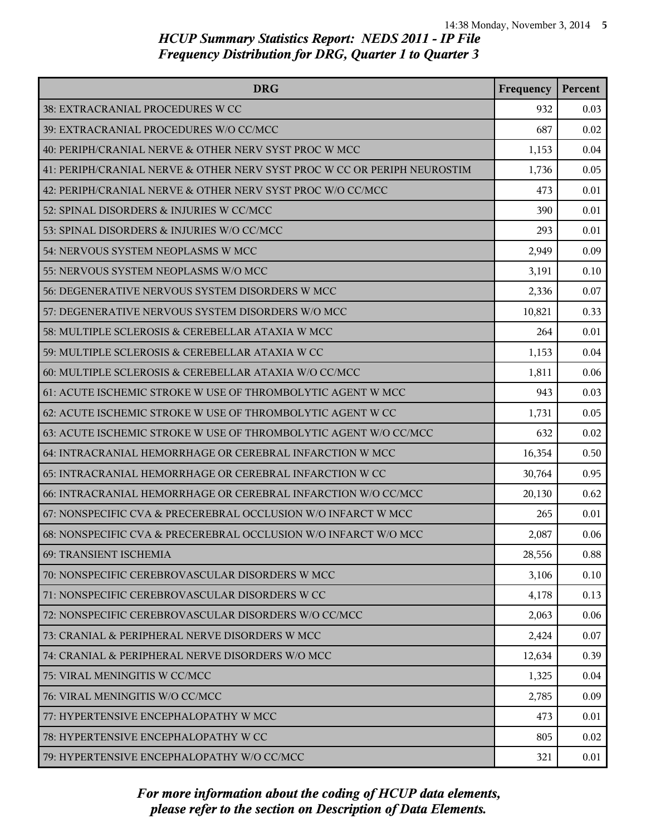| <b>DRG</b>                                                               | Frequency | Percent |
|--------------------------------------------------------------------------|-----------|---------|
| 38: EXTRACRANIAL PROCEDURES W CC                                         | 932       | 0.03    |
| 39: EXTRACRANIAL PROCEDURES W/O CC/MCC                                   | 687       | 0.02    |
| 40: PERIPH/CRANIAL NERVE & OTHER NERV SYST PROC W MCC                    | 1,153     | 0.04    |
| 41: PERIPH/CRANIAL NERVE & OTHER NERV SYST PROC W CC OR PERIPH NEUROSTIM | 1,736     | 0.05    |
| 42: PERIPH/CRANIAL NERVE & OTHER NERV SYST PROC W/O CC/MCC               | 473       | 0.01    |
| 52: SPINAL DISORDERS & INJURIES W CC/MCC                                 | 390       | 0.01    |
| 53: SPINAL DISORDERS & INJURIES W/O CC/MCC                               | 293       | 0.01    |
| 54: NERVOUS SYSTEM NEOPLASMS W MCC                                       | 2,949     | 0.09    |
| 55: NERVOUS SYSTEM NEOPLASMS W/O MCC                                     | 3,191     | 0.10    |
| 56: DEGENERATIVE NERVOUS SYSTEM DISORDERS W MCC                          | 2,336     | 0.07    |
| 57: DEGENERATIVE NERVOUS SYSTEM DISORDERS W/O MCC                        | 10,821    | 0.33    |
| 58: MULTIPLE SCLEROSIS & CEREBELLAR ATAXIA W MCC                         | 264       | 0.01    |
| 59: MULTIPLE SCLEROSIS & CEREBELLAR ATAXIA W CC                          | 1,153     | 0.04    |
| 60: MULTIPLE SCLEROSIS & CEREBELLAR ATAXIA W/O CC/MCC                    | 1,811     | 0.06    |
| 61: ACUTE ISCHEMIC STROKE W USE OF THROMBOLYTIC AGENT W MCC              | 943       | 0.03    |
| 62: ACUTE ISCHEMIC STROKE W USE OF THROMBOLYTIC AGENT W CC               | 1,731     | 0.05    |
| 63: ACUTE ISCHEMIC STROKE W USE OF THROMBOLYTIC AGENT W/O CC/MCC         | 632       | 0.02    |
| 64: INTRACRANIAL HEMORRHAGE OR CEREBRAL INFARCTION W MCC                 | 16,354    | 0.50    |
| 65: INTRACRANIAL HEMORRHAGE OR CEREBRAL INFARCTION W CC                  | 30,764    | 0.95    |
| 66: INTRACRANIAL HEMORRHAGE OR CEREBRAL INFARCTION W/O CC/MCC            | 20,130    | 0.62    |
| 67: NONSPECIFIC CVA & PRECEREBRAL OCCLUSION W/O INFARCT W MCC            | 265       | 0.01    |
| 68: NONSPECIFIC CVA & PRECEREBRAL OCCLUSION W/O INFARCT W/O MCC          | 2,087     | 0.06    |
| 69: TRANSIENT ISCHEMIA                                                   | 28,556    | 0.88    |
| 70: NONSPECIFIC CEREBROVASCULAR DISORDERS W MCC                          | 3,106     | 0.10    |
| 71: NONSPECIFIC CEREBROVASCULAR DISORDERS W CC                           | 4,178     | 0.13    |
| 72: NONSPECIFIC CEREBROVASCULAR DISORDERS W/O CC/MCC                     | 2,063     | 0.06    |
| 73: CRANIAL & PERIPHERAL NERVE DISORDERS W MCC                           | 2,424     | 0.07    |
| 74: CRANIAL & PERIPHERAL NERVE DISORDERS W/O MCC                         | 12,634    | 0.39    |
| 75: VIRAL MENINGITIS W CC/MCC                                            | 1,325     | 0.04    |
| 76: VIRAL MENINGITIS W/O CC/MCC                                          | 2,785     | 0.09    |
| 77: HYPERTENSIVE ENCEPHALOPATHY W MCC                                    | 473       | 0.01    |
| 78: HYPERTENSIVE ENCEPHALOPATHY W CC                                     | 805       | 0.02    |
| 79: HYPERTENSIVE ENCEPHALOPATHY W/O CC/MCC                               | 321       | 0.01    |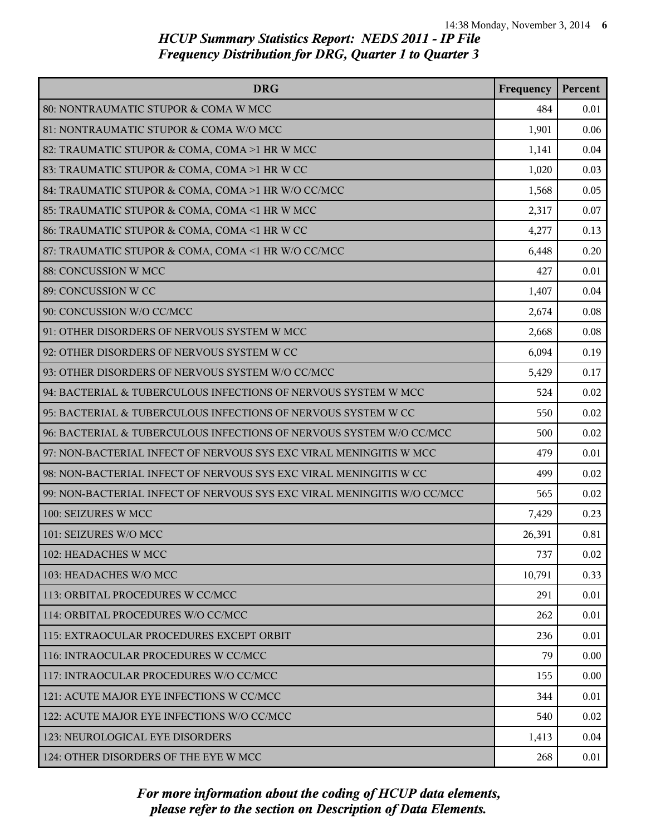| <b>DRG</b>                                                              | Frequency | Percent |
|-------------------------------------------------------------------------|-----------|---------|
| 80: NONTRAUMATIC STUPOR & COMA W MCC                                    | 484       | 0.01    |
| 81: NONTRAUMATIC STUPOR & COMA W/O MCC                                  | 1,901     | 0.06    |
| 82: TRAUMATIC STUPOR & COMA, COMA >1 HR W MCC                           | 1,141     | 0.04    |
| 83: TRAUMATIC STUPOR & COMA, COMA >1 HR W CC                            | 1,020     | 0.03    |
| 84: TRAUMATIC STUPOR & COMA, COMA >1 HR W/O CC/MCC                      | 1,568     | 0.05    |
| 85: TRAUMATIC STUPOR & COMA, COMA <1 HR W MCC                           | 2,317     | 0.07    |
| 86: TRAUMATIC STUPOR & COMA, COMA <1 HR W CC                            | 4,277     | 0.13    |
| 87: TRAUMATIC STUPOR & COMA, COMA <1 HR W/O CC/MCC                      | 6,448     | 0.20    |
| 88: CONCUSSION W MCC                                                    | 427       | 0.01    |
| 89: CONCUSSION W CC                                                     | 1,407     | 0.04    |
| 90: CONCUSSION W/O CC/MCC                                               | 2,674     | 0.08    |
| 91: OTHER DISORDERS OF NERVOUS SYSTEM W MCC                             | 2,668     | 0.08    |
| 92: OTHER DISORDERS OF NERVOUS SYSTEM W CC                              | 6,094     | 0.19    |
| 93: OTHER DISORDERS OF NERVOUS SYSTEM W/O CC/MCC                        | 5,429     | 0.17    |
| 94: BACTERIAL & TUBERCULOUS INFECTIONS OF NERVOUS SYSTEM W MCC          | 524       | 0.02    |
| 95: BACTERIAL & TUBERCULOUS INFECTIONS OF NERVOUS SYSTEM W CC           | 550       | 0.02    |
| 96: BACTERIAL & TUBERCULOUS INFECTIONS OF NERVOUS SYSTEM W/O CC/MCC     | 500       | 0.02    |
| 97: NON-BACTERIAL INFECT OF NERVOUS SYS EXC VIRAL MENINGITIS W MCC      | 479       | 0.01    |
| 98: NON-BACTERIAL INFECT OF NERVOUS SYS EXC VIRAL MENINGITIS W CC       | 499       | 0.02    |
| 99: NON-BACTERIAL INFECT OF NERVOUS SYS EXC VIRAL MENINGITIS W/O CC/MCC | 565       | 0.02    |
| 100: SEIZURES W MCC                                                     | 7,429     | 0.23    |
| 101: SEIZURES W/O MCC                                                   | 26,391    | 0.81    |
| 102: HEADACHES W MCC                                                    | 737       | 0.02    |
| 103: HEADACHES W/O MCC                                                  | 10,791    | 0.33    |
| 113: ORBITAL PROCEDURES W CC/MCC                                        | 291       | 0.01    |
| 114: ORBITAL PROCEDURES W/O CC/MCC                                      | 262       | 0.01    |
| 115: EXTRAOCULAR PROCEDURES EXCEPT ORBIT                                | 236       | 0.01    |
| 116: INTRAOCULAR PROCEDURES W CC/MCC                                    | 79        | 0.00    |
| 117: INTRAOCULAR PROCEDURES W/O CC/MCC                                  | 155       | 0.00    |
| 121: ACUTE MAJOR EYE INFECTIONS W CC/MCC                                | 344       | 0.01    |
| 122: ACUTE MAJOR EYE INFECTIONS W/O CC/MCC                              | 540       | 0.02    |
| 123: NEUROLOGICAL EYE DISORDERS                                         | 1,413     | 0.04    |
| 124: OTHER DISORDERS OF THE EYE W MCC                                   | 268       | 0.01    |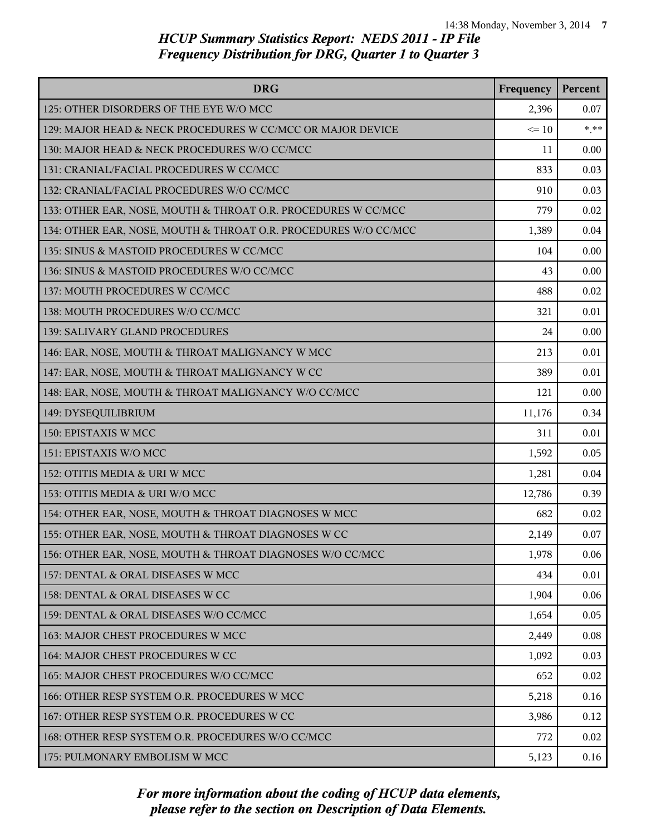| <b>DRG</b>                                                      | Frequency | Percent |
|-----------------------------------------------------------------|-----------|---------|
| 125: OTHER DISORDERS OF THE EYE W/O MCC                         | 2,396     | 0.07    |
| 129: MAJOR HEAD & NECK PROCEDURES W CC/MCC OR MAJOR DEVICE      | $\leq 10$ | $***$   |
| 130: MAJOR HEAD & NECK PROCEDURES W/O CC/MCC                    | 11        | 0.00    |
| 131: CRANIAL/FACIAL PROCEDURES W CC/MCC                         | 833       | 0.03    |
| 132: CRANIAL/FACIAL PROCEDURES W/O CC/MCC                       | 910       | 0.03    |
| 133: OTHER EAR, NOSE, MOUTH & THROAT O.R. PROCEDURES W CC/MCC   | 779       | 0.02    |
| 134: OTHER EAR, NOSE, MOUTH & THROAT O.R. PROCEDURES W/O CC/MCC | 1,389     | 0.04    |
| 135: SINUS & MASTOID PROCEDURES W CC/MCC                        | 104       | 0.00    |
| 136: SINUS & MASTOID PROCEDURES W/O CC/MCC                      | 43        | 0.00    |
| 137: MOUTH PROCEDURES W CC/MCC                                  | 488       | 0.02    |
| 138: MOUTH PROCEDURES W/O CC/MCC                                | 321       | 0.01    |
| 139: SALIVARY GLAND PROCEDURES                                  | 24        | 0.00    |
| 146: EAR, NOSE, MOUTH & THROAT MALIGNANCY W MCC                 | 213       | 0.01    |
| 147: EAR, NOSE, MOUTH & THROAT MALIGNANCY W CC                  | 389       | 0.01    |
| 148: EAR, NOSE, MOUTH & THROAT MALIGNANCY W/O CC/MCC            | 121       | 0.00    |
| 149: DYSEQUILIBRIUM                                             | 11,176    | 0.34    |
| 150: EPISTAXIS W MCC                                            | 311       | 0.01    |
| 151: EPISTAXIS W/O MCC                                          | 1,592     | 0.05    |
| 152: OTITIS MEDIA & URI W MCC                                   | 1,281     | 0.04    |
| 153: OTITIS MEDIA & URI W/O MCC                                 | 12,786    | 0.39    |
| 154: OTHER EAR, NOSE, MOUTH & THROAT DIAGNOSES W MCC            | 682       | 0.02    |
| 155: OTHER EAR, NOSE, MOUTH & THROAT DIAGNOSES W CC             | 2,149     | 0.07    |
| 156: OTHER EAR, NOSE, MOUTH & THROAT DIAGNOSES W/O CC/MCC       | 1,978     | 0.06    |
| 157: DENTAL & ORAL DISEASES W MCC                               | 434       | 0.01    |
| 158: DENTAL & ORAL DISEASES W CC                                | 1,904     | 0.06    |
| 159: DENTAL & ORAL DISEASES W/O CC/MCC                          | 1,654     | 0.05    |
| 163: MAJOR CHEST PROCEDURES W MCC                               | 2,449     | 0.08    |
| 164: MAJOR CHEST PROCEDURES W CC                                | 1,092     | 0.03    |
| 165: MAJOR CHEST PROCEDURES W/O CC/MCC                          | 652       | 0.02    |
| 166: OTHER RESP SYSTEM O.R. PROCEDURES W MCC                    | 5,218     | 0.16    |
| 167: OTHER RESP SYSTEM O.R. PROCEDURES W CC                     | 3,986     | 0.12    |
| 168: OTHER RESP SYSTEM O.R. PROCEDURES W/O CC/MCC               | 772       | 0.02    |
| 175: PULMONARY EMBOLISM W MCC                                   | 5,123     | 0.16    |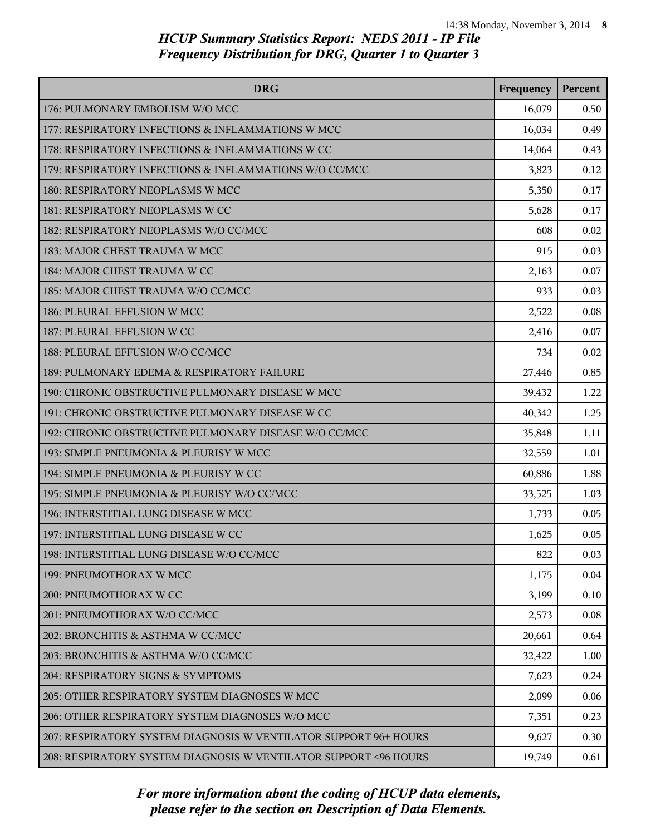| <b>DRG</b>                                                        | Frequency | Percent |
|-------------------------------------------------------------------|-----------|---------|
| 176: PULMONARY EMBOLISM W/O MCC                                   | 16,079    | 0.50    |
| 177: RESPIRATORY INFECTIONS & INFLAMMATIONS W MCC                 | 16,034    | 0.49    |
| 178: RESPIRATORY INFECTIONS & INFLAMMATIONS W CC                  | 14,064    | 0.43    |
| 179: RESPIRATORY INFECTIONS & INFLAMMATIONS W/O CC/MCC            | 3,823     | 0.12    |
| 180: RESPIRATORY NEOPLASMS W MCC                                  | 5,350     | 0.17    |
| 181: RESPIRATORY NEOPLASMS W CC                                   | 5,628     | 0.17    |
| 182: RESPIRATORY NEOPLASMS W/O CC/MCC                             | 608       | 0.02    |
| 183: MAJOR CHEST TRAUMA W MCC                                     | 915       | 0.03    |
| 184: MAJOR CHEST TRAUMA W CC                                      | 2,163     | 0.07    |
| 185: MAJOR CHEST TRAUMA W/O CC/MCC                                | 933       | 0.03    |
| 186: PLEURAL EFFUSION W MCC                                       | 2,522     | 0.08    |
| 187: PLEURAL EFFUSION W CC                                        | 2,416     | 0.07    |
| 188: PLEURAL EFFUSION W/O CC/MCC                                  | 734       | 0.02    |
| 189: PULMONARY EDEMA & RESPIRATORY FAILURE                        | 27,446    | 0.85    |
| 190: CHRONIC OBSTRUCTIVE PULMONARY DISEASE W MCC                  | 39,432    | 1.22    |
| 191: CHRONIC OBSTRUCTIVE PULMONARY DISEASE W CC                   | 40,342    | 1.25    |
| 192: CHRONIC OBSTRUCTIVE PULMONARY DISEASE W/O CC/MCC             | 35,848    | 1.11    |
| 193: SIMPLE PNEUMONIA & PLEURISY W MCC                            | 32,559    | 1.01    |
| 194: SIMPLE PNEUMONIA & PLEURISY W CC                             | 60,886    | 1.88    |
| 195: SIMPLE PNEUMONIA & PLEURISY W/O CC/MCC                       | 33,525    | 1.03    |
| 196: INTERSTITIAL LUNG DISEASE W MCC                              | 1,733     | 0.05    |
| 197: INTERSTITIAL LUNG DISEASE W CC                               | 1,625     | 0.05    |
| 198: INTERSTITIAL LUNG DISEASE W/O CC/MCC                         | 822       | 0.03    |
| 199: PNEUMOTHORAX W MCC                                           | 1,175     | 0.04    |
| 200: PNEUMOTHORAX W CC                                            | 3,199     | 0.10    |
| 201: PNEUMOTHORAX W/O CC/MCC                                      | 2,573     | 0.08    |
| 202: BRONCHITIS & ASTHMA W CC/MCC                                 | 20,661    | 0.64    |
| 203: BRONCHITIS & ASTHMA W/O CC/MCC                               | 32,422    | 1.00    |
| 204: RESPIRATORY SIGNS & SYMPTOMS                                 | 7,623     | 0.24    |
| 205: OTHER RESPIRATORY SYSTEM DIAGNOSES W MCC                     | 2,099     | 0.06    |
| 206: OTHER RESPIRATORY SYSTEM DIAGNOSES W/O MCC                   | 7,351     | 0.23    |
| 207: RESPIRATORY SYSTEM DIAGNOSIS W VENTILATOR SUPPORT 96+ HOURS  | 9,627     | 0.30    |
| 208: RESPIRATORY SYSTEM DIAGNOSIS W VENTILATOR SUPPORT < 96 HOURS | 19,749    | 0.61    |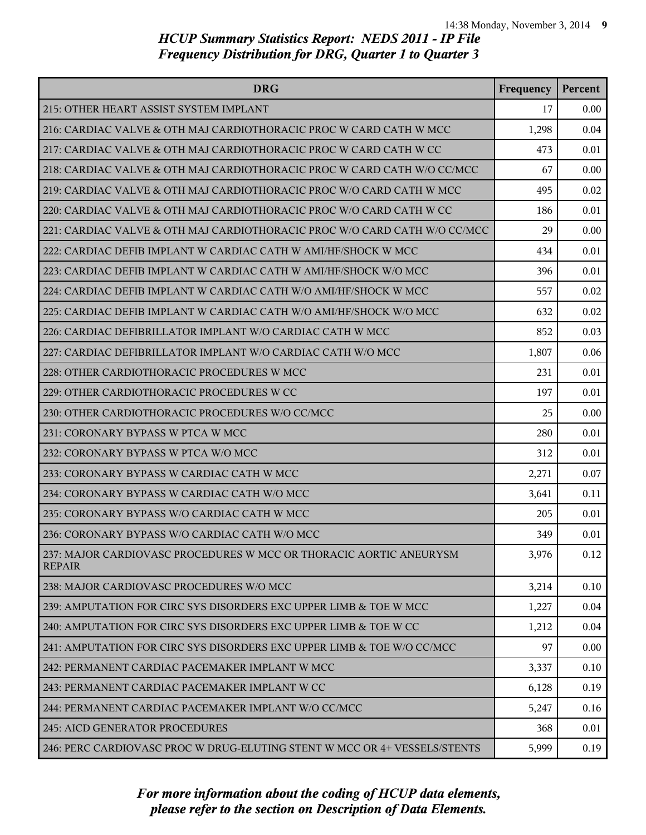| <b>DRG</b>                                                                          | Frequency | Percent |
|-------------------------------------------------------------------------------------|-----------|---------|
| 215: OTHER HEART ASSIST SYSTEM IMPLANT                                              | 17        | 0.00    |
| 216: CARDIAC VALVE & OTH MAJ CARDIOTHORACIC PROC W CARD CATH W MCC                  | 1,298     | 0.04    |
| 217: CARDIAC VALVE & OTH MAJ CARDIOTHORACIC PROC W CARD CATH W CC                   | 473       | 0.01    |
| 218: CARDIAC VALVE & OTH MAJ CARDIOTHORACIC PROC W CARD CATH W/O CC/MCC             | 67        | 0.00    |
| 219: CARDIAC VALVE & OTH MAJ CARDIOTHORACIC PROC W/O CARD CATH W MCC                | 495       | 0.02    |
| 220: CARDIAC VALVE & OTH MAJ CARDIOTHORACIC PROC W/O CARD CATH W CC                 | 186       | 0.01    |
| 221: CARDIAC VALVE & OTH MAJ CARDIOTHORACIC PROC W/O CARD CATH W/O CC/MCC           | 29        | 0.00    |
| 222: CARDIAC DEFIB IMPLANT W CARDIAC CATH W AMI/HF/SHOCK W MCC                      | 434       | 0.01    |
| 223: CARDIAC DEFIB IMPLANT W CARDIAC CATH W AMI/HF/SHOCK W/O MCC                    | 396       | 0.01    |
| 224: CARDIAC DEFIB IMPLANT W CARDIAC CATH W/O AMI/HF/SHOCK W MCC                    | 557       | 0.02    |
| 225: CARDIAC DEFIB IMPLANT W CARDIAC CATH W/O AMI/HF/SHOCK W/O MCC                  | 632       | 0.02    |
| 226: CARDIAC DEFIBRILLATOR IMPLANT W/O CARDIAC CATH W MCC                           | 852       | 0.03    |
| 227: CARDIAC DEFIBRILLATOR IMPLANT W/O CARDIAC CATH W/O MCC                         | 1,807     | 0.06    |
| 228: OTHER CARDIOTHORACIC PROCEDURES W MCC                                          | 231       | 0.01    |
| 229: OTHER CARDIOTHORACIC PROCEDURES W CC                                           | 197       | 0.01    |
| 230: OTHER CARDIOTHORACIC PROCEDURES W/O CC/MCC                                     | 25        | 0.00    |
| 231: CORONARY BYPASS W PTCA W MCC                                                   | 280       | 0.01    |
| 232: CORONARY BYPASS W PTCA W/O MCC                                                 | 312       | 0.01    |
| 233: CORONARY BYPASS W CARDIAC CATH W MCC                                           | 2,271     | 0.07    |
| 234: CORONARY BYPASS W CARDIAC CATH W/O MCC                                         | 3,641     | 0.11    |
| 235: CORONARY BYPASS W/O CARDIAC CATH W MCC                                         | 205       | 0.01    |
| 236: CORONARY BYPASS W/O CARDIAC CATH W/O MCC                                       | 349       | 0.01    |
| 237: MAJOR CARDIOVASC PROCEDURES W MCC OR THORACIC AORTIC ANEURYSM<br><b>REPAIR</b> | 3,976     | 0.12    |
| 238: MAJOR CARDIOVASC PROCEDURES W/O MCC                                            | 3,214     | 0.10    |
| 239: AMPUTATION FOR CIRC SYS DISORDERS EXC UPPER LIMB & TOE W MCC                   | 1,227     | 0.04    |
| 240: AMPUTATION FOR CIRC SYS DISORDERS EXC UPPER LIMB & TOE W CC                    | 1,212     | 0.04    |
| 241: AMPUTATION FOR CIRC SYS DISORDERS EXC UPPER LIMB & TOE W/O CC/MCC              | 97        | 0.00    |
| 242: PERMANENT CARDIAC PACEMAKER IMPLANT W MCC                                      | 3,337     | 0.10    |
| 243: PERMANENT CARDIAC PACEMAKER IMPLANT W CC                                       | 6,128     | 0.19    |
| 244: PERMANENT CARDIAC PACEMAKER IMPLANT W/O CC/MCC                                 | 5,247     | 0.16    |
| 245: AICD GENERATOR PROCEDURES                                                      | 368       | 0.01    |
| 246: PERC CARDIOVASC PROC W DRUG-ELUTING STENT W MCC OR 4+ VESSELS/STENTS           | 5,999     | 0.19    |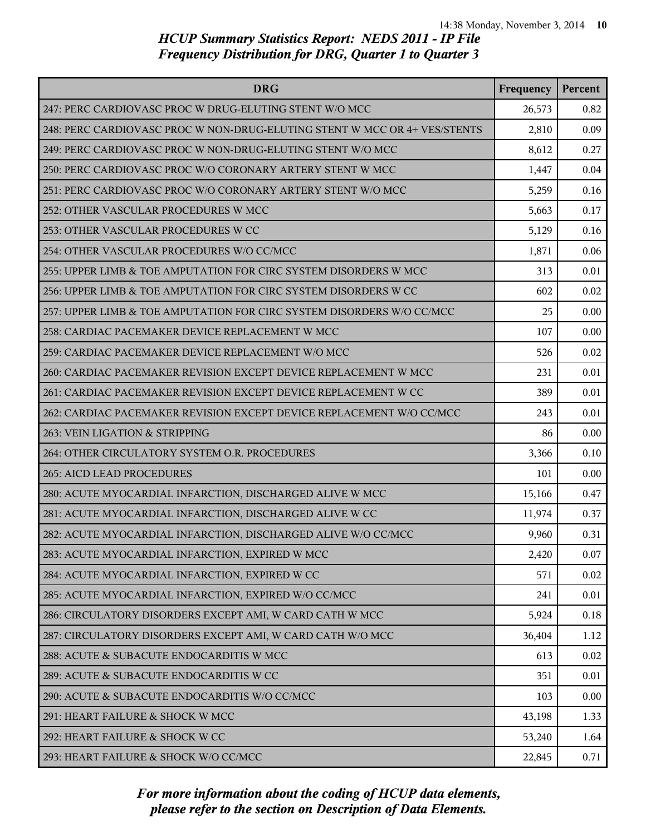| <b>DRG</b>                                                                | Frequency | Percent |
|---------------------------------------------------------------------------|-----------|---------|
| 247: PERC CARDIOVASC PROC W DRUG-ELUTING STENT W/O MCC                    | 26,573    | 0.82    |
| 248: PERC CARDIOVASC PROC W NON-DRUG-ELUTING STENT W MCC OR 4+ VES/STENTS | 2,810     | 0.09    |
| 249: PERC CARDIOVASC PROC W NON-DRUG-ELUTING STENT W/O MCC                | 8,612     | 0.27    |
| 250: PERC CARDIOVASC PROC W/O CORONARY ARTERY STENT W MCC                 | 1,447     | 0.04    |
| 251: PERC CARDIOVASC PROC W/O CORONARY ARTERY STENT W/O MCC               | 5,259     | 0.16    |
| 252: OTHER VASCULAR PROCEDURES W MCC                                      | 5,663     | 0.17    |
| 253: OTHER VASCULAR PROCEDURES W CC                                       | 5,129     | 0.16    |
| 254: OTHER VASCULAR PROCEDURES W/O CC/MCC                                 | 1,871     | 0.06    |
| 255: UPPER LIMB & TOE AMPUTATION FOR CIRC SYSTEM DISORDERS W MCC          | 313       | 0.01    |
| 256: UPPER LIMB & TOE AMPUTATION FOR CIRC SYSTEM DISORDERS W CC           | 602       | 0.02    |
| 257: UPPER LIMB & TOE AMPUTATION FOR CIRC SYSTEM DISORDERS W/O CC/MCC     | 25        | 0.00    |
| 258: CARDIAC PACEMAKER DEVICE REPLACEMENT W MCC                           | 107       | 0.00    |
| 259: CARDIAC PACEMAKER DEVICE REPLACEMENT W/O MCC                         | 526       | 0.02    |
| 260: CARDIAC PACEMAKER REVISION EXCEPT DEVICE REPLACEMENT W MCC           | 231       | 0.01    |
| 261: CARDIAC PACEMAKER REVISION EXCEPT DEVICE REPLACEMENT W CC            | 389       | 0.01    |
| 262: CARDIAC PACEMAKER REVISION EXCEPT DEVICE REPLACEMENT W/O CC/MCC      | 243       | 0.01    |
| 263: VEIN LIGATION & STRIPPING                                            | 86        | 0.00    |
| 264: OTHER CIRCULATORY SYSTEM O.R. PROCEDURES                             | 3,366     | 0.10    |
| 265: AICD LEAD PROCEDURES                                                 | 101       | 0.00    |
| 280: ACUTE MYOCARDIAL INFARCTION, DISCHARGED ALIVE W MCC                  | 15,166    | 0.47    |
| 281: ACUTE MYOCARDIAL INFARCTION, DISCHARGED ALIVE W CC                   | 11,974    | 0.37    |
| 282: ACUTE MYOCARDIAL INFARCTION, DISCHARGED ALIVE W/O CC/MCC             | 9,960     | 0.31    |
| 283: ACUTE MYOCARDIAL INFARCTION, EXPIRED W MCC                           | 2,420     | 0.07    |
| 284: ACUTE MYOCARDIAL INFARCTION, EXPIRED W CC                            | 571       | 0.02    |
| 285: ACUTE MYOCARDIAL INFARCTION, EXPIRED W/O CC/MCC                      | 241       | 0.01    |
| 286: CIRCULATORY DISORDERS EXCEPT AMI, W CARD CATH W MCC                  | 5,924     | 0.18    |
| 287: CIRCULATORY DISORDERS EXCEPT AMI, W CARD CATH W/O MCC                | 36,404    | 1.12    |
| 288: ACUTE & SUBACUTE ENDOCARDITIS W MCC                                  | 613       | 0.02    |
| 289: ACUTE & SUBACUTE ENDOCARDITIS W CC                                   | 351       | 0.01    |
| 290: ACUTE & SUBACUTE ENDOCARDITIS W/O CC/MCC                             | 103       | 0.00    |
| 291: HEART FAILURE & SHOCK W MCC                                          | 43,198    | 1.33    |
| 292: HEART FAILURE & SHOCK W CC                                           | 53,240    | 1.64    |
| 293: HEART FAILURE & SHOCK W/O CC/MCC                                     | 22,845    | 0.71    |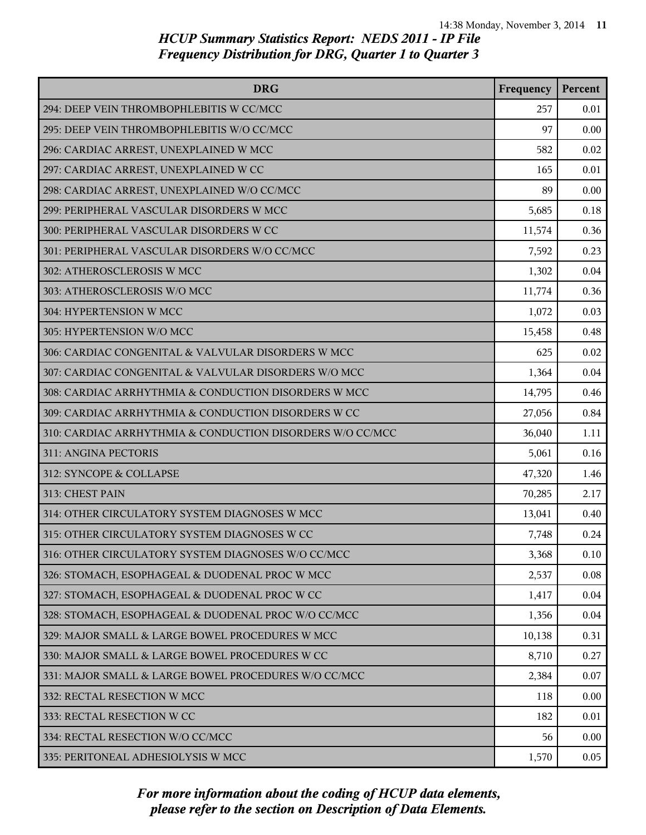| <b>DRG</b>                                                | Frequency | Percent |
|-----------------------------------------------------------|-----------|---------|
| 294: DEEP VEIN THROMBOPHLEBITIS W CC/MCC                  | 257       | 0.01    |
| 295: DEEP VEIN THROMBOPHLEBITIS W/O CC/MCC                | 97        | 0.00    |
| 296: CARDIAC ARREST, UNEXPLAINED W MCC                    | 582       | 0.02    |
| 297: CARDIAC ARREST, UNEXPLAINED W CC                     | 165       | 0.01    |
| 298: CARDIAC ARREST, UNEXPLAINED W/O CC/MCC               | 89        | 0.00    |
| 299: PERIPHERAL VASCULAR DISORDERS W MCC                  | 5,685     | 0.18    |
| 300: PERIPHERAL VASCULAR DISORDERS W CC                   | 11,574    | 0.36    |
| 301: PERIPHERAL VASCULAR DISORDERS W/O CC/MCC             | 7,592     | 0.23    |
| 302: ATHEROSCLEROSIS W MCC                                | 1,302     | 0.04    |
| 303: ATHEROSCLEROSIS W/O MCC                              | 11,774    | 0.36    |
| 304: HYPERTENSION W MCC                                   | 1,072     | 0.03    |
| 305: HYPERTENSION W/O MCC                                 | 15,458    | 0.48    |
| 306: CARDIAC CONGENITAL & VALVULAR DISORDERS W MCC        | 625       | 0.02    |
| 307: CARDIAC CONGENITAL & VALVULAR DISORDERS W/O MCC      | 1,364     | 0.04    |
| 308: CARDIAC ARRHYTHMIA & CONDUCTION DISORDERS W MCC      | 14,795    | 0.46    |
| 309: CARDIAC ARRHYTHMIA & CONDUCTION DISORDERS W CC       | 27,056    | 0.84    |
| 310: CARDIAC ARRHYTHMIA & CONDUCTION DISORDERS W/O CC/MCC | 36,040    | 1.11    |
| 311: ANGINA PECTORIS                                      | 5,061     | 0.16    |
| 312: SYNCOPE & COLLAPSE                                   | 47,320    | 1.46    |
| 313: CHEST PAIN                                           | 70,285    | 2.17    |
| 314: OTHER CIRCULATORY SYSTEM DIAGNOSES W MCC             | 13,041    | 0.40    |
| 315: OTHER CIRCULATORY SYSTEM DIAGNOSES W CC              | 7,748     | 0.24    |
| 316: OTHER CIRCULATORY SYSTEM DIAGNOSES W/O CC/MCC        | 3,368     | 0.10    |
| 326: STOMACH, ESOPHAGEAL & DUODENAL PROC W MCC            | 2,537     | 0.08    |
| 327: STOMACH, ESOPHAGEAL & DUODENAL PROC W CC             | 1,417     | 0.04    |
| 328: STOMACH, ESOPHAGEAL & DUODENAL PROC W/O CC/MCC       | 1,356     | 0.04    |
| 329: MAJOR SMALL & LARGE BOWEL PROCEDURES W MCC           | 10,138    | 0.31    |
| 330: MAJOR SMALL & LARGE BOWEL PROCEDURES W CC            | 8,710     | 0.27    |
| 331: MAJOR SMALL & LARGE BOWEL PROCEDURES W/O CC/MCC      | 2,384     | 0.07    |
| 332: RECTAL RESECTION W MCC                               | 118       | 0.00    |
| 333: RECTAL RESECTION W CC                                | 182       | 0.01    |
| 334: RECTAL RESECTION W/O CC/MCC                          | 56        | 0.00    |
| 335: PERITONEAL ADHESIOLYSIS W MCC                        | 1,570     | 0.05    |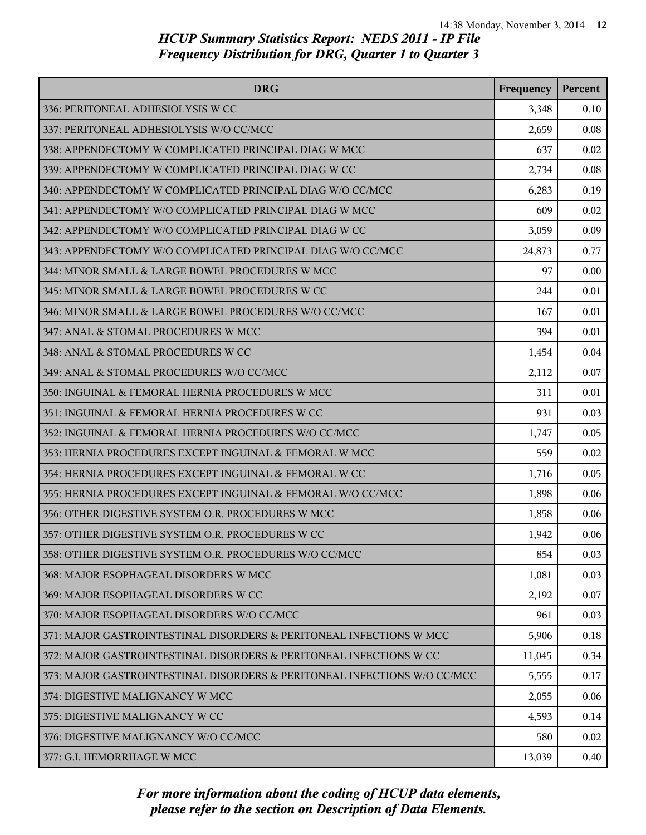| <b>DRG</b>                                                               | Frequency | Percent |
|--------------------------------------------------------------------------|-----------|---------|
| 336: PERITONEAL ADHESIOLYSIS W CC                                        | 3,348     | 0.10    |
| 337: PERITONEAL ADHESIOLYSIS W/O CC/MCC                                  | 2,659     | 0.08    |
| 338: APPENDECTOMY W COMPLICATED PRINCIPAL DIAG W MCC                     | 637       | 0.02    |
| 339: APPENDECTOMY W COMPLICATED PRINCIPAL DIAG W CC                      | 2,734     | 0.08    |
| 340: APPENDECTOMY W COMPLICATED PRINCIPAL DIAG W/O CC/MCC                | 6,283     | 0.19    |
| 341: APPENDECTOMY W/O COMPLICATED PRINCIPAL DIAG W MCC                   | 609       | 0.02    |
| 342: APPENDECTOMY W/O COMPLICATED PRINCIPAL DIAG W CC                    | 3,059     | 0.09    |
| 343: APPENDECTOMY W/O COMPLICATED PRINCIPAL DIAG W/O CC/MCC              | 24,873    | 0.77    |
| 344: MINOR SMALL & LARGE BOWEL PROCEDURES W MCC                          | 97        | 0.00    |
| 345: MINOR SMALL & LARGE BOWEL PROCEDURES W CC                           | 244       | 0.01    |
| 346: MINOR SMALL & LARGE BOWEL PROCEDURES W/O CC/MCC                     | 167       | 0.01    |
| 347: ANAL & STOMAL PROCEDURES W MCC                                      | 394       | 0.01    |
| 348: ANAL & STOMAL PROCEDURES W CC                                       | 1,454     | 0.04    |
| 349: ANAL & STOMAL PROCEDURES W/O CC/MCC                                 | 2,112     | 0.07    |
| 350: INGUINAL & FEMORAL HERNIA PROCEDURES W MCC                          | 311       | 0.01    |
| 351: INGUINAL & FEMORAL HERNIA PROCEDURES W CC                           | 931       | 0.03    |
| 352: INGUINAL & FEMORAL HERNIA PROCEDURES W/O CC/MCC                     | 1,747     | 0.05    |
| 353: HERNIA PROCEDURES EXCEPT INGUINAL & FEMORAL W MCC                   | 559       | 0.02    |
| 354: HERNIA PROCEDURES EXCEPT INGUINAL & FEMORAL W CC                    | 1,716     | 0.05    |
| 355: HERNIA PROCEDURES EXCEPT INGUINAL & FEMORAL W/O CC/MCC              | 1,898     | 0.06    |
| 356: OTHER DIGESTIVE SYSTEM O.R. PROCEDURES W MCC                        | 1,858     | 0.06    |
| 357: OTHER DIGESTIVE SYSTEM O.R. PROCEDURES W CC                         | 1,942     | 0.06    |
| 358: OTHER DIGESTIVE SYSTEM O.R. PROCEDURES W/O CC/MCC                   | 854       | 0.03    |
| 368: MAJOR ESOPHAGEAL DISORDERS W MCC                                    | 1,081     | 0.03    |
| 369: MAJOR ESOPHAGEAL DISORDERS W CC                                     | 2,192     | 0.07    |
| 370: MAJOR ESOPHAGEAL DISORDERS W/O CC/MCC                               | 961       | 0.03    |
| 371: MAJOR GASTROINTESTINAL DISORDERS & PERITONEAL INFECTIONS W MCC      | 5,906     | 0.18    |
| 372: MAJOR GASTROINTESTINAL DISORDERS & PERITONEAL INFECTIONS W CC       | 11,045    | 0.34    |
| 373: MAJOR GASTROINTESTINAL DISORDERS & PERITONEAL INFECTIONS W/O CC/MCC | 5,555     | 0.17    |
| 374: DIGESTIVE MALIGNANCY W MCC                                          | 2,055     | 0.06    |
| 375: DIGESTIVE MALIGNANCY W CC                                           | 4,593     | 0.14    |
| 376: DIGESTIVE MALIGNANCY W/O CC/MCC                                     | 580       | 0.02    |
| 377: G.I. HEMORRHAGE W MCC                                               | 13,039    | 0.40    |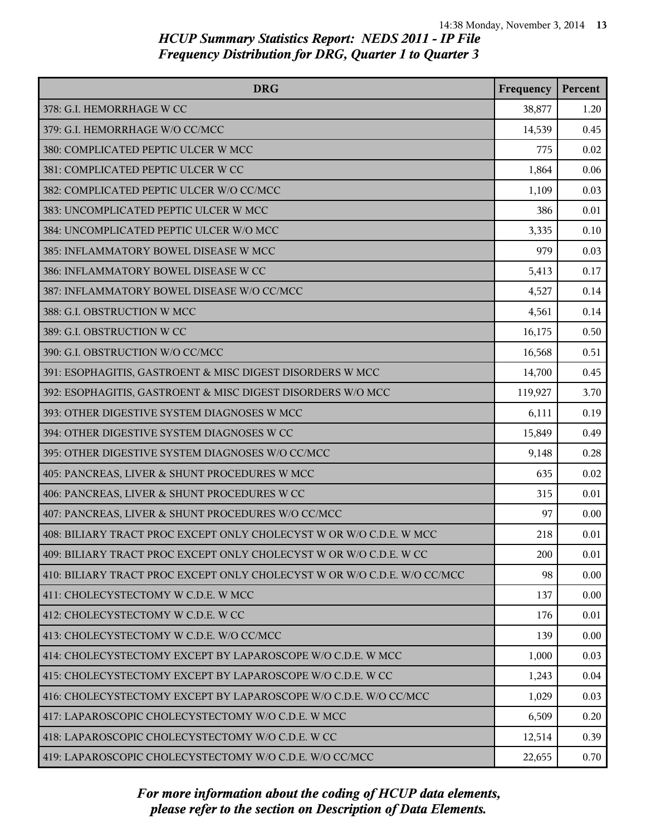| <b>DRG</b>                                                               | Frequency | Percent |
|--------------------------------------------------------------------------|-----------|---------|
| 378: G.I. HEMORRHAGE W CC                                                | 38,877    | 1.20    |
| 379: G.I. HEMORRHAGE W/O CC/MCC                                          | 14,539    | 0.45    |
| 380: COMPLICATED PEPTIC ULCER W MCC                                      | 775       | 0.02    |
| 381: COMPLICATED PEPTIC ULCER W CC                                       | 1,864     | 0.06    |
| 382: COMPLICATED PEPTIC ULCER W/O CC/MCC                                 | 1,109     | 0.03    |
| 383: UNCOMPLICATED PEPTIC ULCER W MCC                                    | 386       | 0.01    |
| 384: UNCOMPLICATED PEPTIC ULCER W/O MCC                                  | 3,335     | 0.10    |
| 385: INFLAMMATORY BOWEL DISEASE W MCC                                    | 979       | 0.03    |
| 386: INFLAMMATORY BOWEL DISEASE W CC                                     | 5,413     | 0.17    |
| 387: INFLAMMATORY BOWEL DISEASE W/O CC/MCC                               | 4,527     | 0.14    |
| 388: G.I. OBSTRUCTION W MCC                                              | 4,561     | 0.14    |
| 389: G.I. OBSTRUCTION W CC                                               | 16,175    | 0.50    |
| 390: G.I. OBSTRUCTION W/O CC/MCC                                         | 16,568    | 0.51    |
| 391: ESOPHAGITIS, GASTROENT & MISC DIGEST DISORDERS W MCC                | 14,700    | 0.45    |
| 392: ESOPHAGITIS, GASTROENT & MISC DIGEST DISORDERS W/O MCC              | 119,927   | 3.70    |
| 393: OTHER DIGESTIVE SYSTEM DIAGNOSES W MCC                              | 6,111     | 0.19    |
| 394: OTHER DIGESTIVE SYSTEM DIAGNOSES W CC                               | 15,849    | 0.49    |
| 395: OTHER DIGESTIVE SYSTEM DIAGNOSES W/O CC/MCC                         | 9,148     | 0.28    |
| 405: PANCREAS, LIVER & SHUNT PROCEDURES W MCC                            | 635       | 0.02    |
| 406: PANCREAS, LIVER & SHUNT PROCEDURES W CC                             | 315       | 0.01    |
| 407: PANCREAS, LIVER & SHUNT PROCEDURES W/O CC/MCC                       | 97        | 0.00    |
| 408: BILIARY TRACT PROC EXCEPT ONLY CHOLECYST W OR W/O C.D.E. W MCC      | 218       | 0.01    |
| 409: BILIARY TRACT PROC EXCEPT ONLY CHOLECYST W OR W/O C.D.E. W CC       | 200       | 0.01    |
| 410: BILIARY TRACT PROC EXCEPT ONLY CHOLECYST W OR W/O C.D.E. W/O CC/MCC | 98        | 0.00    |
| 411: CHOLECYSTECTOMY W C.D.E. W MCC                                      | 137       | 0.00    |
| 412: CHOLECYSTECTOMY W C.D.E. W CC                                       | 176       | 0.01    |
| 413: CHOLECYSTECTOMY W C.D.E. W/O CC/MCC                                 | 139       | 0.00    |
| 414: CHOLECYSTECTOMY EXCEPT BY LAPAROSCOPE W/O C.D.E. W MCC              | 1,000     | 0.03    |
| 415: CHOLECYSTECTOMY EXCEPT BY LAPAROSCOPE W/O C.D.E. W CC               | 1,243     | 0.04    |
| 416: CHOLECYSTECTOMY EXCEPT BY LAPAROSCOPE W/O C.D.E. W/O CC/MCC         | 1,029     | 0.03    |
| 417: LAPAROSCOPIC CHOLECYSTECTOMY W/O C.D.E. W MCC                       | 6,509     | 0.20    |
| 418: LAPAROSCOPIC CHOLECYSTECTOMY W/O C.D.E. W CC                        | 12,514    | 0.39    |
| 419: LAPAROSCOPIC CHOLECYSTECTOMY W/O C.D.E. W/O CC/MCC                  | 22,655    | 0.70    |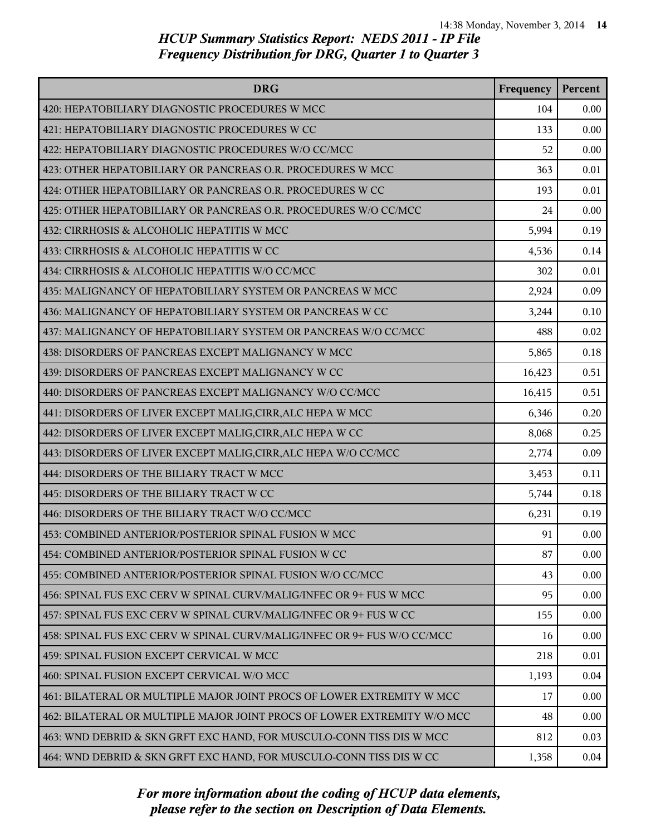| <b>DRG</b>                                                              | Frequency | Percent |
|-------------------------------------------------------------------------|-----------|---------|
| 420: HEPATOBILIARY DIAGNOSTIC PROCEDURES W MCC                          | 104       | 0.00    |
| 421: HEPATOBILIARY DIAGNOSTIC PROCEDURES W CC                           | 133       | 0.00    |
| 422: HEPATOBILIARY DIAGNOSTIC PROCEDURES W/O CC/MCC                     | 52        | 0.00    |
| 423: OTHER HEPATOBILIARY OR PANCREAS O.R. PROCEDURES W MCC              | 363       | 0.01    |
| 424: OTHER HEPATOBILIARY OR PANCREAS O.R. PROCEDURES W CC               | 193       | 0.01    |
| 425: OTHER HEPATOBILIARY OR PANCREAS O.R. PROCEDURES W/O CC/MCC         | 24        | 0.00    |
| 432: CIRRHOSIS & ALCOHOLIC HEPATITIS W MCC                              | 5,994     | 0.19    |
| 433: CIRRHOSIS & ALCOHOLIC HEPATITIS W CC                               | 4,536     | 0.14    |
| 434: CIRRHOSIS & ALCOHOLIC HEPATITIS W/O CC/MCC                         | 302       | 0.01    |
| 435: MALIGNANCY OF HEPATOBILIARY SYSTEM OR PANCREAS W MCC               | 2,924     | 0.09    |
| 436: MALIGNANCY OF HEPATOBILIARY SYSTEM OR PANCREAS W CC                | 3,244     | 0.10    |
| 437: MALIGNANCY OF HEPATOBILIARY SYSTEM OR PANCREAS W/O CC/MCC          | 488       | 0.02    |
| 438: DISORDERS OF PANCREAS EXCEPT MALIGNANCY W MCC                      | 5,865     | 0.18    |
| 439: DISORDERS OF PANCREAS EXCEPT MALIGNANCY W CC                       | 16,423    | 0.51    |
| 440: DISORDERS OF PANCREAS EXCEPT MALIGNANCY W/O CC/MCC                 | 16,415    | 0.51    |
| 441: DISORDERS OF LIVER EXCEPT MALIG, CIRR, ALC HEPA W MCC              | 6,346     | 0.20    |
| 442: DISORDERS OF LIVER EXCEPT MALIG, CIRR, ALC HEPA W CC               | 8,068     | 0.25    |
| 443: DISORDERS OF LIVER EXCEPT MALIG, CIRR, ALC HEPA W/O CC/MCC         | 2,774     | 0.09    |
| 444: DISORDERS OF THE BILIARY TRACT W MCC                               | 3,453     | 0.11    |
| 445: DISORDERS OF THE BILIARY TRACT W CC                                | 5,744     | 0.18    |
| 446: DISORDERS OF THE BILIARY TRACT W/O CC/MCC                          | 6,231     | 0.19    |
| 453: COMBINED ANTERIOR/POSTERIOR SPINAL FUSION W MCC                    | 91        | 0.00    |
| 454: COMBINED ANTERIOR/POSTERIOR SPINAL FUSION W CC                     | 87        | 0.00    |
| 455: COMBINED ANTERIOR/POSTERIOR SPINAL FUSION W/O CC/MCC               | 43        | 0.00    |
| 456: SPINAL FUS EXC CERV W SPINAL CURV/MALIG/INFEC OR 9+ FUS W MCC      | 95        | 0.00    |
| 457: SPINAL FUS EXC CERV W SPINAL CURV/MALIG/INFEC OR 9+ FUS W CC       | 155       | 0.00    |
| 458: SPINAL FUS EXC CERV W SPINAL CURV/MALIG/INFEC OR 9+ FUS W/O CC/MCC | 16        | 0.00    |
| 459: SPINAL FUSION EXCEPT CERVICAL W MCC                                | 218       | 0.01    |
| 460: SPINAL FUSION EXCEPT CERVICAL W/O MCC                              | 1,193     | 0.04    |
| 461: BILATERAL OR MULTIPLE MAJOR JOINT PROCS OF LOWER EXTREMITY W MCC   | 17        | 0.00    |
| 462: BILATERAL OR MULTIPLE MAJOR JOINT PROCS OF LOWER EXTREMITY W/O MCC | 48        | 0.00    |
| 463: WND DEBRID & SKN GRFT EXC HAND, FOR MUSCULO-CONN TISS DIS W MCC    | 812       | 0.03    |
| 464: WND DEBRID & SKN GRFT EXC HAND, FOR MUSCULO-CONN TISS DIS W CC     | 1,358     | 0.04    |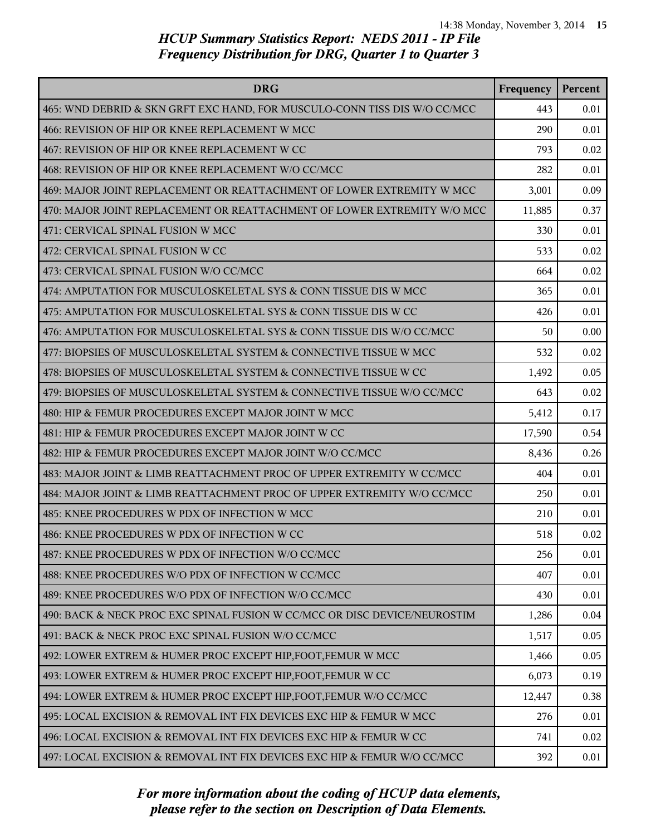| <b>DRG</b>                                                                | Frequency | Percent |
|---------------------------------------------------------------------------|-----------|---------|
| 465: WND DEBRID & SKN GRFT EXC HAND, FOR MUSCULO-CONN TISS DIS W/O CC/MCC | 443       | 0.01    |
| 466: REVISION OF HIP OR KNEE REPLACEMENT W MCC                            | 290       | 0.01    |
| 467: REVISION OF HIP OR KNEE REPLACEMENT W CC                             | 793       | 0.02    |
| 468: REVISION OF HIP OR KNEE REPLACEMENT W/O CC/MCC                       | 282       | 0.01    |
| 469: MAJOR JOINT REPLACEMENT OR REATTACHMENT OF LOWER EXTREMITY W MCC     | 3,001     | 0.09    |
| 470: MAJOR JOINT REPLACEMENT OR REATTACHMENT OF LOWER EXTREMITY W/O MCC   | 11,885    | 0.37    |
| 471: CERVICAL SPINAL FUSION W MCC                                         | 330       | 0.01    |
| 472: CERVICAL SPINAL FUSION W CC                                          | 533       | 0.02    |
| 473: CERVICAL SPINAL FUSION W/O CC/MCC                                    | 664       | 0.02    |
| 474: AMPUTATION FOR MUSCULOSKELETAL SYS & CONN TISSUE DIS W MCC           | 365       | 0.01    |
| 475: AMPUTATION FOR MUSCULOSKELETAL SYS & CONN TISSUE DIS W CC            | 426       | 0.01    |
| 476: AMPUTATION FOR MUSCULOSKELETAL SYS & CONN TISSUE DIS W/O CC/MCC      | 50        | 0.00    |
| 477: BIOPSIES OF MUSCULOSKELETAL SYSTEM & CONNECTIVE TISSUE W MCC         | 532       | 0.02    |
| 478: BIOPSIES OF MUSCULOSKELETAL SYSTEM & CONNECTIVE TISSUE W CC          | 1,492     | 0.05    |
| 479: BIOPSIES OF MUSCULOSKELETAL SYSTEM & CONNECTIVE TISSUE W/O CC/MCC    | 643       | 0.02    |
| 480: HIP & FEMUR PROCEDURES EXCEPT MAJOR JOINT W MCC                      | 5,412     | 0.17    |
| 481: HIP & FEMUR PROCEDURES EXCEPT MAJOR JOINT W CC                       | 17,590    | 0.54    |
| 482: HIP & FEMUR PROCEDURES EXCEPT MAJOR JOINT W/O CC/MCC                 | 8,436     | 0.26    |
| 483: MAJOR JOINT & LIMB REATTACHMENT PROC OF UPPER EXTREMITY W CC/MCC     | 404       | 0.01    |
| 484: MAJOR JOINT & LIMB REATTACHMENT PROC OF UPPER EXTREMITY W/O CC/MCC   | 250       | 0.01    |
| 485: KNEE PROCEDURES W PDX OF INFECTION W MCC                             | 210       | 0.01    |
| 486: KNEE PROCEDURES W PDX OF INFECTION W CC                              | 518       | 0.02    |
| 487: KNEE PROCEDURES W PDX OF INFECTION W/O CC/MCC                        | 256       | 0.01    |
| 488: KNEE PROCEDURES W/O PDX OF INFECTION W CC/MCC                        | 407       | 0.01    |
| 489: KNEE PROCEDURES W/O PDX OF INFECTION W/O CC/MCC                      | 430       | 0.01    |
| 490: BACK & NECK PROC EXC SPINAL FUSION W CC/MCC OR DISC DEVICE/NEUROSTIM | 1,286     | 0.04    |
| 491: BACK & NECK PROC EXC SPINAL FUSION W/O CC/MCC                        | 1,517     | 0.05    |
| 492: LOWER EXTREM & HUMER PROC EXCEPT HIP, FOOT, FEMUR W MCC              | 1,466     | 0.05    |
| 493: LOWER EXTREM & HUMER PROC EXCEPT HIP, FOOT, FEMUR W CC               | 6,073     | 0.19    |
| 494: LOWER EXTREM & HUMER PROC EXCEPT HIP, FOOT, FEMUR W/O CC/MCC         | 12,447    | 0.38    |
| 495: LOCAL EXCISION & REMOVAL INT FIX DEVICES EXC HIP & FEMUR W MCC       | 276       | 0.01    |
| 496: LOCAL EXCISION & REMOVAL INT FIX DEVICES EXC HIP & FEMUR W CC        | 741       | 0.02    |
| 497: LOCAL EXCISION & REMOVAL INT FIX DEVICES EXC HIP & FEMUR W/O CC/MCC  | 392       | 0.01    |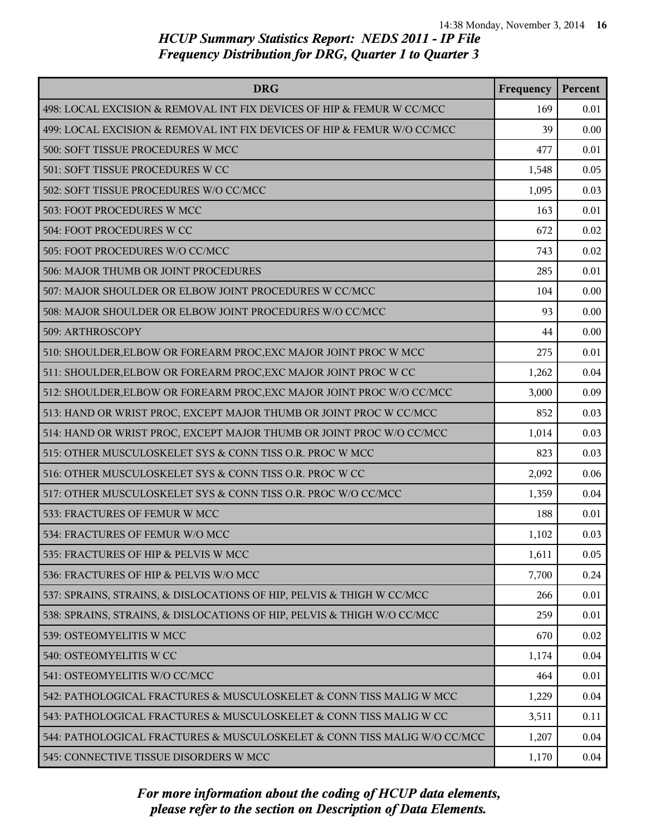| <b>DRG</b>                                                               | Frequency | Percent |
|--------------------------------------------------------------------------|-----------|---------|
| 498: LOCAL EXCISION & REMOVAL INT FIX DEVICES OF HIP & FEMUR W CC/MCC    | 169       | 0.01    |
| 499: LOCAL EXCISION & REMOVAL INT FIX DEVICES OF HIP & FEMUR W/O CC/MCC  | 39        | 0.00    |
| 500: SOFT TISSUE PROCEDURES W MCC                                        | 477       | 0.01    |
| 501: SOFT TISSUE PROCEDURES W CC                                         | 1,548     | 0.05    |
| 502: SOFT TISSUE PROCEDURES W/O CC/MCC                                   | 1,095     | 0.03    |
| 503: FOOT PROCEDURES W MCC                                               | 163       | 0.01    |
| 504: FOOT PROCEDURES W CC                                                | 672       | 0.02    |
| 505: FOOT PROCEDURES W/O CC/MCC                                          | 743       | 0.02    |
| 506: MAJOR THUMB OR JOINT PROCEDURES                                     | 285       | 0.01    |
| 507: MAJOR SHOULDER OR ELBOW JOINT PROCEDURES W CC/MCC                   | 104       | 0.00    |
| 508: MAJOR SHOULDER OR ELBOW JOINT PROCEDURES W/O CC/MCC                 | 93        | 0.00    |
| 509: ARTHROSCOPY                                                         | 44        | 0.00    |
| 510: SHOULDER, ELBOW OR FOREARM PROC, EXC MAJOR JOINT PROC W MCC         | 275       | 0.01    |
| 511: SHOULDER, ELBOW OR FOREARM PROC, EXC MAJOR JOINT PROC W CC          | 1,262     | 0.04    |
| 512: SHOULDER, ELBOW OR FOREARM PROC, EXC MAJOR JOINT PROC W/O CC/MCC    | 3,000     | 0.09    |
| 513: HAND OR WRIST PROC, EXCEPT MAJOR THUMB OR JOINT PROC W CC/MCC       | 852       | 0.03    |
| 514: HAND OR WRIST PROC, EXCEPT MAJOR THUMB OR JOINT PROC W/O CC/MCC     | 1,014     | 0.03    |
| 515: OTHER MUSCULOSKELET SYS & CONN TISS O.R. PROC W MCC                 | 823       | 0.03    |
| 516: OTHER MUSCULOSKELET SYS & CONN TISS O.R. PROC W CC                  | 2,092     | 0.06    |
| 517: OTHER MUSCULOSKELET SYS & CONN TISS O.R. PROC W/O CC/MCC            | 1,359     | 0.04    |
| 533: FRACTURES OF FEMUR W MCC                                            | 188       | 0.01    |
| 534: FRACTURES OF FEMUR W/O MCC                                          | 1,102     | 0.03    |
| 535: FRACTURES OF HIP & PELVIS W MCC                                     | 1,611     | 0.05    |
| 536: FRACTURES OF HIP & PELVIS W/O MCC                                   | 7,700     | 0.24    |
| 537: SPRAINS, STRAINS, & DISLOCATIONS OF HIP, PELVIS & THIGH W CC/MCC    | 266       | 0.01    |
| 538: SPRAINS, STRAINS, & DISLOCATIONS OF HIP, PELVIS & THIGH W/O CC/MCC  | 259       | 0.01    |
| 539: OSTEOMYELITIS W MCC                                                 | 670       | 0.02    |
| 540: OSTEOMYELITIS W CC                                                  | 1,174     | 0.04    |
| 541: OSTEOMYELITIS W/O CC/MCC                                            | 464       | 0.01    |
| 542: PATHOLOGICAL FRACTURES & MUSCULOSKELET & CONN TISS MALIG W MCC      | 1,229     | 0.04    |
| 543: PATHOLOGICAL FRACTURES & MUSCULOSKELET & CONN TISS MALIG W CC       | 3,511     | 0.11    |
| 544: PATHOLOGICAL FRACTURES & MUSCULOSKELET & CONN TISS MALIG W/O CC/MCC | 1,207     | 0.04    |
| 545: CONNECTIVE TISSUE DISORDERS W MCC                                   | 1,170     | 0.04    |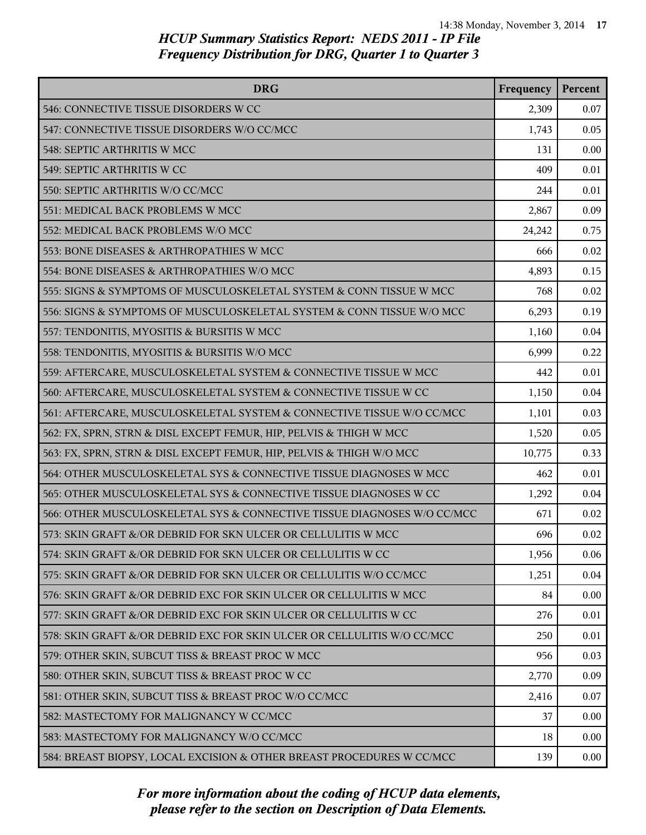| <b>DRG</b>                                                              | Frequency | Percent |
|-------------------------------------------------------------------------|-----------|---------|
| 546: CONNECTIVE TISSUE DISORDERS W CC                                   | 2,309     | 0.07    |
| 547: CONNECTIVE TISSUE DISORDERS W/O CC/MCC                             | 1,743     | 0.05    |
| 548: SEPTIC ARTHRITIS W MCC                                             | 131       | 0.00    |
| 549: SEPTIC ARTHRITIS W CC                                              | 409       | 0.01    |
| 550: SEPTIC ARTHRITIS W/O CC/MCC                                        | 244       | 0.01    |
| 551: MEDICAL BACK PROBLEMS W MCC                                        | 2,867     | 0.09    |
| 552: MEDICAL BACK PROBLEMS W/O MCC                                      | 24,242    | 0.75    |
| 553: BONE DISEASES & ARTHROPATHIES W MCC                                | 666       | 0.02    |
| 554: BONE DISEASES & ARTHROPATHIES W/O MCC                              | 4,893     | 0.15    |
| 555: SIGNS & SYMPTOMS OF MUSCULOSKELETAL SYSTEM & CONN TISSUE W MCC     | 768       | 0.02    |
| 556: SIGNS & SYMPTOMS OF MUSCULOSKELETAL SYSTEM & CONN TISSUE W/O MCC   | 6,293     | 0.19    |
| 557: TENDONITIS, MYOSITIS & BURSITIS W MCC                              | 1,160     | 0.04    |
| 558: TENDONITIS, MYOSITIS & BURSITIS W/O MCC                            | 6,999     | 0.22    |
| 559: AFTERCARE, MUSCULOSKELETAL SYSTEM & CONNECTIVE TISSUE W MCC        | 442       | 0.01    |
| 560: AFTERCARE, MUSCULOSKELETAL SYSTEM & CONNECTIVE TISSUE W CC         | 1,150     | 0.04    |
| 561: AFTERCARE, MUSCULOSKELETAL SYSTEM & CONNECTIVE TISSUE W/O CC/MCC   | 1,101     | 0.03    |
| 562: FX, SPRN, STRN & DISL EXCEPT FEMUR, HIP, PELVIS & THIGH W MCC      | 1,520     | 0.05    |
| 563: FX, SPRN, STRN & DISL EXCEPT FEMUR, HIP, PELVIS & THIGH W/O MCC    | 10,775    | 0.33    |
| 564: OTHER MUSCULOSKELETAL SYS & CONNECTIVE TISSUE DIAGNOSES W MCC      | 462       | 0.01    |
| 565: OTHER MUSCULOSKELETAL SYS & CONNECTIVE TISSUE DIAGNOSES W CC       | 1,292     | 0.04    |
| 566: OTHER MUSCULOSKELETAL SYS & CONNECTIVE TISSUE DIAGNOSES W/O CC/MCC | 671       | 0.02    |
| 573: SKIN GRAFT &/OR DEBRID FOR SKN ULCER OR CELLULITIS W MCC           | 696       | 0.02    |
| 574: SKIN GRAFT &/OR DEBRID FOR SKN ULCER OR CELLULITIS W CC            | 1,956     | 0.06    |
| 575: SKIN GRAFT &/OR DEBRID FOR SKN ULCER OR CELLULITIS W/O CC/MCC      | 1,251     | 0.04    |
| 576: SKIN GRAFT &/OR DEBRID EXC FOR SKIN ULCER OR CELLULITIS W MCC      | 84        | 0.00    |
| 577: SKIN GRAFT &/OR DEBRID EXC FOR SKIN ULCER OR CELLULITIS W CC       | 276       | 0.01    |
| 578: SKIN GRAFT &/OR DEBRID EXC FOR SKIN ULCER OR CELLULITIS W/O CC/MCC | 250       | 0.01    |
| 579: OTHER SKIN, SUBCUT TISS & BREAST PROC W MCC                        | 956       | 0.03    |
| 580: OTHER SKIN, SUBCUT TISS & BREAST PROC W CC                         | 2,770     | 0.09    |
| 581: OTHER SKIN, SUBCUT TISS & BREAST PROC W/O CC/MCC                   | 2,416     | 0.07    |
| 582: MASTECTOMY FOR MALIGNANCY W CC/MCC                                 | 37        | 0.00    |
| 583: MASTECTOMY FOR MALIGNANCY W/O CC/MCC                               | 18        | 0.00    |
| 584: BREAST BIOPSY, LOCAL EXCISION & OTHER BREAST PROCEDURES W CC/MCC   | 139       | 0.00    |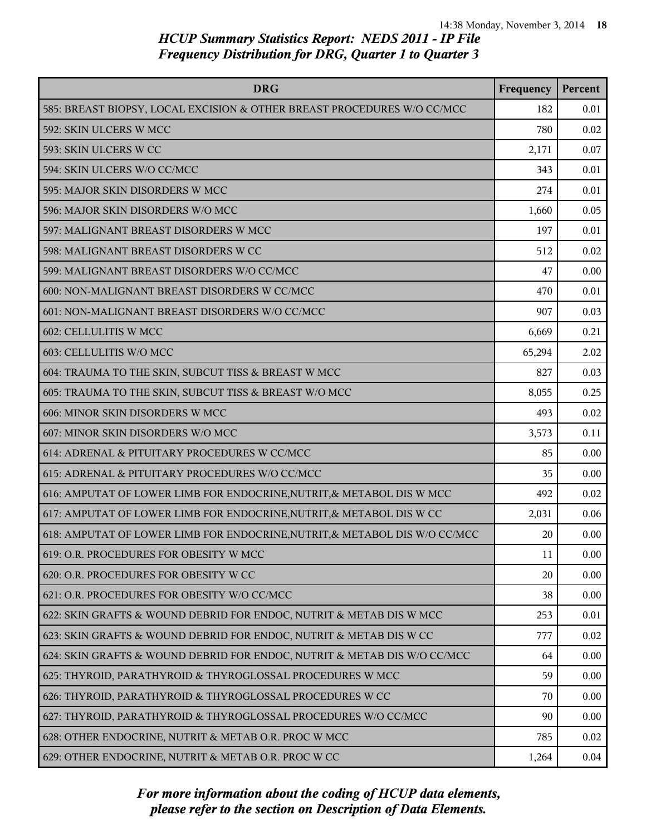| <b>DRG</b>                                                                 | Frequency | Percent |
|----------------------------------------------------------------------------|-----------|---------|
| 585: BREAST BIOPSY, LOCAL EXCISION & OTHER BREAST PROCEDURES W/O CC/MCC    | 182       | 0.01    |
| 592: SKIN ULCERS W MCC                                                     | 780       | 0.02    |
| 593: SKIN ULCERS W CC                                                      | 2,171     | 0.07    |
| 594: SKIN ULCERS W/O CC/MCC                                                | 343       | 0.01    |
| 595: MAJOR SKIN DISORDERS W MCC                                            | 274       | 0.01    |
| 596: MAJOR SKIN DISORDERS W/O MCC                                          | 1,660     | 0.05    |
| 597: MALIGNANT BREAST DISORDERS W MCC                                      | 197       | 0.01    |
| 598: MALIGNANT BREAST DISORDERS W CC                                       | 512       | 0.02    |
| 599: MALIGNANT BREAST DISORDERS W/O CC/MCC                                 | 47        | 0.00    |
| 600: NON-MALIGNANT BREAST DISORDERS W CC/MCC                               | 470       | 0.01    |
| 601: NON-MALIGNANT BREAST DISORDERS W/O CC/MCC                             | 907       | 0.03    |
| 602: CELLULITIS W MCC                                                      | 6,669     | 0.21    |
| 603: CELLULITIS W/O MCC                                                    | 65,294    | 2.02    |
| 604: TRAUMA TO THE SKIN, SUBCUT TISS & BREAST W MCC                        | 827       | 0.03    |
| 605: TRAUMA TO THE SKIN, SUBCUT TISS & BREAST W/O MCC                      | 8,055     | 0.25    |
| 606: MINOR SKIN DISORDERS W MCC                                            | 493       | 0.02    |
| 607: MINOR SKIN DISORDERS W/O MCC                                          | 3,573     | 0.11    |
| 614: ADRENAL & PITUITARY PROCEDURES W CC/MCC                               | 85        | 0.00    |
| 615: ADRENAL & PITUITARY PROCEDURES W/O CC/MCC                             | 35        | 0.00    |
| 616: AMPUTAT OF LOWER LIMB FOR ENDOCRINE, NUTRIT, & METABOL DIS W MCC      | 492       | 0.02    |
| 617: AMPUTAT OF LOWER LIMB FOR ENDOCRINE, NUTRIT, & METABOL DIS W CC       | 2,031     | 0.06    |
| 618: AMPUTAT OF LOWER LIMB FOR ENDOCRINE, NUTRIT, & METABOL DIS W/O CC/MCC | 20        | 0.00    |
| 619: O.R. PROCEDURES FOR OBESITY W MCC                                     | 11        | 0.00    |
| 620: O.R. PROCEDURES FOR OBESITY W CC                                      | 20        | 0.00    |
| 621: O.R. PROCEDURES FOR OBESITY W/O CC/MCC                                | 38        | 0.00    |
| 622: SKIN GRAFTS & WOUND DEBRID FOR ENDOC, NUTRIT & METAB DIS W MCC        | 253       | 0.01    |
| 623: SKIN GRAFTS & WOUND DEBRID FOR ENDOC, NUTRIT & METAB DIS W CC         | 777       | 0.02    |
| 624: SKIN GRAFTS & WOUND DEBRID FOR ENDOC, NUTRIT & METAB DIS W/O CC/MCC   | 64        | 0.00    |
| 625: THYROID, PARATHYROID & THYROGLOSSAL PROCEDURES W MCC                  | 59        | 0.00    |
| 626: THYROID, PARATHYROID & THYROGLOSSAL PROCEDURES W CC                   | 70        | 0.00    |
| 627: THYROID, PARATHYROID & THYROGLOSSAL PROCEDURES W/O CC/MCC             | 90        | 0.00    |
| 628: OTHER ENDOCRINE, NUTRIT & METAB O.R. PROC W MCC                       | 785       | 0.02    |
| 629: OTHER ENDOCRINE, NUTRIT & METAB O.R. PROC W CC                        | 1,264     | 0.04    |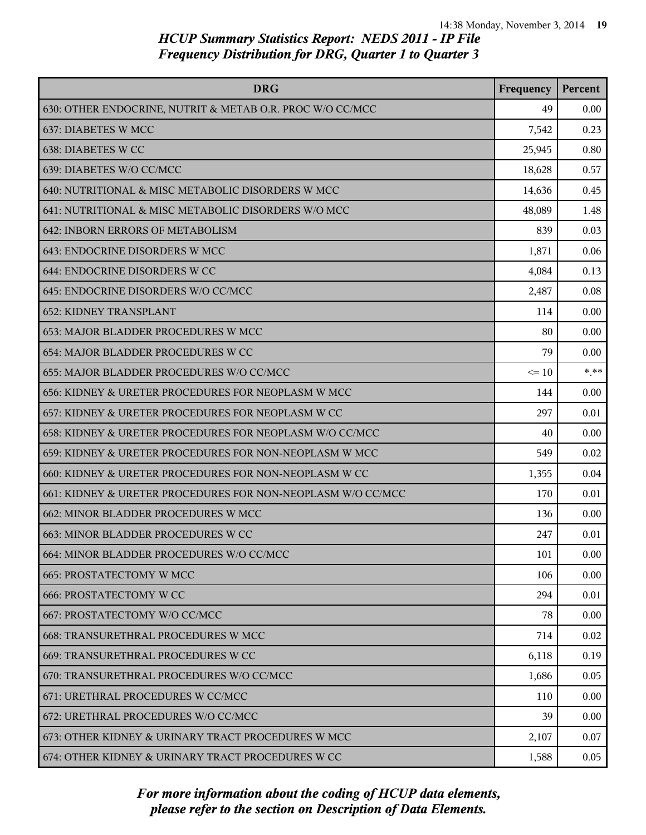| <b>DRG</b>                                                  | Frequency | Percent |
|-------------------------------------------------------------|-----------|---------|
| 630: OTHER ENDOCRINE, NUTRIT & METAB O.R. PROC W/O CC/MCC   | 49        | 0.00    |
| 637: DIABETES W MCC                                         | 7,542     | 0.23    |
| 638: DIABETES W CC                                          | 25,945    | 0.80    |
| 639: DIABETES W/O CC/MCC                                    | 18,628    | 0.57    |
| 640: NUTRITIONAL & MISC METABOLIC DISORDERS W MCC           | 14,636    | 0.45    |
| 641: NUTRITIONAL & MISC METABOLIC DISORDERS W/O MCC         | 48,089    | 1.48    |
| 642: INBORN ERRORS OF METABOLISM                            | 839       | 0.03    |
| 643: ENDOCRINE DISORDERS W MCC                              | 1,871     | 0.06    |
| 644: ENDOCRINE DISORDERS W CC                               | 4,084     | 0.13    |
| 645: ENDOCRINE DISORDERS W/O CC/MCC                         | 2,487     | 0.08    |
| <b>652: KIDNEY TRANSPLANT</b>                               | 114       | 0.00    |
| 653: MAJOR BLADDER PROCEDURES W MCC                         | 80        | 0.00    |
| 654: MAJOR BLADDER PROCEDURES W CC                          | 79        | 0.00    |
| 655: MAJOR BLADDER PROCEDURES W/O CC/MCC                    | $\leq 10$ | $***$   |
| 656: KIDNEY & URETER PROCEDURES FOR NEOPLASM W MCC          | 144       | 0.00    |
| 657: KIDNEY & URETER PROCEDURES FOR NEOPLASM W CC           | 297       | 0.01    |
| 658: KIDNEY & URETER PROCEDURES FOR NEOPLASM W/O CC/MCC     | 40        | 0.00    |
| 659: KIDNEY & URETER PROCEDURES FOR NON-NEOPLASM W MCC      | 549       | 0.02    |
| 660: KIDNEY & URETER PROCEDURES FOR NON-NEOPLASM W CC       | 1,355     | 0.04    |
| 661: KIDNEY & URETER PROCEDURES FOR NON-NEOPLASM W/O CC/MCC | 170       | 0.01    |
| 662: MINOR BLADDER PROCEDURES W MCC                         | 136       | 0.00    |
| 663: MINOR BLADDER PROCEDURES W CC                          | 247       | 0.01    |
| 664: MINOR BLADDER PROCEDURES W/O CC/MCC                    | 101       | 0.00    |
| <b>665: PROSTATECTOMY W MCC</b>                             | 106       | 0.00    |
| <b>666: PROSTATECTOMY W CC</b>                              | 294       | 0.01    |
| 667: PROSTATECTOMY W/O CC/MCC                               | 78        | 0.00    |
| 668: TRANSURETHRAL PROCEDURES W MCC                         | 714       | 0.02    |
| 669: TRANSURETHRAL PROCEDURES W CC                          | 6,118     | 0.19    |
| 670: TRANSURETHRAL PROCEDURES W/O CC/MCC                    | 1,686     | 0.05    |
| 671: URETHRAL PROCEDURES W CC/MCC                           | 110       | 0.00    |
| 672: URETHRAL PROCEDURES W/O CC/MCC                         | 39        | 0.00    |
| 673: OTHER KIDNEY & URINARY TRACT PROCEDURES W MCC          | 2,107     | 0.07    |
| 674: OTHER KIDNEY & URINARY TRACT PROCEDURES W CC           | 1,588     | 0.05    |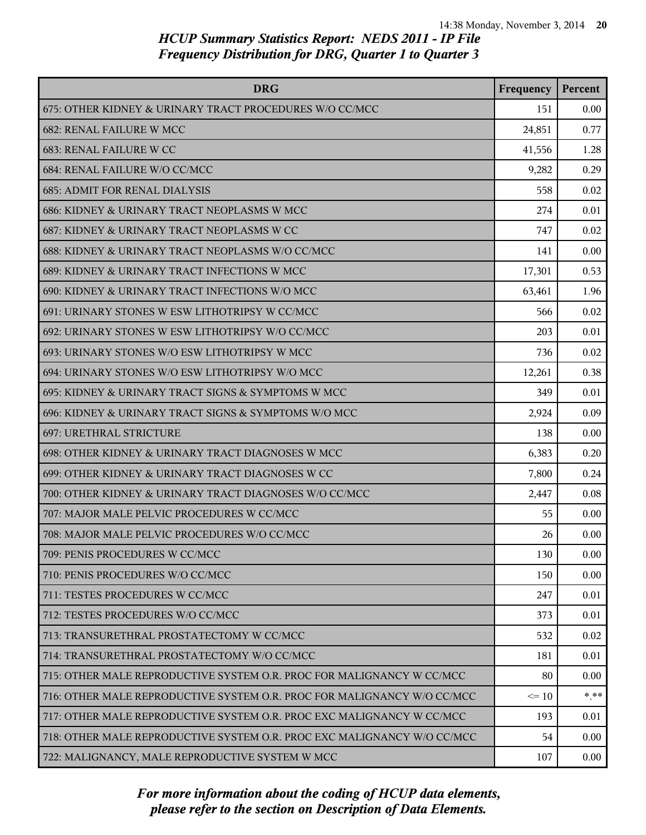| <b>DRG</b>                                                              | Frequency | Percent |
|-------------------------------------------------------------------------|-----------|---------|
| 675: OTHER KIDNEY & URINARY TRACT PROCEDURES W/O CC/MCC                 | 151       | 0.00    |
| 682: RENAL FAILURE W MCC                                                | 24,851    | 0.77    |
| 683: RENAL FAILURE W CC                                                 | 41,556    | 1.28    |
| 684: RENAL FAILURE W/O CC/MCC                                           | 9,282     | 0.29    |
| <b>685: ADMIT FOR RENAL DIALYSIS</b>                                    | 558       | 0.02    |
| 686: KIDNEY & URINARY TRACT NEOPLASMS W MCC                             | 274       | 0.01    |
| 687: KIDNEY & URINARY TRACT NEOPLASMS W CC                              | 747       | 0.02    |
| 688: KIDNEY & URINARY TRACT NEOPLASMS W/O CC/MCC                        | 141       | 0.00    |
| 689: KIDNEY & URINARY TRACT INFECTIONS W MCC                            | 17,301    | 0.53    |
| 690: KIDNEY & URINARY TRACT INFECTIONS W/O MCC                          | 63,461    | 1.96    |
| 691: URINARY STONES W ESW LITHOTRIPSY W CC/MCC                          | 566       | 0.02    |
| 692: URINARY STONES W ESW LITHOTRIPSY W/O CC/MCC                        | 203       | 0.01    |
| 693: URINARY STONES W/O ESW LITHOTRIPSY W MCC                           | 736       | 0.02    |
| 694: URINARY STONES W/O ESW LITHOTRIPSY W/O MCC                         | 12,261    | 0.38    |
| 695: KIDNEY & URINARY TRACT SIGNS & SYMPTOMS W MCC                      | 349       | 0.01    |
| 696: KIDNEY & URINARY TRACT SIGNS & SYMPTOMS W/O MCC                    | 2,924     | 0.09    |
| 697: URETHRAL STRICTURE                                                 | 138       | 0.00    |
| 698: OTHER KIDNEY & URINARY TRACT DIAGNOSES W MCC                       | 6,383     | 0.20    |
| 699: OTHER KIDNEY & URINARY TRACT DIAGNOSES W CC                        | 7,800     | 0.24    |
| 700: OTHER KIDNEY & URINARY TRACT DIAGNOSES W/O CC/MCC                  | 2,447     | 0.08    |
| 707: MAJOR MALE PELVIC PROCEDURES W CC/MCC                              | 55        | 0.00    |
| 708: MAJOR MALE PELVIC PROCEDURES W/O CC/MCC                            | 26        | 0.00    |
| 709: PENIS PROCEDURES W CC/MCC                                          | 130       | 0.00    |
| 710: PENIS PROCEDURES W/O CC/MCC                                        | 150       | 0.00    |
| 711: TESTES PROCEDURES W CC/MCC                                         | 247       | 0.01    |
| 712: TESTES PROCEDURES W/O CC/MCC                                       | 373       | 0.01    |
| 713: TRANSURETHRAL PROSTATECTOMY W CC/MCC                               | 532       | 0.02    |
| 714: TRANSURETHRAL PROSTATECTOMY W/O CC/MCC                             | 181       | 0.01    |
| 715: OTHER MALE REPRODUCTIVE SYSTEM O.R. PROC FOR MALIGNANCY W CC/MCC   | 80        | 0.00    |
| 716: OTHER MALE REPRODUCTIVE SYSTEM O.R. PROC FOR MALIGNANCY W/O CC/MCC | $\leq 10$ | $* * *$ |
| 717: OTHER MALE REPRODUCTIVE SYSTEM O.R. PROC EXC MALIGNANCY W CC/MCC   | 193       | 0.01    |
| 718: OTHER MALE REPRODUCTIVE SYSTEM O.R. PROC EXC MALIGNANCY W/O CC/MCC | 54        | 0.00    |
| 722: MALIGNANCY, MALE REPRODUCTIVE SYSTEM W MCC                         | 107       | 0.00    |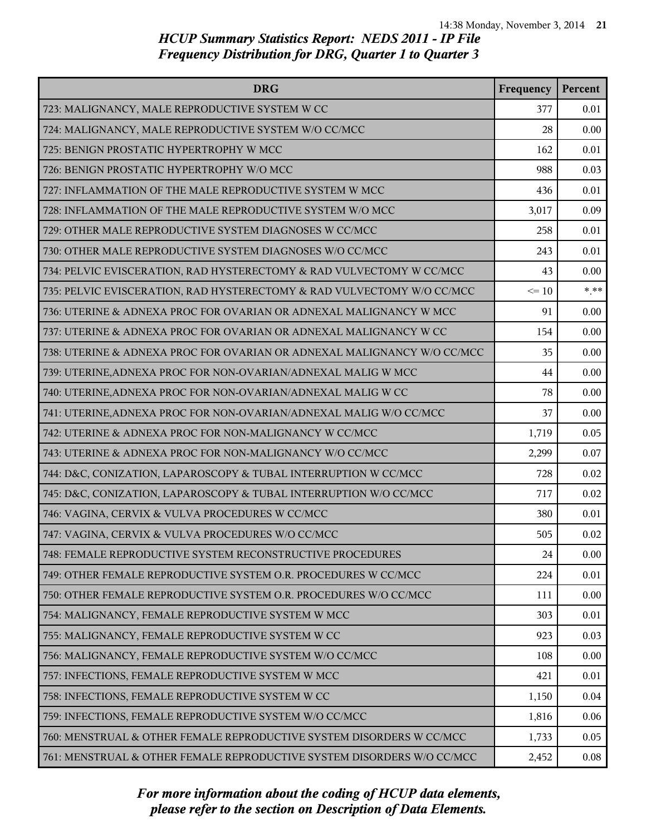| <b>DRG</b>                                                              | Frequency | Percent |
|-------------------------------------------------------------------------|-----------|---------|
| 723: MALIGNANCY, MALE REPRODUCTIVE SYSTEM W CC                          | 377       | 0.01    |
| 724: MALIGNANCY, MALE REPRODUCTIVE SYSTEM W/O CC/MCC                    | 28        | 0.00    |
| 725: BENIGN PROSTATIC HYPERTROPHY W MCC                                 | 162       | 0.01    |
| 726: BENIGN PROSTATIC HYPERTROPHY W/O MCC                               | 988       | 0.03    |
| 727: INFLAMMATION OF THE MALE REPRODUCTIVE SYSTEM W MCC                 | 436       | 0.01    |
| 728: INFLAMMATION OF THE MALE REPRODUCTIVE SYSTEM W/O MCC               | 3,017     | 0.09    |
| 729: OTHER MALE REPRODUCTIVE SYSTEM DIAGNOSES W CC/MCC                  | 258       | 0.01    |
| 730: OTHER MALE REPRODUCTIVE SYSTEM DIAGNOSES W/O CC/MCC                | 243       | 0.01    |
| 734: PELVIC EVISCERATION, RAD HYSTERECTOMY & RAD VULVECTOMY W CC/MCC    | 43        | 0.00    |
| 735: PELVIC EVISCERATION, RAD HYSTERECTOMY & RAD VULVECTOMY W/O CC/MCC  | $\leq 10$ | $*$ **  |
| 736: UTERINE & ADNEXA PROC FOR OVARIAN OR ADNEXAL MALIGNANCY W MCC      | 91        | 0.00    |
| 737: UTERINE & ADNEXA PROC FOR OVARIAN OR ADNEXAL MALIGNANCY W CC       | 154       | 0.00    |
| 738: UTERINE & ADNEXA PROC FOR OVARIAN OR ADNEXAL MALIGNANCY W/O CC/MCC | 35        | 0.00    |
| 739: UTERINE, ADNEXA PROC FOR NON-OVARIAN/ADNEXAL MALIG W MCC           | 44        | 0.00    |
| 740: UTERINE, ADNEXA PROC FOR NON-OVARIAN/ADNEXAL MALIG W CC            | 78        | 0.00    |
| 741: UTERINE, ADNEXA PROC FOR NON-OVARIAN/ADNEXAL MALIG W/O CC/MCC      | 37        | 0.00    |
| 742: UTERINE & ADNEXA PROC FOR NON-MALIGNANCY W CC/MCC                  | 1,719     | 0.05    |
| 743: UTERINE & ADNEXA PROC FOR NON-MALIGNANCY W/O CC/MCC                | 2,299     | 0.07    |
| 744: D&C, CONIZATION, LAPAROSCOPY & TUBAL INTERRUPTION W CC/MCC         | 728       | 0.02    |
| 745: D&C, CONIZATION, LAPAROSCOPY & TUBAL INTERRUPTION W/O CC/MCC       | 717       | 0.02    |
| 746: VAGINA, CERVIX & VULVA PROCEDURES W CC/MCC                         | 380       | 0.01    |
| 747: VAGINA, CERVIX & VULVA PROCEDURES W/O CC/MCC                       | 505       | 0.02    |
| 748: FEMALE REPRODUCTIVE SYSTEM RECONSTRUCTIVE PROCEDURES               | 24        | 0.00    |
| 749: OTHER FEMALE REPRODUCTIVE SYSTEM O.R. PROCEDURES W CC/MCC          | 224       | 0.01    |
| 750: OTHER FEMALE REPRODUCTIVE SYSTEM O.R. PROCEDURES W/O CC/MCC        | 111       | 0.00    |
| 754: MALIGNANCY, FEMALE REPRODUCTIVE SYSTEM W MCC                       | 303       | 0.01    |
| 755: MALIGNANCY, FEMALE REPRODUCTIVE SYSTEM W CC                        | 923       | 0.03    |
| 756: MALIGNANCY, FEMALE REPRODUCTIVE SYSTEM W/O CC/MCC                  | 108       | 0.00    |
| 757: INFECTIONS, FEMALE REPRODUCTIVE SYSTEM W MCC                       | 421       | 0.01    |
| 758: INFECTIONS, FEMALE REPRODUCTIVE SYSTEM W CC                        | 1,150     | 0.04    |
| 759: INFECTIONS, FEMALE REPRODUCTIVE SYSTEM W/O CC/MCC                  | 1,816     | 0.06    |
| 760: MENSTRUAL & OTHER FEMALE REPRODUCTIVE SYSTEM DISORDERS W CC/MCC    | 1,733     | 0.05    |
| 761: MENSTRUAL & OTHER FEMALE REPRODUCTIVE SYSTEM DISORDERS W/O CC/MCC  | 2,452     | 0.08    |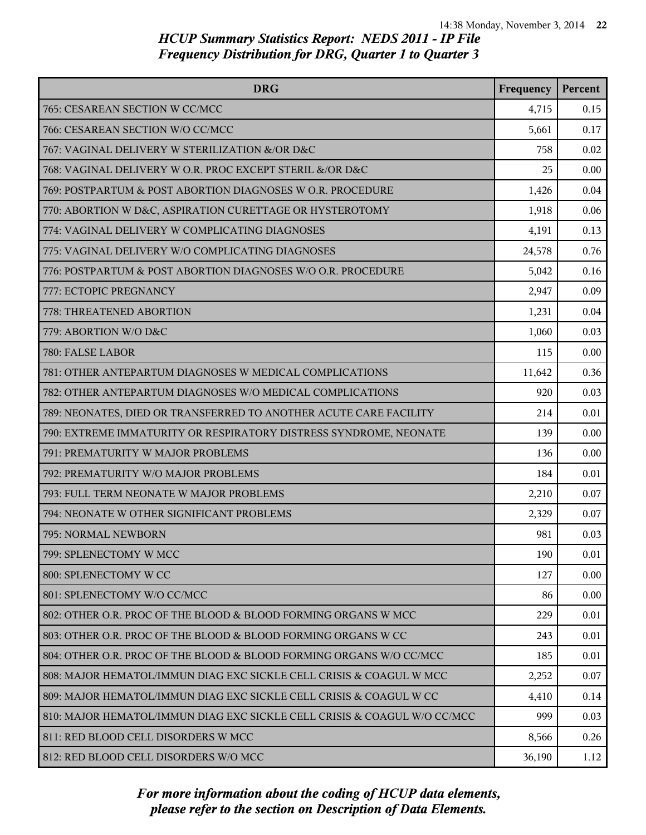| <b>DRG</b>                                                               | Frequency | Percent |
|--------------------------------------------------------------------------|-----------|---------|
| 765: CESAREAN SECTION W CC/MCC                                           | 4,715     | 0.15    |
| 766: CESAREAN SECTION W/O CC/MCC                                         | 5,661     | 0.17    |
| 767: VAGINAL DELIVERY W STERILIZATION &/OR D&C                           | 758       | 0.02    |
| 768: VAGINAL DELIVERY W O.R. PROC EXCEPT STERIL &/OR D&C                 | 25        | 0.00    |
| 769: POSTPARTUM & POST ABORTION DIAGNOSES W O.R. PROCEDURE               | 1,426     | 0.04    |
| 770: ABORTION W D&C, ASPIRATION CURETTAGE OR HYSTEROTOMY                 | 1,918     | 0.06    |
| 774: VAGINAL DELIVERY W COMPLICATING DIAGNOSES                           | 4,191     | 0.13    |
| 775: VAGINAL DELIVERY W/O COMPLICATING DIAGNOSES                         | 24,578    | 0.76    |
| 776: POSTPARTUM & POST ABORTION DIAGNOSES W/O O.R. PROCEDURE             | 5,042     | 0.16    |
| 777: ECTOPIC PREGNANCY                                                   | 2,947     | 0.09    |
| 778: THREATENED ABORTION                                                 | 1,231     | 0.04    |
| 779: ABORTION W/O D&C                                                    | 1,060     | 0.03    |
| 780: FALSE LABOR                                                         | 115       | 0.00    |
| 781: OTHER ANTEPARTUM DIAGNOSES W MEDICAL COMPLICATIONS                  | 11,642    | 0.36    |
| 782: OTHER ANTEPARTUM DIAGNOSES W/O MEDICAL COMPLICATIONS                | 920       | 0.03    |
| 789: NEONATES, DIED OR TRANSFERRED TO ANOTHER ACUTE CARE FACILITY        | 214       | 0.01    |
| 790: EXTREME IMMATURITY OR RESPIRATORY DISTRESS SYNDROME, NEONATE        | 139       | 0.00    |
| 791: PREMATURITY W MAJOR PROBLEMS                                        | 136       | 0.00    |
| 792: PREMATURITY W/O MAJOR PROBLEMS                                      | 184       | 0.01    |
| 793: FULL TERM NEONATE W MAJOR PROBLEMS                                  | 2,210     | 0.07    |
| 794: NEONATE W OTHER SIGNIFICANT PROBLEMS                                | 2,329     | 0.07    |
| 795: NORMAL NEWBORN                                                      | 981       | 0.03    |
| 799: SPLENECTOMY W MCC                                                   | 190       | 0.01    |
| 800: SPLENECTOMY W CC                                                    | 127       | 0.00    |
| 801: SPLENECTOMY W/O CC/MCC                                              | 86        | 0.00    |
| 802: OTHER O.R. PROC OF THE BLOOD & BLOOD FORMING ORGANS W MCC           | 229       | 0.01    |
| 803: OTHER O.R. PROC OF THE BLOOD & BLOOD FORMING ORGANS W CC            | 243       | 0.01    |
| 804: OTHER O.R. PROC OF THE BLOOD & BLOOD FORMING ORGANS W/O CC/MCC      | 185       | 0.01    |
| 808: MAJOR HEMATOL/IMMUN DIAG EXC SICKLE CELL CRISIS & COAGUL W MCC      | 2,252     | 0.07    |
| 809: MAJOR HEMATOL/IMMUN DIAG EXC SICKLE CELL CRISIS & COAGUL W CC       | 4,410     | 0.14    |
| 810: MAJOR HEMATOL/IMMUN DIAG EXC SICKLE CELL CRISIS & COAGUL W/O CC/MCC | 999       | 0.03    |
| 811: RED BLOOD CELL DISORDERS W MCC                                      | 8,566     | 0.26    |
| 812: RED BLOOD CELL DISORDERS W/O MCC                                    | 36,190    | 1.12    |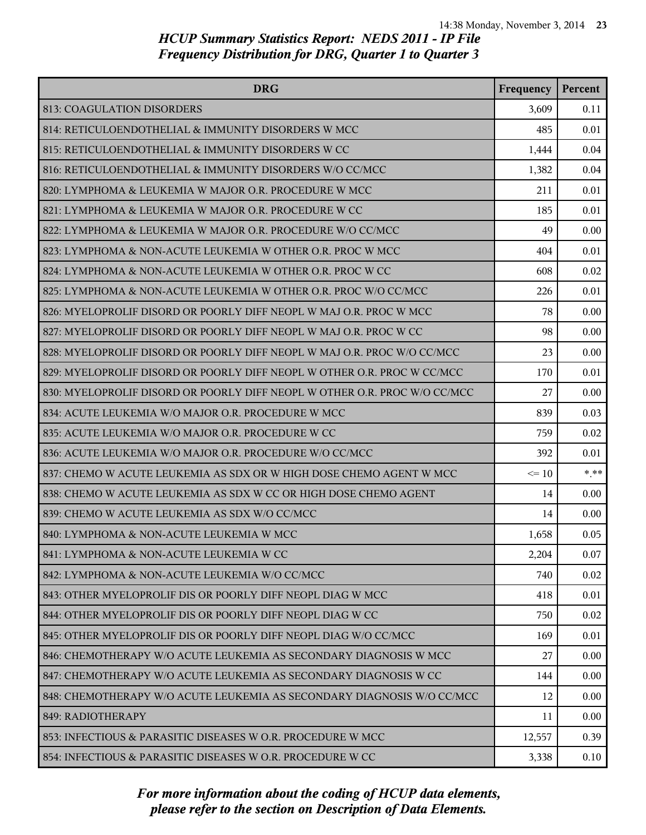| <b>DRG</b>                                                                | Frequency | Percent |
|---------------------------------------------------------------------------|-----------|---------|
| 813: COAGULATION DISORDERS                                                | 3,609     | 0.11    |
| 814: RETICULOENDOTHELIAL & IMMUNITY DISORDERS W MCC                       | 485       | 0.01    |
| 815: RETICULOENDOTHELIAL & IMMUNITY DISORDERS W CC                        | 1,444     | 0.04    |
| 816: RETICULOENDOTHELIAL & IMMUNITY DISORDERS W/O CC/MCC                  | 1,382     | 0.04    |
| 820: LYMPHOMA & LEUKEMIA W MAJOR O.R. PROCEDURE W MCC                     | 211       | 0.01    |
| 821: LYMPHOMA & LEUKEMIA W MAJOR O.R. PROCEDURE W CC                      | 185       | 0.01    |
| 822: LYMPHOMA & LEUKEMIA W MAJOR O.R. PROCEDURE W/O CC/MCC                | 49        | 0.00    |
| 823: LYMPHOMA & NON-ACUTE LEUKEMIA W OTHER O.R. PROC W MCC                | 404       | 0.01    |
| 824: LYMPHOMA & NON-ACUTE LEUKEMIA W OTHER O.R. PROC W CC                 | 608       | 0.02    |
| 825: LYMPHOMA & NON-ACUTE LEUKEMIA W OTHER O.R. PROC W/O CC/MCC           | 226       | 0.01    |
| 826: MYELOPROLIF DISORD OR POORLY DIFF NEOPL W MAJ O.R. PROC W MCC        | 78        | 0.00    |
| 827: MYELOPROLIF DISORD OR POORLY DIFF NEOPL W MAJ O.R. PROC W CC         | 98        | 0.00    |
| 828: MYELOPROLIF DISORD OR POORLY DIFF NEOPL W MAJ O.R. PROC W/O CC/MCC   | 23        | 0.00    |
| 829: MYELOPROLIF DISORD OR POORLY DIFF NEOPL W OTHER O.R. PROC W CC/MCC   | 170       | 0.01    |
| 830: MYELOPROLIF DISORD OR POORLY DIFF NEOPL W OTHER O.R. PROC W/O CC/MCC | 27        | 0.00    |
| 834: ACUTE LEUKEMIA W/O MAJOR O.R. PROCEDURE W MCC                        | 839       | 0.03    |
| 835: ACUTE LEUKEMIA W/O MAJOR O.R. PROCEDURE W CC                         | 759       | 0.02    |
| 836: ACUTE LEUKEMIA W/O MAJOR O.R. PROCEDURE W/O CC/MCC                   | 392       | 0.01    |
| 837: CHEMO W ACUTE LEUKEMIA AS SDX OR W HIGH DOSE CHEMO AGENT W MCC       | $\leq 10$ | $* * *$ |
| 838: CHEMO W ACUTE LEUKEMIA AS SDX W CC OR HIGH DOSE CHEMO AGENT          | 14        | 0.00    |
| 839: CHEMO W ACUTE LEUKEMIA AS SDX W/O CC/MCC                             | 14        | 0.00    |
| 840: LYMPHOMA & NON-ACUTE LEUKEMIA W MCC                                  | 1,658     | 0.05    |
| 841: LYMPHOMA & NON-ACUTE LEUKEMIA W CC                                   | 2,204     | 0.07    |
| 842: LYMPHOMA & NON-ACUTE LEUKEMIA W/O CC/MCC                             | 740       | 0.02    |
| 843: OTHER MYELOPROLIF DIS OR POORLY DIFF NEOPL DIAG W MCC                | 418       | 0.01    |
| 844: OTHER MYELOPROLIF DIS OR POORLY DIFF NEOPL DIAG W CC                 | 750       | 0.02    |
| 845: OTHER MYELOPROLIF DIS OR POORLY DIFF NEOPL DIAG W/O CC/MCC           | 169       | 0.01    |
| 846: CHEMOTHERAPY W/O ACUTE LEUKEMIA AS SECONDARY DIAGNOSIS W MCC         | 27        | 0.00    |
| 847: CHEMOTHERAPY W/O ACUTE LEUKEMIA AS SECONDARY DIAGNOSIS W CC          | 144       | 0.00    |
| 848: CHEMOTHERAPY W/O ACUTE LEUKEMIA AS SECONDARY DIAGNOSIS W/O CC/MCC    | 12        | 0.00    |
| 849: RADIOTHERAPY                                                         | 11        | 0.00    |
| 853: INFECTIOUS & PARASITIC DISEASES W O.R. PROCEDURE W MCC               | 12,557    | 0.39    |
| 854: INFECTIOUS & PARASITIC DISEASES W O.R. PROCEDURE W CC                | 3,338     | 0.10    |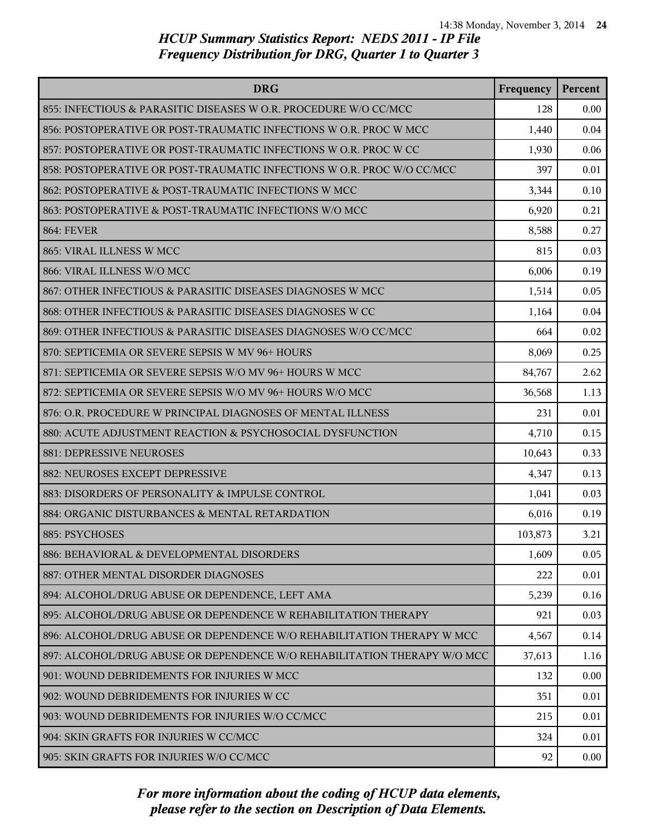| <b>DRG</b>                                                               | Frequency | Percent  |
|--------------------------------------------------------------------------|-----------|----------|
| 855: INFECTIOUS & PARASITIC DISEASES W O.R. PROCEDURE W/O CC/MCC         | 128       | 0.00     |
| 856: POSTOPERATIVE OR POST-TRAUMATIC INFECTIONS W O.R. PROC W MCC        | 1,440     | 0.04     |
| 857: POSTOPERATIVE OR POST-TRAUMATIC INFECTIONS W O.R. PROC W CC         | 1,930     | 0.06     |
| 858: POSTOPERATIVE OR POST-TRAUMATIC INFECTIONS W O.R. PROC W/O CC/MCC   | 397       | 0.01     |
| 862: POSTOPERATIVE & POST-TRAUMATIC INFECTIONS W MCC                     | 3,344     | 0.10     |
| 863: POSTOPERATIVE & POST-TRAUMATIC INFECTIONS W/O MCC                   | 6,920     | 0.21     |
| <b>864: FEVER</b>                                                        | 8,588     | 0.27     |
| 865: VIRAL ILLNESS W MCC                                                 | 815       | 0.03     |
| 866: VIRAL ILLNESS W/O MCC                                               | 6,006     | 0.19     |
| 867: OTHER INFECTIOUS & PARASITIC DISEASES DIAGNOSES W MCC               | 1,514     | 0.05     |
| 868: OTHER INFECTIOUS & PARASITIC DISEASES DIAGNOSES W CC                | 1,164     | 0.04     |
| 869: OTHER INFECTIOUS & PARASITIC DISEASES DIAGNOSES W/O CC/MCC          | 664       | 0.02     |
| 870: SEPTICEMIA OR SEVERE SEPSIS W MV 96+ HOURS                          | 8,069     | 0.25     |
| 871: SEPTICEMIA OR SEVERE SEPSIS W/O MV 96+ HOURS W MCC                  | 84,767    | 2.62     |
| 872: SEPTICEMIA OR SEVERE SEPSIS W/O MV 96+ HOURS W/O MCC                | 36,568    | 1.13     |
| 876: O.R. PROCEDURE W PRINCIPAL DIAGNOSES OF MENTAL ILLNESS              | 231       | 0.01     |
| 880: ACUTE ADJUSTMENT REACTION & PSYCHOSOCIAL DYSFUNCTION                | 4,710     | 0.15     |
| 881: DEPRESSIVE NEUROSES                                                 | 10,643    | 0.33     |
| 882: NEUROSES EXCEPT DEPRESSIVE                                          | 4,347     | 0.13     |
| 883: DISORDERS OF PERSONALITY & IMPULSE CONTROL                          | 1,041     | 0.03     |
| 884: ORGANIC DISTURBANCES & MENTAL RETARDATION                           | 6,016     | 0.19     |
| 885: PSYCHOSES                                                           | 103,873   | 3.21     |
| 886: BEHAVIORAL & DEVELOPMENTAL DISORDERS                                | 1,609     | 0.05     |
| 887: OTHER MENTAL DISORDER DIAGNOSES                                     | 222       | 0.01     |
| 894: ALCOHOL/DRUG ABUSE OR DEPENDENCE, LEFT AMA                          | 5,239     | 0.16     |
| 895: ALCOHOL/DRUG ABUSE OR DEPENDENCE W REHABILITATION THERAPY           | 921       | 0.03     |
| 896: ALCOHOL/DRUG ABUSE OR DEPENDENCE W/O REHABILITATION THERAPY W MCC   | 4,567     | 0.14     |
| 897: ALCOHOL/DRUG ABUSE OR DEPENDENCE W/O REHABILITATION THERAPY W/O MCC | 37,613    | 1.16     |
| 901: WOUND DEBRIDEMENTS FOR INJURIES W MCC                               | 132       | 0.00     |
| 902: WOUND DEBRIDEMENTS FOR INJURIES W CC                                | 351       | 0.01     |
| 903: WOUND DEBRIDEMENTS FOR INJURIES W/O CC/MCC                          | 215       | 0.01     |
| 904: SKIN GRAFTS FOR INJURIES W CC/MCC                                   | 324       | 0.01     |
| 905: SKIN GRAFTS FOR INJURIES W/O CC/MCC                                 | 92        | $0.00\,$ |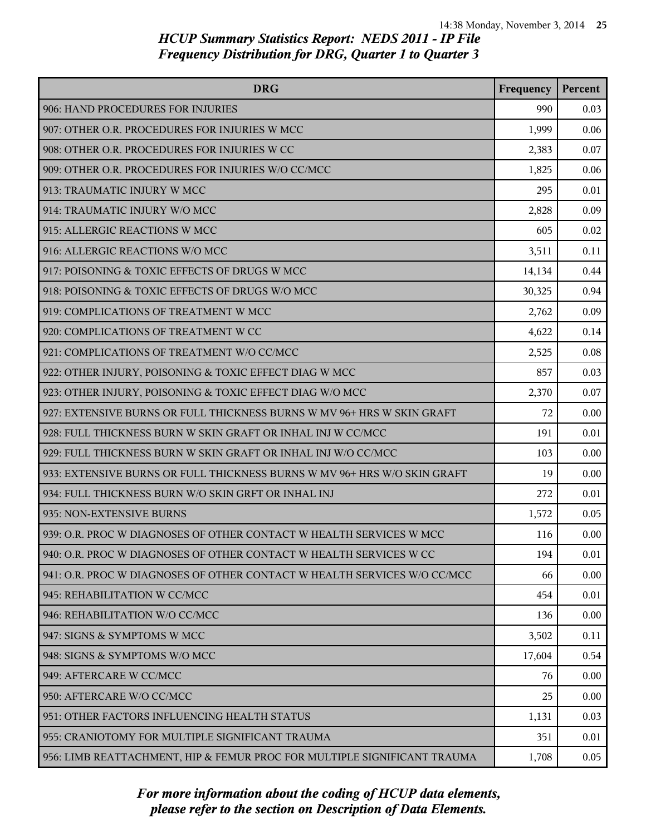| <b>DRG</b>                                                               | Frequency | Percent |
|--------------------------------------------------------------------------|-----------|---------|
| 906: HAND PROCEDURES FOR INJURIES                                        | 990       | 0.03    |
| 907: OTHER O.R. PROCEDURES FOR INJURIES W MCC                            | 1,999     | 0.06    |
| 908: OTHER O.R. PROCEDURES FOR INJURIES W CC                             | 2,383     | 0.07    |
| 909: OTHER O.R. PROCEDURES FOR INJURIES W/O CC/MCC                       | 1,825     | 0.06    |
| 913: TRAUMATIC INJURY W MCC                                              | 295       | 0.01    |
| 914: TRAUMATIC INJURY W/O MCC                                            | 2,828     | 0.09    |
| 915: ALLERGIC REACTIONS W MCC                                            | 605       | 0.02    |
| 916: ALLERGIC REACTIONS W/O MCC                                          | 3,511     | 0.11    |
| 917: POISONING & TOXIC EFFECTS OF DRUGS W MCC                            | 14,134    | 0.44    |
| 918: POISONING & TOXIC EFFECTS OF DRUGS W/O MCC                          | 30,325    | 0.94    |
| 919: COMPLICATIONS OF TREATMENT W MCC                                    | 2,762     | 0.09    |
| 920: COMPLICATIONS OF TREATMENT W CC                                     | 4,622     | 0.14    |
| 921: COMPLICATIONS OF TREATMENT W/O CC/MCC                               | 2,525     | 0.08    |
| 922: OTHER INJURY, POISONING & TOXIC EFFECT DIAG W MCC                   | 857       | 0.03    |
| 923: OTHER INJURY, POISONING & TOXIC EFFECT DIAG W/O MCC                 | 2,370     | 0.07    |
| 927: EXTENSIVE BURNS OR FULL THICKNESS BURNS W MV 96+ HRS W SKIN GRAFT   | 72        | 0.00    |
| 928: FULL THICKNESS BURN W SKIN GRAFT OR INHAL INJ W CC/MCC              | 191       | 0.01    |
| 929: FULL THICKNESS BURN W SKIN GRAFT OR INHAL INJ W/O CC/MCC            | 103       | 0.00    |
| 933: EXTENSIVE BURNS OR FULL THICKNESS BURNS W MV 96+ HRS W/O SKIN GRAFT | 19        | 0.00    |
| 934: FULL THICKNESS BURN W/O SKIN GRFT OR INHAL INJ                      | 272       | 0.01    |
| 935: NON-EXTENSIVE BURNS                                                 | 1,572     | 0.05    |
| 939: O.R. PROC W DIAGNOSES OF OTHER CONTACT W HEALTH SERVICES W MCC      | 116       | 0.00    |
| 940: O.R. PROC W DIAGNOSES OF OTHER CONTACT W HEALTH SERVICES W CC       | 194       | 0.01    |
| 941: O.R. PROC W DIAGNOSES OF OTHER CONTACT W HEALTH SERVICES W/O CC/MCC | 66        | 0.00    |
| 945: REHABILITATION W CC/MCC                                             | 454       | 0.01    |
| 946: REHABILITATION W/O CC/MCC                                           | 136       | 0.00    |
| 947: SIGNS & SYMPTOMS W MCC                                              | 3,502     | 0.11    |
| 948: SIGNS & SYMPTOMS W/O MCC                                            | 17,604    | 0.54    |
| 949: AFTERCARE W CC/MCC                                                  | 76        | 0.00    |
| 950: AFTERCARE W/O CC/MCC                                                | 25        | 0.00    |
| 951: OTHER FACTORS INFLUENCING HEALTH STATUS                             | 1,131     | 0.03    |
| 955: CRANIOTOMY FOR MULTIPLE SIGNIFICANT TRAUMA                          | 351       | 0.01    |
| 956: LIMB REATTACHMENT, HIP & FEMUR PROC FOR MULTIPLE SIGNIFICANT TRAUMA | 1,708     | 0.05    |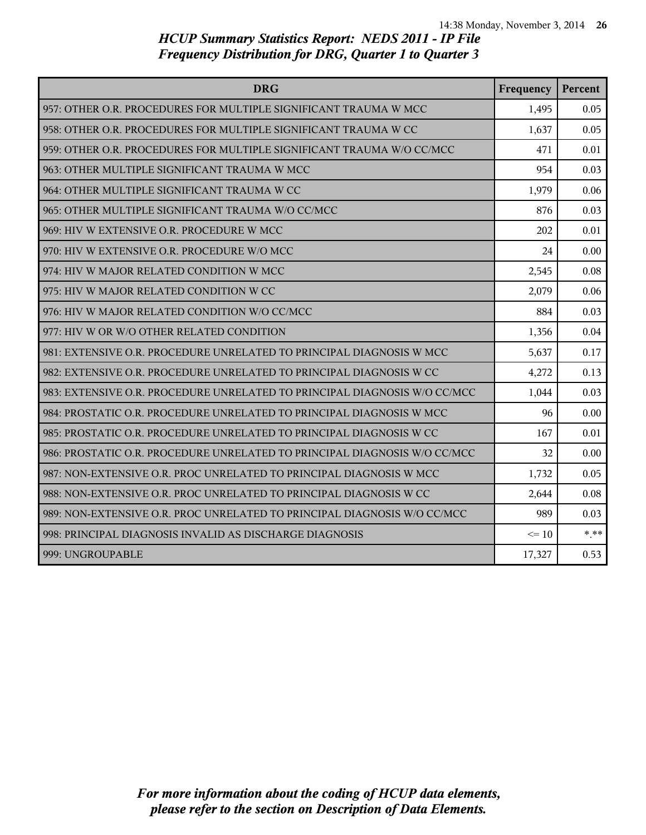| <b>DRG</b>                                                                | Frequency | Percent |
|---------------------------------------------------------------------------|-----------|---------|
| 957: OTHER O.R. PROCEDURES FOR MULTIPLE SIGNIFICANT TRAUMA W MCC          | 1,495     | 0.05    |
| 958: OTHER O.R. PROCEDURES FOR MULTIPLE SIGNIFICANT TRAUMA W CC           | 1,637     | 0.05    |
| 959: OTHER O.R. PROCEDURES FOR MULTIPLE SIGNIFICANT TRAUMA W/O CC/MCC     | 471       | 0.01    |
| 963: OTHER MULTIPLE SIGNIFICANT TRAUMA W MCC                              | 954       | 0.03    |
| 964: OTHER MULTIPLE SIGNIFICANT TRAUMA W CC                               | 1,979     | 0.06    |
| 965: OTHER MULTIPLE SIGNIFICANT TRAUMA W/O CC/MCC                         | 876       | 0.03    |
| 969: HIV W EXTENSIVE O.R. PROCEDURE W MCC                                 | 202       | 0.01    |
| 970: HIV W EXTENSIVE O.R. PROCEDURE W/O MCC                               | 24        | 0.00    |
| 974: HIV W MAJOR RELATED CONDITION W MCC                                  | 2,545     | 0.08    |
| 975: HIV W MAJOR RELATED CONDITION W CC                                   | 2,079     | 0.06    |
| 976: HIV W MAJOR RELATED CONDITION W/O CC/MCC                             | 884       | 0.03    |
| 977: HIV W OR W/O OTHER RELATED CONDITION                                 | 1,356     | 0.04    |
| 981: EXTENSIVE O.R. PROCEDURE UNRELATED TO PRINCIPAL DIAGNOSIS W MCC      | 5,637     | 0.17    |
| 982: EXTENSIVE O.R. PROCEDURE UNRELATED TO PRINCIPAL DIAGNOSIS W CC       | 4,272     | 0.13    |
| 983: EXTENSIVE O.R. PROCEDURE UNRELATED TO PRINCIPAL DIAGNOSIS W/O CC/MCC | 1,044     | 0.03    |
| 984: PROSTATIC O.R. PROCEDURE UNRELATED TO PRINCIPAL DIAGNOSIS W MCC      | 96        | 0.00    |
| 985: PROSTATIC O.R. PROCEDURE UNRELATED TO PRINCIPAL DIAGNOSIS W CC       | 167       | 0.01    |
| 986: PROSTATIC O.R. PROCEDURE UNRELATED TO PRINCIPAL DIAGNOSIS W/O CC/MCC | 32        | 0.00    |
| 987: NON-EXTENSIVE O.R. PROC UNRELATED TO PRINCIPAL DIAGNOSIS W MCC       | 1,732     | 0.05    |
| 988: NON-EXTENSIVE O.R. PROC UNRELATED TO PRINCIPAL DIAGNOSIS W CC        | 2,644     | 0.08    |
| 989: NON-EXTENSIVE O.R. PROC UNRELATED TO PRINCIPAL DIAGNOSIS W/O CC/MCC  | 989       | 0.03    |
| 998: PRINCIPAL DIAGNOSIS INVALID AS DISCHARGE DIAGNOSIS                   | $\leq 10$ | $***$   |
| 999: UNGROUPABLE                                                          | 17,327    | 0.53    |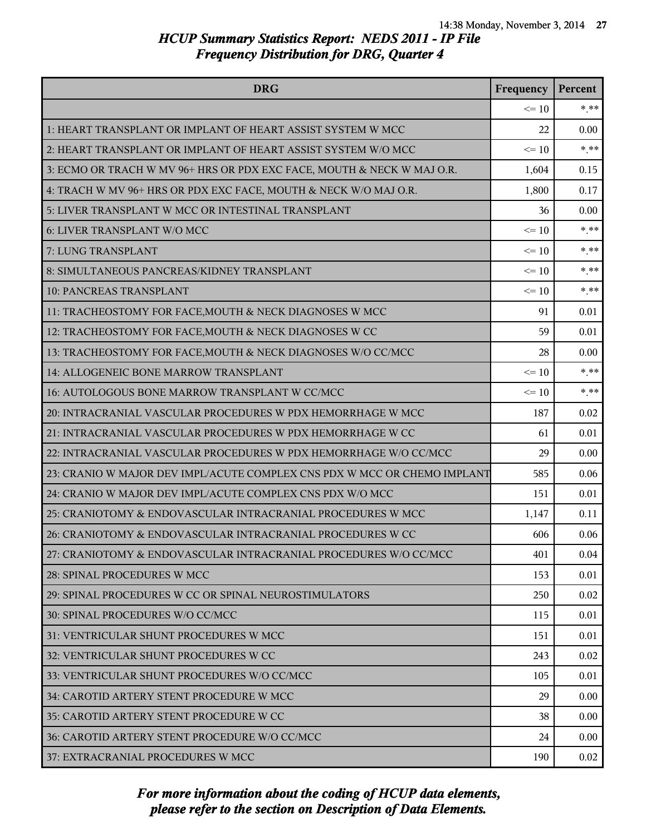| <b>DRG</b>                                                               | Frequency | Percent |
|--------------------------------------------------------------------------|-----------|---------|
|                                                                          | $\leq 10$ | $* * *$ |
| 1: HEART TRANSPLANT OR IMPLANT OF HEART ASSIST SYSTEM W MCC              | 22        | 0.00    |
| 2: HEART TRANSPLANT OR IMPLANT OF HEART ASSIST SYSTEM W/O MCC            | $\leq 10$ | $***$   |
| 3: ECMO OR TRACH W MV 96+ HRS OR PDX EXC FACE, MOUTH & NECK W MAJ O.R.   | 1,604     | 0.15    |
| 4: TRACH W MV 96+ HRS OR PDX EXC FACE, MOUTH & NECK W/O MAJ O.R.         | 1,800     | 0.17    |
| 5: LIVER TRANSPLANT W MCC OR INTESTINAL TRANSPLANT                       | 36        | 0.00    |
| 6: LIVER TRANSPLANT W/O MCC                                              | $\leq 10$ | $***$   |
| 7: LUNG TRANSPLANT                                                       | $\leq 10$ | $***$   |
| 8: SIMULTANEOUS PANCREAS/KIDNEY TRANSPLANT                               | $\leq 10$ | $* * *$ |
| <b>10: PANCREAS TRANSPLANT</b>                                           | $\leq 10$ | $***$   |
| 11: TRACHEOSTOMY FOR FACE, MOUTH & NECK DIAGNOSES W MCC                  | 91        | 0.01    |
| 12: TRACHEOSTOMY FOR FACE, MOUTH & NECK DIAGNOSES W CC                   | 59        | 0.01    |
| 13: TRACHEOSTOMY FOR FACE, MOUTH & NECK DIAGNOSES W/O CC/MCC             | 28        | 0.00    |
| 14: ALLOGENEIC BONE MARROW TRANSPLANT                                    | $\leq 10$ | $* * *$ |
| 16: AUTOLOGOUS BONE MARROW TRANSPLANT W CC/MCC                           | $\leq 10$ | $***$   |
| 20: INTRACRANIAL VASCULAR PROCEDURES W PDX HEMORRHAGE W MCC              | 187       | 0.02    |
| 21: INTRACRANIAL VASCULAR PROCEDURES W PDX HEMORRHAGE W CC               | 61        | 0.01    |
| 22: INTRACRANIAL VASCULAR PROCEDURES W PDX HEMORRHAGE W/O CC/MCC         | 29        | 0.00    |
| 23: CRANIO W MAJOR DEV IMPL/ACUTE COMPLEX CNS PDX W MCC OR CHEMO IMPLANT | 585       | 0.06    |
| 24: CRANIO W MAJOR DEV IMPL/ACUTE COMPLEX CNS PDX W/O MCC                | 151       | 0.01    |
| 25: CRANIOTOMY & ENDOVASCULAR INTRACRANIAL PROCEDURES W MCC              | 1,147     | 0.11    |
| 26: CRANIOTOMY & ENDOVASCULAR INTRACRANIAL PROCEDURES W CC               | 606       | 0.06    |
| 27: CRANIOTOMY & ENDOVASCULAR INTRACRANIAL PROCEDURES W/O CC/MCC         | 401       | 0.04    |
| 28: SPINAL PROCEDURES W MCC                                              | 153       | 0.01    |
| 29: SPINAL PROCEDURES W CC OR SPINAL NEUROSTIMULATORS                    | 250       | 0.02    |
| 30: SPINAL PROCEDURES W/O CC/MCC                                         | 115       | 0.01    |
| 31: VENTRICULAR SHUNT PROCEDURES W MCC                                   | 151       | 0.01    |
| 32: VENTRICULAR SHUNT PROCEDURES W CC                                    | 243       | 0.02    |
| 33: VENTRICULAR SHUNT PROCEDURES W/O CC/MCC                              | 105       | 0.01    |
| 34: CAROTID ARTERY STENT PROCEDURE W MCC                                 | 29        | 0.00    |
| 35: CAROTID ARTERY STENT PROCEDURE W CC                                  | 38        | 0.00    |
| 36: CAROTID ARTERY STENT PROCEDURE W/O CC/MCC                            | 24        | 0.00    |
| 37: EXTRACRANIAL PROCEDURES W MCC                                        | 190       | 0.02    |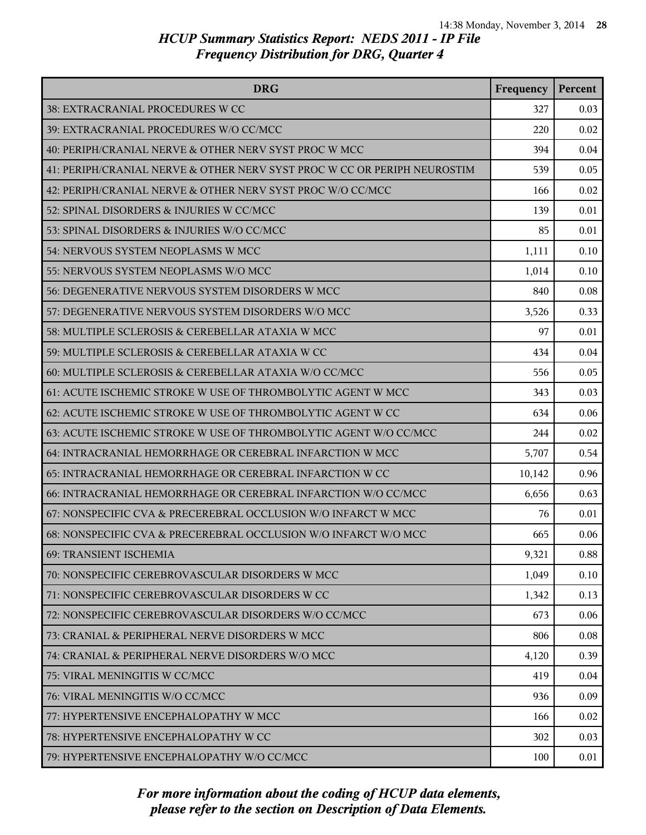| <b>DRG</b>                                                               | Frequency | Percent |
|--------------------------------------------------------------------------|-----------|---------|
| 38: EXTRACRANIAL PROCEDURES W CC                                         | 327       | 0.03    |
| 39: EXTRACRANIAL PROCEDURES W/O CC/MCC                                   | 220       | 0.02    |
| 40: PERIPH/CRANIAL NERVE & OTHER NERV SYST PROC W MCC                    | 394       | 0.04    |
| 41: PERIPH/CRANIAL NERVE & OTHER NERV SYST PROC W CC OR PERIPH NEUROSTIM | 539       | 0.05    |
| 42: PERIPH/CRANIAL NERVE & OTHER NERV SYST PROC W/O CC/MCC               | 166       | 0.02    |
| 52: SPINAL DISORDERS & INJURIES W CC/MCC                                 | 139       | 0.01    |
| 53: SPINAL DISORDERS & INJURIES W/O CC/MCC                               | 85        | 0.01    |
| 54: NERVOUS SYSTEM NEOPLASMS W MCC                                       | 1,111     | 0.10    |
| 55: NERVOUS SYSTEM NEOPLASMS W/O MCC                                     | 1,014     | 0.10    |
| 56: DEGENERATIVE NERVOUS SYSTEM DISORDERS W MCC                          | 840       | 0.08    |
| 57: DEGENERATIVE NERVOUS SYSTEM DISORDERS W/O MCC                        | 3,526     | 0.33    |
| 58: MULTIPLE SCLEROSIS & CEREBELLAR ATAXIA W MCC                         | 97        | 0.01    |
| 59: MULTIPLE SCLEROSIS & CEREBELLAR ATAXIA W CC                          | 434       | 0.04    |
| 60: MULTIPLE SCLEROSIS & CEREBELLAR ATAXIA W/O CC/MCC                    | 556       | 0.05    |
| 61: ACUTE ISCHEMIC STROKE W USE OF THROMBOLYTIC AGENT W MCC              | 343       | 0.03    |
| 62: ACUTE ISCHEMIC STROKE W USE OF THROMBOLYTIC AGENT W CC               | 634       | 0.06    |
| 63: ACUTE ISCHEMIC STROKE W USE OF THROMBOLYTIC AGENT W/O CC/MCC         | 244       | 0.02    |
| 64: INTRACRANIAL HEMORRHAGE OR CEREBRAL INFARCTION W MCC                 | 5,707     | 0.54    |
| 65: INTRACRANIAL HEMORRHAGE OR CEREBRAL INFARCTION W CC                  | 10,142    | 0.96    |
| 66: INTRACRANIAL HEMORRHAGE OR CEREBRAL INFARCTION W/O CC/MCC            | 6,656     | 0.63    |
| 67: NONSPECIFIC CVA & PRECEREBRAL OCCLUSION W/O INFARCT W MCC            | 76        | 0.01    |
| 68: NONSPECIFIC CVA & PRECEREBRAL OCCLUSION W/O INFARCT W/O MCC          | 665       | 0.06    |
| 69: TRANSIENT ISCHEMIA                                                   | 9,321     | 0.88    |
| 70: NONSPECIFIC CEREBROVASCULAR DISORDERS W MCC                          | 1,049     | 0.10    |
| 71: NONSPECIFIC CEREBROVASCULAR DISORDERS W CC                           | 1,342     | 0.13    |
| 72: NONSPECIFIC CEREBROVASCULAR DISORDERS W/O CC/MCC                     | 673       | 0.06    |
| 73: CRANIAL & PERIPHERAL NERVE DISORDERS W MCC                           | 806       | 0.08    |
| 74: CRANIAL & PERIPHERAL NERVE DISORDERS W/O MCC                         | 4,120     | 0.39    |
| 75: VIRAL MENINGITIS W CC/MCC                                            | 419       | 0.04    |
| 76: VIRAL MENINGITIS W/O CC/MCC                                          | 936       | 0.09    |
| 77: HYPERTENSIVE ENCEPHALOPATHY W MCC                                    | 166       | 0.02    |
| 78: HYPERTENSIVE ENCEPHALOPATHY W CC                                     | 302       | 0.03    |
| 79: HYPERTENSIVE ENCEPHALOPATHY W/O CC/MCC                               | 100       | 0.01    |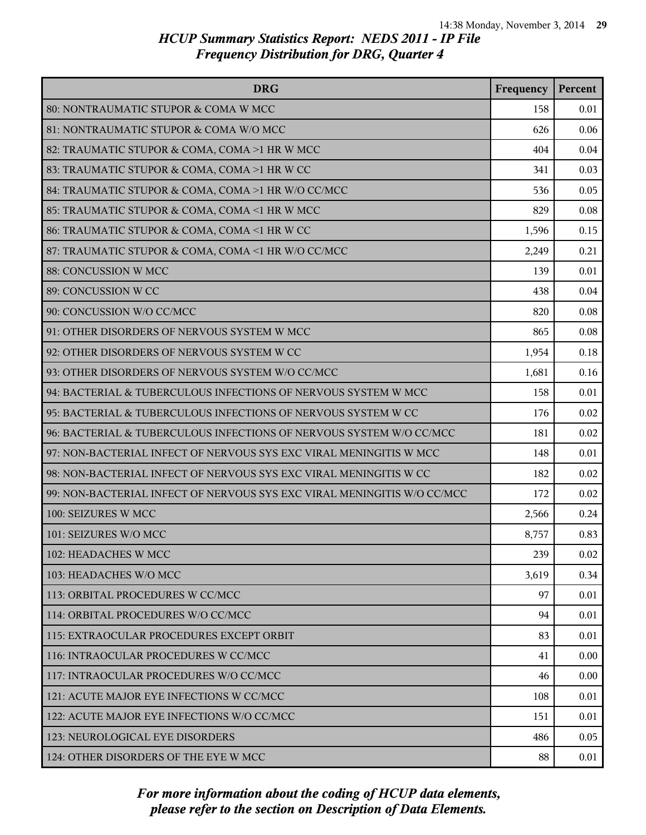| <b>DRG</b>                                                              | Frequency | Percent |
|-------------------------------------------------------------------------|-----------|---------|
| 80: NONTRAUMATIC STUPOR & COMA W MCC                                    | 158       | 0.01    |
| 81: NONTRAUMATIC STUPOR & COMA W/O MCC                                  | 626       | 0.06    |
| 82: TRAUMATIC STUPOR & COMA, COMA >1 HR W MCC                           | 404       | 0.04    |
| 83: TRAUMATIC STUPOR & COMA, COMA >1 HR W CC                            | 341       | 0.03    |
| 84: TRAUMATIC STUPOR & COMA, COMA >1 HR W/O CC/MCC                      | 536       | 0.05    |
| 85: TRAUMATIC STUPOR & COMA, COMA <1 HR W MCC                           | 829       | 0.08    |
| 86: TRAUMATIC STUPOR & COMA, COMA <1 HR W CC                            | 1,596     | 0.15    |
| 87: TRAUMATIC STUPOR & COMA, COMA <1 HR W/O CC/MCC                      | 2,249     | 0.21    |
| 88: CONCUSSION W MCC                                                    | 139       | 0.01    |
| 89: CONCUSSION W CC                                                     | 438       | 0.04    |
| 90: CONCUSSION W/O CC/MCC                                               | 820       | 0.08    |
| 91: OTHER DISORDERS OF NERVOUS SYSTEM W MCC                             | 865       | 0.08    |
| 92: OTHER DISORDERS OF NERVOUS SYSTEM W CC                              | 1,954     | 0.18    |
| 93: OTHER DISORDERS OF NERVOUS SYSTEM W/O CC/MCC                        | 1,681     | 0.16    |
| 94: BACTERIAL & TUBERCULOUS INFECTIONS OF NERVOUS SYSTEM W MCC          | 158       | 0.01    |
| 95: BACTERIAL & TUBERCULOUS INFECTIONS OF NERVOUS SYSTEM W CC           | 176       | 0.02    |
| 96: BACTERIAL & TUBERCULOUS INFECTIONS OF NERVOUS SYSTEM W/O CC/MCC     | 181       | 0.02    |
| 97: NON-BACTERIAL INFECT OF NERVOUS SYS EXC VIRAL MENINGITIS W MCC      | 148       | 0.01    |
| 98: NON-BACTERIAL INFECT OF NERVOUS SYS EXC VIRAL MENINGITIS W CC       | 182       | 0.02    |
| 99: NON-BACTERIAL INFECT OF NERVOUS SYS EXC VIRAL MENINGITIS W/O CC/MCC | 172       | 0.02    |
| 100: SEIZURES W MCC                                                     | 2,566     | 0.24    |
| 101: SEIZURES W/O MCC                                                   | 8,757     | 0.83    |
| 102: HEADACHES W MCC                                                    | 239       | 0.02    |
| 103: HEADACHES W/O MCC                                                  | 3,619     | 0.34    |
| 113: ORBITAL PROCEDURES W CC/MCC                                        | 97        | 0.01    |
| 114: ORBITAL PROCEDURES W/O CC/MCC                                      | 94        | 0.01    |
| 115: EXTRAOCULAR PROCEDURES EXCEPT ORBIT                                | 83        | 0.01    |
| 116: INTRAOCULAR PROCEDURES W CC/MCC                                    | 41        | 0.00    |
| 117: INTRAOCULAR PROCEDURES W/O CC/MCC                                  | 46        | 0.00    |
| 121: ACUTE MAJOR EYE INFECTIONS W CC/MCC                                | 108       | 0.01    |
| 122: ACUTE MAJOR EYE INFECTIONS W/O CC/MCC                              | 151       | 0.01    |
| 123: NEUROLOGICAL EYE DISORDERS                                         | 486       | 0.05    |
| 124: OTHER DISORDERS OF THE EYE W MCC                                   | 88        | 0.01    |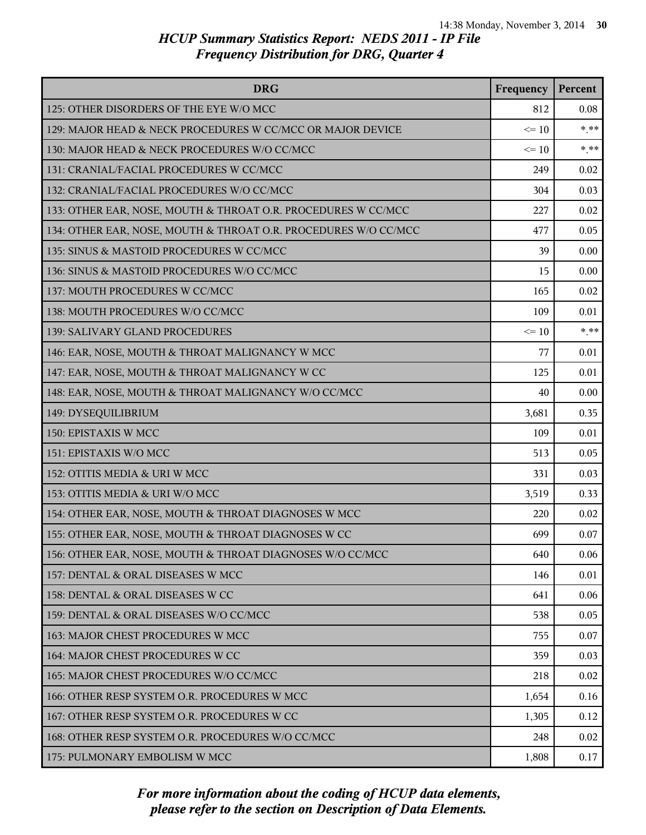| <b>DRG</b>                                                      | Frequency | Percent |
|-----------------------------------------------------------------|-----------|---------|
| 125: OTHER DISORDERS OF THE EYE W/O MCC                         | 812       | 0.08    |
| 129: MAJOR HEAD & NECK PROCEDURES W CC/MCC OR MAJOR DEVICE      | $\leq 10$ | $***$   |
| 130: MAJOR HEAD & NECK PROCEDURES W/O CC/MCC                    | $\leq 10$ | $***$   |
| 131: CRANIAL/FACIAL PROCEDURES W CC/MCC                         | 249       | 0.02    |
| 132: CRANIAL/FACIAL PROCEDURES W/O CC/MCC                       | 304       | 0.03    |
| 133: OTHER EAR, NOSE, MOUTH & THROAT O.R. PROCEDURES W CC/MCC   | 227       | 0.02    |
| 134: OTHER EAR, NOSE, MOUTH & THROAT O.R. PROCEDURES W/O CC/MCC | 477       | 0.05    |
| 135: SINUS & MASTOID PROCEDURES W CC/MCC                        | 39        | 0.00    |
| 136: SINUS & MASTOID PROCEDURES W/O CC/MCC                      | 15        | 0.00    |
| 137: MOUTH PROCEDURES W CC/MCC                                  | 165       | 0.02    |
| 138: MOUTH PROCEDURES W/O CC/MCC                                | 109       | 0.01    |
| 139: SALIVARY GLAND PROCEDURES                                  | $\leq 10$ | $***$   |
| 146: EAR, NOSE, MOUTH & THROAT MALIGNANCY W MCC                 | 77        | 0.01    |
| 147: EAR, NOSE, MOUTH & THROAT MALIGNANCY W CC                  | 125       | 0.01    |
| 148: EAR, NOSE, MOUTH & THROAT MALIGNANCY W/O CC/MCC            | 40        | 0.00    |
| 149: DYSEQUILIBRIUM                                             | 3,681     | 0.35    |
| 150: EPISTAXIS W MCC                                            | 109       | 0.01    |
| 151: EPISTAXIS W/O MCC                                          | 513       | 0.05    |
| 152: OTITIS MEDIA & URI W MCC                                   | 331       | 0.03    |
| 153: OTITIS MEDIA & URI W/O MCC                                 | 3,519     | 0.33    |
| 154: OTHER EAR, NOSE, MOUTH & THROAT DIAGNOSES W MCC            | 220       | 0.02    |
| 155: OTHER EAR, NOSE, MOUTH & THROAT DIAGNOSES W CC             | 699       | 0.07    |
| 156: OTHER EAR, NOSE, MOUTH & THROAT DIAGNOSES W/O CC/MCC       | 640       | 0.06    |
| 157: DENTAL & ORAL DISEASES W MCC                               | 146       | 0.01    |
| 158: DENTAL & ORAL DISEASES W CC                                | 641       | 0.06    |
| 159: DENTAL & ORAL DISEASES W/O CC/MCC                          | 538       | 0.05    |
| 163: MAJOR CHEST PROCEDURES W MCC                               | 755       | 0.07    |
| 164: MAJOR CHEST PROCEDURES W CC                                | 359       | 0.03    |
| 165: MAJOR CHEST PROCEDURES W/O CC/MCC                          | 218       | 0.02    |
| 166: OTHER RESP SYSTEM O.R. PROCEDURES W MCC                    | 1,654     | 0.16    |
| 167: OTHER RESP SYSTEM O.R. PROCEDURES W CC                     | 1,305     | 0.12    |
| 168: OTHER RESP SYSTEM O.R. PROCEDURES W/O CC/MCC               | 248       | 0.02    |
| 175: PULMONARY EMBOLISM W MCC                                   | 1,808     | 0.17    |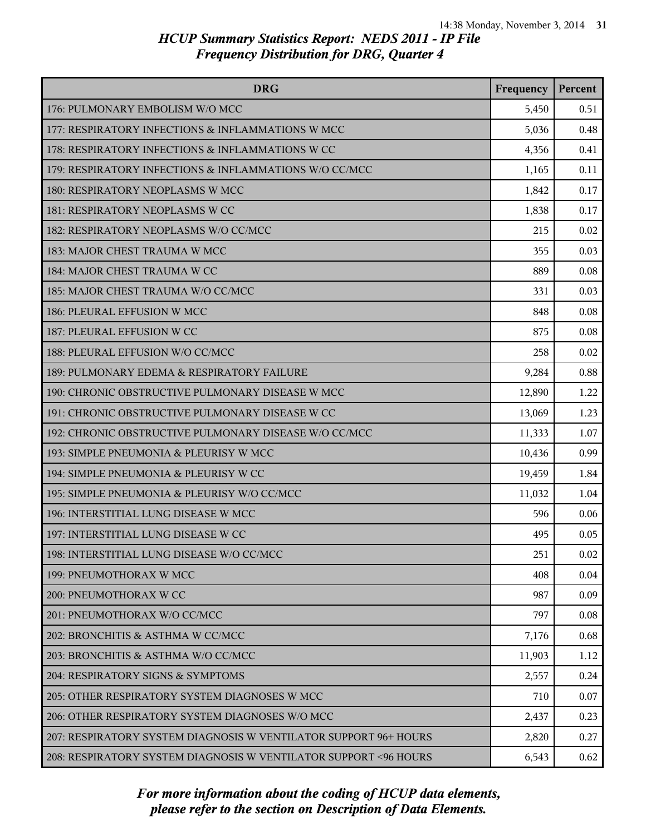| <b>DRG</b>                                                       | Frequency | Percent |
|------------------------------------------------------------------|-----------|---------|
| 176: PULMONARY EMBOLISM W/O MCC                                  | 5,450     | 0.51    |
| 177: RESPIRATORY INFECTIONS & INFLAMMATIONS W MCC                | 5,036     | 0.48    |
| 178: RESPIRATORY INFECTIONS & INFLAMMATIONS W CC                 | 4,356     | 0.41    |
| 179: RESPIRATORY INFECTIONS & INFLAMMATIONS W/O CC/MCC           | 1,165     | 0.11    |
| 180: RESPIRATORY NEOPLASMS W MCC                                 | 1,842     | 0.17    |
| 181: RESPIRATORY NEOPLASMS W CC                                  | 1,838     | 0.17    |
| 182: RESPIRATORY NEOPLASMS W/O CC/MCC                            | 215       | 0.02    |
| 183: MAJOR CHEST TRAUMA W MCC                                    | 355       | 0.03    |
| 184: MAJOR CHEST TRAUMA W CC                                     | 889       | 0.08    |
| 185: MAJOR CHEST TRAUMA W/O CC/MCC                               | 331       | 0.03    |
| 186: PLEURAL EFFUSION W MCC                                      | 848       | 0.08    |
| 187: PLEURAL EFFUSION W CC                                       | 875       | 0.08    |
| 188: PLEURAL EFFUSION W/O CC/MCC                                 | 258       | 0.02    |
| 189: PULMONARY EDEMA & RESPIRATORY FAILURE                       | 9,284     | 0.88    |
| 190: CHRONIC OBSTRUCTIVE PULMONARY DISEASE W MCC                 | 12,890    | 1.22    |
| 191: CHRONIC OBSTRUCTIVE PULMONARY DISEASE W CC                  | 13,069    | 1.23    |
| 192: CHRONIC OBSTRUCTIVE PULMONARY DISEASE W/O CC/MCC            | 11,333    | 1.07    |
| 193: SIMPLE PNEUMONIA & PLEURISY W MCC                           | 10,436    | 0.99    |
| 194: SIMPLE PNEUMONIA & PLEURISY W CC                            | 19,459    | 1.84    |
| 195: SIMPLE PNEUMONIA & PLEURISY W/O CC/MCC                      | 11,032    | 1.04    |
| 196: INTERSTITIAL LUNG DISEASE W MCC                             | 596       | 0.06    |
| 197: INTERSTITIAL LUNG DISEASE W CC                              | 495       | 0.05    |
| 198: INTERSTITIAL LUNG DISEASE W/O CC/MCC                        | 251       | 0.02    |
| 199: PNEUMOTHORAX W MCC                                          | 408       | 0.04    |
| 200: PNEUMOTHORAX W CC                                           | 987       | 0.09    |
| 201: PNEUMOTHORAX W/O CC/MCC                                     | 797       | 0.08    |
| 202: BRONCHITIS & ASTHMA W CC/MCC                                | 7,176     | 0.68    |
| 203: BRONCHITIS & ASTHMA W/O CC/MCC                              | 11,903    | 1.12    |
| 204: RESPIRATORY SIGNS & SYMPTOMS                                | 2,557     | 0.24    |
| 205: OTHER RESPIRATORY SYSTEM DIAGNOSES W MCC                    | 710       | 0.07    |
| 206: OTHER RESPIRATORY SYSTEM DIAGNOSES W/O MCC                  | 2,437     | 0.23    |
| 207: RESPIRATORY SYSTEM DIAGNOSIS W VENTILATOR SUPPORT 96+ HOURS | 2,820     | 0.27    |
| 208: RESPIRATORY SYSTEM DIAGNOSIS W VENTILATOR SUPPORT <96 HOURS | 6,543     | 0.62    |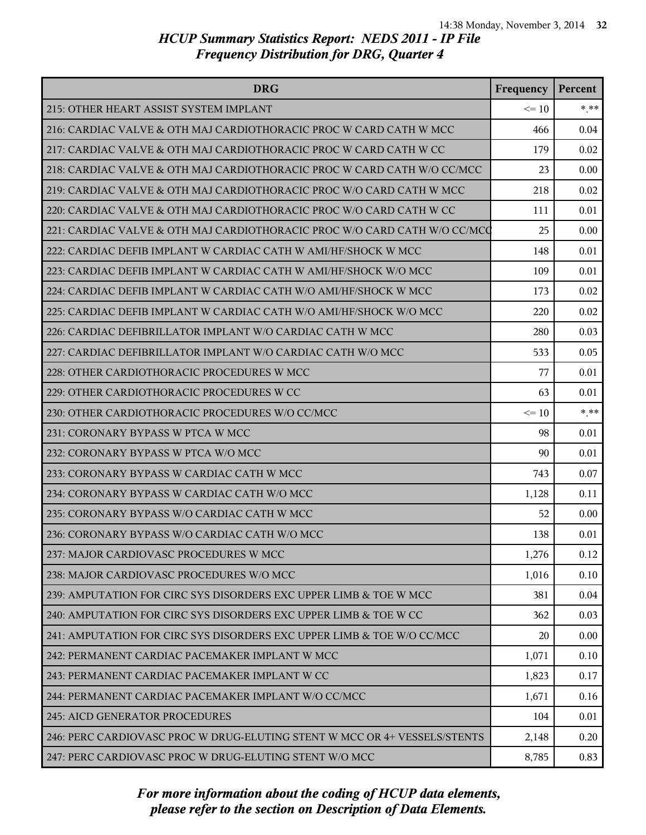| <b>DRG</b>                                                                | Frequency | Percent  |
|---------------------------------------------------------------------------|-----------|----------|
| 215: OTHER HEART ASSIST SYSTEM IMPLANT                                    | $\leq 10$ | $*$ $**$ |
| 216: CARDIAC VALVE & OTH MAJ CARDIOTHORACIC PROC W CARD CATH W MCC        | 466       | 0.04     |
| 217: CARDIAC VALVE & OTH MAJ CARDIOTHORACIC PROC W CARD CATH W CC         | 179       | 0.02     |
| 218: CARDIAC VALVE & OTH MAJ CARDIOTHORACIC PROC W CARD CATH W/O CC/MCC   | 23        | 0.00     |
| 219: CARDIAC VALVE & OTH MAJ CARDIOTHORACIC PROC W/O CARD CATH W MCC      | 218       | 0.02     |
| 220: CARDIAC VALVE & OTH MAJ CARDIOTHORACIC PROC W/O CARD CATH W CC       | 111       | 0.01     |
| 221: CARDIAC VALVE & OTH MAJ CARDIOTHORACIC PROC W/O CARD CATH W/O CC/MCQ | 25        | 0.00     |
| 222: CARDIAC DEFIB IMPLANT W CARDIAC CATH W AMI/HF/SHOCK W MCC            | 148       | 0.01     |
| 223: CARDIAC DEFIB IMPLANT W CARDIAC CATH W AMI/HF/SHOCK W/O MCC          | 109       | 0.01     |
| 224: CARDIAC DEFIB IMPLANT W CARDIAC CATH W/O AMI/HF/SHOCK W MCC          | 173       | 0.02     |
| 225: CARDIAC DEFIB IMPLANT W CARDIAC CATH W/O AMI/HF/SHOCK W/O MCC        | 220       | 0.02     |
| 226: CARDIAC DEFIBRILLATOR IMPLANT W/O CARDIAC CATH W MCC                 | 280       | 0.03     |
| 227: CARDIAC DEFIBRILLATOR IMPLANT W/O CARDIAC CATH W/O MCC               | 533       | 0.05     |
| 228: OTHER CARDIOTHORACIC PROCEDURES W MCC                                | 77        | 0.01     |
| 229: OTHER CARDIOTHORACIC PROCEDURES W CC                                 | 63        | 0.01     |
| 230: OTHER CARDIOTHORACIC PROCEDURES W/O CC/MCC                           | $\leq 10$ | $*$ **   |
| 231: CORONARY BYPASS W PTCA W MCC                                         | 98        | 0.01     |
| 232: CORONARY BYPASS W PTCA W/O MCC                                       | 90        | 0.01     |
| 233: CORONARY BYPASS W CARDIAC CATH W MCC                                 | 743       | 0.07     |
| 234: CORONARY BYPASS W CARDIAC CATH W/O MCC                               | 1,128     | 0.11     |
| 235: CORONARY BYPASS W/O CARDIAC CATH W MCC                               | 52        | 0.00     |
| 236: CORONARY BYPASS W/O CARDIAC CATH W/O MCC                             | 138       | 0.01     |
| 237: MAJOR CARDIOVASC PROCEDURES W MCC                                    | 1,276     | 0.12     |
| 238: MAJOR CARDIOVASC PROCEDURES W/O MCC                                  | 1,016     | 0.10     |
| 239: AMPUTATION FOR CIRC SYS DISORDERS EXC UPPER LIMB & TOE W MCC         | 381       | 0.04     |
| 240: AMPUTATION FOR CIRC SYS DISORDERS EXC UPPER LIMB & TOE W CC          | 362       | 0.03     |
| 241: AMPUTATION FOR CIRC SYS DISORDERS EXC UPPER LIMB & TOE W/O CC/MCC    | 20        | 0.00     |
| 242: PERMANENT CARDIAC PACEMAKER IMPLANT W MCC                            | 1,071     | 0.10     |
| 243: PERMANENT CARDIAC PACEMAKER IMPLANT W CC                             | 1,823     | 0.17     |
| 244: PERMANENT CARDIAC PACEMAKER IMPLANT W/O CC/MCC                       | 1,671     | 0.16     |
| 245: AICD GENERATOR PROCEDURES                                            | 104       | 0.01     |
| 246: PERC CARDIOVASC PROC W DRUG-ELUTING STENT W MCC OR 4+ VESSELS/STENTS | 2,148     | 0.20     |
| 247: PERC CARDIOVASC PROC W DRUG-ELUTING STENT W/O MCC                    | 8,785     | 0.83     |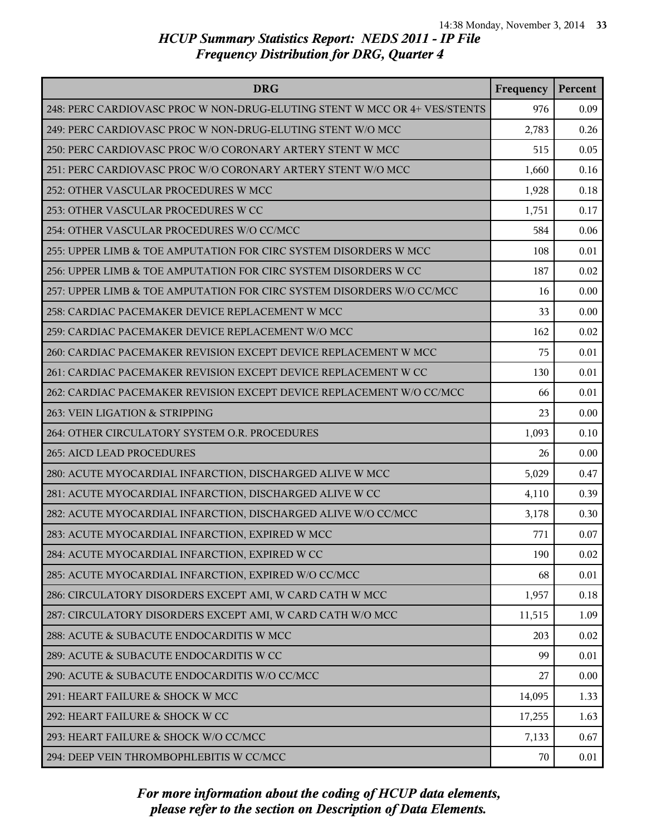| <b>DRG</b>                                                                | Frequency | Percent |
|---------------------------------------------------------------------------|-----------|---------|
| 248: PERC CARDIOVASC PROC W NON-DRUG-ELUTING STENT W MCC OR 4+ VES/STENTS | 976       | 0.09    |
| 249: PERC CARDIOVASC PROC W NON-DRUG-ELUTING STENT W/O MCC                | 2,783     | 0.26    |
| 250: PERC CARDIOVASC PROC W/O CORONARY ARTERY STENT W MCC                 | 515       | 0.05    |
| 251: PERC CARDIOVASC PROC W/O CORONARY ARTERY STENT W/O MCC               | 1,660     | 0.16    |
| 252: OTHER VASCULAR PROCEDURES W MCC                                      | 1,928     | 0.18    |
| 253: OTHER VASCULAR PROCEDURES W CC                                       | 1,751     | 0.17    |
| 254: OTHER VASCULAR PROCEDURES W/O CC/MCC                                 | 584       | 0.06    |
| 255: UPPER LIMB & TOE AMPUTATION FOR CIRC SYSTEM DISORDERS W MCC          | 108       | 0.01    |
| 256: UPPER LIMB & TOE AMPUTATION FOR CIRC SYSTEM DISORDERS W CC           | 187       | 0.02    |
| 257: UPPER LIMB & TOE AMPUTATION FOR CIRC SYSTEM DISORDERS W/O CC/MCC     | 16        | 0.00    |
| 258: CARDIAC PACEMAKER DEVICE REPLACEMENT W MCC                           | 33        | 0.00    |
| 259: CARDIAC PACEMAKER DEVICE REPLACEMENT W/O MCC                         | 162       | 0.02    |
| 260: CARDIAC PACEMAKER REVISION EXCEPT DEVICE REPLACEMENT W MCC           | 75        | 0.01    |
| 261: CARDIAC PACEMAKER REVISION EXCEPT DEVICE REPLACEMENT W CC            | 130       | 0.01    |
| 262: CARDIAC PACEMAKER REVISION EXCEPT DEVICE REPLACEMENT W/O CC/MCC      | 66        | 0.01    |
| 263: VEIN LIGATION & STRIPPING                                            | 23        | 0.00    |
| 264: OTHER CIRCULATORY SYSTEM O.R. PROCEDURES                             | 1,093     | 0.10    |
| 265: AICD LEAD PROCEDURES                                                 | 26        | 0.00    |
| 280: ACUTE MYOCARDIAL INFARCTION, DISCHARGED ALIVE W MCC                  | 5,029     | 0.47    |
| 281: ACUTE MYOCARDIAL INFARCTION, DISCHARGED ALIVE W CC                   | 4,110     | 0.39    |
| 282: ACUTE MYOCARDIAL INFARCTION, DISCHARGED ALIVE W/O CC/MCC             | 3,178     | 0.30    |
| 283: ACUTE MYOCARDIAL INFARCTION, EXPIRED W MCC                           | 771       | 0.07    |
| 284: ACUTE MYOCARDIAL INFARCTION, EXPIRED W CC                            | 190       | 0.02    |
| 285: ACUTE MYOCARDIAL INFARCTION, EXPIRED W/O CC/MCC                      | 68        | 0.01    |
| 286: CIRCULATORY DISORDERS EXCEPT AMI, W CARD CATH W MCC                  | 1,957     | 0.18    |
| 287: CIRCULATORY DISORDERS EXCEPT AMI, W CARD CATH W/O MCC                | 11,515    | 1.09    |
| 288: ACUTE & SUBACUTE ENDOCARDITIS W MCC                                  | 203       | 0.02    |
| 289: ACUTE & SUBACUTE ENDOCARDITIS W CC                                   | 99        | 0.01    |
| 290: ACUTE & SUBACUTE ENDOCARDITIS W/O CC/MCC                             | 27        | 0.00    |
| 291: HEART FAILURE & SHOCK W MCC                                          | 14,095    | 1.33    |
| 292: HEART FAILURE & SHOCK W CC                                           | 17,255    | 1.63    |
| 293: HEART FAILURE & SHOCK W/O CC/MCC                                     | 7,133     | 0.67    |
| 294: DEEP VEIN THROMBOPHLEBITIS W CC/MCC                                  | 70        | 0.01    |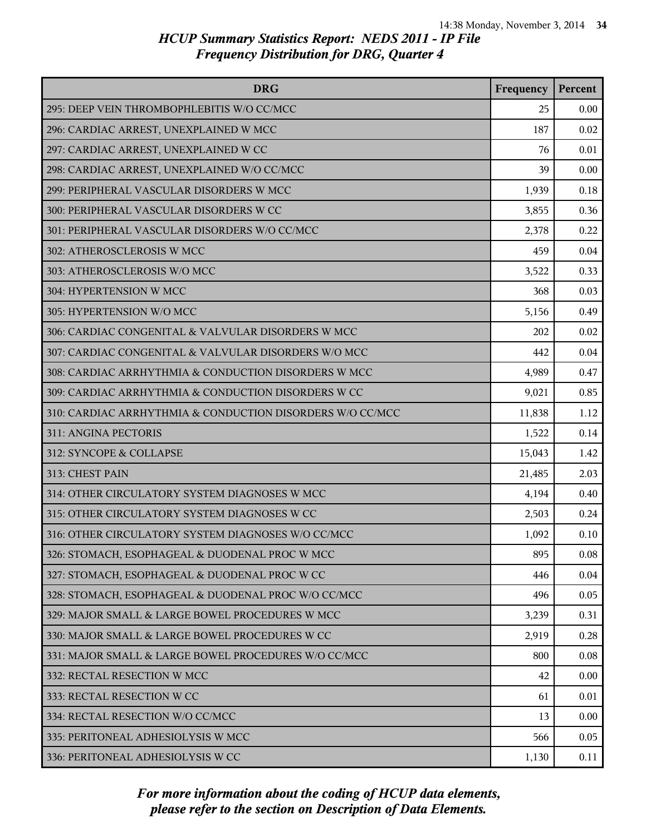| <b>DRG</b>                                                | Frequency | Percent |
|-----------------------------------------------------------|-----------|---------|
| 295: DEEP VEIN THROMBOPHLEBITIS W/O CC/MCC                | 25        | 0.00    |
| 296: CARDIAC ARREST, UNEXPLAINED W MCC                    | 187       | 0.02    |
| 297: CARDIAC ARREST, UNEXPLAINED W CC                     | 76        | 0.01    |
| 298: CARDIAC ARREST, UNEXPLAINED W/O CC/MCC               | 39        | 0.00    |
| 299: PERIPHERAL VASCULAR DISORDERS W MCC                  | 1,939     | 0.18    |
| 300: PERIPHERAL VASCULAR DISORDERS W CC                   | 3,855     | 0.36    |
| 301: PERIPHERAL VASCULAR DISORDERS W/O CC/MCC             | 2,378     | 0.22    |
| 302: ATHEROSCLEROSIS W MCC                                | 459       | 0.04    |
| 303: ATHEROSCLEROSIS W/O MCC                              | 3,522     | 0.33    |
| 304: HYPERTENSION W MCC                                   | 368       | 0.03    |
| 305: HYPERTENSION W/O MCC                                 | 5,156     | 0.49    |
| 306: CARDIAC CONGENITAL & VALVULAR DISORDERS W MCC        | 202       | 0.02    |
| 307: CARDIAC CONGENITAL & VALVULAR DISORDERS W/O MCC      | 442       | 0.04    |
| 308: CARDIAC ARRHYTHMIA & CONDUCTION DISORDERS W MCC      | 4,989     | 0.47    |
| 309: CARDIAC ARRHYTHMIA & CONDUCTION DISORDERS W CC       | 9,021     | 0.85    |
| 310: CARDIAC ARRHYTHMIA & CONDUCTION DISORDERS W/O CC/MCC | 11,838    | 1.12    |
| 311: ANGINA PECTORIS                                      | 1,522     | 0.14    |
| 312: SYNCOPE & COLLAPSE                                   | 15,043    | 1.42    |
| 313: CHEST PAIN                                           | 21,485    | 2.03    |
| 314: OTHER CIRCULATORY SYSTEM DIAGNOSES W MCC             | 4,194     | 0.40    |
| 315: OTHER CIRCULATORY SYSTEM DIAGNOSES W CC              | 2,503     | 0.24    |
| 316: OTHER CIRCULATORY SYSTEM DIAGNOSES W/O CC/MCC        | 1,092     | 0.10    |
| 326: STOMACH, ESOPHAGEAL & DUODENAL PROC W MCC            | 895       | 0.08    |
| 327: STOMACH, ESOPHAGEAL & DUODENAL PROC W CC             | 446       | 0.04    |
| 328: STOMACH, ESOPHAGEAL & DUODENAL PROC W/O CC/MCC       | 496       | 0.05    |
| 329: MAJOR SMALL & LARGE BOWEL PROCEDURES W MCC           | 3,239     | 0.31    |
| 330: MAJOR SMALL & LARGE BOWEL PROCEDURES W CC            | 2,919     | 0.28    |
| 331: MAJOR SMALL & LARGE BOWEL PROCEDURES W/O CC/MCC      | 800       | 0.08    |
| 332: RECTAL RESECTION W MCC                               | 42        | 0.00    |
| 333: RECTAL RESECTION W CC                                | 61        | 0.01    |
| 334: RECTAL RESECTION W/O CC/MCC                          | 13        | 0.00    |
| 335: PERITONEAL ADHESIOLYSIS W MCC                        | 566       | 0.05    |
| 336: PERITONEAL ADHESIOLYSIS W CC                         | 1,130     | 0.11    |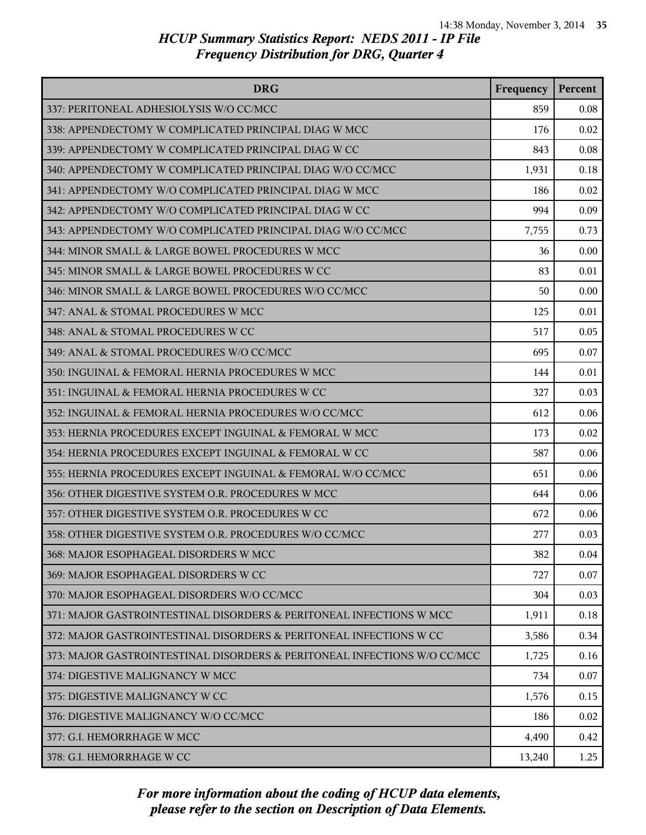| <b>DRG</b>                                                               | Frequency | Percent |
|--------------------------------------------------------------------------|-----------|---------|
| 337: PERITONEAL ADHESIOLYSIS W/O CC/MCC                                  | 859       | 0.08    |
| 338: APPENDECTOMY W COMPLICATED PRINCIPAL DIAG W MCC                     | 176       | 0.02    |
| 339: APPENDECTOMY W COMPLICATED PRINCIPAL DIAG W CC                      | 843       | 0.08    |
| 340: APPENDECTOMY W COMPLICATED PRINCIPAL DIAG W/O CC/MCC                | 1,931     | 0.18    |
| 341: APPENDECTOMY W/O COMPLICATED PRINCIPAL DIAG W MCC                   | 186       | 0.02    |
| 342: APPENDECTOMY W/O COMPLICATED PRINCIPAL DIAG W CC                    | 994       | 0.09    |
| 343: APPENDECTOMY W/O COMPLICATED PRINCIPAL DIAG W/O CC/MCC              | 7,755     | 0.73    |
| 344: MINOR SMALL & LARGE BOWEL PROCEDURES W MCC                          | 36        | 0.00    |
| 345: MINOR SMALL & LARGE BOWEL PROCEDURES W CC                           | 83        | 0.01    |
| 346: MINOR SMALL & LARGE BOWEL PROCEDURES W/O CC/MCC                     | 50        | 0.00    |
| 347: ANAL & STOMAL PROCEDURES W MCC                                      | 125       | 0.01    |
| 348: ANAL & STOMAL PROCEDURES W CC                                       | 517       | 0.05    |
| 349: ANAL & STOMAL PROCEDURES W/O CC/MCC                                 | 695       | 0.07    |
| 350: INGUINAL & FEMORAL HERNIA PROCEDURES W MCC                          | 144       | 0.01    |
| 351: INGUINAL & FEMORAL HERNIA PROCEDURES W CC                           | 327       | 0.03    |
| 352: INGUINAL & FEMORAL HERNIA PROCEDURES W/O CC/MCC                     | 612       | 0.06    |
| 353: HERNIA PROCEDURES EXCEPT INGUINAL & FEMORAL W MCC                   | 173       | 0.02    |
| 354: HERNIA PROCEDURES EXCEPT INGUINAL & FEMORAL W CC                    | 587       | 0.06    |
| 355: HERNIA PROCEDURES EXCEPT INGUINAL & FEMORAL W/O CC/MCC              | 651       | 0.06    |
| 356: OTHER DIGESTIVE SYSTEM O.R. PROCEDURES W MCC                        | 644       | 0.06    |
| 357: OTHER DIGESTIVE SYSTEM O.R. PROCEDURES W CC                         | 672       | 0.06    |
| 358: OTHER DIGESTIVE SYSTEM O.R. PROCEDURES W/O CC/MCC                   | 277       | 0.03    |
| 368: MAJOR ESOPHAGEAL DISORDERS W MCC                                    | 382       | 0.04    |
| 369: MAJOR ESOPHAGEAL DISORDERS W CC                                     | 727       | 0.07    |
| 370: MAJOR ESOPHAGEAL DISORDERS W/O CC/MCC                               | 304       | 0.03    |
| 371: MAJOR GASTROINTESTINAL DISORDERS & PERITONEAL INFECTIONS W MCC      | 1,911     | 0.18    |
| 372: MAJOR GASTROINTESTINAL DISORDERS & PERITONEAL INFECTIONS W CC       | 3,586     | 0.34    |
| 373: MAJOR GASTROINTESTINAL DISORDERS & PERITONEAL INFECTIONS W/O CC/MCC | 1,725     | 0.16    |
| 374: DIGESTIVE MALIGNANCY W MCC                                          | 734       | 0.07    |
| 375: DIGESTIVE MALIGNANCY W CC                                           | 1,576     | 0.15    |
| 376: DIGESTIVE MALIGNANCY W/O CC/MCC                                     | 186       | 0.02    |
| 377: G.I. HEMORRHAGE W MCC                                               | 4,490     | 0.42    |
| 378: G.I. HEMORRHAGE W CC                                                | 13,240    | 1.25    |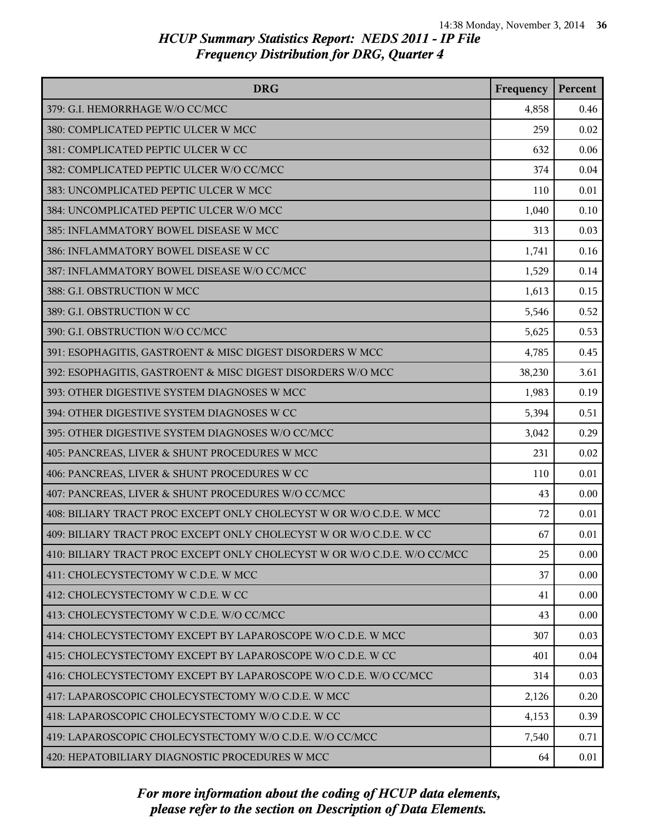| <b>DRG</b>                                                               | Frequency | Percent  |
|--------------------------------------------------------------------------|-----------|----------|
| 379: G.I. HEMORRHAGE W/O CC/MCC                                          | 4,858     | 0.46     |
| 380: COMPLICATED PEPTIC ULCER W MCC                                      | 259       | 0.02     |
| 381: COMPLICATED PEPTIC ULCER W CC                                       | 632       | 0.06     |
| 382: COMPLICATED PEPTIC ULCER W/O CC/MCC                                 | 374       | 0.04     |
| 383: UNCOMPLICATED PEPTIC ULCER W MCC                                    | 110       | 0.01     |
| 384: UNCOMPLICATED PEPTIC ULCER W/O MCC                                  | 1,040     | 0.10     |
| 385: INFLAMMATORY BOWEL DISEASE W MCC                                    | 313       | 0.03     |
| 386: INFLAMMATORY BOWEL DISEASE W CC                                     | 1,741     | 0.16     |
| 387: INFLAMMATORY BOWEL DISEASE W/O CC/MCC                               | 1,529     | 0.14     |
| 388: G.I. OBSTRUCTION W MCC                                              | 1,613     | 0.15     |
| 389: G.I. OBSTRUCTION W CC                                               | 5,546     | 0.52     |
| 390: G.I. OBSTRUCTION W/O CC/MCC                                         | 5,625     | 0.53     |
| 391: ESOPHAGITIS, GASTROENT & MISC DIGEST DISORDERS W MCC                | 4,785     | 0.45     |
| 392: ESOPHAGITIS, GASTROENT & MISC DIGEST DISORDERS W/O MCC              | 38,230    | 3.61     |
| 393: OTHER DIGESTIVE SYSTEM DIAGNOSES W MCC                              | 1,983     | 0.19     |
| 394: OTHER DIGESTIVE SYSTEM DIAGNOSES W CC                               | 5,394     | 0.51     |
| 395: OTHER DIGESTIVE SYSTEM DIAGNOSES W/O CC/MCC                         | 3,042     | 0.29     |
| 405: PANCREAS, LIVER & SHUNT PROCEDURES W MCC                            | 231       | 0.02     |
| 406: PANCREAS, LIVER & SHUNT PROCEDURES W CC                             | 110       | 0.01     |
| 407: PANCREAS, LIVER & SHUNT PROCEDURES W/O CC/MCC                       | 43        | 0.00     |
| 408: BILIARY TRACT PROC EXCEPT ONLY CHOLECYST W OR W/O C.D.E. W MCC      | 72        | 0.01     |
| 409: BILIARY TRACT PROC EXCEPT ONLY CHOLECYST W OR W/O C.D.E. W CC       | 67        | 0.01     |
| 410: BILIARY TRACT PROC EXCEPT ONLY CHOLECYST W OR W/O C.D.E. W/O CC/MCC | 25        | 0.00     |
| 411: CHOLECYSTECTOMY W C.D.E. W MCC                                      | 37        | $0.00\,$ |
| 412: CHOLECYSTECTOMY W C.D.E. W CC                                       | 41        | 0.00     |
| 413: CHOLECYSTECTOMY W C.D.E. W/O CC/MCC                                 | 43        | 0.00     |
| 414: CHOLECYSTECTOMY EXCEPT BY LAPAROSCOPE W/O C.D.E. W MCC              | 307       | 0.03     |
| 415: CHOLECYSTECTOMY EXCEPT BY LAPAROSCOPE W/O C.D.E. W CC               | 401       | 0.04     |
| 416: CHOLECYSTECTOMY EXCEPT BY LAPAROSCOPE W/O C.D.E. W/O CC/MCC         | 314       | 0.03     |
| 417: LAPAROSCOPIC CHOLECYSTECTOMY W/O C.D.E. W MCC                       | 2,126     | 0.20     |
| 418: LAPAROSCOPIC CHOLECYSTECTOMY W/O C.D.E. W CC                        | 4,153     | 0.39     |
| 419: LAPAROSCOPIC CHOLECYSTECTOMY W/O C.D.E. W/O CC/MCC                  | 7,540     | 0.71     |
| 420: HEPATOBILIARY DIAGNOSTIC PROCEDURES W MCC                           | 64        | 0.01     |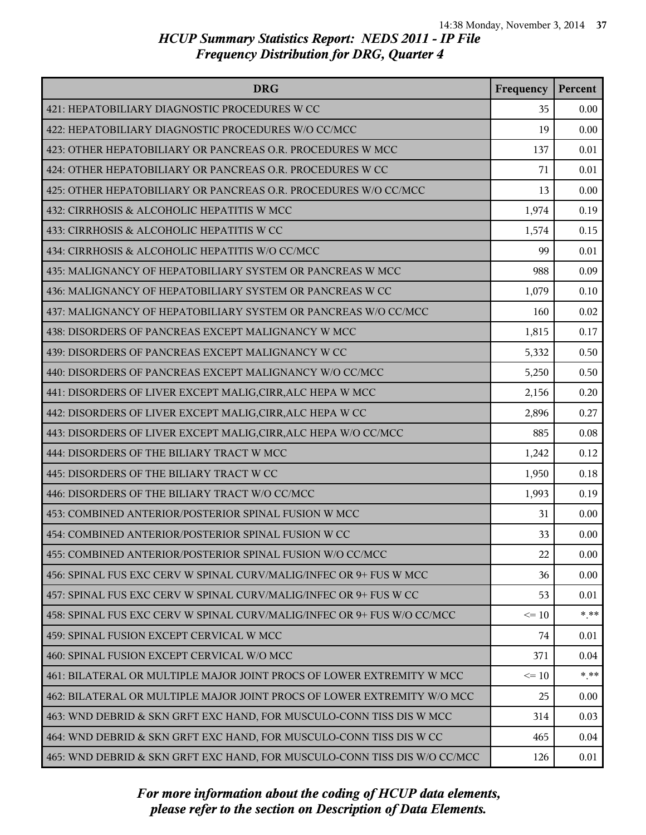| <b>DRG</b>                                                                | Frequency | Percent |
|---------------------------------------------------------------------------|-----------|---------|
| 421: HEPATOBILIARY DIAGNOSTIC PROCEDURES W CC                             | 35        | 0.00    |
| 422: HEPATOBILIARY DIAGNOSTIC PROCEDURES W/O CC/MCC                       | 19        | 0.00    |
| 423: OTHER HEPATOBILIARY OR PANCREAS O.R. PROCEDURES W MCC                | 137       | 0.01    |
| 424: OTHER HEPATOBILIARY OR PANCREAS O.R. PROCEDURES W CC                 | 71        | 0.01    |
| 425: OTHER HEPATOBILIARY OR PANCREAS O.R. PROCEDURES W/O CC/MCC           | 13        | 0.00    |
| 432: CIRRHOSIS & ALCOHOLIC HEPATITIS W MCC                                | 1,974     | 0.19    |
| 433: CIRRHOSIS & ALCOHOLIC HEPATITIS W CC                                 | 1,574     | 0.15    |
| 434: CIRRHOSIS & ALCOHOLIC HEPATITIS W/O CC/MCC                           | 99        | 0.01    |
| 435: MALIGNANCY OF HEPATOBILIARY SYSTEM OR PANCREAS W MCC                 | 988       | 0.09    |
| 436: MALIGNANCY OF HEPATOBILIARY SYSTEM OR PANCREAS W CC                  | 1,079     | 0.10    |
| 437: MALIGNANCY OF HEPATOBILIARY SYSTEM OR PANCREAS W/O CC/MCC            | 160       | 0.02    |
| 438: DISORDERS OF PANCREAS EXCEPT MALIGNANCY W MCC                        | 1,815     | 0.17    |
| 439: DISORDERS OF PANCREAS EXCEPT MALIGNANCY W CC                         | 5,332     | 0.50    |
| 440: DISORDERS OF PANCREAS EXCEPT MALIGNANCY W/O CC/MCC                   | 5,250     | 0.50    |
| 441: DISORDERS OF LIVER EXCEPT MALIG, CIRR, ALC HEPA W MCC                | 2,156     | 0.20    |
| 442: DISORDERS OF LIVER EXCEPT MALIG, CIRR, ALC HEPA W CC                 | 2,896     | 0.27    |
| 443: DISORDERS OF LIVER EXCEPT MALIG, CIRR, ALC HEPA W/O CC/MCC           | 885       | 0.08    |
| 444: DISORDERS OF THE BILIARY TRACT W MCC                                 | 1,242     | 0.12    |
| 445: DISORDERS OF THE BILIARY TRACT W CC                                  | 1,950     | 0.18    |
| 446: DISORDERS OF THE BILIARY TRACT W/O CC/MCC                            | 1,993     | 0.19    |
| 453: COMBINED ANTERIOR/POSTERIOR SPINAL FUSION W MCC                      | 31        | 0.00    |
| 454: COMBINED ANTERIOR/POSTERIOR SPINAL FUSION W CC                       | 33        | 0.00    |
| 455: COMBINED ANTERIOR/POSTERIOR SPINAL FUSION W/O CC/MCC                 | 22        | 0.00    |
| 456: SPINAL FUS EXC CERV W SPINAL CURV/MALIG/INFEC OR 9+ FUS W MCC        | 36        | 0.00    |
| 457: SPINAL FUS EXC CERV W SPINAL CURV/MALIG/INFEC OR 9+ FUS W CC         | 53        | 0.01    |
| 458: SPINAL FUS EXC CERV W SPINAL CURV/MALIG/INFEC OR 9+ FUS W/O CC/MCC   | $\leq 10$ | $* * *$ |
| 459: SPINAL FUSION EXCEPT CERVICAL W MCC                                  | 74        | 0.01    |
| 460: SPINAL FUSION EXCEPT CERVICAL W/O MCC                                | 371       | 0.04    |
| 461: BILATERAL OR MULTIPLE MAJOR JOINT PROCS OF LOWER EXTREMITY W MCC     | $\leq 10$ | $* * *$ |
| 462: BILATERAL OR MULTIPLE MAJOR JOINT PROCS OF LOWER EXTREMITY W/O MCC   | 25        | 0.00    |
| 463: WND DEBRID & SKN GRFT EXC HAND, FOR MUSCULO-CONN TISS DIS W MCC      | 314       | 0.03    |
| 464: WND DEBRID & SKN GRFT EXC HAND, FOR MUSCULO-CONN TISS DIS W CC       | 465       | 0.04    |
| 465: WND DEBRID & SKN GRFT EXC HAND, FOR MUSCULO-CONN TISS DIS W/O CC/MCC | 126       | 0.01    |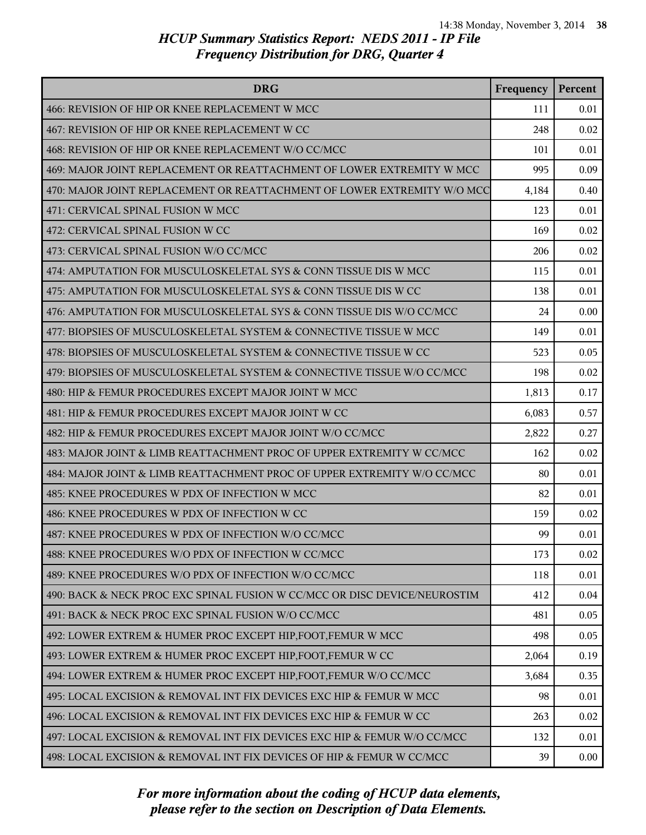| <b>DRG</b>                                                                | Frequency | Percent |
|---------------------------------------------------------------------------|-----------|---------|
| 466: REVISION OF HIP OR KNEE REPLACEMENT W MCC                            | 111       | 0.01    |
| 467: REVISION OF HIP OR KNEE REPLACEMENT W CC                             | 248       | 0.02    |
| 468: REVISION OF HIP OR KNEE REPLACEMENT W/O CC/MCC                       | 101       | 0.01    |
| 469: MAJOR JOINT REPLACEMENT OR REATTACHMENT OF LOWER EXTREMITY W MCC     | 995       | 0.09    |
| 470: MAJOR JOINT REPLACEMENT OR REATTACHMENT OF LOWER EXTREMITY W/O MCC   | 4,184     | 0.40    |
| 471: CERVICAL SPINAL FUSION W MCC                                         | 123       | 0.01    |
| 472: CERVICAL SPINAL FUSION W CC                                          | 169       | 0.02    |
| 473: CERVICAL SPINAL FUSION W/O CC/MCC                                    | 206       | 0.02    |
| 474: AMPUTATION FOR MUSCULOSKELETAL SYS & CONN TISSUE DIS W MCC           | 115       | 0.01    |
| 475: AMPUTATION FOR MUSCULOSKELETAL SYS & CONN TISSUE DIS W CC            | 138       | 0.01    |
| 476: AMPUTATION FOR MUSCULOSKELETAL SYS & CONN TISSUE DIS W/O CC/MCC      | 24        | 0.00    |
| 477: BIOPSIES OF MUSCULOSKELETAL SYSTEM & CONNECTIVE TISSUE W MCC         | 149       | 0.01    |
| 478: BIOPSIES OF MUSCULOSKELETAL SYSTEM & CONNECTIVE TISSUE W CC          | 523       | 0.05    |
| 479: BIOPSIES OF MUSCULOSKELETAL SYSTEM & CONNECTIVE TISSUE W/O CC/MCC    | 198       | 0.02    |
| 480: HIP & FEMUR PROCEDURES EXCEPT MAJOR JOINT W MCC                      | 1,813     | 0.17    |
| 481: HIP & FEMUR PROCEDURES EXCEPT MAJOR JOINT W CC                       | 6,083     | 0.57    |
| 482: HIP & FEMUR PROCEDURES EXCEPT MAJOR JOINT W/O CC/MCC                 | 2,822     | 0.27    |
| 483: MAJOR JOINT & LIMB REATTACHMENT PROC OF UPPER EXTREMITY W CC/MCC     | 162       | 0.02    |
| 484: MAJOR JOINT & LIMB REATTACHMENT PROC OF UPPER EXTREMITY W/O CC/MCC   | 80        | 0.01    |
| 485: KNEE PROCEDURES W PDX OF INFECTION W MCC                             | 82        | 0.01    |
| 486: KNEE PROCEDURES W PDX OF INFECTION W CC                              | 159       | 0.02    |
| 487: KNEE PROCEDURES W PDX OF INFECTION W/O CC/MCC                        | 99        | 0.01    |
| 488: KNEE PROCEDURES W/O PDX OF INFECTION W CC/MCC                        | 173       | 0.02    |
| 489: KNEE PROCEDURES W/O PDX OF INFECTION W/O CC/MCC                      | 118       | 0.01    |
| 490: BACK & NECK PROC EXC SPINAL FUSION W CC/MCC OR DISC DEVICE/NEUROSTIM | 412       | 0.04    |
| 491: BACK & NECK PROC EXC SPINAL FUSION W/O CC/MCC                        | 481       | 0.05    |
| 492: LOWER EXTREM & HUMER PROC EXCEPT HIP, FOOT, FEMUR W MCC              | 498       | 0.05    |
| 493: LOWER EXTREM & HUMER PROC EXCEPT HIP, FOOT, FEMUR W CC               | 2,064     | 0.19    |
| 494: LOWER EXTREM & HUMER PROC EXCEPT HIP, FOOT, FEMUR W/O CC/MCC         | 3,684     | 0.35    |
| 495: LOCAL EXCISION & REMOVAL INT FIX DEVICES EXC HIP & FEMUR W MCC       | 98        | 0.01    |
| 496: LOCAL EXCISION & REMOVAL INT FIX DEVICES EXC HIP & FEMUR W CC        | 263       | 0.02    |
| 497: LOCAL EXCISION & REMOVAL INT FIX DEVICES EXC HIP & FEMUR W/O CC/MCC  | 132       | 0.01    |
| 498: LOCAL EXCISION & REMOVAL INT FIX DEVICES OF HIP & FEMUR W CC/MCC     | 39        | 0.00    |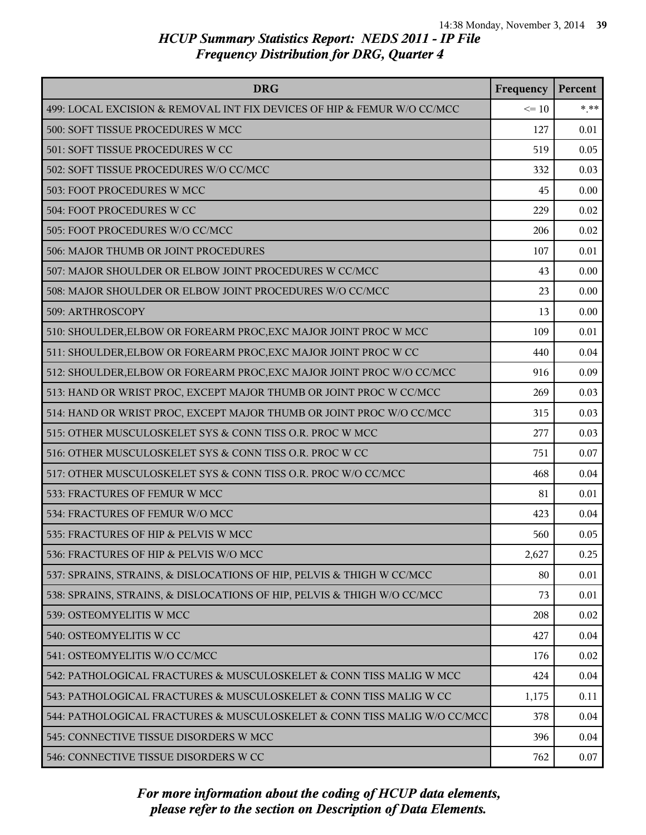| <b>DRG</b>                                                               | Frequency | Percent |
|--------------------------------------------------------------------------|-----------|---------|
| 499: LOCAL EXCISION & REMOVAL INT FIX DEVICES OF HIP & FEMUR W/O CC/MCC  | $\leq 10$ | $* * *$ |
| 500: SOFT TISSUE PROCEDURES W MCC                                        | 127       | 0.01    |
| 501: SOFT TISSUE PROCEDURES W CC                                         | 519       | 0.05    |
| 502: SOFT TISSUE PROCEDURES W/O CC/MCC                                   | 332       | 0.03    |
| 503: FOOT PROCEDURES W MCC                                               | 45        | 0.00    |
| 504: FOOT PROCEDURES W CC                                                | 229       | 0.02    |
| 505: FOOT PROCEDURES W/O CC/MCC                                          | 206       | 0.02    |
| 506: MAJOR THUMB OR JOINT PROCEDURES                                     | 107       | 0.01    |
| 507: MAJOR SHOULDER OR ELBOW JOINT PROCEDURES W CC/MCC                   | 43        | 0.00    |
| 508: MAJOR SHOULDER OR ELBOW JOINT PROCEDURES W/O CC/MCC                 | 23        | 0.00    |
| 509: ARTHROSCOPY                                                         | 13        | 0.00    |
| 510: SHOULDER, ELBOW OR FOREARM PROC, EXC MAJOR JOINT PROC W MCC         | 109       | 0.01    |
| 511: SHOULDER, ELBOW OR FOREARM PROC, EXC MAJOR JOINT PROC W CC          | 440       | 0.04    |
| 512: SHOULDER, ELBOW OR FOREARM PROC, EXC MAJOR JOINT PROC W/O CC/MCC    | 916       | 0.09    |
| 513: HAND OR WRIST PROC, EXCEPT MAJOR THUMB OR JOINT PROC W CC/MCC       | 269       | 0.03    |
| 514: HAND OR WRIST PROC, EXCEPT MAJOR THUMB OR JOINT PROC W/O CC/MCC     | 315       | 0.03    |
| 515: OTHER MUSCULOSKELET SYS & CONN TISS O.R. PROC W MCC                 | 277       | 0.03    |
| 516: OTHER MUSCULOSKELET SYS & CONN TISS O.R. PROC W CC                  | 751       | 0.07    |
| 517: OTHER MUSCULOSKELET SYS & CONN TISS O.R. PROC W/O CC/MCC            | 468       | 0.04    |
| 533: FRACTURES OF FEMUR W MCC                                            | 81        | 0.01    |
| 534: FRACTURES OF FEMUR W/O MCC                                          | 423       | 0.04    |
| 535: FRACTURES OF HIP & PELVIS W MCC                                     | 560       | 0.05    |
| 536: FRACTURES OF HIP & PELVIS W/O MCC                                   | 2,627     | 0.25    |
| 537: SPRAINS, STRAINS, & DISLOCATIONS OF HIP, PELVIS & THIGH W CC/MCC    | 80        | 0.01    |
| 538: SPRAINS, STRAINS, & DISLOCATIONS OF HIP, PELVIS & THIGH W/O CC/MCC  | 73        | 0.01    |
| 539: OSTEOMYELITIS W MCC                                                 | 208       | 0.02    |
| 540: OSTEOMYELITIS W CC                                                  | 427       | 0.04    |
| 541: OSTEOMYELITIS W/O CC/MCC                                            | 176       | 0.02    |
| 542: PATHOLOGICAL FRACTURES & MUSCULOSKELET & CONN TISS MALIG W MCC      | 424       | 0.04    |
| 543: PATHOLOGICAL FRACTURES & MUSCULOSKELET & CONN TISS MALIG W CC       | 1,175     | 0.11    |
| 544: PATHOLOGICAL FRACTURES & MUSCULOSKELET & CONN TISS MALIG W/O CC/MCC | 378       | 0.04    |
| 545: CONNECTIVE TISSUE DISORDERS W MCC                                   | 396       | 0.04    |
| 546: CONNECTIVE TISSUE DISORDERS W CC                                    | 762       | 0.07    |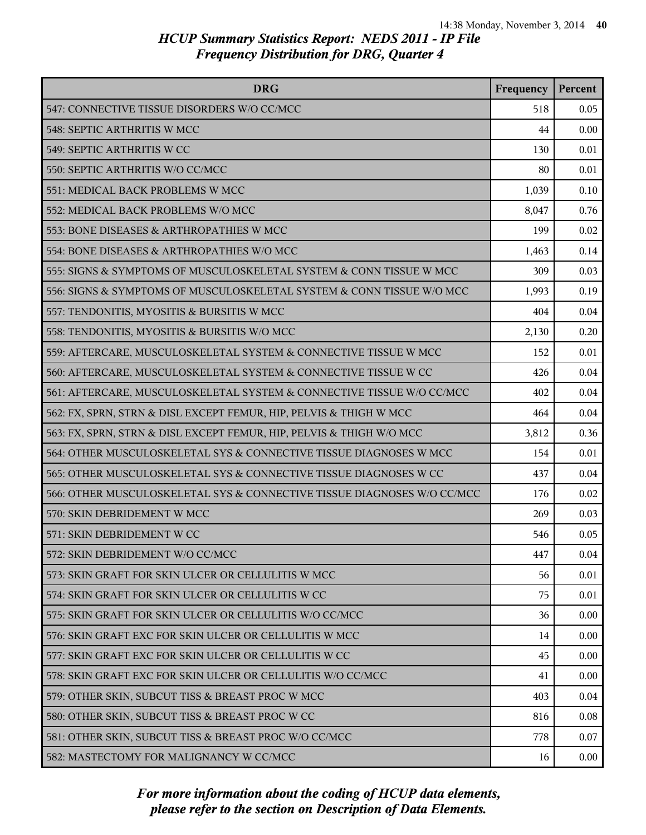| <b>DRG</b>                                                              | Frequency | Percent  |
|-------------------------------------------------------------------------|-----------|----------|
| 547: CONNECTIVE TISSUE DISORDERS W/O CC/MCC                             | 518       | 0.05     |
| 548: SEPTIC ARTHRITIS W MCC                                             | 44        | 0.00     |
| 549: SEPTIC ARTHRITIS W CC                                              | 130       | 0.01     |
| 550: SEPTIC ARTHRITIS W/O CC/MCC                                        | 80        | 0.01     |
| 551: MEDICAL BACK PROBLEMS W MCC                                        | 1,039     | 0.10     |
| 552: MEDICAL BACK PROBLEMS W/O MCC                                      | 8,047     | 0.76     |
| 553: BONE DISEASES & ARTHROPATHIES W MCC                                | 199       | 0.02     |
| 554: BONE DISEASES & ARTHROPATHIES W/O MCC                              | 1,463     | 0.14     |
| 555: SIGNS & SYMPTOMS OF MUSCULOSKELETAL SYSTEM & CONN TISSUE W MCC     | 309       | 0.03     |
| 556: SIGNS & SYMPTOMS OF MUSCULOSKELETAL SYSTEM & CONN TISSUE W/O MCC   | 1,993     | 0.19     |
| 557: TENDONITIS, MYOSITIS & BURSITIS W MCC                              | 404       | 0.04     |
| 558: TENDONITIS, MYOSITIS & BURSITIS W/O MCC                            | 2,130     | 0.20     |
| 559: AFTERCARE, MUSCULOSKELETAL SYSTEM & CONNECTIVE TISSUE W MCC        | 152       | 0.01     |
| 560: AFTERCARE, MUSCULOSKELETAL SYSTEM & CONNECTIVE TISSUE W CC         | 426       | 0.04     |
| 561: AFTERCARE, MUSCULOSKELETAL SYSTEM & CONNECTIVE TISSUE W/O CC/MCC   | 402       | 0.04     |
| 562: FX, SPRN, STRN & DISL EXCEPT FEMUR, HIP, PELVIS & THIGH W MCC      | 464       | 0.04     |
| 563: FX, SPRN, STRN & DISL EXCEPT FEMUR, HIP, PELVIS & THIGH W/O MCC    | 3,812     | 0.36     |
| 564: OTHER MUSCULOSKELETAL SYS & CONNECTIVE TISSUE DIAGNOSES W MCC      | 154       | 0.01     |
| 565: OTHER MUSCULOSKELETAL SYS & CONNECTIVE TISSUE DIAGNOSES W CC       | 437       | 0.04     |
| 566: OTHER MUSCULOSKELETAL SYS & CONNECTIVE TISSUE DIAGNOSES W/O CC/MCC | 176       | 0.02     |
| 570: SKIN DEBRIDEMENT W MCC                                             | 269       | 0.03     |
| 571: SKIN DEBRIDEMENT W CC                                              | 546       | 0.05     |
| 572: SKIN DEBRIDEMENT W/O CC/MCC                                        | 447       | 0.04     |
| 573: SKIN GRAFT FOR SKIN ULCER OR CELLULITIS W MCC                      | 56        | 0.01     |
| 574: SKIN GRAFT FOR SKIN ULCER OR CELLULITIS W CC                       | 75        | 0.01     |
| 575: SKIN GRAFT FOR SKIN ULCER OR CELLULITIS W/O CC/MCC                 | 36        | 0.00     |
| 576: SKIN GRAFT EXC FOR SKIN ULCER OR CELLULITIS W MCC                  | 14        | 0.00     |
| 577: SKIN GRAFT EXC FOR SKIN ULCER OR CELLULITIS W CC                   | 45        | 0.00     |
| 578: SKIN GRAFT EXC FOR SKIN ULCER OR CELLULITIS W/O CC/MCC             | 41        | 0.00     |
| 579: OTHER SKIN, SUBCUT TISS & BREAST PROC W MCC                        | 403       | 0.04     |
| 580: OTHER SKIN, SUBCUT TISS & BREAST PROC W CC                         | 816       | 0.08     |
| 581: OTHER SKIN, SUBCUT TISS & BREAST PROC W/O CC/MCC                   | 778       | 0.07     |
| 582: MASTECTOMY FOR MALIGNANCY W CC/MCC                                 | 16        | $0.00\,$ |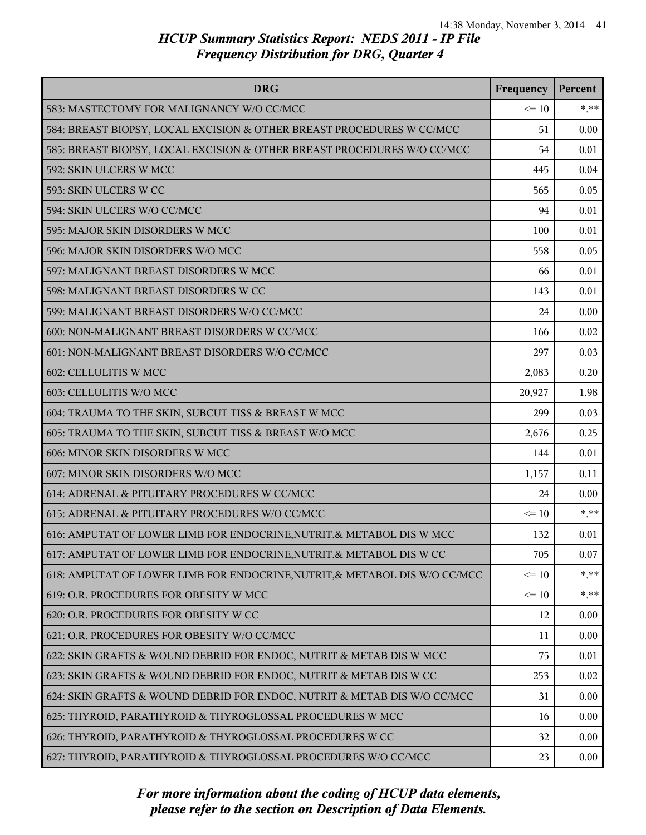| <b>DRG</b>                                                                 | Frequency | Percent |
|----------------------------------------------------------------------------|-----------|---------|
| 583: MASTECTOMY FOR MALIGNANCY W/O CC/MCC                                  | $\leq 10$ | $* * *$ |
| 584: BREAST BIOPSY, LOCAL EXCISION & OTHER BREAST PROCEDURES W CC/MCC      | 51        | 0.00    |
| 585: BREAST BIOPSY, LOCAL EXCISION & OTHER BREAST PROCEDURES W/O CC/MCC    | 54        | 0.01    |
| 592: SKIN ULCERS W MCC                                                     | 445       | 0.04    |
| 593: SKIN ULCERS W CC                                                      | 565       | 0.05    |
| 594: SKIN ULCERS W/O CC/MCC                                                | 94        | 0.01    |
| 595: MAJOR SKIN DISORDERS W MCC                                            | 100       | 0.01    |
| 596: MAJOR SKIN DISORDERS W/O MCC                                          | 558       | 0.05    |
| 597: MALIGNANT BREAST DISORDERS W MCC                                      | 66        | 0.01    |
| 598: MALIGNANT BREAST DISORDERS W CC                                       | 143       | 0.01    |
| 599: MALIGNANT BREAST DISORDERS W/O CC/MCC                                 | 24        | 0.00    |
| 600: NON-MALIGNANT BREAST DISORDERS W CC/MCC                               | 166       | 0.02    |
| 601: NON-MALIGNANT BREAST DISORDERS W/O CC/MCC                             | 297       | 0.03    |
| 602: CELLULITIS W MCC                                                      | 2,083     | 0.20    |
| 603: CELLULITIS W/O MCC                                                    | 20,927    | 1.98    |
| 604: TRAUMA TO THE SKIN, SUBCUT TISS & BREAST W MCC                        | 299       | 0.03    |
| 605: TRAUMA TO THE SKIN, SUBCUT TISS & BREAST W/O MCC                      | 2,676     | 0.25    |
| 606: MINOR SKIN DISORDERS W MCC                                            | 144       | 0.01    |
| 607: MINOR SKIN DISORDERS W/O MCC                                          | 1,157     | 0.11    |
| 614: ADRENAL & PITUITARY PROCEDURES W CC/MCC                               | 24        | 0.00    |
| 615: ADRENAL & PITUITARY PROCEDURES W/O CC/MCC                             | $\leq 10$ | $* * *$ |
| 616: AMPUTAT OF LOWER LIMB FOR ENDOCRINE, NUTRIT, & METABOL DIS W MCC      | 132       | 0.01    |
| 617: AMPUTAT OF LOWER LIMB FOR ENDOCRINE, NUTRIT, & METABOL DIS W CC       | 705       | 0.07    |
| 618: AMPUTAT OF LOWER LIMB FOR ENDOCRINE, NUTRIT, & METABOL DIS W/O CC/MCC | $\leq 10$ | $* * *$ |
| 619: O.R. PROCEDURES FOR OBESITY W MCC                                     | $\leq 10$ | * **    |
| 620: O.R. PROCEDURES FOR OBESITY W CC                                      | 12        | 0.00    |
| 621: O.R. PROCEDURES FOR OBESITY W/O CC/MCC                                | 11        | 0.00    |
| 622: SKIN GRAFTS & WOUND DEBRID FOR ENDOC, NUTRIT & METAB DIS W MCC        | 75        | 0.01    |
| 623: SKIN GRAFTS & WOUND DEBRID FOR ENDOC, NUTRIT & METAB DIS W CC         | 253       | 0.02    |
| 624: SKIN GRAFTS & WOUND DEBRID FOR ENDOC, NUTRIT & METAB DIS W/O CC/MCC   | 31        | 0.00    |
| 625: THYROID, PARATHYROID & THYROGLOSSAL PROCEDURES W MCC                  | 16        | 0.00    |
| 626: THYROID, PARATHYROID & THYROGLOSSAL PROCEDURES W CC                   | 32        | 0.00    |
| 627: THYROID, PARATHYROID & THYROGLOSSAL PROCEDURES W/O CC/MCC             | 23        | 0.00    |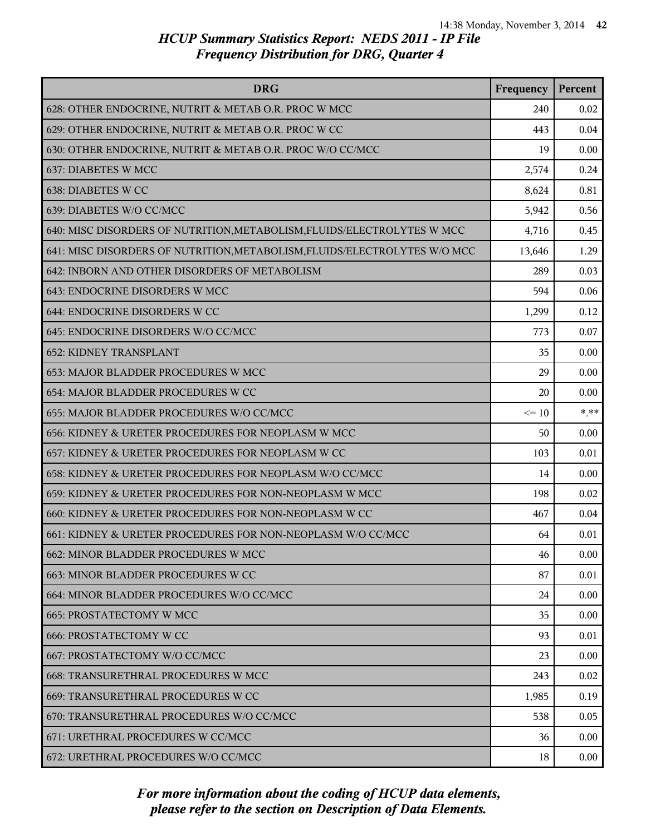| <b>DRG</b>                                                                | Frequency | Percent |
|---------------------------------------------------------------------------|-----------|---------|
| 628: OTHER ENDOCRINE, NUTRIT & METAB O.R. PROC W MCC                      | 240       | 0.02    |
| 629: OTHER ENDOCRINE, NUTRIT & METAB O.R. PROC W CC                       | 443       | 0.04    |
| 630: OTHER ENDOCRINE, NUTRIT & METAB O.R. PROC W/O CC/MCC                 | 19        | 0.00    |
| 637: DIABETES W MCC                                                       | 2,574     | 0.24    |
| 638: DIABETES W CC                                                        | 8,624     | 0.81    |
| 639: DIABETES W/O CC/MCC                                                  | 5,942     | 0.56    |
| 640: MISC DISORDERS OF NUTRITION, METABOLISM, FLUIDS/ELECTROLYTES W MCC   | 4,716     | 0.45    |
| 641: MISC DISORDERS OF NUTRITION, METABOLISM, FLUIDS/ELECTROLYTES W/O MCC | 13,646    | 1.29    |
| 642: INBORN AND OTHER DISORDERS OF METABOLISM                             | 289       | 0.03    |
| 643: ENDOCRINE DISORDERS W MCC                                            | 594       | 0.06    |
| 644: ENDOCRINE DISORDERS W CC                                             | 1,299     | 0.12    |
| 645: ENDOCRINE DISORDERS W/O CC/MCC                                       | 773       | 0.07    |
| <b>652: KIDNEY TRANSPLANT</b>                                             | 35        | 0.00    |
| 653: MAJOR BLADDER PROCEDURES W MCC                                       | 29        | 0.00    |
| 654: MAJOR BLADDER PROCEDURES W CC                                        | 20        | 0.00    |
| 655: MAJOR BLADDER PROCEDURES W/O CC/MCC                                  | $\leq 10$ | $*$ **  |
| 656: KIDNEY & URETER PROCEDURES FOR NEOPLASM W MCC                        | 50        | 0.00    |
| 657: KIDNEY & URETER PROCEDURES FOR NEOPLASM W CC                         | 103       | 0.01    |
| 658: KIDNEY & URETER PROCEDURES FOR NEOPLASM W/O CC/MCC                   | 14        | 0.00    |
| 659: KIDNEY & URETER PROCEDURES FOR NON-NEOPLASM W MCC                    | 198       | 0.02    |
| 660: KIDNEY & URETER PROCEDURES FOR NON-NEOPLASM W CC                     | 467       | 0.04    |
| 661: KIDNEY & URETER PROCEDURES FOR NON-NEOPLASM W/O CC/MCC               | 64        | 0.01    |
| 662: MINOR BLADDER PROCEDURES W MCC                                       | 46        | 0.00    |
| 663: MINOR BLADDER PROCEDURES W CC                                        | 87        | 0.01    |
| 664: MINOR BLADDER PROCEDURES W/O CC/MCC                                  | 24        | 0.00    |
| <b>665: PROSTATECTOMY W MCC</b>                                           | 35        | 0.00    |
| <b>666: PROSTATECTOMY W CC</b>                                            | 93        | 0.01    |
| 667: PROSTATECTOMY W/O CC/MCC                                             | 23        | 0.00    |
| 668: TRANSURETHRAL PROCEDURES W MCC                                       | 243       | 0.02    |
| 669: TRANSURETHRAL PROCEDURES W CC                                        | 1,985     | 0.19    |
| 670: TRANSURETHRAL PROCEDURES W/O CC/MCC                                  | 538       | 0.05    |
| 671: URETHRAL PROCEDURES W CC/MCC                                         | 36        | 0.00    |
| 672: URETHRAL PROCEDURES W/O CC/MCC                                       | 18        | 0.00    |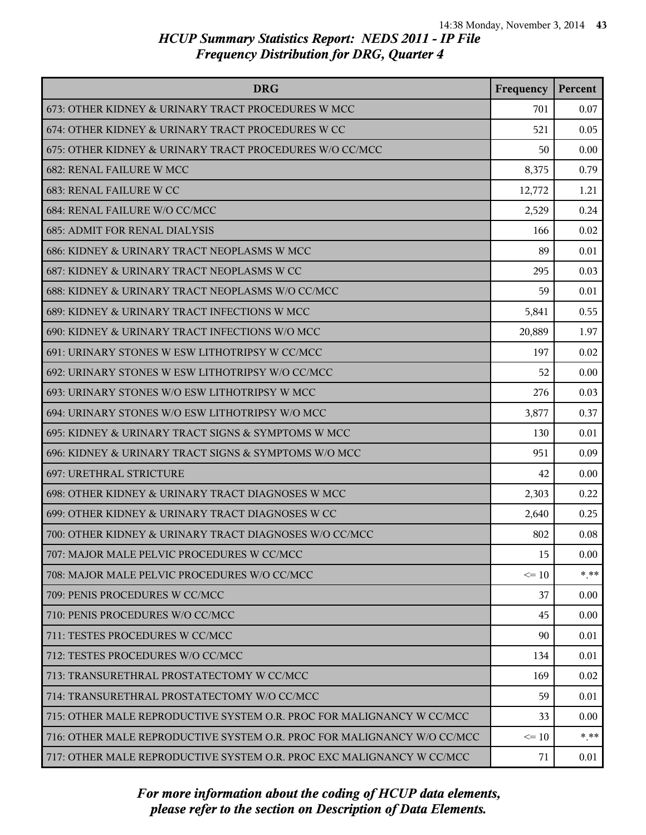| <b>DRG</b>                                                              | Frequency | Percent |
|-------------------------------------------------------------------------|-----------|---------|
| 673: OTHER KIDNEY & URINARY TRACT PROCEDURES W MCC                      | 701       | 0.07    |
| 674: OTHER KIDNEY & URINARY TRACT PROCEDURES W CC                       | 521       | 0.05    |
| 675: OTHER KIDNEY & URINARY TRACT PROCEDURES W/O CC/MCC                 | 50        | 0.00    |
| 682: RENAL FAILURE W MCC                                                | 8,375     | 0.79    |
| 683: RENAL FAILURE W CC                                                 | 12,772    | 1.21    |
| 684: RENAL FAILURE W/O CC/MCC                                           | 2,529     | 0.24    |
| <b>685: ADMIT FOR RENAL DIALYSIS</b>                                    | 166       | 0.02    |
| 686: KIDNEY & URINARY TRACT NEOPLASMS W MCC                             | 89        | 0.01    |
| 687: KIDNEY & URINARY TRACT NEOPLASMS W CC                              | 295       | 0.03    |
| 688: KIDNEY & URINARY TRACT NEOPLASMS W/O CC/MCC                        | 59        | 0.01    |
| 689: KIDNEY & URINARY TRACT INFECTIONS W MCC                            | 5,841     | 0.55    |
| 690: KIDNEY & URINARY TRACT INFECTIONS W/O MCC                          | 20,889    | 1.97    |
| 691: URINARY STONES W ESW LITHOTRIPSY W CC/MCC                          | 197       | 0.02    |
| 692: URINARY STONES W ESW LITHOTRIPSY W/O CC/MCC                        | 52        | 0.00    |
| 693: URINARY STONES W/O ESW LITHOTRIPSY W MCC                           | 276       | 0.03    |
| 694: URINARY STONES W/O ESW LITHOTRIPSY W/O MCC                         | 3,877     | 0.37    |
| 695: KIDNEY & URINARY TRACT SIGNS & SYMPTOMS W MCC                      | 130       | 0.01    |
| 696: KIDNEY & URINARY TRACT SIGNS & SYMPTOMS W/O MCC                    | 951       | 0.09    |
| 697: URETHRAL STRICTURE                                                 | 42        | 0.00    |
| 698: OTHER KIDNEY & URINARY TRACT DIAGNOSES W MCC                       | 2,303     | 0.22    |
| 699: OTHER KIDNEY & URINARY TRACT DIAGNOSES W CC                        | 2,640     | 0.25    |
| 700: OTHER KIDNEY & URINARY TRACT DIAGNOSES W/O CC/MCC                  | 802       | 0.08    |
| 707: MAJOR MALE PELVIC PROCEDURES W CC/MCC                              | 15        | 0.00    |
| 708: MAJOR MALE PELVIC PROCEDURES W/O CC/MCC                            | $\leq 10$ | $* * *$ |
| 709: PENIS PROCEDURES W CC/MCC                                          | 37        | 0.00    |
| 710: PENIS PROCEDURES W/O CC/MCC                                        | 45        | 0.00    |
| 711: TESTES PROCEDURES W CC/MCC                                         | 90        | 0.01    |
| 712: TESTES PROCEDURES W/O CC/MCC                                       | 134       | 0.01    |
| 713: TRANSURETHRAL PROSTATECTOMY W CC/MCC                               | 169       | 0.02    |
| 714: TRANSURETHRAL PROSTATECTOMY W/O CC/MCC                             | 59        | 0.01    |
| 715: OTHER MALE REPRODUCTIVE SYSTEM O.R. PROC FOR MALIGNANCY W CC/MCC   | 33        | 0.00    |
| 716: OTHER MALE REPRODUCTIVE SYSTEM O.R. PROC FOR MALIGNANCY W/O CC/MCC | $\leq 10$ | $* * *$ |
| 717: OTHER MALE REPRODUCTIVE SYSTEM O.R. PROC EXC MALIGNANCY W CC/MCC   | 71        | 0.01    |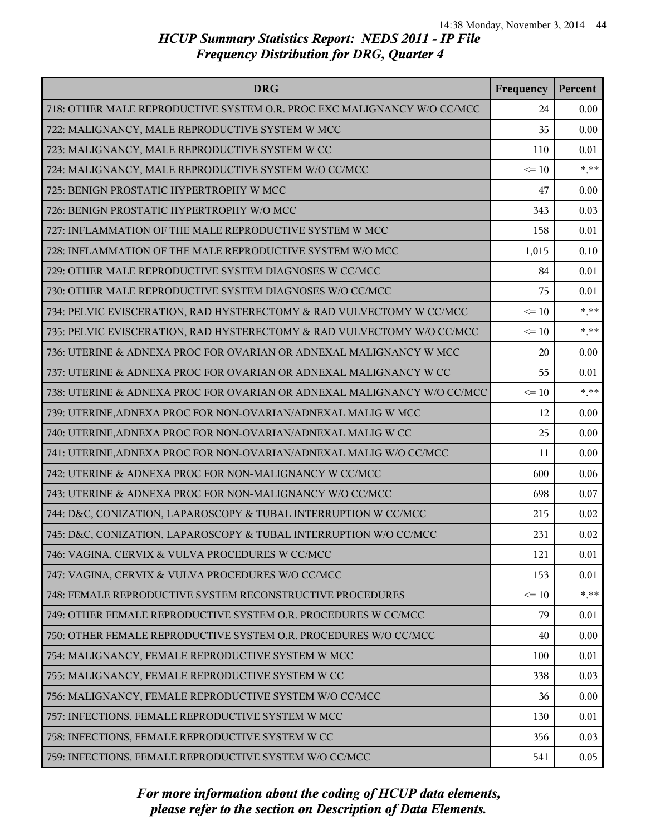| <b>DRG</b>                                                              | Frequency | Percent  |
|-------------------------------------------------------------------------|-----------|----------|
| 718: OTHER MALE REPRODUCTIVE SYSTEM O.R. PROC EXC MALIGNANCY W/O CC/MCC | 24        | 0.00     |
| 722: MALIGNANCY, MALE REPRODUCTIVE SYSTEM W MCC                         | 35        | 0.00     |
| 723: MALIGNANCY, MALE REPRODUCTIVE SYSTEM W CC                          | 110       | 0.01     |
| 724: MALIGNANCY, MALE REPRODUCTIVE SYSTEM W/O CC/MCC                    | $\leq 10$ | $***$    |
| 725: BENIGN PROSTATIC HYPERTROPHY W MCC                                 | 47        | 0.00     |
| 726: BENIGN PROSTATIC HYPERTROPHY W/O MCC                               | 343       | 0.03     |
| 727: INFLAMMATION OF THE MALE REPRODUCTIVE SYSTEM W MCC                 | 158       | 0.01     |
| 728: INFLAMMATION OF THE MALE REPRODUCTIVE SYSTEM W/O MCC               | 1,015     | 0.10     |
| 729: OTHER MALE REPRODUCTIVE SYSTEM DIAGNOSES W CC/MCC                  | 84        | 0.01     |
| 730: OTHER MALE REPRODUCTIVE SYSTEM DIAGNOSES W/O CC/MCC                | 75        | 0.01     |
| 734: PELVIC EVISCERATION, RAD HYSTERECTOMY & RAD VULVECTOMY W CC/MCC    | $\leq 10$ | $* * *$  |
| 735: PELVIC EVISCERATION, RAD HYSTERECTOMY & RAD VULVECTOMY W/O CC/MCC  | $\leq 10$ | $***$    |
| 736: UTERINE & ADNEXA PROC FOR OVARIAN OR ADNEXAL MALIGNANCY W MCC      | 20        | 0.00     |
| 737: UTERINE & ADNEXA PROC FOR OVARIAN OR ADNEXAL MALIGNANCY W CC       | 55        | 0.01     |
| 738: UTERINE & ADNEXA PROC FOR OVARIAN OR ADNEXAL MALIGNANCY W/O CC/MCC | $\leq 10$ | $* * *$  |
| 739: UTERINE, ADNEXA PROC FOR NON-OVARIAN/ADNEXAL MALIG W MCC           | 12        | 0.00     |
| 740: UTERINE, ADNEXA PROC FOR NON-OVARIAN/ADNEXAL MALIG W CC            | 25        | 0.00     |
| 741: UTERINE, ADNEXA PROC FOR NON-OVARIAN/ADNEXAL MALIG W/O CC/MCC      | 11        | 0.00     |
| 742: UTERINE & ADNEXA PROC FOR NON-MALIGNANCY W CC/MCC                  | 600       | 0.06     |
| 743: UTERINE & ADNEXA PROC FOR NON-MALIGNANCY W/O CC/MCC                | 698       | 0.07     |
| 744: D&C, CONIZATION, LAPAROSCOPY & TUBAL INTERRUPTION W CC/MCC         | 215       | 0.02     |
| 745: D&C, CONIZATION, LAPAROSCOPY & TUBAL INTERRUPTION W/O CC/MCC       | 231       | 0.02     |
| 746: VAGINA, CERVIX & VULVA PROCEDURES W CC/MCC                         | 121       | 0.01     |
| 747: VAGINA, CERVIX & VULVA PROCEDURES W/O CC/MCC                       | 153       | 0.01     |
| 748: FEMALE REPRODUCTIVE SYSTEM RECONSTRUCTIVE PROCEDURES               | $\leq 10$ | $*$ $**$ |
| 749: OTHER FEMALE REPRODUCTIVE SYSTEM O.R. PROCEDURES W CC/MCC          | 79        | 0.01     |
| 750: OTHER FEMALE REPRODUCTIVE SYSTEM O.R. PROCEDURES W/O CC/MCC        | 40        | 0.00     |
| 754: MALIGNANCY, FEMALE REPRODUCTIVE SYSTEM W MCC                       | 100       | 0.01     |
| 755: MALIGNANCY, FEMALE REPRODUCTIVE SYSTEM W CC                        | 338       | 0.03     |
| 756: MALIGNANCY, FEMALE REPRODUCTIVE SYSTEM W/O CC/MCC                  | 36        | 0.00     |
| 757: INFECTIONS, FEMALE REPRODUCTIVE SYSTEM W MCC                       | 130       | 0.01     |
| 758: INFECTIONS, FEMALE REPRODUCTIVE SYSTEM W CC                        | 356       | 0.03     |
| 759: INFECTIONS, FEMALE REPRODUCTIVE SYSTEM W/O CC/MCC                  | 541       | 0.05     |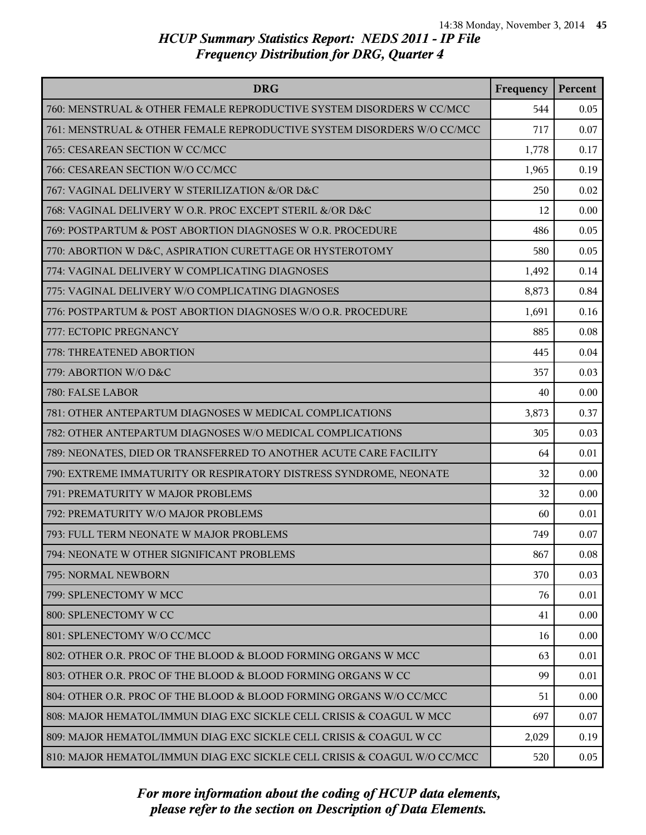| <b>DRG</b>                                                               | Frequency | Percent |
|--------------------------------------------------------------------------|-----------|---------|
| 760: MENSTRUAL & OTHER FEMALE REPRODUCTIVE SYSTEM DISORDERS W CC/MCC     | 544       | 0.05    |
| 761: MENSTRUAL & OTHER FEMALE REPRODUCTIVE SYSTEM DISORDERS W/O CC/MCC   | 717       | 0.07    |
| 765: CESAREAN SECTION W CC/MCC                                           | 1,778     | 0.17    |
| 766: CESAREAN SECTION W/O CC/MCC                                         | 1,965     | 0.19    |
| 767: VAGINAL DELIVERY W STERILIZATION &/OR D&C                           | 250       | 0.02    |
| 768: VAGINAL DELIVERY W O.R. PROC EXCEPT STERIL &/OR D&C                 | 12        | 0.00    |
| 769: POSTPARTUM & POST ABORTION DIAGNOSES W O.R. PROCEDURE               | 486       | 0.05    |
| 770: ABORTION W D&C, ASPIRATION CURETTAGE OR HYSTEROTOMY                 | 580       | 0.05    |
| 774: VAGINAL DELIVERY W COMPLICATING DIAGNOSES                           | 1,492     | 0.14    |
| 775: VAGINAL DELIVERY W/O COMPLICATING DIAGNOSES                         | 8,873     | 0.84    |
| 776: POSTPARTUM & POST ABORTION DIAGNOSES W/O O.R. PROCEDURE             | 1,691     | 0.16    |
| 777: ECTOPIC PREGNANCY                                                   | 885       | 0.08    |
| 778: THREATENED ABORTION                                                 | 445       | 0.04    |
| 779: ABORTION W/O D&C                                                    | 357       | 0.03    |
| 780: FALSE LABOR                                                         | 40        | 0.00    |
| 781: OTHER ANTEPARTUM DIAGNOSES W MEDICAL COMPLICATIONS                  | 3,873     | 0.37    |
| 782: OTHER ANTEPARTUM DIAGNOSES W/O MEDICAL COMPLICATIONS                | 305       | 0.03    |
| 789: NEONATES, DIED OR TRANSFERRED TO ANOTHER ACUTE CARE FACILITY        | 64        | 0.01    |
| 790: EXTREME IMMATURITY OR RESPIRATORY DISTRESS SYNDROME, NEONATE        | 32        | 0.00    |
| 791: PREMATURITY W MAJOR PROBLEMS                                        | 32        | 0.00    |
| 792: PREMATURITY W/O MAJOR PROBLEMS                                      | 60        | 0.01    |
| 793: FULL TERM NEONATE W MAJOR PROBLEMS                                  | 749       | 0.07    |
| 794: NEONATE W OTHER SIGNIFICANT PROBLEMS                                | 867       | 0.08    |
| 795: NORMAL NEWBORN                                                      | 370       | 0.03    |
| 799: SPLENECTOMY W MCC                                                   | 76        | 0.01    |
| 800: SPLENECTOMY W CC                                                    | 41        | 0.00    |
| 801: SPLENECTOMY W/O CC/MCC                                              | 16        | 0.00    |
| 802: OTHER O.R. PROC OF THE BLOOD & BLOOD FORMING ORGANS W MCC           | 63        | 0.01    |
| 803: OTHER O.R. PROC OF THE BLOOD & BLOOD FORMING ORGANS W CC            | 99        | 0.01    |
| 804: OTHER O.R. PROC OF THE BLOOD & BLOOD FORMING ORGANS W/O CC/MCC      | 51        | 0.00    |
| 808: MAJOR HEMATOL/IMMUN DIAG EXC SICKLE CELL CRISIS & COAGUL W MCC      | 697       | 0.07    |
| 809: MAJOR HEMATOL/IMMUN DIAG EXC SICKLE CELL CRISIS & COAGUL W CC       | 2,029     | 0.19    |
| 810: MAJOR HEMATOL/IMMUN DIAG EXC SICKLE CELL CRISIS & COAGUL W/O CC/MCC | 520       | 0.05    |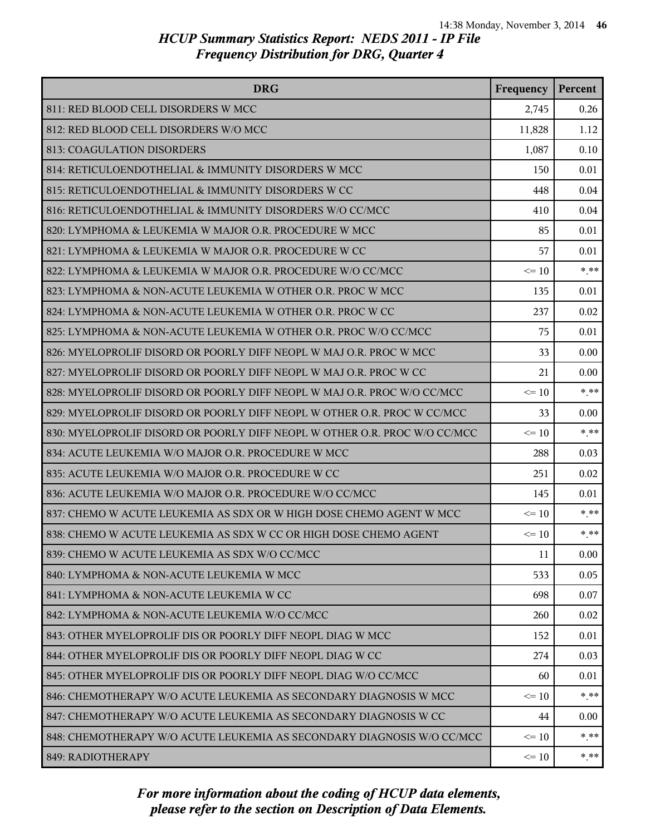| <b>DRG</b>                                                                | Frequency | Percent |
|---------------------------------------------------------------------------|-----------|---------|
| 811: RED BLOOD CELL DISORDERS W MCC                                       | 2,745     | 0.26    |
| 812: RED BLOOD CELL DISORDERS W/O MCC                                     | 11,828    | 1.12    |
| 813: COAGULATION DISORDERS                                                | 1,087     | 0.10    |
| 814: RETICULOENDOTHELIAL & IMMUNITY DISORDERS W MCC                       | 150       | 0.01    |
| 815: RETICULOENDOTHELIAL & IMMUNITY DISORDERS W CC                        | 448       | 0.04    |
| 816: RETICULOENDOTHELIAL & IMMUNITY DISORDERS W/O CC/MCC                  | 410       | 0.04    |
| 820: LYMPHOMA & LEUKEMIA W MAJOR O.R. PROCEDURE W MCC                     | 85        | 0.01    |
| 821: LYMPHOMA & LEUKEMIA W MAJOR O.R. PROCEDURE W CC                      | 57        | 0.01    |
| 822: LYMPHOMA & LEUKEMIA W MAJOR O.R. PROCEDURE W/O CC/MCC                | $\leq 10$ | $***$   |
| 823: LYMPHOMA & NON-ACUTE LEUKEMIA W OTHER O.R. PROC W MCC                | 135       | 0.01    |
| 824: LYMPHOMA & NON-ACUTE LEUKEMIA W OTHER O.R. PROC W CC                 | 237       | 0.02    |
| 825: LYMPHOMA & NON-ACUTE LEUKEMIA W OTHER O.R. PROC W/O CC/MCC           | 75        | 0.01    |
| 826: MYELOPROLIF DISORD OR POORLY DIFF NEOPL W MAJ O.R. PROC W MCC        | 33        | 0.00    |
| 827: MYELOPROLIF DISORD OR POORLY DIFF NEOPL W MAJ O.R. PROC W CC         | 21        | 0.00    |
| 828: MYELOPROLIF DISORD OR POORLY DIFF NEOPL W MAJ O.R. PROC W/O CC/MCC   | $\leq 10$ | $*$ **  |
| 829: MYELOPROLIF DISORD OR POORLY DIFF NEOPL W OTHER O.R. PROC W CC/MCC   | 33        | 0.00    |
| 830: MYELOPROLIF DISORD OR POORLY DIFF NEOPL W OTHER O.R. PROC W/O CC/MCC | $\leq 10$ | $***$   |
| 834: ACUTE LEUKEMIA W/O MAJOR O.R. PROCEDURE W MCC                        | 288       | 0.03    |
| 835: ACUTE LEUKEMIA W/O MAJOR O.R. PROCEDURE W CC                         | 251       | 0.02    |
| 836: ACUTE LEUKEMIA W/O MAJOR O.R. PROCEDURE W/O CC/MCC                   | 145       | 0.01    |
| 837: CHEMO W ACUTE LEUKEMIA AS SDX OR W HIGH DOSE CHEMO AGENT W MCC       | $\leq 10$ | $* * *$ |
| 838: CHEMO W ACUTE LEUKEMIA AS SDX W CC OR HIGH DOSE CHEMO AGENT          | $\leq 10$ | $***$   |
| 839: CHEMO W ACUTE LEUKEMIA AS SDX W/O CC/MCC                             | 11        | 0.00    |
| 840: LYMPHOMA & NON-ACUTE LEUKEMIA W MCC                                  | 533       | 0.05    |
| 841: LYMPHOMA & NON-ACUTE LEUKEMIA W CC                                   | 698       | 0.07    |
| 842: LYMPHOMA & NON-ACUTE LEUKEMIA W/O CC/MCC                             | 260       | 0.02    |
| 843: OTHER MYELOPROLIF DIS OR POORLY DIFF NEOPL DIAG W MCC                | 152       | 0.01    |
| 844: OTHER MYELOPROLIF DIS OR POORLY DIFF NEOPL DIAG W CC                 | 274       | 0.03    |
| 845: OTHER MYELOPROLIF DIS OR POORLY DIFF NEOPL DIAG W/O CC/MCC           | 60        | 0.01    |
| 846: CHEMOTHERAPY W/O ACUTE LEUKEMIA AS SECONDARY DIAGNOSIS W MCC         | $\leq 10$ | $* * *$ |
| 847: CHEMOTHERAPY W/O ACUTE LEUKEMIA AS SECONDARY DIAGNOSIS W CC          | 44        | 0.00    |
| 848: CHEMOTHERAPY W/O ACUTE LEUKEMIA AS SECONDARY DIAGNOSIS W/O CC/MCC    | $\leq 10$ | $* * *$ |
| 849: RADIOTHERAPY                                                         | $\leq 10$ | * **    |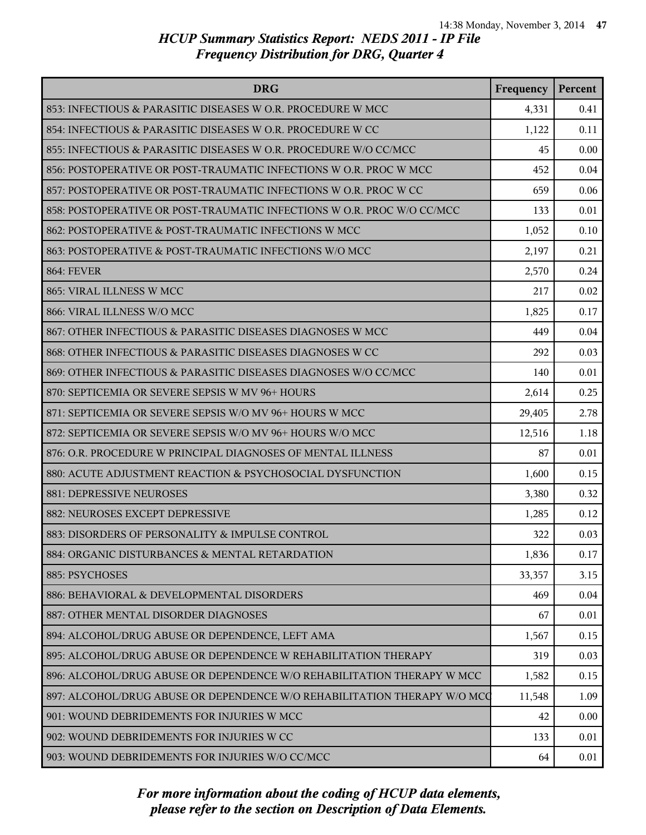| <b>DRG</b>                                                               | Frequency | Percent |
|--------------------------------------------------------------------------|-----------|---------|
| 853: INFECTIOUS & PARASITIC DISEASES W O.R. PROCEDURE W MCC              | 4,331     | 0.41    |
| 854: INFECTIOUS & PARASITIC DISEASES W O.R. PROCEDURE W CC               | 1,122     | 0.11    |
| 855: INFECTIOUS & PARASITIC DISEASES W O.R. PROCEDURE W/O CC/MCC         | 45        | 0.00    |
| 856: POSTOPERATIVE OR POST-TRAUMATIC INFECTIONS W O.R. PROC W MCC        | 452       | 0.04    |
| 857: POSTOPERATIVE OR POST-TRAUMATIC INFECTIONS W O.R. PROC W CC         | 659       | 0.06    |
| 858: POSTOPERATIVE OR POST-TRAUMATIC INFECTIONS W O.R. PROC W/O CC/MCC   | 133       | 0.01    |
| 862: POSTOPERATIVE & POST-TRAUMATIC INFECTIONS W MCC                     | 1,052     | 0.10    |
| 863: POSTOPERATIVE & POST-TRAUMATIC INFECTIONS W/O MCC                   | 2,197     | 0.21    |
| <b>864: FEVER</b>                                                        | 2,570     | 0.24    |
| 865: VIRAL ILLNESS W MCC                                                 | 217       | 0.02    |
| 866: VIRAL ILLNESS W/O MCC                                               | 1,825     | 0.17    |
| 867: OTHER INFECTIOUS & PARASITIC DISEASES DIAGNOSES W MCC               | 449       | 0.04    |
| 868: OTHER INFECTIOUS & PARASITIC DISEASES DIAGNOSES W CC                | 292       | 0.03    |
| 869: OTHER INFECTIOUS & PARASITIC DISEASES DIAGNOSES W/O CC/MCC          | 140       | 0.01    |
| 870: SEPTICEMIA OR SEVERE SEPSIS W MV 96+ HOURS                          | 2,614     | 0.25    |
| 871: SEPTICEMIA OR SEVERE SEPSIS W/O MV 96+ HOURS W MCC                  | 29,405    | 2.78    |
| 872: SEPTICEMIA OR SEVERE SEPSIS W/O MV 96+ HOURS W/O MCC                | 12,516    | 1.18    |
| 876: O.R. PROCEDURE W PRINCIPAL DIAGNOSES OF MENTAL ILLNESS              | 87        | 0.01    |
| 880: ACUTE ADJUSTMENT REACTION & PSYCHOSOCIAL DYSFUNCTION                | 1,600     | 0.15    |
| 881: DEPRESSIVE NEUROSES                                                 | 3,380     | 0.32    |
| 882: NEUROSES EXCEPT DEPRESSIVE                                          | 1,285     | 0.12    |
| 883: DISORDERS OF PERSONALITY & IMPULSE CONTROL                          | 322       | 0.03    |
| 884: ORGANIC DISTURBANCES & MENTAL RETARDATION                           | 1,836     | 0.17    |
| 885: PSYCHOSES                                                           | 33,357    | 3.15    |
| 886: BEHAVIORAL & DEVELOPMENTAL DISORDERS                                | 469       | 0.04    |
| 887: OTHER MENTAL DISORDER DIAGNOSES                                     | 67        | 0.01    |
| 894: ALCOHOL/DRUG ABUSE OR DEPENDENCE, LEFT AMA                          | 1,567     | 0.15    |
| 895: ALCOHOL/DRUG ABUSE OR DEPENDENCE W REHABILITATION THERAPY           | 319       | 0.03    |
| 896: ALCOHOL/DRUG ABUSE OR DEPENDENCE W/O REHABILITATION THERAPY W MCC   | 1,582     | 0.15    |
| 897: ALCOHOL/DRUG ABUSE OR DEPENDENCE W/O REHABILITATION THERAPY W/O MCC | 11,548    | 1.09    |
| 901: WOUND DEBRIDEMENTS FOR INJURIES W MCC                               | 42        | 0.00    |
| 902: WOUND DEBRIDEMENTS FOR INJURIES W CC                                | 133       | 0.01    |
| 903: WOUND DEBRIDEMENTS FOR INJURIES W/O CC/MCC                          | 64        | 0.01    |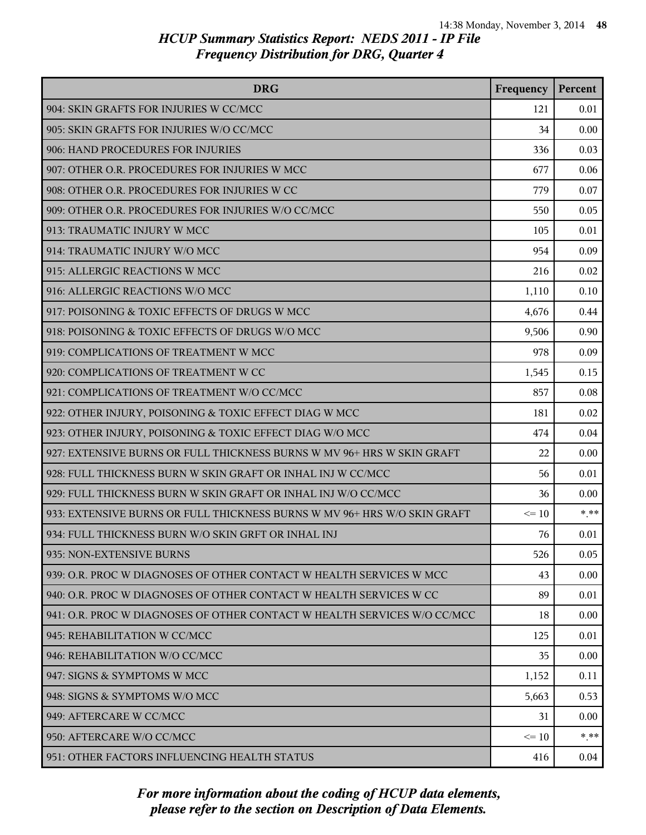| <b>DRG</b>                                                               | Frequency | Percent |
|--------------------------------------------------------------------------|-----------|---------|
| 904: SKIN GRAFTS FOR INJURIES W CC/MCC                                   | 121       | 0.01    |
| 905: SKIN GRAFTS FOR INJURIES W/O CC/MCC                                 | 34        | 0.00    |
| 906: HAND PROCEDURES FOR INJURIES                                        | 336       | 0.03    |
| 907: OTHER O.R. PROCEDURES FOR INJURIES W MCC                            | 677       | 0.06    |
| 908: OTHER O.R. PROCEDURES FOR INJURIES W CC                             | 779       | 0.07    |
| 909: OTHER O.R. PROCEDURES FOR INJURIES W/O CC/MCC                       | 550       | 0.05    |
| 913: TRAUMATIC INJURY W MCC                                              | 105       | 0.01    |
| 914: TRAUMATIC INJURY W/O MCC                                            | 954       | 0.09    |
| 915: ALLERGIC REACTIONS W MCC                                            | 216       | 0.02    |
| 916: ALLERGIC REACTIONS W/O MCC                                          | 1,110     | 0.10    |
| 917: POISONING & TOXIC EFFECTS OF DRUGS W MCC                            | 4,676     | 0.44    |
| 918: POISONING & TOXIC EFFECTS OF DRUGS W/O MCC                          | 9,506     | 0.90    |
| 919: COMPLICATIONS OF TREATMENT W MCC                                    | 978       | 0.09    |
| 920: COMPLICATIONS OF TREATMENT W CC                                     | 1,545     | 0.15    |
| 921: COMPLICATIONS OF TREATMENT W/O CC/MCC                               | 857       | 0.08    |
| 922: OTHER INJURY, POISONING & TOXIC EFFECT DIAG W MCC                   | 181       | 0.02    |
| 923: OTHER INJURY, POISONING & TOXIC EFFECT DIAG W/O MCC                 | 474       | 0.04    |
| 927: EXTENSIVE BURNS OR FULL THICKNESS BURNS W MV 96+ HRS W SKIN GRAFT   | 22        | 0.00    |
| 928: FULL THICKNESS BURN W SKIN GRAFT OR INHAL INJ W CC/MCC              | 56        | 0.01    |
| 929: FULL THICKNESS BURN W SKIN GRAFT OR INHAL INJ W/O CC/MCC            | 36        | 0.00    |
| 933: EXTENSIVE BURNS OR FULL THICKNESS BURNS W MV 96+ HRS W/O SKIN GRAFT | $\leq$ 10 | $*$ **  |
| 934: FULL THICKNESS BURN W/O SKIN GRFT OR INHAL INJ                      | 76        | 0.01    |
| 935: NON-EXTENSIVE BURNS                                                 | 526       | 0.05    |
| 939: O.R. PROC W DIAGNOSES OF OTHER CONTACT W HEALTH SERVICES W MCC      | 43        | 0.00    |
| 940: O.R. PROC W DIAGNOSES OF OTHER CONTACT W HEALTH SERVICES W CC       | 89        | 0.01    |
| 941: O.R. PROC W DIAGNOSES OF OTHER CONTACT W HEALTH SERVICES W/O CC/MCC | 18        | 0.00    |
| 945: REHABILITATION W CC/MCC                                             | 125       | 0.01    |
| 946: REHABILITATION W/O CC/MCC                                           | 35        | 0.00    |
| 947: SIGNS & SYMPTOMS W MCC                                              | 1,152     | 0.11    |
| 948: SIGNS & SYMPTOMS W/O MCC                                            | 5,663     | 0.53    |
| 949: AFTERCARE W CC/MCC                                                  | 31        | 0.00    |
| 950: AFTERCARE W/O CC/MCC                                                | $\leq 10$ | $* * *$ |
| 951: OTHER FACTORS INFLUENCING HEALTH STATUS                             | 416       | 0.04    |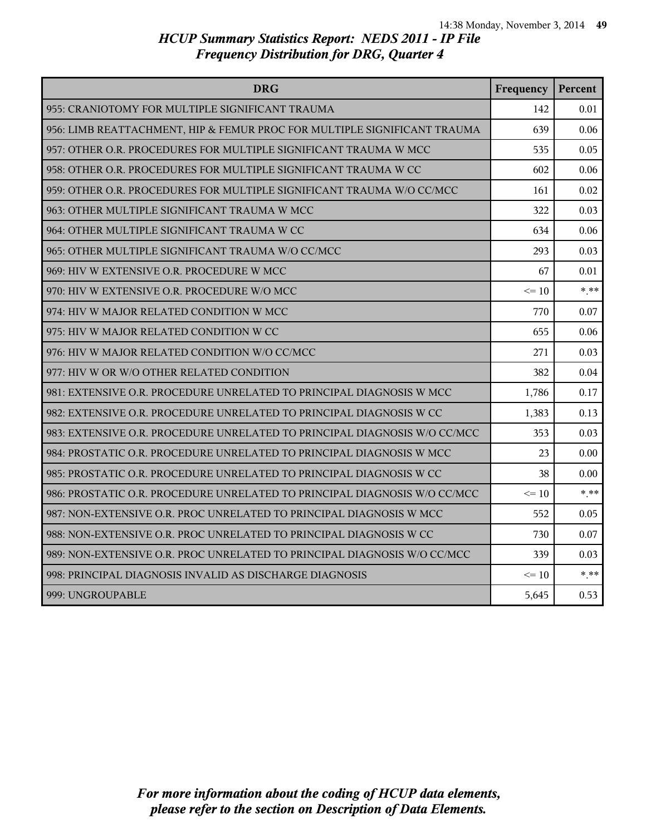| <b>DRG</b>                                                                | Frequency | Percent |
|---------------------------------------------------------------------------|-----------|---------|
| 955: CRANIOTOMY FOR MULTIPLE SIGNIFICANT TRAUMA                           | 142       | 0.01    |
| 956: LIMB REATTACHMENT, HIP & FEMUR PROC FOR MULTIPLE SIGNIFICANT TRAUMA  | 639       | 0.06    |
| 957: OTHER O.R. PROCEDURES FOR MULTIPLE SIGNIFICANT TRAUMA W MCC          | 535       | 0.05    |
| 958: OTHER O.R. PROCEDURES FOR MULTIPLE SIGNIFICANT TRAUMA W CC           | 602       | 0.06    |
| 959: OTHER O.R. PROCEDURES FOR MULTIPLE SIGNIFICANT TRAUMA W/O CC/MCC     | 161       | 0.02    |
| 963: OTHER MULTIPLE SIGNIFICANT TRAUMA W MCC                              | 322       | 0.03    |
| 964: OTHER MULTIPLE SIGNIFICANT TRAUMA W CC                               | 634       | 0.06    |
| 965: OTHER MULTIPLE SIGNIFICANT TRAUMA W/O CC/MCC                         | 293       | 0.03    |
| 969: HIV W EXTENSIVE O.R. PROCEDURE W MCC                                 | 67        | 0.01    |
| 970: HIV W EXTENSIVE O.R. PROCEDURE W/O MCC                               | $\leq$ 10 | $* * *$ |
| 974: HIV W MAJOR RELATED CONDITION W MCC                                  | 770       | 0.07    |
| 975: HIV W MAJOR RELATED CONDITION W CC                                   | 655       | 0.06    |
| 976: HIV W MAJOR RELATED CONDITION W/O CC/MCC                             | 271       | 0.03    |
| 977: HIV W OR W/O OTHER RELATED CONDITION                                 | 382       | 0.04    |
| 981: EXTENSIVE O.R. PROCEDURE UNRELATED TO PRINCIPAL DIAGNOSIS W MCC      | 1,786     | 0.17    |
| 982: EXTENSIVE O.R. PROCEDURE UNRELATED TO PRINCIPAL DIAGNOSIS W CC       | 1,383     | 0.13    |
| 983: EXTENSIVE O.R. PROCEDURE UNRELATED TO PRINCIPAL DIAGNOSIS W/O CC/MCC | 353       | 0.03    |
| 984: PROSTATIC O.R. PROCEDURE UNRELATED TO PRINCIPAL DIAGNOSIS W MCC      | 23        | 0.00    |
| 985: PROSTATIC O.R. PROCEDURE UNRELATED TO PRINCIPAL DIAGNOSIS W CC       | 38        | 0.00    |
| 986: PROSTATIC O.R. PROCEDURE UNRELATED TO PRINCIPAL DIAGNOSIS W/O CC/MCC | $\leq 10$ | $* * *$ |
| 987: NON-EXTENSIVE O.R. PROC UNRELATED TO PRINCIPAL DIAGNOSIS W MCC       | 552       | 0.05    |
| 988: NON-EXTENSIVE O.R. PROC UNRELATED TO PRINCIPAL DIAGNOSIS W CC        | 730       | 0.07    |
| 989: NON-EXTENSIVE O.R. PROC UNRELATED TO PRINCIPAL DIAGNOSIS W/O CC/MCC  | 339       | 0.03    |
| 998: PRINCIPAL DIAGNOSIS INVALID AS DISCHARGE DIAGNOSIS                   | $\leq$ 10 | $* * *$ |
| 999: UNGROUPABLE                                                          | 5,645     | 0.53    |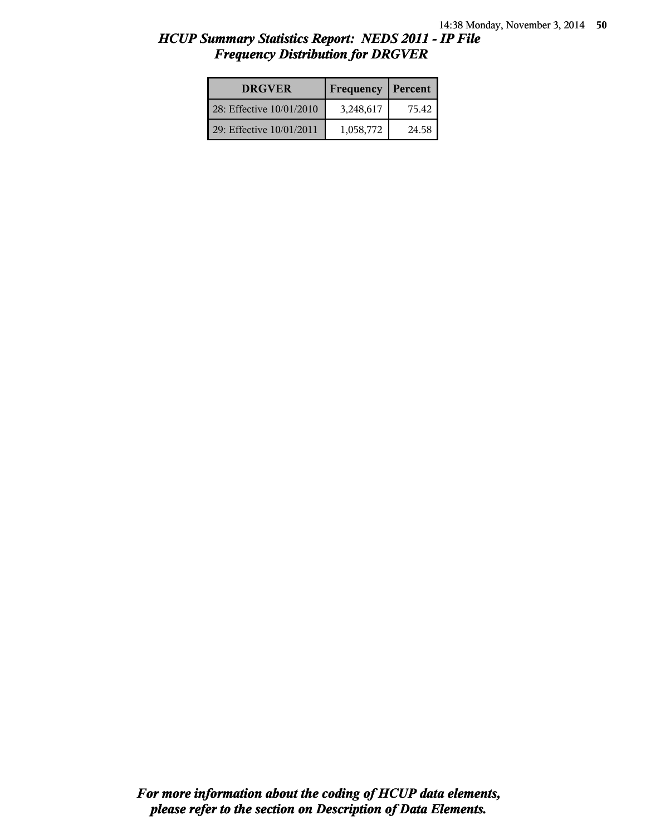| <b>DRGVER</b>            | Frequency | Percent |
|--------------------------|-----------|---------|
| 28: Effective 10/01/2010 | 3,248,617 | 75.42   |
| 29: Effective 10/01/2011 | 1,058,772 | 24.58   |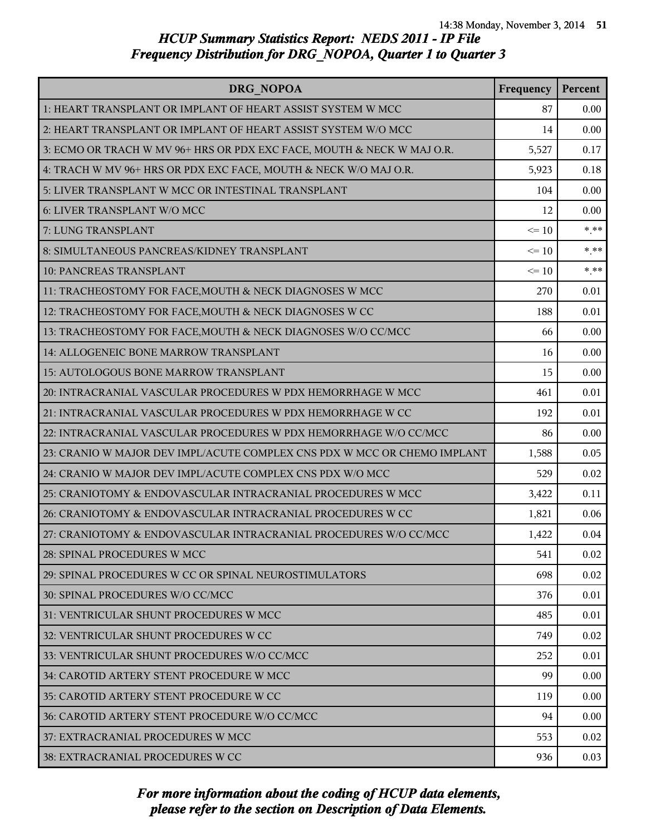| DRG NOPOA                                                                | Frequency | Percent |
|--------------------------------------------------------------------------|-----------|---------|
| 1: HEART TRANSPLANT OR IMPLANT OF HEART ASSIST SYSTEM W MCC              | 87        | 0.00    |
| 2: HEART TRANSPLANT OR IMPLANT OF HEART ASSIST SYSTEM W/O MCC            | 14        | 0.00    |
| 3: ECMO OR TRACH W MV 96+ HRS OR PDX EXC FACE, MOUTH & NECK W MAJ O.R.   | 5,527     | 0.17    |
| 4: TRACH W MV 96+ HRS OR PDX EXC FACE, MOUTH & NECK W/O MAJ O.R.         | 5,923     | 0.18    |
| 5: LIVER TRANSPLANT W MCC OR INTESTINAL TRANSPLANT                       | 104       | 0.00    |
| 6: LIVER TRANSPLANT W/O MCC                                              | 12        | 0.00    |
| 7: LUNG TRANSPLANT                                                       | $\leq 10$ | $***$   |
| 8: SIMULTANEOUS PANCREAS/KIDNEY TRANSPLANT                               | $\leq 10$ | $***$   |
| 10: PANCREAS TRANSPLANT                                                  | $\leq 10$ | $***$   |
| 11: TRACHEOSTOMY FOR FACE, MOUTH & NECK DIAGNOSES W MCC                  | 270       | 0.01    |
| 12: TRACHEOSTOMY FOR FACE, MOUTH & NECK DIAGNOSES W CC                   | 188       | 0.01    |
| 13: TRACHEOSTOMY FOR FACE, MOUTH & NECK DIAGNOSES W/O CC/MCC             | 66        | 0.00    |
| 14: ALLOGENEIC BONE MARROW TRANSPLANT                                    | 16        | 0.00    |
| 15: AUTOLOGOUS BONE MARROW TRANSPLANT                                    | 15        | 0.00    |
| 20: INTRACRANIAL VASCULAR PROCEDURES W PDX HEMORRHAGE W MCC              | 461       | 0.01    |
| 21: INTRACRANIAL VASCULAR PROCEDURES W PDX HEMORRHAGE W CC               | 192       | 0.01    |
| 22: INTRACRANIAL VASCULAR PROCEDURES W PDX HEMORRHAGE W/O CC/MCC         | 86        | 0.00    |
| 23: CRANIO W MAJOR DEV IMPL/ACUTE COMPLEX CNS PDX W MCC OR CHEMO IMPLANT | 1,588     | 0.05    |
| 24: CRANIO W MAJOR DEV IMPL/ACUTE COMPLEX CNS PDX W/O MCC                | 529       | 0.02    |
| 25: CRANIOTOMY & ENDOVASCULAR INTRACRANIAL PROCEDURES W MCC              | 3,422     | 0.11    |
| 26: CRANIOTOMY & ENDOVASCULAR INTRACRANIAL PROCEDURES W CC               | 1,821     | 0.06    |
| 27: CRANIOTOMY & ENDOVASCULAR INTRACRANIAL PROCEDURES W/O CC/MCC         | 1,422     | 0.04    |
| 28: SPINAL PROCEDURES W MCC                                              | 541       | 0.02    |
| 29: SPINAL PROCEDURES W CC OR SPINAL NEUROSTIMULATORS                    | 698       | 0.02    |
| 30: SPINAL PROCEDURES W/O CC/MCC                                         | 376       | 0.01    |
| 31: VENTRICULAR SHUNT PROCEDURES W MCC                                   | 485       | 0.01    |
| 32: VENTRICULAR SHUNT PROCEDURES W CC                                    | 749       | 0.02    |
| 33: VENTRICULAR SHUNT PROCEDURES W/O CC/MCC                              | 252       | 0.01    |
| 34: CAROTID ARTERY STENT PROCEDURE W MCC                                 | 99        | 0.00    |
| 35: CAROTID ARTERY STENT PROCEDURE W CC                                  | 119       | 0.00    |
| 36: CAROTID ARTERY STENT PROCEDURE W/O CC/MCC                            | 94        | 0.00    |
| 37: EXTRACRANIAL PROCEDURES W MCC                                        | 553       | 0.02    |
| 38: EXTRACRANIAL PROCEDURES W CC                                         | 936       | 0.03    |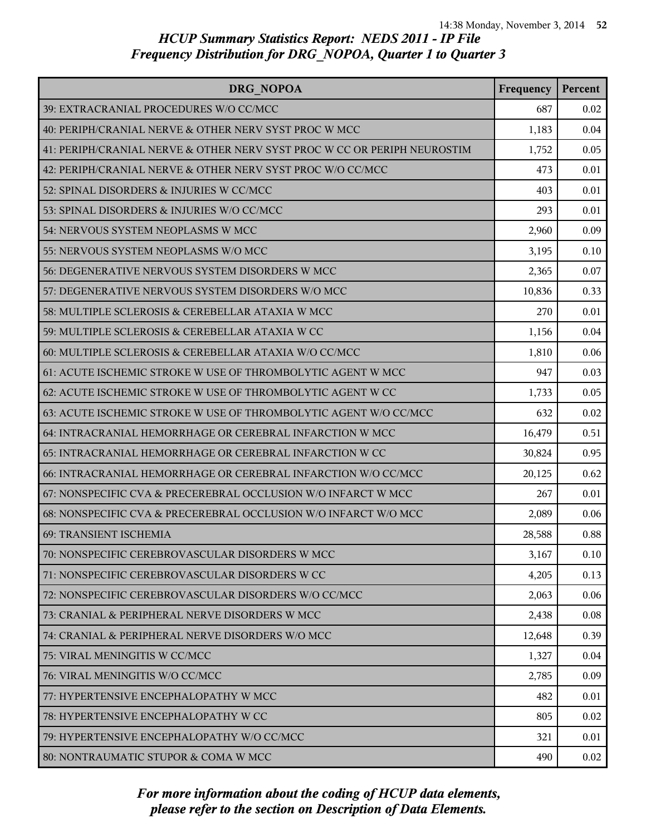| DRG NOPOA                                                                | Frequency | Percent |
|--------------------------------------------------------------------------|-----------|---------|
| 39: EXTRACRANIAL PROCEDURES W/O CC/MCC                                   | 687       | 0.02    |
| 40: PERIPH/CRANIAL NERVE & OTHER NERV SYST PROC W MCC                    | 1,183     | 0.04    |
| 41: PERIPH/CRANIAL NERVE & OTHER NERV SYST PROC W CC OR PERIPH NEUROSTIM | 1,752     | 0.05    |
| 42: PERIPH/CRANIAL NERVE & OTHER NERV SYST PROC W/O CC/MCC               | 473       | 0.01    |
| 52: SPINAL DISORDERS & INJURIES W CC/MCC                                 | 403       | 0.01    |
| 53: SPINAL DISORDERS & INJURIES W/O CC/MCC                               | 293       | 0.01    |
| 54: NERVOUS SYSTEM NEOPLASMS W MCC                                       | 2,960     | 0.09    |
| 55: NERVOUS SYSTEM NEOPLASMS W/O MCC                                     | 3,195     | 0.10    |
| 56: DEGENERATIVE NERVOUS SYSTEM DISORDERS W MCC                          | 2,365     | 0.07    |
| 57: DEGENERATIVE NERVOUS SYSTEM DISORDERS W/O MCC                        | 10,836    | 0.33    |
| 58: MULTIPLE SCLEROSIS & CEREBELLAR ATAXIA W MCC                         | 270       | 0.01    |
| 59: MULTIPLE SCLEROSIS & CEREBELLAR ATAXIA W CC                          | 1,156     | 0.04    |
| 60: MULTIPLE SCLEROSIS & CEREBELLAR ATAXIA W/O CC/MCC                    | 1,810     | 0.06    |
| 61: ACUTE ISCHEMIC STROKE W USE OF THROMBOLYTIC AGENT W MCC              | 947       | 0.03    |
| 62: ACUTE ISCHEMIC STROKE W USE OF THROMBOLYTIC AGENT W CC               | 1,733     | 0.05    |
| 63: ACUTE ISCHEMIC STROKE W USE OF THROMBOLYTIC AGENT W/O CC/MCC         | 632       | 0.02    |
| 64: INTRACRANIAL HEMORRHAGE OR CEREBRAL INFARCTION W MCC                 | 16,479    | 0.51    |
| 65: INTRACRANIAL HEMORRHAGE OR CEREBRAL INFARCTION W CC                  | 30,824    | 0.95    |
| 66: INTRACRANIAL HEMORRHAGE OR CEREBRAL INFARCTION W/O CC/MCC            | 20,125    | 0.62    |
| 67: NONSPECIFIC CVA & PRECEREBRAL OCCLUSION W/O INFARCT W MCC            | 267       | 0.01    |
| 68: NONSPECIFIC CVA & PRECEREBRAL OCCLUSION W/O INFARCT W/O MCC          | 2,089     | 0.06    |
| 69: TRANSIENT ISCHEMIA                                                   | 28,588    | 0.88    |
| 70: NONSPECIFIC CEREBROVASCULAR DISORDERS W MCC                          | 3,167     | 0.10    |
| 71: NONSPECIFIC CEREBROVASCULAR DISORDERS W CC                           | 4,205     | 0.13    |
| 72: NONSPECIFIC CEREBROVASCULAR DISORDERS W/O CC/MCC                     | 2,063     | 0.06    |
| 73: CRANIAL & PERIPHERAL NERVE DISORDERS W MCC                           | 2,438     | 0.08    |
| 74: CRANIAL & PERIPHERAL NERVE DISORDERS W/O MCC                         | 12,648    | 0.39    |
| 75: VIRAL MENINGITIS W CC/MCC                                            | 1,327     | 0.04    |
| 76: VIRAL MENINGITIS W/O CC/MCC                                          | 2,785     | 0.09    |
| 77: HYPERTENSIVE ENCEPHALOPATHY W MCC                                    | 482       | 0.01    |
| 78: HYPERTENSIVE ENCEPHALOPATHY W CC                                     | 805       | 0.02    |
| 79: HYPERTENSIVE ENCEPHALOPATHY W/O CC/MCC                               | 321       | 0.01    |
| 80: NONTRAUMATIC STUPOR & COMA W MCC                                     | 490       | 0.02    |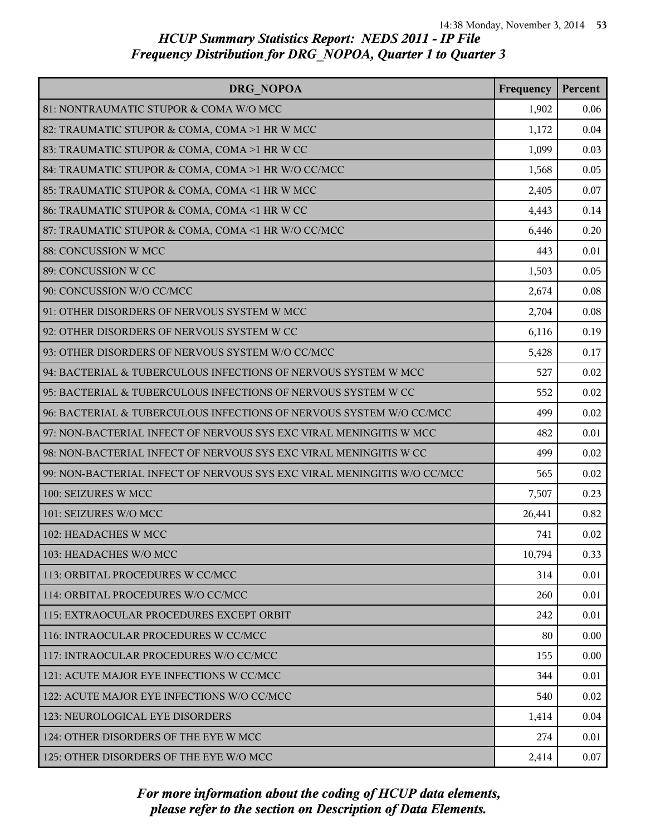| DRG NOPOA                                                               | Frequency | Percent |
|-------------------------------------------------------------------------|-----------|---------|
| 81: NONTRAUMATIC STUPOR & COMA W/O MCC                                  | 1,902     | 0.06    |
| 82: TRAUMATIC STUPOR & COMA, COMA >1 HR W MCC                           | 1,172     | 0.04    |
| 83: TRAUMATIC STUPOR & COMA, COMA >1 HR W CC                            | 1,099     | 0.03    |
| 84: TRAUMATIC STUPOR & COMA, COMA >1 HR W/O CC/MCC                      | 1,568     | 0.05    |
| 85: TRAUMATIC STUPOR & COMA, COMA <1 HR W MCC                           | 2,405     | 0.07    |
| 86: TRAUMATIC STUPOR & COMA, COMA <1 HR W CC                            | 4,443     | 0.14    |
| 87: TRAUMATIC STUPOR & COMA, COMA <1 HR W/O CC/MCC                      | 6,446     | 0.20    |
| 88: CONCUSSION W MCC                                                    | 443       | 0.01    |
| 89: CONCUSSION W CC                                                     | 1,503     | 0.05    |
| 90: CONCUSSION W/O CC/MCC                                               | 2,674     | 0.08    |
| 91: OTHER DISORDERS OF NERVOUS SYSTEM W MCC                             | 2,704     | 0.08    |
| 92: OTHER DISORDERS OF NERVOUS SYSTEM W CC                              | 6,116     | 0.19    |
| 93: OTHER DISORDERS OF NERVOUS SYSTEM W/O CC/MCC                        | 5,428     | 0.17    |
| 94: BACTERIAL & TUBERCULOUS INFECTIONS OF NERVOUS SYSTEM W MCC          | 527       | 0.02    |
| 95: BACTERIAL & TUBERCULOUS INFECTIONS OF NERVOUS SYSTEM W CC           | 552       | 0.02    |
| 96: BACTERIAL & TUBERCULOUS INFECTIONS OF NERVOUS SYSTEM W/O CC/MCC     | 499       | 0.02    |
| 97: NON-BACTERIAL INFECT OF NERVOUS SYS EXC VIRAL MENINGITIS W MCC      | 482       | 0.01    |
| 98: NON-BACTERIAL INFECT OF NERVOUS SYS EXC VIRAL MENINGITIS W CC       | 499       | 0.02    |
| 99: NON-BACTERIAL INFECT OF NERVOUS SYS EXC VIRAL MENINGITIS W/O CC/MCC | 565       | 0.02    |
| 100: SEIZURES W MCC                                                     | 7,507     | 0.23    |
| 101: SEIZURES W/O MCC                                                   | 26,441    | 0.82    |
| 102: HEADACHES W MCC                                                    | 741       | 0.02    |
| 103: HEADACHES W/O MCC                                                  | 10,794    | 0.33    |
| 113: ORBITAL PROCEDURES W CC/MCC                                        | 314       | 0.01    |
| 114: ORBITAL PROCEDURES W/O CC/MCC                                      | 260       | 0.01    |
| 115: EXTRAOCULAR PROCEDURES EXCEPT ORBIT                                | 242       | 0.01    |
| 116: INTRAOCULAR PROCEDURES W CC/MCC                                    | 80        | 0.00    |
| 117: INTRAOCULAR PROCEDURES W/O CC/MCC                                  | 155       | 0.00    |
| 121: ACUTE MAJOR EYE INFECTIONS W CC/MCC                                | 344       | 0.01    |
| 122: ACUTE MAJOR EYE INFECTIONS W/O CC/MCC                              | 540       | 0.02    |
| 123: NEUROLOGICAL EYE DISORDERS                                         | 1,414     | 0.04    |
| 124: OTHER DISORDERS OF THE EYE W MCC                                   | 274       | 0.01    |
| 125: OTHER DISORDERS OF THE EYE W/O MCC                                 | 2,414     | 0.07    |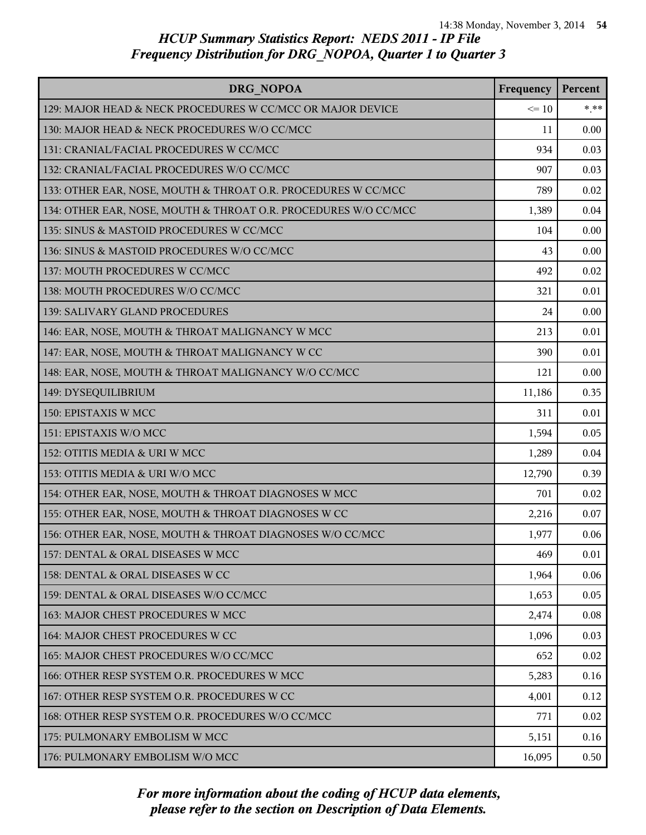| DRG NOPOA                                                       | Frequency | Percent |
|-----------------------------------------------------------------|-----------|---------|
| 129: MAJOR HEAD & NECK PROCEDURES W CC/MCC OR MAJOR DEVICE      | $\leq 10$ | $* * *$ |
| 130: MAJOR HEAD & NECK PROCEDURES W/O CC/MCC                    | 11        | 0.00    |
| 131: CRANIAL/FACIAL PROCEDURES W CC/MCC                         | 934       | 0.03    |
| 132: CRANIAL/FACIAL PROCEDURES W/O CC/MCC                       | 907       | 0.03    |
| 133: OTHER EAR, NOSE, MOUTH & THROAT O.R. PROCEDURES W CC/MCC   | 789       | 0.02    |
| 134: OTHER EAR, NOSE, MOUTH & THROAT O.R. PROCEDURES W/O CC/MCC | 1,389     | 0.04    |
| 135: SINUS & MASTOID PROCEDURES W CC/MCC                        | 104       | 0.00    |
| 136: SINUS & MASTOID PROCEDURES W/O CC/MCC                      | 43        | 0.00    |
| 137: MOUTH PROCEDURES W CC/MCC                                  | 492       | 0.02    |
| 138: MOUTH PROCEDURES W/O CC/MCC                                | 321       | 0.01    |
| 139: SALIVARY GLAND PROCEDURES                                  | 24        | 0.00    |
| 146: EAR, NOSE, MOUTH & THROAT MALIGNANCY W MCC                 | 213       | 0.01    |
| 147: EAR, NOSE, MOUTH & THROAT MALIGNANCY W CC                  | 390       | 0.01    |
| 148: EAR, NOSE, MOUTH & THROAT MALIGNANCY W/O CC/MCC            | 121       | 0.00    |
| 149: DYSEQUILIBRIUM                                             | 11,186    | 0.35    |
| 150: EPISTAXIS W MCC                                            | 311       | 0.01    |
| 151: EPISTAXIS W/O MCC                                          | 1,594     | 0.05    |
| 152: OTITIS MEDIA & URI W MCC                                   | 1,289     | 0.04    |
| 153: OTITIS MEDIA & URI W/O MCC                                 | 12,790    | 0.39    |
| 154: OTHER EAR, NOSE, MOUTH & THROAT DIAGNOSES W MCC            | 701       | 0.02    |
| 155: OTHER EAR, NOSE, MOUTH & THROAT DIAGNOSES W CC             | 2,216     | 0.07    |
| 156: OTHER EAR, NOSE, MOUTH & THROAT DIAGNOSES W/O CC/MCC       | 1,977     | 0.06    |
| 157: DENTAL & ORAL DISEASES W MCC                               | 469       | 0.01    |
| 158: DENTAL & ORAL DISEASES W CC                                | 1,964     | 0.06    |
| 159: DENTAL & ORAL DISEASES W/O CC/MCC                          | 1,653     | 0.05    |
| 163: MAJOR CHEST PROCEDURES W MCC                               | 2,474     | 0.08    |
| 164: MAJOR CHEST PROCEDURES W CC                                | 1,096     | 0.03    |
| 165: MAJOR CHEST PROCEDURES W/O CC/MCC                          | 652       | 0.02    |
| 166: OTHER RESP SYSTEM O.R. PROCEDURES W MCC                    | 5,283     | 0.16    |
| 167: OTHER RESP SYSTEM O.R. PROCEDURES W CC                     | 4,001     | 0.12    |
| 168: OTHER RESP SYSTEM O.R. PROCEDURES W/O CC/MCC               | 771       | 0.02    |
| 175: PULMONARY EMBOLISM W MCC                                   | 5,151     | 0.16    |
| 176: PULMONARY EMBOLISM W/O MCC                                 | 16,095    | 0.50    |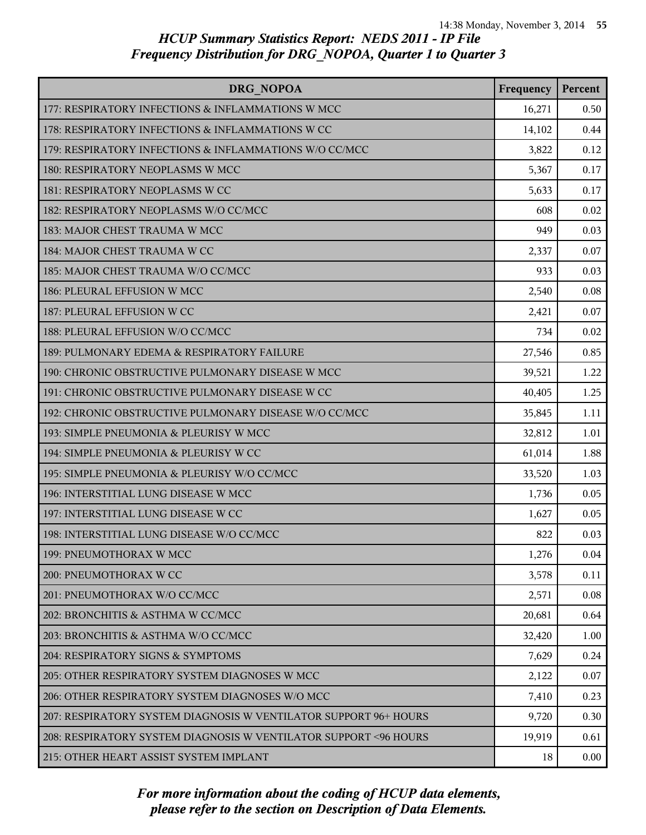| <b>DRG NOPOA</b>                                                  | Frequency | Percent  |
|-------------------------------------------------------------------|-----------|----------|
| 177: RESPIRATORY INFECTIONS & INFLAMMATIONS W MCC                 | 16,271    | 0.50     |
| 178: RESPIRATORY INFECTIONS & INFLAMMATIONS W CC                  | 14,102    | 0.44     |
| 179: RESPIRATORY INFECTIONS & INFLAMMATIONS W/O CC/MCC            | 3,822     | 0.12     |
| 180: RESPIRATORY NEOPLASMS W MCC                                  | 5,367     | 0.17     |
| 181: RESPIRATORY NEOPLASMS W CC                                   | 5,633     | 0.17     |
| 182: RESPIRATORY NEOPLASMS W/O CC/MCC                             | 608       | 0.02     |
| 183: MAJOR CHEST TRAUMA W MCC                                     | 949       | 0.03     |
| 184: MAJOR CHEST TRAUMA W CC                                      | 2,337     | 0.07     |
| 185: MAJOR CHEST TRAUMA W/O CC/MCC                                | 933       | 0.03     |
| 186: PLEURAL EFFUSION W MCC                                       | 2,540     | 0.08     |
| 187: PLEURAL EFFUSION W CC                                        | 2,421     | 0.07     |
| 188: PLEURAL EFFUSION W/O CC/MCC                                  | 734       | 0.02     |
| 189: PULMONARY EDEMA & RESPIRATORY FAILURE                        | 27,546    | 0.85     |
| 190: CHRONIC OBSTRUCTIVE PULMONARY DISEASE W MCC                  | 39,521    | 1.22     |
| 191: CHRONIC OBSTRUCTIVE PULMONARY DISEASE W CC                   | 40,405    | 1.25     |
| 192: CHRONIC OBSTRUCTIVE PULMONARY DISEASE W/O CC/MCC             | 35,845    | 1.11     |
| 193: SIMPLE PNEUMONIA & PLEURISY W MCC                            | 32,812    | 1.01     |
| 194: SIMPLE PNEUMONIA & PLEURISY W CC                             | 61,014    | 1.88     |
| 195: SIMPLE PNEUMONIA & PLEURISY W/O CC/MCC                       | 33,520    | 1.03     |
| 196: INTERSTITIAL LUNG DISEASE W MCC                              | 1,736     | 0.05     |
| 197: INTERSTITIAL LUNG DISEASE W CC                               | 1,627     | 0.05     |
| 198: INTERSTITIAL LUNG DISEASE W/O CC/MCC                         | 822       | 0.03     |
| 199: PNEUMOTHORAX W MCC                                           | 1,276     | 0.04     |
| 200: PNEUMOTHORAX W CC                                            | 3,578     | 0.11     |
| 201: PNEUMOTHORAX W/O CC/MCC                                      | 2,571     | 0.08     |
| 202: BRONCHITIS & ASTHMA W CC/MCC                                 | 20,681    | 0.64     |
| 203: BRONCHITIS & ASTHMA W/O CC/MCC                               | 32,420    | 1.00     |
| 204: RESPIRATORY SIGNS & SYMPTOMS                                 | 7,629     | 0.24     |
| 205: OTHER RESPIRATORY SYSTEM DIAGNOSES W MCC                     | 2,122     | 0.07     |
| 206: OTHER RESPIRATORY SYSTEM DIAGNOSES W/O MCC                   | 7,410     | 0.23     |
| 207: RESPIRATORY SYSTEM DIAGNOSIS W VENTILATOR SUPPORT 96+ HOURS  | 9,720     | 0.30     |
| 208: RESPIRATORY SYSTEM DIAGNOSIS W VENTILATOR SUPPORT < 96 HOURS | 19,919    | 0.61     |
| 215: OTHER HEART ASSIST SYSTEM IMPLANT                            | 18        | $0.00\,$ |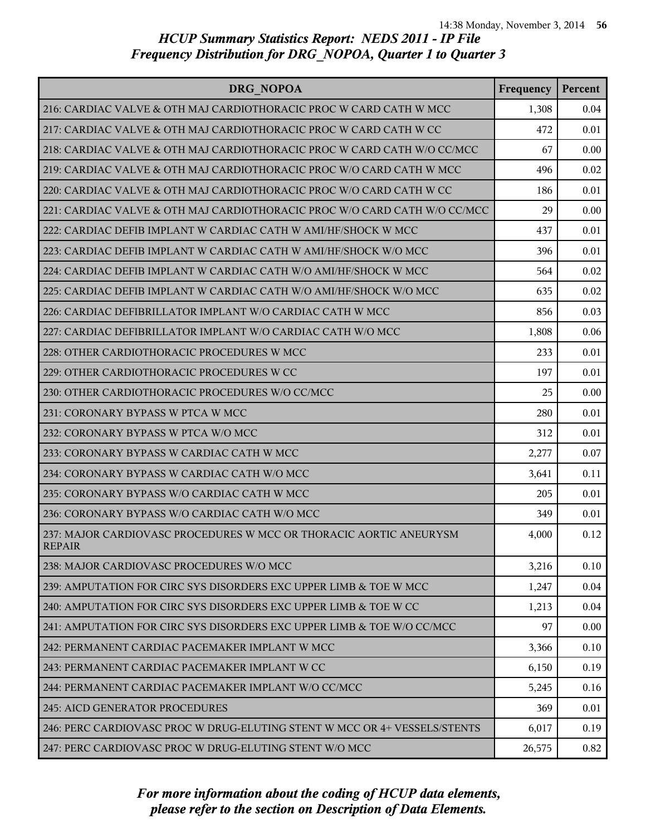| DRG NOPOA                                                                           | Frequency | Percent |
|-------------------------------------------------------------------------------------|-----------|---------|
| 216: CARDIAC VALVE & OTH MAJ CARDIOTHORACIC PROC W CARD CATH W MCC                  | 1,308     | 0.04    |
| 217: CARDIAC VALVE & OTH MAJ CARDIOTHORACIC PROC W CARD CATH W CC                   | 472       | 0.01    |
| 218: CARDIAC VALVE & OTH MAJ CARDIOTHORACIC PROC W CARD CATH W/O CC/MCC             | 67        | 0.00    |
| 219: CARDIAC VALVE & OTH MAJ CARDIOTHORACIC PROC W/O CARD CATH W MCC                | 496       | 0.02    |
| 220: CARDIAC VALVE & OTH MAJ CARDIOTHORACIC PROC W/O CARD CATH W CC                 | 186       | 0.01    |
| 221: CARDIAC VALVE & OTH MAJ CARDIOTHORACIC PROC W/O CARD CATH W/O CC/MCC           | 29        | 0.00    |
| 222: CARDIAC DEFIB IMPLANT W CARDIAC CATH W AMI/HF/SHOCK W MCC                      | 437       | 0.01    |
| 223: CARDIAC DEFIB IMPLANT W CARDIAC CATH W AMI/HF/SHOCK W/O MCC                    | 396       | 0.01    |
| 224: CARDIAC DEFIB IMPLANT W CARDIAC CATH W/O AMI/HF/SHOCK W MCC                    | 564       | 0.02    |
| 225: CARDIAC DEFIB IMPLANT W CARDIAC CATH W/O AMI/HF/SHOCK W/O MCC                  | 635       | 0.02    |
| 226: CARDIAC DEFIBRILLATOR IMPLANT W/O CARDIAC CATH W MCC                           | 856       | 0.03    |
| 227: CARDIAC DEFIBRILLATOR IMPLANT W/O CARDIAC CATH W/O MCC                         | 1,808     | 0.06    |
| 228: OTHER CARDIOTHORACIC PROCEDURES W MCC                                          | 233       | 0.01    |
| 229: OTHER CARDIOTHORACIC PROCEDURES W CC                                           | 197       | 0.01    |
| 230: OTHER CARDIOTHORACIC PROCEDURES W/O CC/MCC                                     | 25        | 0.00    |
| 231: CORONARY BYPASS W PTCA W MCC                                                   | 280       | 0.01    |
| 232: CORONARY BYPASS W PTCA W/O MCC                                                 | 312       | 0.01    |
| 233: CORONARY BYPASS W CARDIAC CATH W MCC                                           | 2,277     | 0.07    |
| 234: CORONARY BYPASS W CARDIAC CATH W/O MCC                                         | 3,641     | 0.11    |
| 235: CORONARY BYPASS W/O CARDIAC CATH W MCC                                         | 205       | 0.01    |
| 236: CORONARY BYPASS W/O CARDIAC CATH W/O MCC                                       | 349       | 0.01    |
| 237: MAJOR CARDIOVASC PROCEDURES W MCC OR THORACIC AORTIC ANEURYSM<br><b>REPAIR</b> | 4,000     | 0.12    |
| 238: MAJOR CARDIOVASC PROCEDURES W/O MCC                                            | 3,216     | 0.10    |
| 239: AMPUTATION FOR CIRC SYS DISORDERS EXC UPPER LIMB & TOE W MCC                   | 1,247     | 0.04    |
| 240: AMPUTATION FOR CIRC SYS DISORDERS EXC UPPER LIMB & TOE W CC                    | 1,213     | 0.04    |
| 241: AMPUTATION FOR CIRC SYS DISORDERS EXC UPPER LIMB & TOE W/O CC/MCC              | 97        | 0.00    |
| 242: PERMANENT CARDIAC PACEMAKER IMPLANT W MCC                                      | 3,366     | 0.10    |
| 243: PERMANENT CARDIAC PACEMAKER IMPLANT W CC                                       | 6,150     | 0.19    |
| 244: PERMANENT CARDIAC PACEMAKER IMPLANT W/O CC/MCC                                 | 5,245     | 0.16    |
| <b>245: AICD GENERATOR PROCEDURES</b>                                               | 369       | 0.01    |
| 246: PERC CARDIOVASC PROC W DRUG-ELUTING STENT W MCC OR 4+ VESSELS/STENTS           | 6,017     | 0.19    |
| 247: PERC CARDIOVASC PROC W DRUG-ELUTING STENT W/O MCC                              | 26,575    | 0.82    |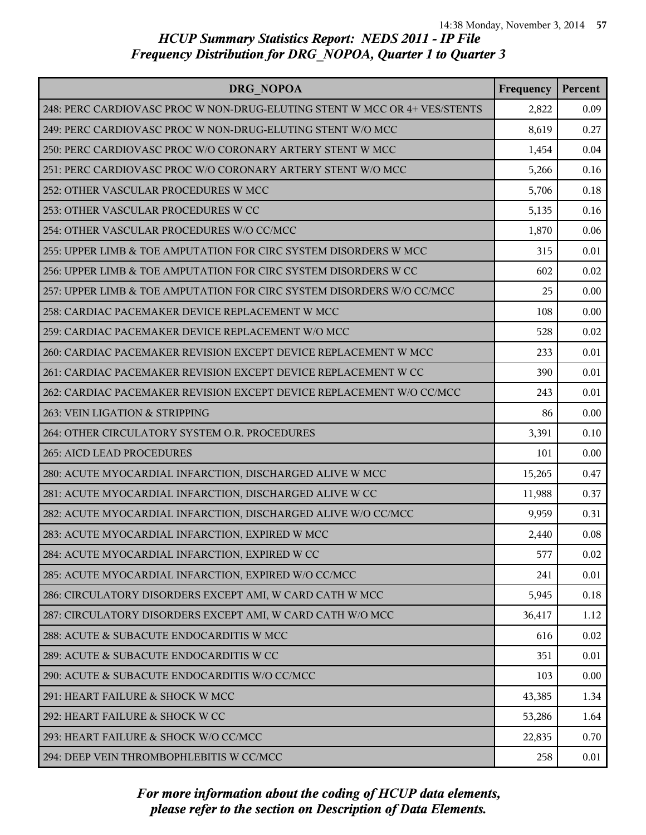| DRG NOPOA                                                                 | Frequency | Percent |
|---------------------------------------------------------------------------|-----------|---------|
| 248: PERC CARDIOVASC PROC W NON-DRUG-ELUTING STENT W MCC OR 4+ VES/STENTS | 2,822     | 0.09    |
| 249: PERC CARDIOVASC PROC W NON-DRUG-ELUTING STENT W/O MCC                | 8,619     | 0.27    |
| 250: PERC CARDIOVASC PROC W/O CORONARY ARTERY STENT W MCC                 | 1,454     | 0.04    |
| 251: PERC CARDIOVASC PROC W/O CORONARY ARTERY STENT W/O MCC               | 5,266     | 0.16    |
| 252: OTHER VASCULAR PROCEDURES W MCC                                      | 5,706     | 0.18    |
| 253: OTHER VASCULAR PROCEDURES W CC                                       | 5,135     | 0.16    |
| 254: OTHER VASCULAR PROCEDURES W/O CC/MCC                                 | 1,870     | 0.06    |
| 255: UPPER LIMB & TOE AMPUTATION FOR CIRC SYSTEM DISORDERS W MCC          | 315       | 0.01    |
| 256: UPPER LIMB & TOE AMPUTATION FOR CIRC SYSTEM DISORDERS W CC           | 602       | 0.02    |
| 257: UPPER LIMB & TOE AMPUTATION FOR CIRC SYSTEM DISORDERS W/O CC/MCC     | 25        | 0.00    |
| 258: CARDIAC PACEMAKER DEVICE REPLACEMENT W MCC                           | 108       | 0.00    |
| 259: CARDIAC PACEMAKER DEVICE REPLACEMENT W/O MCC                         | 528       | 0.02    |
| 260: CARDIAC PACEMAKER REVISION EXCEPT DEVICE REPLACEMENT W MCC           | 233       | 0.01    |
| 261: CARDIAC PACEMAKER REVISION EXCEPT DEVICE REPLACEMENT W CC            | 390       | 0.01    |
| 262: CARDIAC PACEMAKER REVISION EXCEPT DEVICE REPLACEMENT W/O CC/MCC      | 243       | 0.01    |
| 263: VEIN LIGATION & STRIPPING                                            | 86        | 0.00    |
| 264: OTHER CIRCULATORY SYSTEM O.R. PROCEDURES                             | 3,391     | 0.10    |
| 265: AICD LEAD PROCEDURES                                                 | 101       | 0.00    |
| 280: ACUTE MYOCARDIAL INFARCTION, DISCHARGED ALIVE W MCC                  | 15,265    | 0.47    |
| 281: ACUTE MYOCARDIAL INFARCTION, DISCHARGED ALIVE W CC                   | 11,988    | 0.37    |
| 282: ACUTE MYOCARDIAL INFARCTION, DISCHARGED ALIVE W/O CC/MCC             | 9,959     | 0.31    |
| 283: ACUTE MYOCARDIAL INFARCTION, EXPIRED W MCC                           | 2,440     | 0.08    |
| 284: ACUTE MYOCARDIAL INFARCTION, EXPIRED W CC                            | 577       | 0.02    |
| 285: ACUTE MYOCARDIAL INFARCTION, EXPIRED W/O CC/MCC                      | 241       | 0.01    |
| 286: CIRCULATORY DISORDERS EXCEPT AMI, W CARD CATH W MCC                  | 5,945     | 0.18    |
| 287: CIRCULATORY DISORDERS EXCEPT AMI, W CARD CATH W/O MCC                | 36,417    | 1.12    |
| 288: ACUTE & SUBACUTE ENDOCARDITIS W MCC                                  | 616       | 0.02    |
| 289: ACUTE & SUBACUTE ENDOCARDITIS W CC                                   | 351       | 0.01    |
| 290: ACUTE & SUBACUTE ENDOCARDITIS W/O CC/MCC                             | 103       | 0.00    |
| 291: HEART FAILURE & SHOCK W MCC                                          | 43,385    | 1.34    |
| 292: HEART FAILURE & SHOCK W CC                                           | 53,286    | 1.64    |
| 293: HEART FAILURE & SHOCK W/O CC/MCC                                     | 22,835    | 0.70    |
| 294: DEEP VEIN THROMBOPHLEBITIS W CC/MCC                                  | 258       | 0.01    |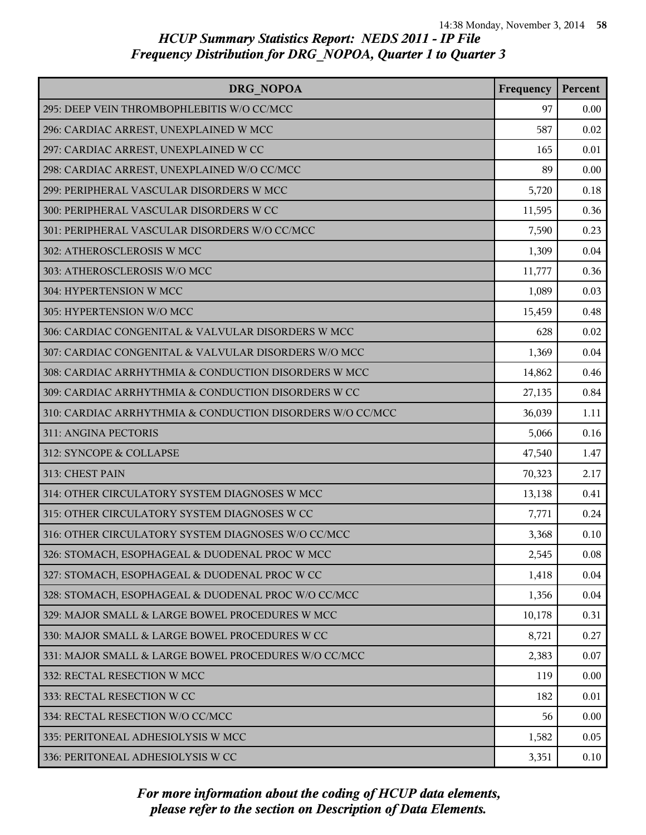| DRG NOPOA                                                 | Frequency | Percent |
|-----------------------------------------------------------|-----------|---------|
| 295: DEEP VEIN THROMBOPHLEBITIS W/O CC/MCC                | 97        | 0.00    |
| 296: CARDIAC ARREST, UNEXPLAINED W MCC                    | 587       | 0.02    |
| 297: CARDIAC ARREST, UNEXPLAINED W CC                     | 165       | 0.01    |
| 298: CARDIAC ARREST, UNEXPLAINED W/O CC/MCC               | 89        | 0.00    |
| 299: PERIPHERAL VASCULAR DISORDERS W MCC                  | 5,720     | 0.18    |
| 300: PERIPHERAL VASCULAR DISORDERS W CC                   | 11,595    | 0.36    |
| 301: PERIPHERAL VASCULAR DISORDERS W/O CC/MCC             | 7,590     | 0.23    |
| 302: ATHEROSCLEROSIS W MCC                                | 1,309     | 0.04    |
| 303: ATHEROSCLEROSIS W/O MCC                              | 11,777    | 0.36    |
| 304: HYPERTENSION W MCC                                   | 1,089     | 0.03    |
| 305: HYPERTENSION W/O MCC                                 | 15,459    | 0.48    |
| 306: CARDIAC CONGENITAL & VALVULAR DISORDERS W MCC        | 628       | 0.02    |
| 307: CARDIAC CONGENITAL & VALVULAR DISORDERS W/O MCC      | 1,369     | 0.04    |
| 308: CARDIAC ARRHYTHMIA & CONDUCTION DISORDERS W MCC      | 14,862    | 0.46    |
| 309: CARDIAC ARRHYTHMIA & CONDUCTION DISORDERS W CC       | 27,135    | 0.84    |
| 310: CARDIAC ARRHYTHMIA & CONDUCTION DISORDERS W/O CC/MCC | 36,039    | 1.11    |
| <b>311: ANGINA PECTORIS</b>                               | 5,066     | 0.16    |
| 312: SYNCOPE & COLLAPSE                                   | 47,540    | 1.47    |
| 313: CHEST PAIN                                           | 70,323    | 2.17    |
| 314: OTHER CIRCULATORY SYSTEM DIAGNOSES W MCC             | 13,138    | 0.41    |
| 315: OTHER CIRCULATORY SYSTEM DIAGNOSES W CC              | 7,771     | 0.24    |
| 316: OTHER CIRCULATORY SYSTEM DIAGNOSES W/O CC/MCC        | 3,368     | 0.10    |
| 326: STOMACH, ESOPHAGEAL & DUODENAL PROC W MCC            | 2,545     | 0.08    |
| 327: STOMACH, ESOPHAGEAL & DUODENAL PROC W CC             | 1,418     | 0.04    |
| 328: STOMACH, ESOPHAGEAL & DUODENAL PROC W/O CC/MCC       | 1,356     | 0.04    |
| 329: MAJOR SMALL & LARGE BOWEL PROCEDURES W MCC           | 10,178    | 0.31    |
| 330: MAJOR SMALL & LARGE BOWEL PROCEDURES W CC            | 8,721     | 0.27    |
| 331: MAJOR SMALL & LARGE BOWEL PROCEDURES W/O CC/MCC      | 2,383     | 0.07    |
| 332: RECTAL RESECTION W MCC                               | 119       | 0.00    |
| 333: RECTAL RESECTION W CC                                | 182       | 0.01    |
| 334: RECTAL RESECTION W/O CC/MCC                          | 56        | 0.00    |
| 335: PERITONEAL ADHESIOLYSIS W MCC                        | 1,582     | 0.05    |
| 336: PERITONEAL ADHESIOLYSIS W CC                         | 3,351     | 0.10    |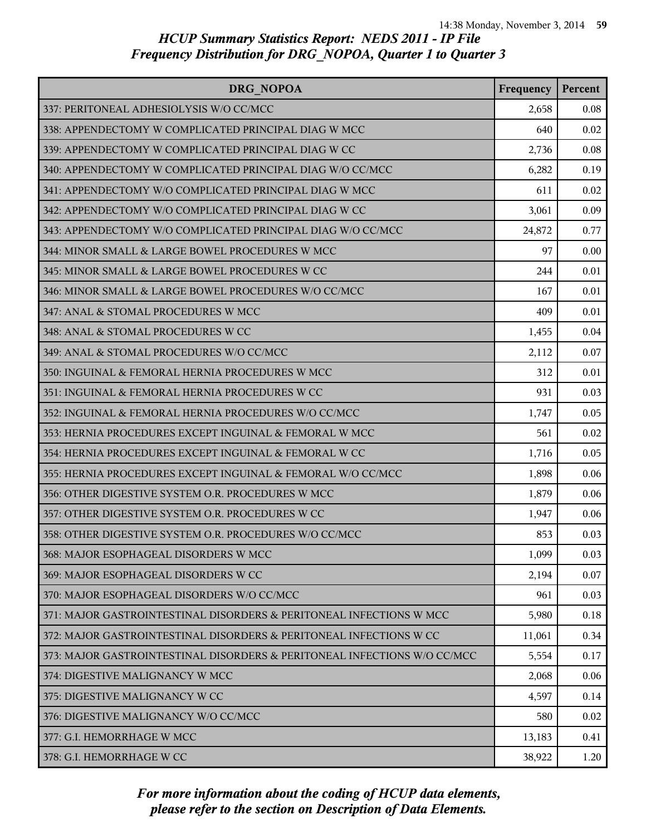| DRG NOPOA                                                                | Frequency | Percent |
|--------------------------------------------------------------------------|-----------|---------|
| 337: PERITONEAL ADHESIOLYSIS W/O CC/MCC                                  | 2,658     | 0.08    |
| 338: APPENDECTOMY W COMPLICATED PRINCIPAL DIAG W MCC                     | 640       | 0.02    |
| 339: APPENDECTOMY W COMPLICATED PRINCIPAL DIAG W CC                      | 2,736     | 0.08    |
| 340: APPENDECTOMY W COMPLICATED PRINCIPAL DIAG W/O CC/MCC                | 6,282     | 0.19    |
| 341: APPENDECTOMY W/O COMPLICATED PRINCIPAL DIAG W MCC                   | 611       | 0.02    |
| 342: APPENDECTOMY W/O COMPLICATED PRINCIPAL DIAG W CC                    | 3,061     | 0.09    |
| 343: APPENDECTOMY W/O COMPLICATED PRINCIPAL DIAG W/O CC/MCC              | 24,872    | 0.77    |
| 344: MINOR SMALL & LARGE BOWEL PROCEDURES W MCC                          | 97        | 0.00    |
| 345: MINOR SMALL & LARGE BOWEL PROCEDURES W CC                           | 244       | 0.01    |
| 346: MINOR SMALL & LARGE BOWEL PROCEDURES W/O CC/MCC                     | 167       | 0.01    |
| 347: ANAL & STOMAL PROCEDURES W MCC                                      | 409       | 0.01    |
| 348: ANAL & STOMAL PROCEDURES W CC                                       | 1,455     | 0.04    |
| 349: ANAL & STOMAL PROCEDURES W/O CC/MCC                                 | 2,112     | 0.07    |
| 350: INGUINAL & FEMORAL HERNIA PROCEDURES W MCC                          | 312       | 0.01    |
| 351: INGUINAL & FEMORAL HERNIA PROCEDURES W CC                           | 931       | 0.03    |
| 352: INGUINAL & FEMORAL HERNIA PROCEDURES W/O CC/MCC                     | 1,747     | 0.05    |
| 353: HERNIA PROCEDURES EXCEPT INGUINAL & FEMORAL W MCC                   | 561       | 0.02    |
| 354: HERNIA PROCEDURES EXCEPT INGUINAL & FEMORAL W CC                    | 1,716     | 0.05    |
| 355: HERNIA PROCEDURES EXCEPT INGUINAL & FEMORAL W/O CC/MCC              | 1,898     | 0.06    |
| 356: OTHER DIGESTIVE SYSTEM O.R. PROCEDURES W MCC                        | 1,879     | 0.06    |
| 357: OTHER DIGESTIVE SYSTEM O.R. PROCEDURES W CC                         | 1,947     | 0.06    |
| 358: OTHER DIGESTIVE SYSTEM O.R. PROCEDURES W/O CC/MCC                   | 853       | 0.03    |
| 368: MAJOR ESOPHAGEAL DISORDERS W MCC                                    | 1,099     | 0.03    |
| 369: MAJOR ESOPHAGEAL DISORDERS W CC                                     | 2,194     | 0.07    |
| 370: MAJOR ESOPHAGEAL DISORDERS W/O CC/MCC                               | 961       | 0.03    |
| 371: MAJOR GASTROINTESTINAL DISORDERS & PERITONEAL INFECTIONS W MCC      | 5,980     | 0.18    |
| 372: MAJOR GASTROINTESTINAL DISORDERS & PERITONEAL INFECTIONS W CC       | 11,061    | 0.34    |
| 373: MAJOR GASTROINTESTINAL DISORDERS & PERITONEAL INFECTIONS W/O CC/MCC | 5,554     | 0.17    |
| 374: DIGESTIVE MALIGNANCY W MCC                                          | 2,068     | 0.06    |
| 375: DIGESTIVE MALIGNANCY W CC                                           | 4,597     | 0.14    |
| 376: DIGESTIVE MALIGNANCY W/O CC/MCC                                     | 580       | 0.02    |
| 377: G.I. HEMORRHAGE W MCC                                               | 13,183    | 0.41    |
| 378: G.I. HEMORRHAGE W CC                                                | 38,922    | 1.20    |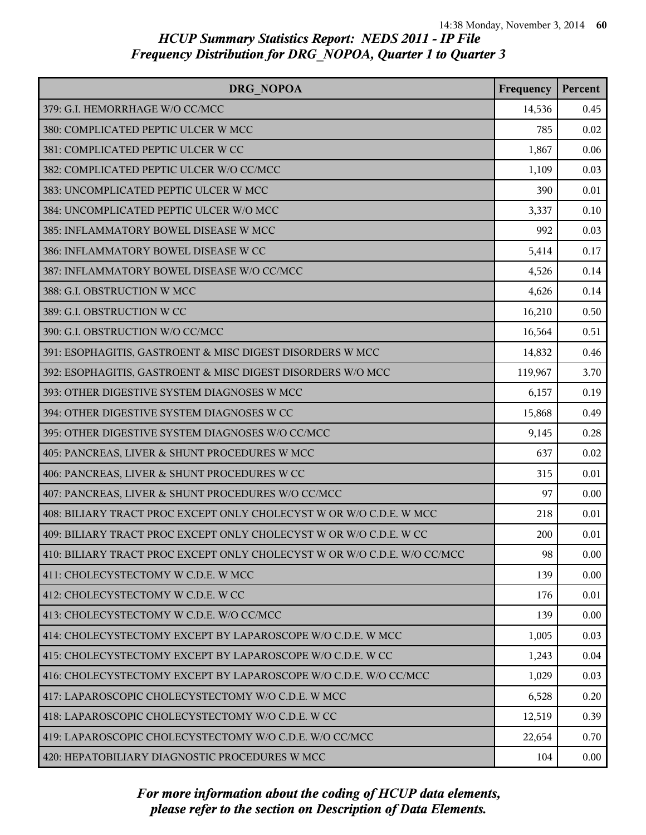| DRG NOPOA                                                                | Frequency | Percent |
|--------------------------------------------------------------------------|-----------|---------|
| 379: G.I. HEMORRHAGE W/O CC/MCC                                          | 14,536    | 0.45    |
| 380: COMPLICATED PEPTIC ULCER W MCC                                      | 785       | 0.02    |
| 381: COMPLICATED PEPTIC ULCER W CC                                       | 1,867     | 0.06    |
| 382: COMPLICATED PEPTIC ULCER W/O CC/MCC                                 | 1,109     | 0.03    |
| 383: UNCOMPLICATED PEPTIC ULCER W MCC                                    | 390       | 0.01    |
| 384: UNCOMPLICATED PEPTIC ULCER W/O MCC                                  | 3,337     | 0.10    |
| 385: INFLAMMATORY BOWEL DISEASE W MCC                                    | 992       | 0.03    |
| 386: INFLAMMATORY BOWEL DISEASE W CC                                     | 5,414     | 0.17    |
| 387: INFLAMMATORY BOWEL DISEASE W/O CC/MCC                               | 4,526     | 0.14    |
| 388: G.I. OBSTRUCTION W MCC                                              | 4,626     | 0.14    |
| 389: G.I. OBSTRUCTION W CC                                               | 16,210    | 0.50    |
| 390: G.I. OBSTRUCTION W/O CC/MCC                                         | 16,564    | 0.51    |
| 391: ESOPHAGITIS, GASTROENT & MISC DIGEST DISORDERS W MCC                | 14,832    | 0.46    |
| 392: ESOPHAGITIS, GASTROENT & MISC DIGEST DISORDERS W/O MCC              | 119,967   | 3.70    |
| 393: OTHER DIGESTIVE SYSTEM DIAGNOSES W MCC                              | 6,157     | 0.19    |
| 394: OTHER DIGESTIVE SYSTEM DIAGNOSES W CC                               | 15,868    | 0.49    |
| 395: OTHER DIGESTIVE SYSTEM DIAGNOSES W/O CC/MCC                         | 9,145     | 0.28    |
| 405: PANCREAS, LIVER & SHUNT PROCEDURES W MCC                            | 637       | 0.02    |
| 406: PANCREAS, LIVER & SHUNT PROCEDURES W CC                             | 315       | 0.01    |
| 407: PANCREAS, LIVER & SHUNT PROCEDURES W/O CC/MCC                       | 97        | 0.00    |
| 408: BILIARY TRACT PROC EXCEPT ONLY CHOLECYST W OR W/O C.D.E. W MCC      | 218       | 0.01    |
| 409: BILIARY TRACT PROC EXCEPT ONLY CHOLECYST W OR W/O C.D.E. W CC       | 200       | 0.01    |
| 410: BILIARY TRACT PROC EXCEPT ONLY CHOLECYST W OR W/O C.D.E. W/O CC/MCC | 98        | 0.00    |
| 411: CHOLECYSTECTOMY W C.D.E. W MCC                                      | 139       | 0.00    |
| 412: CHOLECYSTECTOMY W C.D.E. W CC                                       | 176       | 0.01    |
| 413: CHOLECYSTECTOMY W C.D.E. W/O CC/MCC                                 | 139       | 0.00    |
| 414: CHOLECYSTECTOMY EXCEPT BY LAPAROSCOPE W/O C.D.E. W MCC              | 1,005     | 0.03    |
| 415: CHOLECYSTECTOMY EXCEPT BY LAPAROSCOPE W/O C.D.E. W CC               | 1,243     | 0.04    |
| 416: CHOLECYSTECTOMY EXCEPT BY LAPAROSCOPE W/O C.D.E. W/O CC/MCC         | 1,029     | 0.03    |
| 417: LAPAROSCOPIC CHOLECYSTECTOMY W/O C.D.E. W MCC                       | 6,528     | 0.20    |
| 418: LAPAROSCOPIC CHOLECYSTECTOMY W/O C.D.E. W CC                        | 12,519    | 0.39    |
| 419: LAPAROSCOPIC CHOLECYSTECTOMY W/O C.D.E. W/O CC/MCC                  | 22,654    | 0.70    |
| 420: HEPATOBILIARY DIAGNOSTIC PROCEDURES W MCC                           | 104       | 0.00    |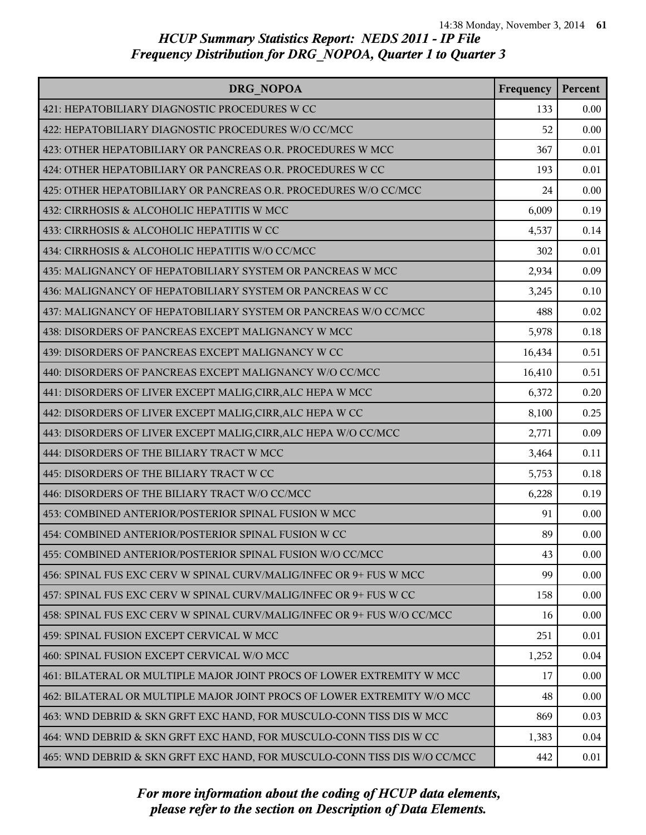| DRG NOPOA                                                                 | Frequency | Percent |
|---------------------------------------------------------------------------|-----------|---------|
| 421: HEPATOBILIARY DIAGNOSTIC PROCEDURES W CC                             | 133       | 0.00    |
| 422: HEPATOBILIARY DIAGNOSTIC PROCEDURES W/O CC/MCC                       | 52        | 0.00    |
| 423: OTHER HEPATOBILIARY OR PANCREAS O.R. PROCEDURES W MCC                | 367       | 0.01    |
| 424: OTHER HEPATOBILIARY OR PANCREAS O.R. PROCEDURES W CC                 | 193       | 0.01    |
| 425: OTHER HEPATOBILIARY OR PANCREAS O.R. PROCEDURES W/O CC/MCC           | 24        | 0.00    |
| 432: CIRRHOSIS & ALCOHOLIC HEPATITIS W MCC                                | 6,009     | 0.19    |
| 433: CIRRHOSIS & ALCOHOLIC HEPATITIS W CC                                 | 4,537     | 0.14    |
| 434: CIRRHOSIS & ALCOHOLIC HEPATITIS W/O CC/MCC                           | 302       | 0.01    |
| 435: MALIGNANCY OF HEPATOBILIARY SYSTEM OR PANCREAS W MCC                 | 2,934     | 0.09    |
| 436: MALIGNANCY OF HEPATOBILIARY SYSTEM OR PANCREAS W CC                  | 3,245     | 0.10    |
| 437: MALIGNANCY OF HEPATOBILIARY SYSTEM OR PANCREAS W/O CC/MCC            | 488       | 0.02    |
| 438: DISORDERS OF PANCREAS EXCEPT MALIGNANCY W MCC                        | 5,978     | 0.18    |
| 439: DISORDERS OF PANCREAS EXCEPT MALIGNANCY W CC                         | 16,434    | 0.51    |
| 440: DISORDERS OF PANCREAS EXCEPT MALIGNANCY W/O CC/MCC                   | 16,410    | 0.51    |
| 441: DISORDERS OF LIVER EXCEPT MALIG, CIRR, ALC HEPA W MCC                | 6,372     | 0.20    |
| 442: DISORDERS OF LIVER EXCEPT MALIG, CIRR, ALC HEPA W CC                 | 8,100     | 0.25    |
| 443: DISORDERS OF LIVER EXCEPT MALIG, CIRR, ALC HEPA W/O CC/MCC           | 2,771     | 0.09    |
| 444: DISORDERS OF THE BILIARY TRACT W MCC                                 | 3,464     | 0.11    |
| 445: DISORDERS OF THE BILIARY TRACT W CC                                  | 5,753     | 0.18    |
| 446: DISORDERS OF THE BILIARY TRACT W/O CC/MCC                            | 6,228     | 0.19    |
| 453: COMBINED ANTERIOR/POSTERIOR SPINAL FUSION W MCC                      | 91        | 0.00    |
| 454: COMBINED ANTERIOR/POSTERIOR SPINAL FUSION W CC                       | 89        | 0.00    |
| 455: COMBINED ANTERIOR/POSTERIOR SPINAL FUSION W/O CC/MCC                 | 43        | 0.00    |
| 456: SPINAL FUS EXC CERV W SPINAL CURV/MALIG/INFEC OR 9+ FUS W MCC        | 99        | 0.00    |
| 457: SPINAL FUS EXC CERV W SPINAL CURV/MALIG/INFEC OR 9+ FUS W CC         | 158       | 0.00    |
| 458: SPINAL FUS EXC CERV W SPINAL CURV/MALIG/INFEC OR 9+ FUS W/O CC/MCC   | 16        | 0.00    |
| 459: SPINAL FUSION EXCEPT CERVICAL W MCC                                  | 251       | 0.01    |
| 460: SPINAL FUSION EXCEPT CERVICAL W/O MCC                                | 1,252     | 0.04    |
| 461: BILATERAL OR MULTIPLE MAJOR JOINT PROCS OF LOWER EXTREMITY W MCC     | 17        | 0.00    |
| 462: BILATERAL OR MULTIPLE MAJOR JOINT PROCS OF LOWER EXTREMITY W/O MCC   | 48        | 0.00    |
| 463: WND DEBRID & SKN GRFT EXC HAND, FOR MUSCULO-CONN TISS DIS W MCC      | 869       | 0.03    |
| 464: WND DEBRID & SKN GRFT EXC HAND, FOR MUSCULO-CONN TISS DIS W CC       | 1,383     | 0.04    |
| 465: WND DEBRID & SKN GRFT EXC HAND, FOR MUSCULO-CONN TISS DIS W/O CC/MCC | 442       | 0.01    |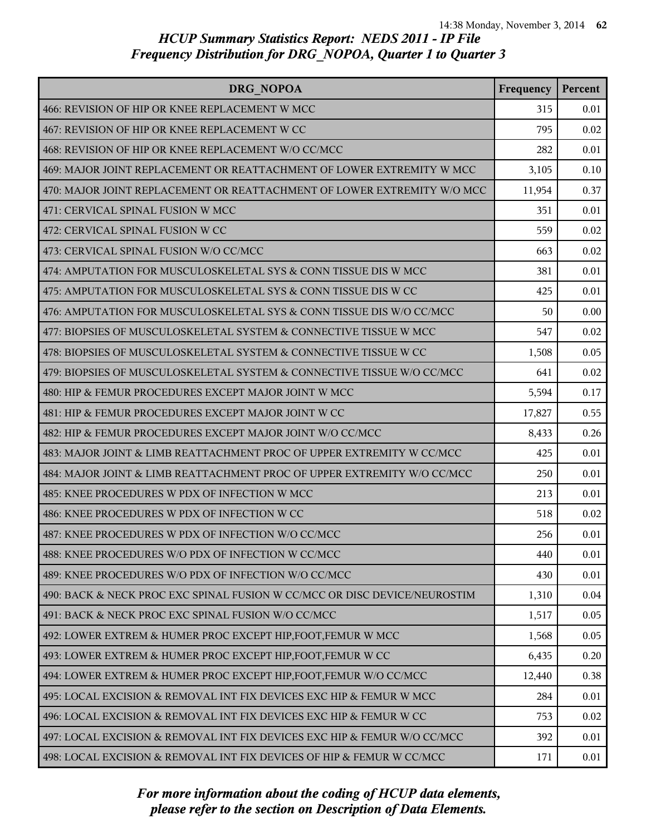| DRG NOPOA                                                                 | Frequency | Percent |
|---------------------------------------------------------------------------|-----------|---------|
| 466: REVISION OF HIP OR KNEE REPLACEMENT W MCC                            | 315       | 0.01    |
| 467: REVISION OF HIP OR KNEE REPLACEMENT W CC                             | 795       | 0.02    |
| 468: REVISION OF HIP OR KNEE REPLACEMENT W/O CC/MCC                       | 282       | 0.01    |
| 469: MAJOR JOINT REPLACEMENT OR REATTACHMENT OF LOWER EXTREMITY W MCC     | 3,105     | 0.10    |
| 470: MAJOR JOINT REPLACEMENT OR REATTACHMENT OF LOWER EXTREMITY W/O MCC   | 11,954    | 0.37    |
| 471: CERVICAL SPINAL FUSION W MCC                                         | 351       | 0.01    |
| 472: CERVICAL SPINAL FUSION W CC                                          | 559       | 0.02    |
| 473: CERVICAL SPINAL FUSION W/O CC/MCC                                    | 663       | 0.02    |
| 474: AMPUTATION FOR MUSCULOSKELETAL SYS & CONN TISSUE DIS W MCC           | 381       | 0.01    |
| 475: AMPUTATION FOR MUSCULOSKELETAL SYS & CONN TISSUE DIS W CC            | 425       | 0.01    |
| 476: AMPUTATION FOR MUSCULOSKELETAL SYS & CONN TISSUE DIS W/O CC/MCC      | 50        | 0.00    |
| 477: BIOPSIES OF MUSCULOSKELETAL SYSTEM & CONNECTIVE TISSUE W MCC         | 547       | 0.02    |
| 478: BIOPSIES OF MUSCULOSKELETAL SYSTEM & CONNECTIVE TISSUE W CC          | 1,508     | 0.05    |
| 479: BIOPSIES OF MUSCULOSKELETAL SYSTEM & CONNECTIVE TISSUE W/O CC/MCC    | 641       | 0.02    |
| 480: HIP & FEMUR PROCEDURES EXCEPT MAJOR JOINT W MCC                      | 5,594     | 0.17    |
| 481: HIP & FEMUR PROCEDURES EXCEPT MAJOR JOINT W CC                       | 17,827    | 0.55    |
| 482: HIP & FEMUR PROCEDURES EXCEPT MAJOR JOINT W/O CC/MCC                 | 8,433     | 0.26    |
| 483: MAJOR JOINT & LIMB REATTACHMENT PROC OF UPPER EXTREMITY W CC/MCC     | 425       | 0.01    |
| 484: MAJOR JOINT & LIMB REATTACHMENT PROC OF UPPER EXTREMITY W/O CC/MCC   | 250       | 0.01    |
| 485: KNEE PROCEDURES W PDX OF INFECTION W MCC                             | 213       | 0.01    |
| 486: KNEE PROCEDURES W PDX OF INFECTION W CC                              | 518       | 0.02    |
| 487: KNEE PROCEDURES W PDX OF INFECTION W/O CC/MCC                        | 256       | 0.01    |
| 488: KNEE PROCEDURES W/O PDX OF INFECTION W CC/MCC                        | 440       | 0.01    |
| 489: KNEE PROCEDURES W/O PDX OF INFECTION W/O CC/MCC                      | 430       | 0.01    |
| 490: BACK & NECK PROC EXC SPINAL FUSION W CC/MCC OR DISC DEVICE/NEUROSTIM | 1,310     | 0.04    |
| 491: BACK & NECK PROC EXC SPINAL FUSION W/O CC/MCC                        | 1,517     | 0.05    |
| 492: LOWER EXTREM & HUMER PROC EXCEPT HIP, FOOT, FEMUR W MCC              | 1,568     | 0.05    |
| 493: LOWER EXTREM & HUMER PROC EXCEPT HIP, FOOT, FEMUR W CC               | 6,435     | 0.20    |
| 494: LOWER EXTREM & HUMER PROC EXCEPT HIP, FOOT, FEMUR W/O CC/MCC         | 12,440    | 0.38    |
| 495: LOCAL EXCISION & REMOVAL INT FIX DEVICES EXC HIP & FEMUR W MCC       | 284       | 0.01    |
| 496: LOCAL EXCISION & REMOVAL INT FIX DEVICES EXC HIP & FEMUR W CC        | 753       | 0.02    |
| 497: LOCAL EXCISION & REMOVAL INT FIX DEVICES EXC HIP & FEMUR W/O CC/MCC  | 392       | 0.01    |
| 498: LOCAL EXCISION & REMOVAL INT FIX DEVICES OF HIP & FEMUR W CC/MCC     | 171       | 0.01    |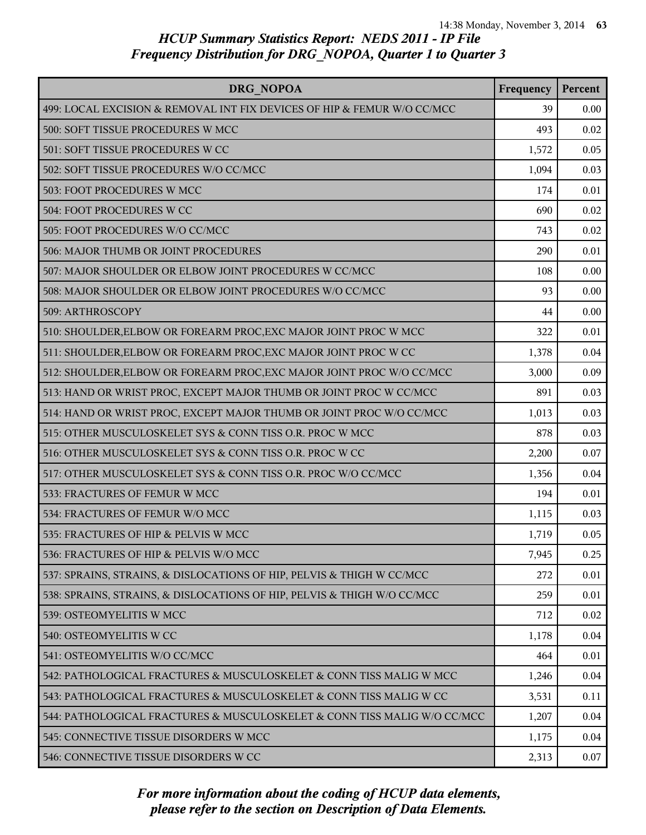| DRG NOPOA                                                                | Frequency | Percent |
|--------------------------------------------------------------------------|-----------|---------|
| 499: LOCAL EXCISION & REMOVAL INT FIX DEVICES OF HIP & FEMUR W/O CC/MCC  | 39        | 0.00    |
| 500: SOFT TISSUE PROCEDURES W MCC                                        | 493       | 0.02    |
| 501: SOFT TISSUE PROCEDURES W CC                                         | 1,572     | 0.05    |
| 502: SOFT TISSUE PROCEDURES W/O CC/MCC                                   | 1,094     | 0.03    |
| 503: FOOT PROCEDURES W MCC                                               | 174       | 0.01    |
| 504: FOOT PROCEDURES W CC                                                | 690       | 0.02    |
| 505: FOOT PROCEDURES W/O CC/MCC                                          | 743       | 0.02    |
| 506: MAJOR THUMB OR JOINT PROCEDURES                                     | 290       | 0.01    |
| 507: MAJOR SHOULDER OR ELBOW JOINT PROCEDURES W CC/MCC                   | 108       | 0.00    |
| 508: MAJOR SHOULDER OR ELBOW JOINT PROCEDURES W/O CC/MCC                 | 93        | 0.00    |
| 509: ARTHROSCOPY                                                         | 44        | 0.00    |
| 510: SHOULDER, ELBOW OR FOREARM PROC, EXC MAJOR JOINT PROC W MCC         | 322       | 0.01    |
| 511: SHOULDER, ELBOW OR FOREARM PROC, EXC MAJOR JOINT PROC W CC          | 1,378     | 0.04    |
| 512: SHOULDER, ELBOW OR FOREARM PROC, EXC MAJOR JOINT PROC W/O CC/MCC    | 3,000     | 0.09    |
| 513: HAND OR WRIST PROC, EXCEPT MAJOR THUMB OR JOINT PROC W CC/MCC       | 891       | 0.03    |
| 514: HAND OR WRIST PROC, EXCEPT MAJOR THUMB OR JOINT PROC W/O CC/MCC     | 1,013     | 0.03    |
| 515: OTHER MUSCULOSKELET SYS & CONN TISS O.R. PROC W MCC                 | 878       | 0.03    |
| 516: OTHER MUSCULOSKELET SYS & CONN TISS O.R. PROC W CC                  | 2,200     | 0.07    |
| 517: OTHER MUSCULOSKELET SYS & CONN TISS O.R. PROC W/O CC/MCC            | 1,356     | 0.04    |
| 533: FRACTURES OF FEMUR W MCC                                            | 194       | 0.01    |
| 534: FRACTURES OF FEMUR W/O MCC                                          | 1,115     | 0.03    |
| 535: FRACTURES OF HIP & PELVIS W MCC                                     | 1,719     | 0.05    |
| 536: FRACTURES OF HIP & PELVIS W/O MCC                                   | 7,945     | 0.25    |
| 537: SPRAINS, STRAINS, & DISLOCATIONS OF HIP, PELVIS & THIGH W CC/MCC    | 272       | 0.01    |
| 538: SPRAINS, STRAINS, & DISLOCATIONS OF HIP, PELVIS & THIGH W/O CC/MCC  | 259       | 0.01    |
| 539: OSTEOMYELITIS W MCC                                                 | 712       | 0.02    |
| 540: OSTEOMYELITIS W CC                                                  | 1,178     | 0.04    |
| 541: OSTEOMYELITIS W/O CC/MCC                                            | 464       | 0.01    |
| 542: PATHOLOGICAL FRACTURES & MUSCULOSKELET & CONN TISS MALIG W MCC      | 1,246     | 0.04    |
| 543: PATHOLOGICAL FRACTURES & MUSCULOSKELET & CONN TISS MALIG W CC       | 3,531     | 0.11    |
| 544: PATHOLOGICAL FRACTURES & MUSCULOSKELET & CONN TISS MALIG W/O CC/MCC | 1,207     | 0.04    |
| 545: CONNECTIVE TISSUE DISORDERS W MCC                                   | 1,175     | 0.04    |
| 546: CONNECTIVE TISSUE DISORDERS W CC                                    | 2,313     | 0.07    |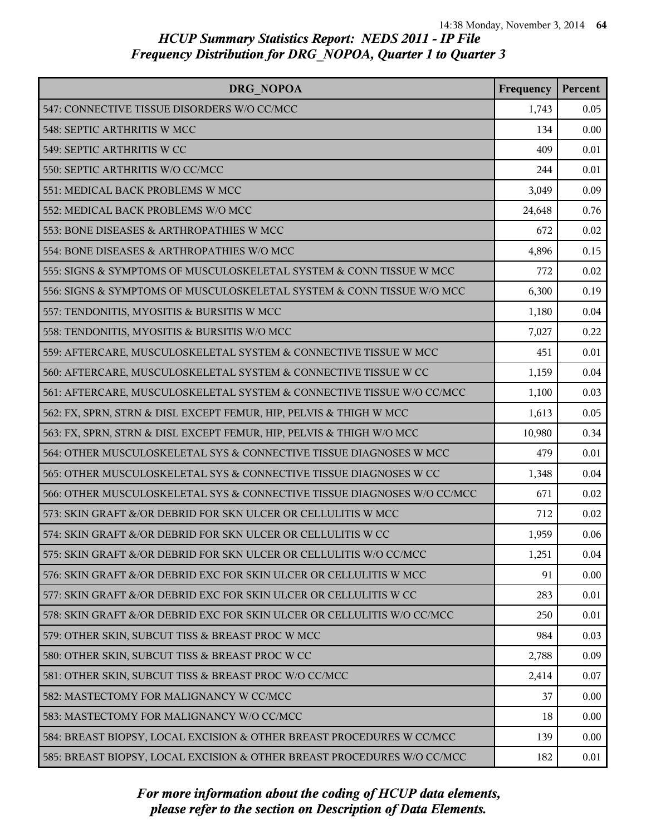| DRG NOPOA                                                               | Frequency | Percent |
|-------------------------------------------------------------------------|-----------|---------|
| 547: CONNECTIVE TISSUE DISORDERS W/O CC/MCC                             | 1,743     | 0.05    |
| 548: SEPTIC ARTHRITIS W MCC                                             | 134       | 0.00    |
| 549: SEPTIC ARTHRITIS W CC                                              | 409       | 0.01    |
| 550: SEPTIC ARTHRITIS W/O CC/MCC                                        | 244       | 0.01    |
| 551: MEDICAL BACK PROBLEMS W MCC                                        | 3,049     | 0.09    |
| 552: MEDICAL BACK PROBLEMS W/O MCC                                      | 24,648    | 0.76    |
| 553: BONE DISEASES & ARTHROPATHIES W MCC                                | 672       | 0.02    |
| 554: BONE DISEASES & ARTHROPATHIES W/O MCC                              | 4,896     | 0.15    |
| 555: SIGNS & SYMPTOMS OF MUSCULOSKELETAL SYSTEM & CONN TISSUE W MCC     | 772       | 0.02    |
| 556: SIGNS & SYMPTOMS OF MUSCULOSKELETAL SYSTEM & CONN TISSUE W/O MCC   | 6,300     | 0.19    |
| 557: TENDONITIS, MYOSITIS & BURSITIS W MCC                              | 1,180     | 0.04    |
| 558: TENDONITIS, MYOSITIS & BURSITIS W/O MCC                            | 7,027     | 0.22    |
| 559: AFTERCARE, MUSCULOSKELETAL SYSTEM & CONNECTIVE TISSUE W MCC        | 451       | 0.01    |
| 560: AFTERCARE, MUSCULOSKELETAL SYSTEM & CONNECTIVE TISSUE W CC         | 1,159     | 0.04    |
| 561: AFTERCARE, MUSCULOSKELETAL SYSTEM & CONNECTIVE TISSUE W/O CC/MCC   | 1,100     | 0.03    |
| 562: FX, SPRN, STRN & DISL EXCEPT FEMUR, HIP, PELVIS & THIGH W MCC      | 1,613     | 0.05    |
| 563: FX, SPRN, STRN & DISL EXCEPT FEMUR, HIP, PELVIS & THIGH W/O MCC    | 10,980    | 0.34    |
| 564: OTHER MUSCULOSKELETAL SYS & CONNECTIVE TISSUE DIAGNOSES W MCC      | 479       | 0.01    |
| 565: OTHER MUSCULOSKELETAL SYS & CONNECTIVE TISSUE DIAGNOSES W CC       | 1,348     | 0.04    |
| 566: OTHER MUSCULOSKELETAL SYS & CONNECTIVE TISSUE DIAGNOSES W/O CC/MCC | 671       | 0.02    |
| 573: SKIN GRAFT &/OR DEBRID FOR SKN ULCER OR CELLULITIS W MCC           | 712       | 0.02    |
| 574: SKIN GRAFT &/OR DEBRID FOR SKN ULCER OR CELLULITIS W CC            | 1,959     | 0.06    |
| 575: SKIN GRAFT &/OR DEBRID FOR SKN ULCER OR CELLULITIS W/O CC/MCC      | 1,251     | 0.04    |
| 576: SKIN GRAFT &/OR DEBRID EXC FOR SKIN ULCER OR CELLULITIS W MCC      | 91        | 0.00    |
| 577: SKIN GRAFT &/OR DEBRID EXC FOR SKIN ULCER OR CELLULITIS W CC       | 283       | 0.01    |
| 578: SKIN GRAFT &/OR DEBRID EXC FOR SKIN ULCER OR CELLULITIS W/O CC/MCC | 250       | 0.01    |
| 579: OTHER SKIN, SUBCUT TISS & BREAST PROC W MCC                        | 984       | 0.03    |
| 580: OTHER SKIN, SUBCUT TISS & BREAST PROC W CC                         | 2,788     | 0.09    |
| 581: OTHER SKIN, SUBCUT TISS & BREAST PROC W/O CC/MCC                   | 2,414     | 0.07    |
| 582: MASTECTOMY FOR MALIGNANCY W CC/MCC                                 | 37        | 0.00    |
| 583: MASTECTOMY FOR MALIGNANCY W/O CC/MCC                               | 18        | 0.00    |
| 584: BREAST BIOPSY, LOCAL EXCISION & OTHER BREAST PROCEDURES W CC/MCC   | 139       | 0.00    |
| 585: BREAST BIOPSY, LOCAL EXCISION & OTHER BREAST PROCEDURES W/O CC/MCC | 182       | 0.01    |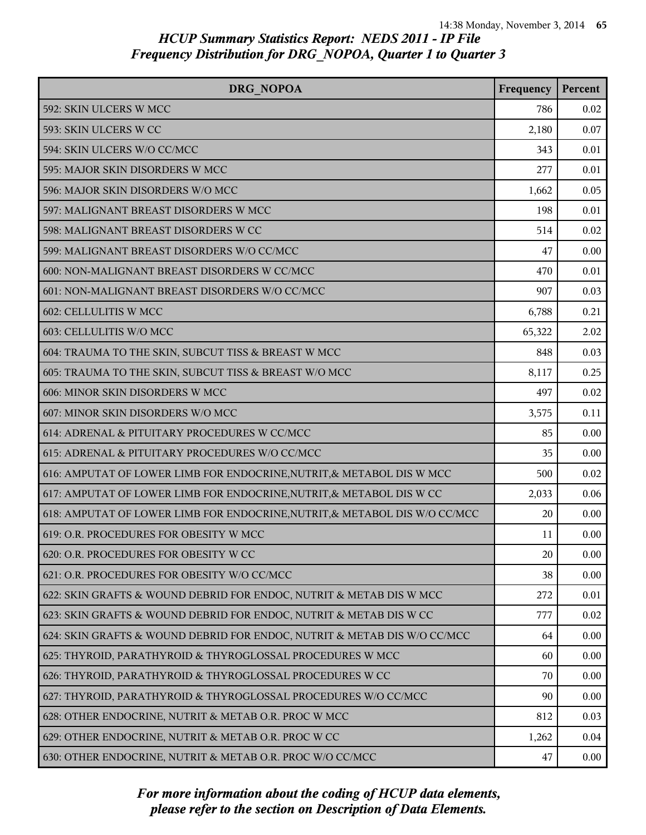| DRG NOPOA                                                                  | Frequency | Percent  |
|----------------------------------------------------------------------------|-----------|----------|
| 592: SKIN ULCERS W MCC                                                     | 786       | 0.02     |
| 593: SKIN ULCERS W CC                                                      | 2,180     | 0.07     |
| 594: SKIN ULCERS W/O CC/MCC                                                | 343       | 0.01     |
| 595: MAJOR SKIN DISORDERS W MCC                                            | 277       | 0.01     |
| 596: MAJOR SKIN DISORDERS W/O MCC                                          | 1,662     | 0.05     |
| 597: MALIGNANT BREAST DISORDERS W MCC                                      | 198       | 0.01     |
| 598: MALIGNANT BREAST DISORDERS W CC                                       | 514       | 0.02     |
| 599: MALIGNANT BREAST DISORDERS W/O CC/MCC                                 | 47        | 0.00     |
| 600: NON-MALIGNANT BREAST DISORDERS W CC/MCC                               | 470       | 0.01     |
| 601: NON-MALIGNANT BREAST DISORDERS W/O CC/MCC                             | 907       | 0.03     |
| 602: CELLULITIS W MCC                                                      | 6,788     | 0.21     |
| 603: CELLULITIS W/O MCC                                                    | 65,322    | 2.02     |
| 604: TRAUMA TO THE SKIN, SUBCUT TISS & BREAST W MCC                        | 848       | 0.03     |
| 605: TRAUMA TO THE SKIN, SUBCUT TISS & BREAST W/O MCC                      | 8,117     | 0.25     |
| 606: MINOR SKIN DISORDERS W MCC                                            | 497       | 0.02     |
| 607: MINOR SKIN DISORDERS W/O MCC                                          | 3,575     | 0.11     |
| 614: ADRENAL & PITUITARY PROCEDURES W CC/MCC                               | 85        | 0.00     |
| 615: ADRENAL & PITUITARY PROCEDURES W/O CC/MCC                             | 35        | 0.00     |
| 616: AMPUTAT OF LOWER LIMB FOR ENDOCRINE, NUTRIT, & METABOL DIS W MCC      | 500       | 0.02     |
| 617: AMPUTAT OF LOWER LIMB FOR ENDOCRINE, NUTRIT, & METABOL DIS W CC       | 2,033     | 0.06     |
| 618: AMPUTAT OF LOWER LIMB FOR ENDOCRINE, NUTRIT, & METABOL DIS W/O CC/MCC | 20        | 0.00     |
| 619: O.R. PROCEDURES FOR OBESITY W MCC                                     | 11        | 0.00     |
| 620: O.R. PROCEDURES FOR OBESITY W CC                                      | 20        | 0.00     |
| 621: O.R. PROCEDURES FOR OBESITY W/O CC/MCC                                | 38        | 0.00     |
| 622: SKIN GRAFTS & WOUND DEBRID FOR ENDOC, NUTRIT & METAB DIS W MCC        | 272       | 0.01     |
| 623: SKIN GRAFTS & WOUND DEBRID FOR ENDOC, NUTRIT & METAB DIS W CC         | 777       | 0.02     |
| 624: SKIN GRAFTS & WOUND DEBRID FOR ENDOC, NUTRIT & METAB DIS W/O CC/MCC   | 64        | 0.00     |
| 625: THYROID, PARATHYROID & THYROGLOSSAL PROCEDURES W MCC                  | 60        | 0.00     |
| 626: THYROID, PARATHYROID & THYROGLOSSAL PROCEDURES W CC                   | 70        | 0.00     |
| 627: THYROID, PARATHYROID & THYROGLOSSAL PROCEDURES W/O CC/MCC             | 90        | 0.00     |
| 628: OTHER ENDOCRINE, NUTRIT & METAB O.R. PROC W MCC                       | 812       | 0.03     |
| 629: OTHER ENDOCRINE, NUTRIT & METAB O.R. PROC W CC                        | 1,262     | 0.04     |
| 630: OTHER ENDOCRINE, NUTRIT & METAB O.R. PROC W/O CC/MCC                  | 47        | $0.00\,$ |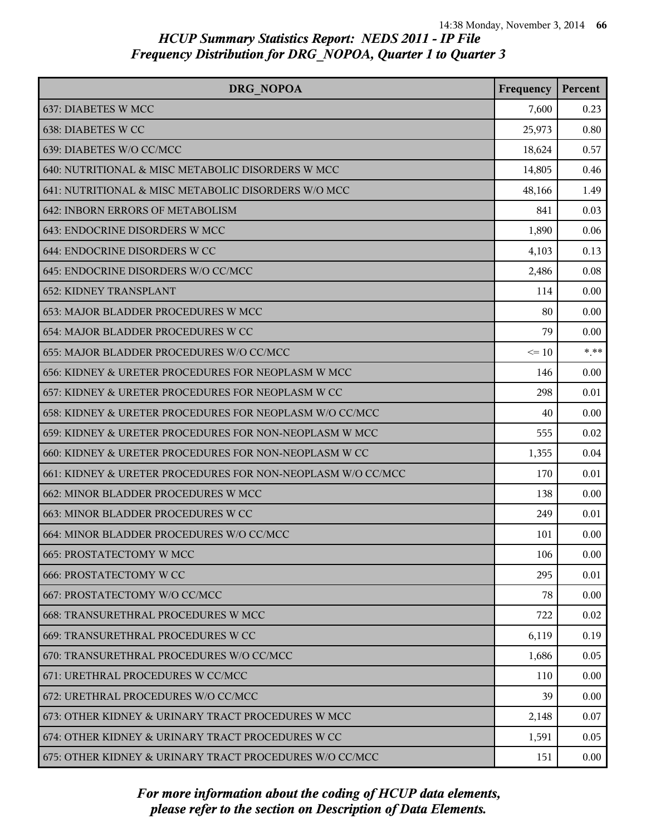| DRG NOPOA                                                   | Frequency | Percent |
|-------------------------------------------------------------|-----------|---------|
| 637: DIABETES W MCC                                         | 7,600     | 0.23    |
| 638: DIABETES W CC                                          | 25,973    | 0.80    |
| 639: DIABETES W/O CC/MCC                                    | 18,624    | 0.57    |
| 640: NUTRITIONAL & MISC METABOLIC DISORDERS W MCC           | 14,805    | 0.46    |
| 641: NUTRITIONAL & MISC METABOLIC DISORDERS W/O MCC         | 48,166    | 1.49    |
| 642: INBORN ERRORS OF METABOLISM                            | 841       | 0.03    |
| 643: ENDOCRINE DISORDERS W MCC                              | 1,890     | 0.06    |
| 644: ENDOCRINE DISORDERS W CC                               | 4,103     | 0.13    |
| 645: ENDOCRINE DISORDERS W/O CC/MCC                         | 2,486     | 0.08    |
| <b>652: KIDNEY TRANSPLANT</b>                               | 114       | 0.00    |
| 653: MAJOR BLADDER PROCEDURES W MCC                         | 80        | 0.00    |
| 654: MAJOR BLADDER PROCEDURES W CC                          | 79        | 0.00    |
| 655: MAJOR BLADDER PROCEDURES W/O CC/MCC                    | $\leq 10$ | $***$   |
| 656: KIDNEY & URETER PROCEDURES FOR NEOPLASM W MCC          | 146       | 0.00    |
| 657: KIDNEY & URETER PROCEDURES FOR NEOPLASM W CC           | 298       | 0.01    |
| 658: KIDNEY & URETER PROCEDURES FOR NEOPLASM W/O CC/MCC     | 40        | 0.00    |
| 659: KIDNEY & URETER PROCEDURES FOR NON-NEOPLASM W MCC      | 555       | 0.02    |
| 660: KIDNEY & URETER PROCEDURES FOR NON-NEOPLASM W CC       | 1,355     | 0.04    |
| 661: KIDNEY & URETER PROCEDURES FOR NON-NEOPLASM W/O CC/MCC | 170       | 0.01    |
| 662: MINOR BLADDER PROCEDURES W MCC                         | 138       | 0.00    |
| 663: MINOR BLADDER PROCEDURES W CC                          | 249       | 0.01    |
| 664: MINOR BLADDER PROCEDURES W/O CC/MCC                    | 101       | 0.00    |
| <b>665: PROSTATECTOMY W MCC</b>                             | 106       | 0.00    |
| <b>666: PROSTATECTOMY W CC</b>                              | 295       | 0.01    |
| 667: PROSTATECTOMY W/O CC/MCC                               | 78        | 0.00    |
| <b>668: TRANSURETHRAL PROCEDURES W MCC</b>                  | 722       | 0.02    |
| 669: TRANSURETHRAL PROCEDURES W CC                          | 6,119     | 0.19    |
| 670: TRANSURETHRAL PROCEDURES W/O CC/MCC                    | 1,686     | 0.05    |
| 671: URETHRAL PROCEDURES W CC/MCC                           | 110       | 0.00    |
| 672: URETHRAL PROCEDURES W/O CC/MCC                         | 39        | 0.00    |
| 673: OTHER KIDNEY & URINARY TRACT PROCEDURES W MCC          | 2,148     | 0.07    |
| 674: OTHER KIDNEY & URINARY TRACT PROCEDURES W CC           | 1,591     | 0.05    |
| 675: OTHER KIDNEY & URINARY TRACT PROCEDURES W/O CC/MCC     | 151       | 0.00    |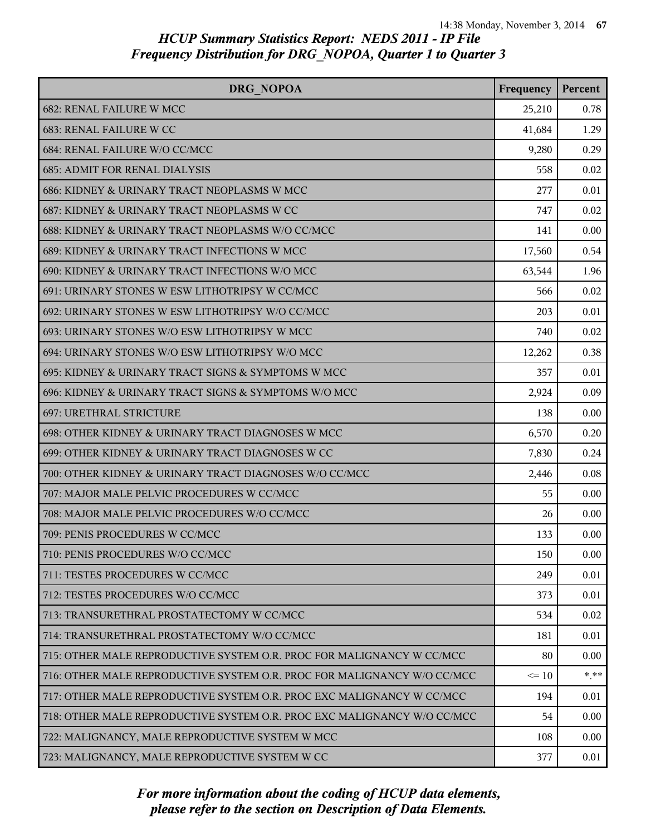| DRG NOPOA                                                               | Frequency | Percent |
|-------------------------------------------------------------------------|-----------|---------|
| 682: RENAL FAILURE W MCC                                                | 25,210    | 0.78    |
| 683: RENAL FAILURE W CC                                                 | 41,684    | 1.29    |
| 684: RENAL FAILURE W/O CC/MCC                                           | 9,280     | 0.29    |
| <b>685: ADMIT FOR RENAL DIALYSIS</b>                                    | 558       | 0.02    |
| 686: KIDNEY & URINARY TRACT NEOPLASMS W MCC                             | 277       | 0.01    |
| 687: KIDNEY & URINARY TRACT NEOPLASMS W CC                              | 747       | 0.02    |
| 688: KIDNEY & URINARY TRACT NEOPLASMS W/O CC/MCC                        | 141       | 0.00    |
| 689: KIDNEY & URINARY TRACT INFECTIONS W MCC                            | 17,560    | 0.54    |
| 690: KIDNEY & URINARY TRACT INFECTIONS W/O MCC                          | 63,544    | 1.96    |
| 691: URINARY STONES W ESW LITHOTRIPSY W CC/MCC                          | 566       | 0.02    |
| 692: URINARY STONES W ESW LITHOTRIPSY W/O CC/MCC                        | 203       | 0.01    |
| 693: URINARY STONES W/O ESW LITHOTRIPSY W MCC                           | 740       | 0.02    |
| 694: URINARY STONES W/O ESW LITHOTRIPSY W/O MCC                         | 12,262    | 0.38    |
| 695: KIDNEY & URINARY TRACT SIGNS & SYMPTOMS W MCC                      | 357       | 0.01    |
| 696: KIDNEY & URINARY TRACT SIGNS & SYMPTOMS W/O MCC                    | 2,924     | 0.09    |
| 697: URETHRAL STRICTURE                                                 | 138       | 0.00    |
| 698: OTHER KIDNEY & URINARY TRACT DIAGNOSES W MCC                       | 6,570     | 0.20    |
| 699: OTHER KIDNEY & URINARY TRACT DIAGNOSES W CC                        | 7,830     | 0.24    |
| 700: OTHER KIDNEY & URINARY TRACT DIAGNOSES W/O CC/MCC                  | 2,446     | 0.08    |
| 707: MAJOR MALE PELVIC PROCEDURES W CC/MCC                              | 55        | 0.00    |
| 708: MAJOR MALE PELVIC PROCEDURES W/O CC/MCC                            | 26        | 0.00    |
| 709: PENIS PROCEDURES W CC/MCC                                          | 133       | 0.00    |
| 710: PENIS PROCEDURES W/O CC/MCC                                        | 150       | 0.00    |
| 711: TESTES PROCEDURES W CC/MCC                                         | 249       | 0.01    |
| 712: TESTES PROCEDURES W/O CC/MCC                                       | 373       | 0.01    |
| 713: TRANSURETHRAL PROSTATECTOMY W CC/MCC                               | 534       | 0.02    |
| 714: TRANSURETHRAL PROSTATECTOMY W/O CC/MCC                             | 181       | 0.01    |
| 715: OTHER MALE REPRODUCTIVE SYSTEM O.R. PROC FOR MALIGNANCY W CC/MCC   | 80        | 0.00    |
| 716: OTHER MALE REPRODUCTIVE SYSTEM O.R. PROC FOR MALIGNANCY W/O CC/MCC | $\leq 10$ | $* * *$ |
| 717: OTHER MALE REPRODUCTIVE SYSTEM O.R. PROC EXC MALIGNANCY W CC/MCC   | 194       | 0.01    |
| 718: OTHER MALE REPRODUCTIVE SYSTEM O.R. PROC EXC MALIGNANCY W/O CC/MCC | 54        | 0.00    |
| 722: MALIGNANCY, MALE REPRODUCTIVE SYSTEM W MCC                         | 108       | 0.00    |
| 723: MALIGNANCY, MALE REPRODUCTIVE SYSTEM W CC                          | 377       | 0.01    |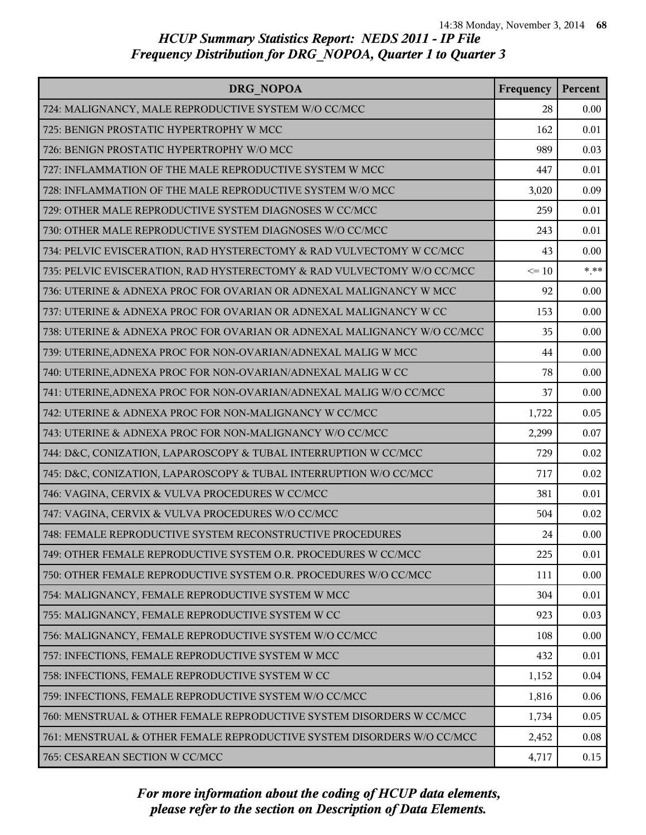| DRG NOPOA                                                               | Frequency | Percent  |
|-------------------------------------------------------------------------|-----------|----------|
| 724: MALIGNANCY, MALE REPRODUCTIVE SYSTEM W/O CC/MCC                    | 28        | 0.00     |
| 725: BENIGN PROSTATIC HYPERTROPHY W MCC                                 | 162       | 0.01     |
| 726: BENIGN PROSTATIC HYPERTROPHY W/O MCC                               | 989       | 0.03     |
| 727: INFLAMMATION OF THE MALE REPRODUCTIVE SYSTEM W MCC                 | 447       | 0.01     |
| 728: INFLAMMATION OF THE MALE REPRODUCTIVE SYSTEM W/O MCC               | 3,020     | 0.09     |
| 729: OTHER MALE REPRODUCTIVE SYSTEM DIAGNOSES W CC/MCC                  | 259       | 0.01     |
| 730: OTHER MALE REPRODUCTIVE SYSTEM DIAGNOSES W/O CC/MCC                | 243       | 0.01     |
| 734: PELVIC EVISCERATION, RAD HYSTERECTOMY & RAD VULVECTOMY W CC/MCC    | 43        | 0.00     |
| 735: PELVIC EVISCERATION, RAD HYSTERECTOMY & RAD VULVECTOMY W/O CC/MCC  | $\leq 10$ | $***$    |
| 736: UTERINE & ADNEXA PROC FOR OVARIAN OR ADNEXAL MALIGNANCY W MCC      | 92        | 0.00     |
| 737: UTERINE & ADNEXA PROC FOR OVARIAN OR ADNEXAL MALIGNANCY W CC       | 153       | 0.00     |
| 738: UTERINE & ADNEXA PROC FOR OVARIAN OR ADNEXAL MALIGNANCY W/O CC/MCC | 35        | 0.00     |
| 739: UTERINE, ADNEXA PROC FOR NON-OVARIAN/ADNEXAL MALIG W MCC           | 44        | 0.00     |
| 740: UTERINE, ADNEXA PROC FOR NON-OVARIAN/ADNEXAL MALIG W CC            | 78        | 0.00     |
| 741: UTERINE, ADNEXA PROC FOR NON-OVARIAN/ADNEXAL MALIG W/O CC/MCC      | 37        | 0.00     |
| 742: UTERINE & ADNEXA PROC FOR NON-MALIGNANCY W CC/MCC                  | 1,722     | 0.05     |
| 743: UTERINE & ADNEXA PROC FOR NON-MALIGNANCY W/O CC/MCC                | 2,299     | 0.07     |
| 744: D&C, CONIZATION, LAPAROSCOPY & TUBAL INTERRUPTION W CC/MCC         | 729       | 0.02     |
| 745: D&C, CONIZATION, LAPAROSCOPY & TUBAL INTERRUPTION W/O CC/MCC       | 717       | 0.02     |
| 746: VAGINA, CERVIX & VULVA PROCEDURES W CC/MCC                         | 381       | 0.01     |
| 747: VAGINA, CERVIX & VULVA PROCEDURES W/O CC/MCC                       | 504       | 0.02     |
| 748: FEMALE REPRODUCTIVE SYSTEM RECONSTRUCTIVE PROCEDURES               | 24        | 0.00     |
| 749: OTHER FEMALE REPRODUCTIVE SYSTEM O.R. PROCEDURES W CC/MCC          | 225       | $0.01\,$ |
| 750: OTHER FEMALE REPRODUCTIVE SYSTEM O.R. PROCEDURES W/O CC/MCC        | 111       | 0.00     |
| 754: MALIGNANCY, FEMALE REPRODUCTIVE SYSTEM W MCC                       | 304       | 0.01     |
| 755: MALIGNANCY, FEMALE REPRODUCTIVE SYSTEM W CC                        | 923       | 0.03     |
| 756: MALIGNANCY, FEMALE REPRODUCTIVE SYSTEM W/O CC/MCC                  | 108       | 0.00     |
| 757: INFECTIONS, FEMALE REPRODUCTIVE SYSTEM W MCC                       | 432       | 0.01     |
| 758: INFECTIONS, FEMALE REPRODUCTIVE SYSTEM W CC                        | 1,152     | 0.04     |
| 759: INFECTIONS, FEMALE REPRODUCTIVE SYSTEM W/O CC/MCC                  | 1,816     | 0.06     |
| 760: MENSTRUAL & OTHER FEMALE REPRODUCTIVE SYSTEM DISORDERS W CC/MCC    | 1,734     | 0.05     |
| 761: MENSTRUAL & OTHER FEMALE REPRODUCTIVE SYSTEM DISORDERS W/O CC/MCC  | 2,452     | 0.08     |
| 765: CESAREAN SECTION W CC/MCC                                          | 4,717     | 0.15     |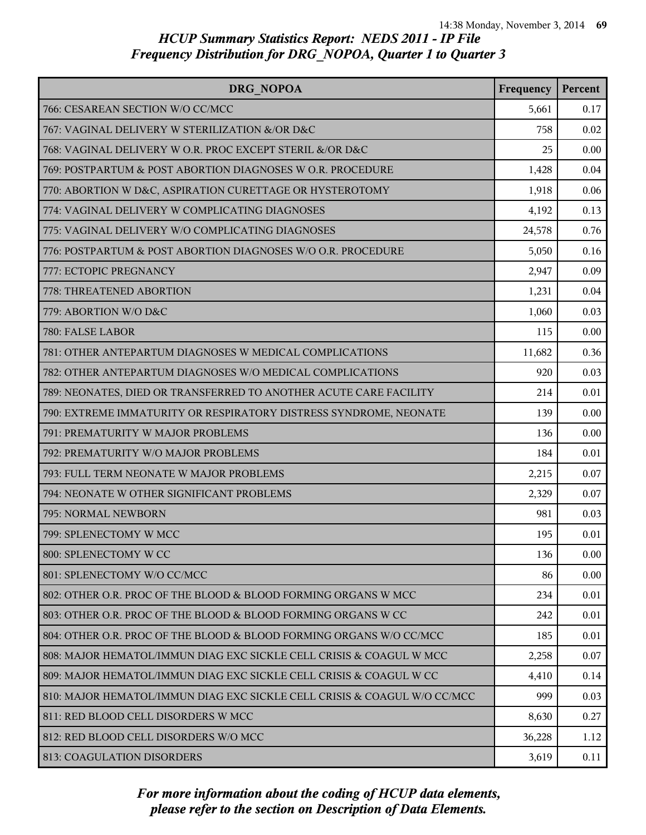| DRG NOPOA                                                                | Frequency | Percent |
|--------------------------------------------------------------------------|-----------|---------|
| 766: CESAREAN SECTION W/O CC/MCC                                         | 5,661     | 0.17    |
| 767: VAGINAL DELIVERY W STERILIZATION &/OR D&C                           | 758       | 0.02    |
| 768: VAGINAL DELIVERY W O.R. PROC EXCEPT STERIL &/OR D&C                 | 25        | 0.00    |
| 769: POSTPARTUM & POST ABORTION DIAGNOSES W O.R. PROCEDURE               | 1,428     | 0.04    |
| 770: ABORTION W D&C, ASPIRATION CURETTAGE OR HYSTEROTOMY                 | 1,918     | 0.06    |
| 774: VAGINAL DELIVERY W COMPLICATING DIAGNOSES                           | 4,192     | 0.13    |
| 775: VAGINAL DELIVERY W/O COMPLICATING DIAGNOSES                         | 24,578    | 0.76    |
| 776: POSTPARTUM & POST ABORTION DIAGNOSES W/O O.R. PROCEDURE             | 5,050     | 0.16    |
| 777: ECTOPIC PREGNANCY                                                   | 2,947     | 0.09    |
| 778: THREATENED ABORTION                                                 | 1,231     | 0.04    |
| 779: ABORTION W/O D&C                                                    | 1,060     | 0.03    |
| 780: FALSE LABOR                                                         | 115       | 0.00    |
| 781: OTHER ANTEPARTUM DIAGNOSES W MEDICAL COMPLICATIONS                  | 11,682    | 0.36    |
| 782: OTHER ANTEPARTUM DIAGNOSES W/O MEDICAL COMPLICATIONS                | 920       | 0.03    |
| 789: NEONATES, DIED OR TRANSFERRED TO ANOTHER ACUTE CARE FACILITY        | 214       | 0.01    |
| 790: EXTREME IMMATURITY OR RESPIRATORY DISTRESS SYNDROME, NEONATE        | 139       | 0.00    |
| 791: PREMATURITY W MAJOR PROBLEMS                                        | 136       | 0.00    |
| 792: PREMATURITY W/O MAJOR PROBLEMS                                      | 184       | 0.01    |
| 793: FULL TERM NEONATE W MAJOR PROBLEMS                                  | 2,215     | 0.07    |
| 794: NEONATE W OTHER SIGNIFICANT PROBLEMS                                | 2,329     | 0.07    |
| 795: NORMAL NEWBORN                                                      | 981       | 0.03    |
| 799: SPLENECTOMY W MCC                                                   | 195       | 0.01    |
| 800: SPLENECTOMY W CC                                                    | 136       | 0.00    |
| 801: SPLENECTOMY W/O CC/MCC                                              | 86        | 0.00    |
| 802: OTHER O.R. PROC OF THE BLOOD & BLOOD FORMING ORGANS W MCC           | 234       | 0.01    |
| 803: OTHER O.R. PROC OF THE BLOOD & BLOOD FORMING ORGANS W CC            | 242       | 0.01    |
| 804: OTHER O.R. PROC OF THE BLOOD & BLOOD FORMING ORGANS W/O CC/MCC      | 185       | 0.01    |
| 808: MAJOR HEMATOL/IMMUN DIAG EXC SICKLE CELL CRISIS & COAGUL W MCC      | 2,258     | 0.07    |
| 809: MAJOR HEMATOL/IMMUN DIAG EXC SICKLE CELL CRISIS & COAGUL W CC       | 4,410     | 0.14    |
| 810: MAJOR HEMATOL/IMMUN DIAG EXC SICKLE CELL CRISIS & COAGUL W/O CC/MCC | 999       | 0.03    |
| 811: RED BLOOD CELL DISORDERS W MCC                                      | 8,630     | 0.27    |
| 812: RED BLOOD CELL DISORDERS W/O MCC                                    | 36,228    | 1.12    |
| 813: COAGULATION DISORDERS                                               | 3,619     | 0.11    |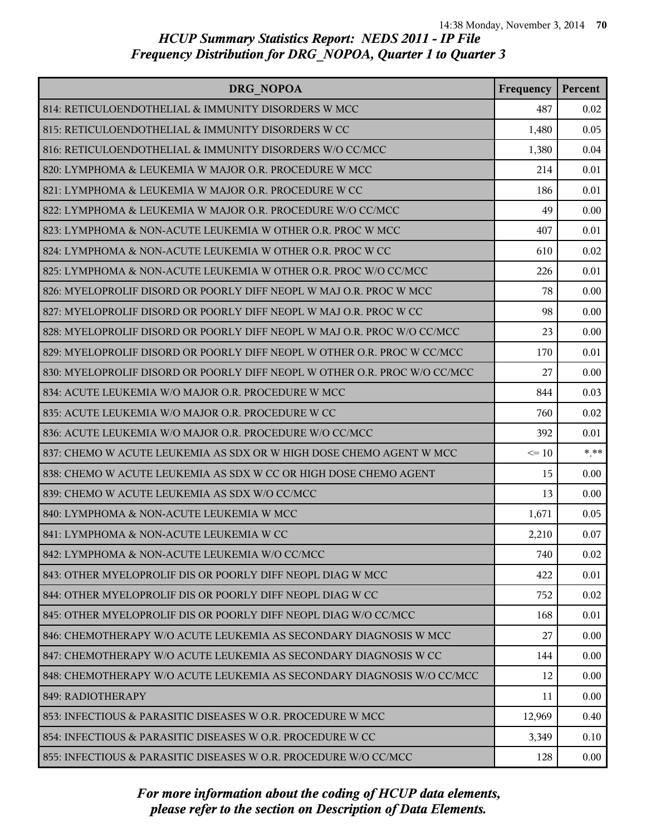| DRG NOPOA                                                                 | Frequency | Percent  |
|---------------------------------------------------------------------------|-----------|----------|
| 814: RETICULOENDOTHELIAL & IMMUNITY DISORDERS W MCC                       | 487       | 0.02     |
| 815: RETICULOENDOTHELIAL & IMMUNITY DISORDERS W CC                        | 1,480     | 0.05     |
| 816: RETICULOENDOTHELIAL & IMMUNITY DISORDERS W/O CC/MCC                  | 1,380     | 0.04     |
| 820: LYMPHOMA & LEUKEMIA W MAJOR O.R. PROCEDURE W MCC                     | 214       | 0.01     |
| 821: LYMPHOMA & LEUKEMIA W MAJOR O.R. PROCEDURE W CC                      | 186       | 0.01     |
| 822: LYMPHOMA & LEUKEMIA W MAJOR O.R. PROCEDURE W/O CC/MCC                | 49        | 0.00     |
| 823: LYMPHOMA & NON-ACUTE LEUKEMIA W OTHER O.R. PROC W MCC                | 407       | 0.01     |
| 824: LYMPHOMA & NON-ACUTE LEUKEMIA W OTHER O.R. PROC W CC                 | 610       | 0.02     |
| 825: LYMPHOMA & NON-ACUTE LEUKEMIA W OTHER O.R. PROC W/O CC/MCC           | 226       | 0.01     |
| 826: MYELOPROLIF DISORD OR POORLY DIFF NEOPL W MAJ O.R. PROC W MCC        | 78        | 0.00     |
| 827: MYELOPROLIF DISORD OR POORLY DIFF NEOPL W MAJ O.R. PROC W CC         | 98        | 0.00     |
| 828: MYELOPROLIF DISORD OR POORLY DIFF NEOPL W MAJ O.R. PROC W/O CC/MCC   | 23        | 0.00     |
| 829: MYELOPROLIF DISORD OR POORLY DIFF NEOPL W OTHER O.R. PROC W CC/MCC   | 170       | 0.01     |
| 830: MYELOPROLIF DISORD OR POORLY DIFF NEOPL W OTHER O.R. PROC W/O CC/MCC | 27        | 0.00     |
| 834: ACUTE LEUKEMIA W/O MAJOR O.R. PROCEDURE W MCC                        | 844       | 0.03     |
| 835: ACUTE LEUKEMIA W/O MAJOR O.R. PROCEDURE W CC                         | 760       | 0.02     |
| 836: ACUTE LEUKEMIA W/O MAJOR O.R. PROCEDURE W/O CC/MCC                   | 392       | 0.01     |
| 837: CHEMO W ACUTE LEUKEMIA AS SDX OR W HIGH DOSE CHEMO AGENT W MCC       | $\leq 10$ | $***$    |
| 838: CHEMO W ACUTE LEUKEMIA AS SDX W CC OR HIGH DOSE CHEMO AGENT          | 15        | 0.00     |
| 839: CHEMO W ACUTE LEUKEMIA AS SDX W/O CC/MCC                             | 13        | 0.00     |
| 840: LYMPHOMA & NON-ACUTE LEUKEMIA W MCC                                  | 1,671     | 0.05     |
| 841: LYMPHOMA & NON-ACUTE LEUKEMIA W CC                                   | 2,210     | 0.07     |
| 842: LYMPHOMA & NON-ACUTE LEUKEMIA W/O CC/MCC                             | 740       | 0.02     |
| 843: OTHER MYELOPROLIF DIS OR POORLY DIFF NEOPL DIAG W MCC                | 422       | 0.01     |
| 844: OTHER MYELOPROLIF DIS OR POORLY DIFF NEOPL DIAG W CC                 | 752       | 0.02     |
| 845: OTHER MYELOPROLIF DIS OR POORLY DIFF NEOPL DIAG W/O CC/MCC           | 168       | 0.01     |
| 846: CHEMOTHERAPY W/O ACUTE LEUKEMIA AS SECONDARY DIAGNOSIS W MCC         | 27        | 0.00     |
| 847: CHEMOTHERAPY W/O ACUTE LEUKEMIA AS SECONDARY DIAGNOSIS W CC          | 144       | 0.00     |
| 848: CHEMOTHERAPY W/O ACUTE LEUKEMIA AS SECONDARY DIAGNOSIS W/O CC/MCC    | 12        | 0.00     |
| 849: RADIOTHERAPY                                                         | 11        | 0.00     |
| 853: INFECTIOUS & PARASITIC DISEASES W O.R. PROCEDURE W MCC               | 12,969    | 0.40     |
| 854: INFECTIOUS & PARASITIC DISEASES W O.R. PROCEDURE W CC                | 3,349     | 0.10     |
| 855: INFECTIOUS & PARASITIC DISEASES W O.R. PROCEDURE W/O CC/MCC          | 128       | $0.00\,$ |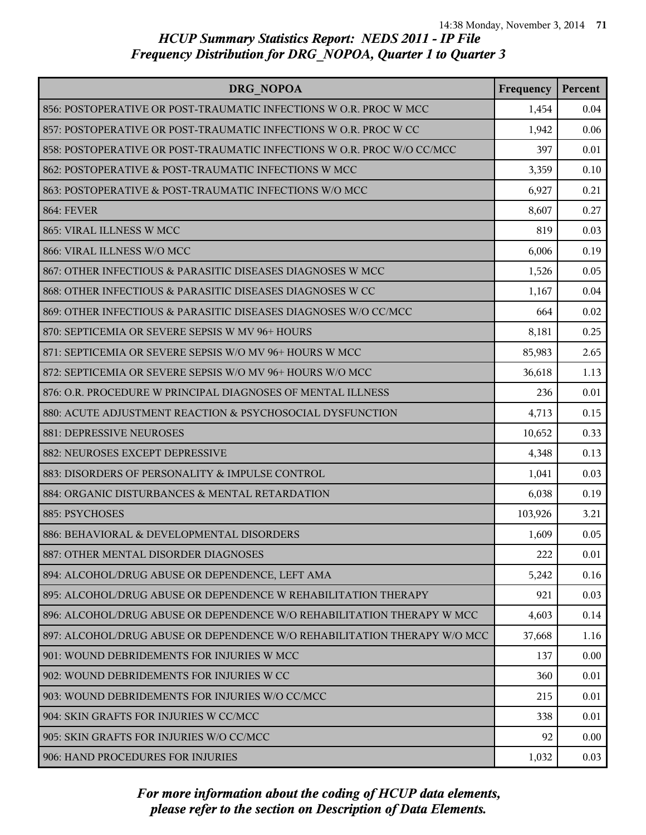| DRG NOPOA                                                                | Frequency | Percent |
|--------------------------------------------------------------------------|-----------|---------|
| 856: POSTOPERATIVE OR POST-TRAUMATIC INFECTIONS W O.R. PROC W MCC        | 1,454     | 0.04    |
| 857: POSTOPERATIVE OR POST-TRAUMATIC INFECTIONS W O.R. PROC W CC         | 1,942     | 0.06    |
| 858: POSTOPERATIVE OR POST-TRAUMATIC INFECTIONS W O.R. PROC W/O CC/MCC   | 397       | 0.01    |
| 862: POSTOPERATIVE & POST-TRAUMATIC INFECTIONS W MCC                     | 3,359     | 0.10    |
| 863: POSTOPERATIVE & POST-TRAUMATIC INFECTIONS W/O MCC                   | 6,927     | 0.21    |
| <b>864: FEVER</b>                                                        | 8,607     | 0.27    |
| 865: VIRAL ILLNESS W MCC                                                 | 819       | 0.03    |
| 866: VIRAL ILLNESS W/O MCC                                               | 6,006     | 0.19    |
| 867: OTHER INFECTIOUS & PARASITIC DISEASES DIAGNOSES W MCC               | 1,526     | 0.05    |
| 868: OTHER INFECTIOUS & PARASITIC DISEASES DIAGNOSES W CC                | 1,167     | 0.04    |
| 869: OTHER INFECTIOUS & PARASITIC DISEASES DIAGNOSES W/O CC/MCC          | 664       | 0.02    |
| 870: SEPTICEMIA OR SEVERE SEPSIS W MV 96+ HOURS                          | 8,181     | 0.25    |
| 871: SEPTICEMIA OR SEVERE SEPSIS W/O MV 96+ HOURS W MCC                  | 85,983    | 2.65    |
| 872: SEPTICEMIA OR SEVERE SEPSIS W/O MV 96+ HOURS W/O MCC                | 36,618    | 1.13    |
| 876: O.R. PROCEDURE W PRINCIPAL DIAGNOSES OF MENTAL ILLNESS              | 236       | 0.01    |
| 880: ACUTE ADJUSTMENT REACTION & PSYCHOSOCIAL DYSFUNCTION                | 4,713     | 0.15    |
| 881: DEPRESSIVE NEUROSES                                                 | 10,652    | 0.33    |
| 882: NEUROSES EXCEPT DEPRESSIVE                                          | 4,348     | 0.13    |
| 883: DISORDERS OF PERSONALITY & IMPULSE CONTROL                          | 1,041     | 0.03    |
| 884: ORGANIC DISTURBANCES & MENTAL RETARDATION                           | 6,038     | 0.19    |
| 885: PSYCHOSES                                                           | 103,926   | 3.21    |
| 886: BEHAVIORAL & DEVELOPMENTAL DISORDERS                                | 1,609     | 0.05    |
| 887: OTHER MENTAL DISORDER DIAGNOSES                                     | 222       | 0.01    |
| 894: ALCOHOL/DRUG ABUSE OR DEPENDENCE, LEFT AMA                          | 5,242     | 0.16    |
| 895: ALCOHOL/DRUG ABUSE OR DEPENDENCE W REHABILITATION THERAPY           | 921       | 0.03    |
| 896: ALCOHOL/DRUG ABUSE OR DEPENDENCE W/O REHABILITATION THERAPY W MCC   | 4,603     | 0.14    |
| 897: ALCOHOL/DRUG ABUSE OR DEPENDENCE W/O REHABILITATION THERAPY W/O MCC | 37,668    | 1.16    |
| 901: WOUND DEBRIDEMENTS FOR INJURIES W MCC                               | 137       | 0.00    |
| 902: WOUND DEBRIDEMENTS FOR INJURIES W CC.                               | 360       | 0.01    |
| 903: WOUND DEBRIDEMENTS FOR INJURIES W/O CC/MCC                          | 215       | 0.01    |
| 904: SKIN GRAFTS FOR INJURIES W CC/MCC                                   | 338       | 0.01    |
| 905: SKIN GRAFTS FOR INJURIES W/O CC/MCC                                 | 92        | 0.00    |
| 906: HAND PROCEDURES FOR INJURIES                                        | 1,032     | 0.03    |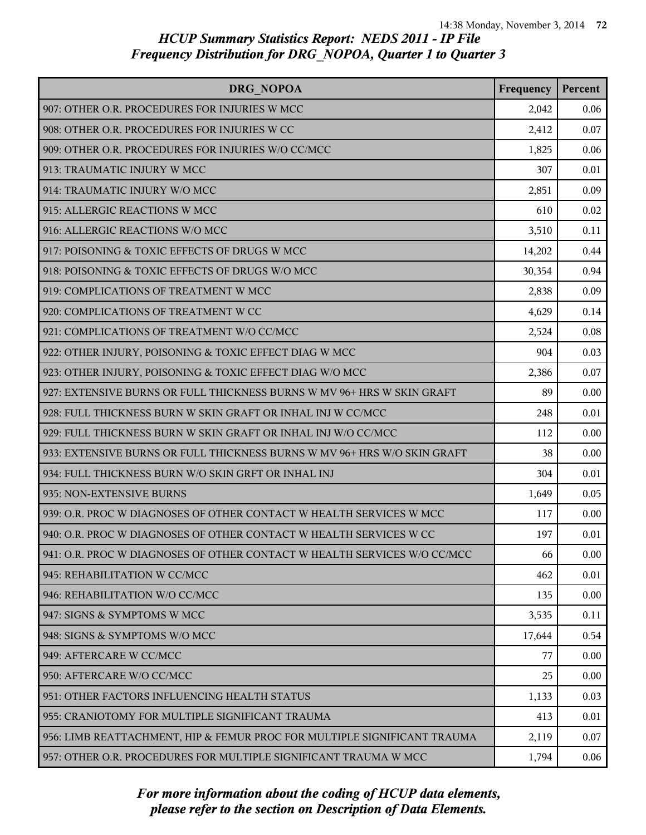| DRG NOPOA                                                                | Frequency | Percent |
|--------------------------------------------------------------------------|-----------|---------|
| 907: OTHER O.R. PROCEDURES FOR INJURIES W MCC                            | 2,042     | 0.06    |
| 908: OTHER O.R. PROCEDURES FOR INJURIES W CC                             | 2,412     | 0.07    |
| 909: OTHER O.R. PROCEDURES FOR INJURIES W/O CC/MCC                       | 1,825     | 0.06    |
| 913: TRAUMATIC INJURY W MCC                                              | 307       | 0.01    |
| 914: TRAUMATIC INJURY W/O MCC                                            | 2,851     | 0.09    |
| 915: ALLERGIC REACTIONS W MCC                                            | 610       | 0.02    |
| 916: ALLERGIC REACTIONS W/O MCC                                          | 3,510     | 0.11    |
| 917: POISONING & TOXIC EFFECTS OF DRUGS W MCC                            | 14,202    | 0.44    |
| 918: POISONING & TOXIC EFFECTS OF DRUGS W/O MCC                          | 30,354    | 0.94    |
| 919: COMPLICATIONS OF TREATMENT W MCC                                    | 2,838     | 0.09    |
| 920: COMPLICATIONS OF TREATMENT W CC                                     | 4,629     | 0.14    |
| 921: COMPLICATIONS OF TREATMENT W/O CC/MCC                               | 2,524     | 0.08    |
| 922: OTHER INJURY, POISONING & TOXIC EFFECT DIAG W MCC                   | 904       | 0.03    |
| 923: OTHER INJURY, POISONING & TOXIC EFFECT DIAG W/O MCC                 | 2,386     | 0.07    |
| 927: EXTENSIVE BURNS OR FULL THICKNESS BURNS W MV 96+ HRS W SKIN GRAFT   | 89        | 0.00    |
| 928: FULL THICKNESS BURN W SKIN GRAFT OR INHAL INJ W CC/MCC              | 248       | 0.01    |
| 929: FULL THICKNESS BURN W SKIN GRAFT OR INHAL INJ W/O CC/MCC            | 112       | 0.00    |
| 933: EXTENSIVE BURNS OR FULL THICKNESS BURNS W MV 96+ HRS W/O SKIN GRAFT | 38        | 0.00    |
| 934: FULL THICKNESS BURN W/O SKIN GRFT OR INHAL INJ                      | 304       | 0.01    |
| 935: NON-EXTENSIVE BURNS                                                 | 1,649     | 0.05    |
| 939: O.R. PROC W DIAGNOSES OF OTHER CONTACT W HEALTH SERVICES W MCC      | 117       | 0.00    |
| 940: O.R. PROC W DIAGNOSES OF OTHER CONTACT W HEALTH SERVICES W CC       | 197       | 0.01    |
| 941: O.R. PROC W DIAGNOSES OF OTHER CONTACT W HEALTH SERVICES W/O CC/MCC | 66        | 0.00    |
| 945: REHABILITATION W CC/MCC                                             | 462       | 0.01    |
| 946: REHABILITATION W/O CC/MCC                                           | 135       | 0.00    |
| 947: SIGNS & SYMPTOMS W MCC                                              | 3,535     | 0.11    |
| 948: SIGNS & SYMPTOMS W/O MCC                                            | 17,644    | 0.54    |
| 949: AFTERCARE W CC/MCC                                                  | 77        | 0.00    |
| 950: AFTERCARE W/O CC/MCC                                                | 25        | 0.00    |
| 951: OTHER FACTORS INFLUENCING HEALTH STATUS                             | 1,133     | 0.03    |
| 955: CRANIOTOMY FOR MULTIPLE SIGNIFICANT TRAUMA                          | 413       | 0.01    |
| 956: LIMB REATTACHMENT, HIP & FEMUR PROC FOR MULTIPLE SIGNIFICANT TRAUMA | 2,119     | 0.07    |
| 957: OTHER O.R. PROCEDURES FOR MULTIPLE SIGNIFICANT TRAUMA W MCC         | 1,794     | 0.06    |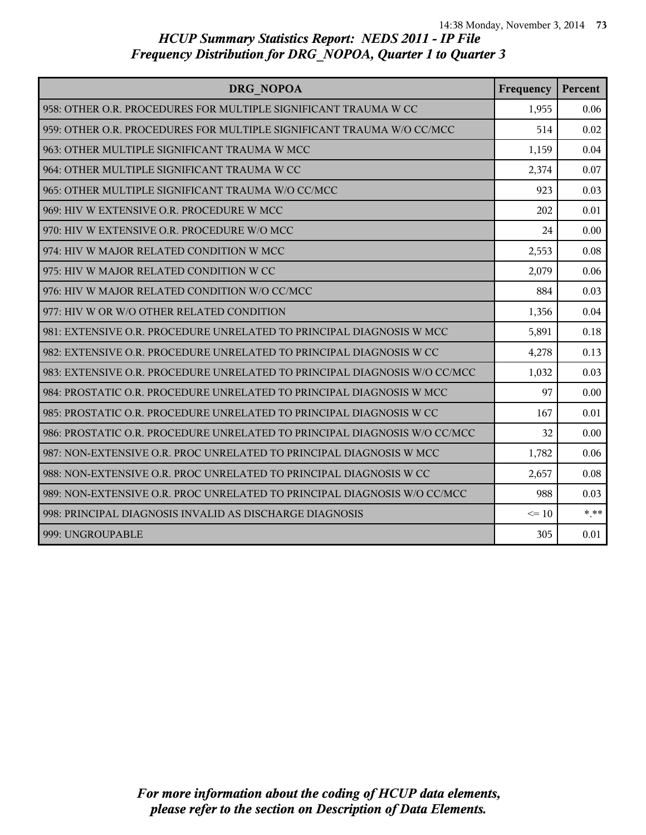| DRG NOPOA                                                                 | Frequency | Percent |
|---------------------------------------------------------------------------|-----------|---------|
| 958: OTHER O.R. PROCEDURES FOR MULTIPLE SIGNIFICANT TRAUMA W CC           | 1,955     | 0.06    |
| 959: OTHER O.R. PROCEDURES FOR MULTIPLE SIGNIFICANT TRAUMA W/O CC/MCC     | 514       | 0.02    |
| 963: OTHER MULTIPLE SIGNIFICANT TRAUMA W MCC                              | 1,159     | 0.04    |
| 964: OTHER MULTIPLE SIGNIFICANT TRAUMA W CC                               | 2,374     | 0.07    |
| 965: OTHER MULTIPLE SIGNIFICANT TRAUMA W/O CC/MCC                         | 923       | 0.03    |
| 969: HIV W EXTENSIVE O.R. PROCEDURE W MCC                                 | 202       | 0.01    |
| 970: HIV W EXTENSIVE O.R. PROCEDURE W/O MCC                               | 24        | 0.00    |
| 974: HIV W MAJOR RELATED CONDITION W MCC                                  | 2,553     | 0.08    |
| 975: HIV W MAJOR RELATED CONDITION W CC                                   | 2,079     | 0.06    |
| 976: HIV W MAJOR RELATED CONDITION W/O CC/MCC                             | 884       | 0.03    |
| 977: HIV W OR W/O OTHER RELATED CONDITION                                 | 1,356     | 0.04    |
| 981: EXTENSIVE O.R. PROCEDURE UNRELATED TO PRINCIPAL DIAGNOSIS W MCC      | 5,891     | 0.18    |
| 982: EXTENSIVE O.R. PROCEDURE UNRELATED TO PRINCIPAL DIAGNOSIS W CC       | 4,278     | 0.13    |
| 983: EXTENSIVE O.R. PROCEDURE UNRELATED TO PRINCIPAL DIAGNOSIS W/O CC/MCC | 1,032     | 0.03    |
| 984: PROSTATIC O.R. PROCEDURE UNRELATED TO PRINCIPAL DIAGNOSIS W MCC      | 97        | 0.00    |
| 985: PROSTATIC O.R. PROCEDURE UNRELATED TO PRINCIPAL DIAGNOSIS W CC       | 167       | 0.01    |
| 986: PROSTATIC O.R. PROCEDURE UNRELATED TO PRINCIPAL DIAGNOSIS W/O CC/MCC | 32        | 0.00    |
| 987: NON-EXTENSIVE O.R. PROC UNRELATED TO PRINCIPAL DIAGNOSIS W MCC       | 1,782     | 0.06    |
| 988: NON-EXTENSIVE O.R. PROC UNRELATED TO PRINCIPAL DIAGNOSIS W CC        | 2,657     | 0.08    |
| 989: NON-EXTENSIVE O.R. PROC UNRELATED TO PRINCIPAL DIAGNOSIS W/O CC/MCC  | 988       | 0.03    |
| 998: PRINCIPAL DIAGNOSIS INVALID AS DISCHARGE DIAGNOSIS                   | $\leq 10$ | $***$   |
| 999: UNGROUPABLE                                                          | 305       | 0.01    |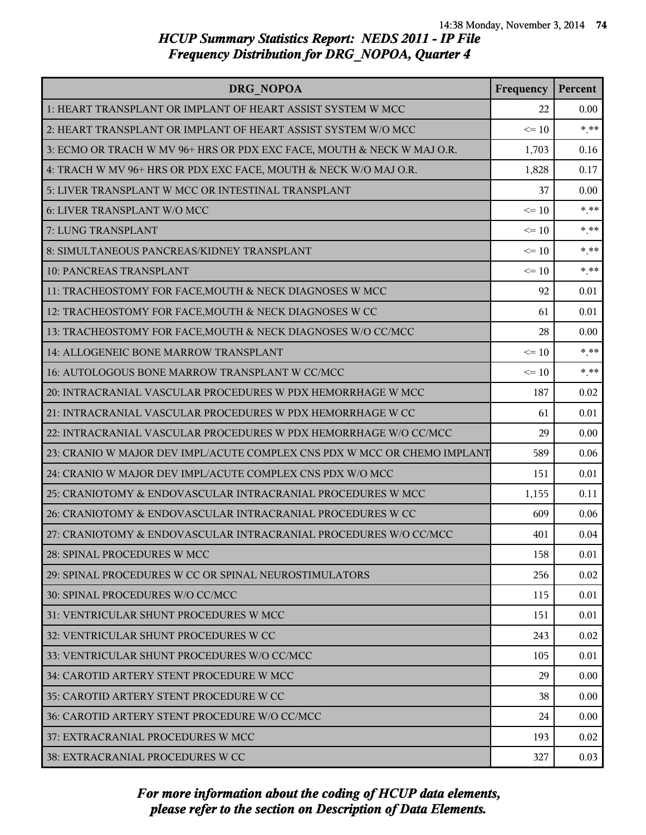| DRG NOPOA                                                                | Frequency | Percent |
|--------------------------------------------------------------------------|-----------|---------|
| 1: HEART TRANSPLANT OR IMPLANT OF HEART ASSIST SYSTEM W MCC              | 22        | 0.00    |
| 2: HEART TRANSPLANT OR IMPLANT OF HEART ASSIST SYSTEM W/O MCC            | $\leq 10$ | $* * *$ |
| 3: ECMO OR TRACH W MV 96+ HRS OR PDX EXC FACE, MOUTH & NECK W MAJ O.R.   | 1,703     | 0.16    |
| 4: TRACH W MV 96+ HRS OR PDX EXC FACE, MOUTH & NECK W/O MAJ O.R.         | 1,828     | 0.17    |
| 5: LIVER TRANSPLANT W MCC OR INTESTINAL TRANSPLANT                       | 37        | 0.00    |
| 6: LIVER TRANSPLANT W/O MCC                                              | $\leq 10$ | $***$   |
| 7: LUNG TRANSPLANT                                                       | $\leq 10$ | $* * *$ |
| 8: SIMULTANEOUS PANCREAS/KIDNEY TRANSPLANT                               | $\leq 10$ | $***$   |
| 10: PANCREAS TRANSPLANT                                                  | $\leq 10$ | $* * *$ |
| 11: TRACHEOSTOMY FOR FACE, MOUTH & NECK DIAGNOSES W MCC                  | 92        | 0.01    |
| 12: TRACHEOSTOMY FOR FACE, MOUTH & NECK DIAGNOSES W CC                   | 61        | 0.01    |
| 13: TRACHEOSTOMY FOR FACE, MOUTH & NECK DIAGNOSES W/O CC/MCC             | 28        | 0.00    |
| 14: ALLOGENEIC BONE MARROW TRANSPLANT                                    | $\leq 10$ | $* * *$ |
| 16: AUTOLOGOUS BONE MARROW TRANSPLANT W CC/MCC                           | $\leq 10$ | $* * *$ |
| 20: INTRACRANIAL VASCULAR PROCEDURES W PDX HEMORRHAGE W MCC              | 187       | 0.02    |
| 21: INTRACRANIAL VASCULAR PROCEDURES W PDX HEMORRHAGE W CC               | 61        | 0.01    |
| 22: INTRACRANIAL VASCULAR PROCEDURES W PDX HEMORRHAGE W/O CC/MCC         | 29        | 0.00    |
| 23: CRANIO W MAJOR DEV IMPL/ACUTE COMPLEX CNS PDX W MCC OR CHEMO IMPLANT | 589       | 0.06    |
| 24: CRANIO W MAJOR DEV IMPL/ACUTE COMPLEX CNS PDX W/O MCC                | 151       | 0.01    |
| 25: CRANIOTOMY & ENDOVASCULAR INTRACRANIAL PROCEDURES W MCC              | 1,155     | 0.11    |
| 26: CRANIOTOMY & ENDOVASCULAR INTRACRANIAL PROCEDURES W CC               | 609       | 0.06    |
| 27: CRANIOTOMY & ENDOVASCULAR INTRACRANIAL PROCEDURES W/O CC/MCC         | 401       | 0.04    |
| 28: SPINAL PROCEDURES W MCC                                              | 158       | 0.01    |
| 29: SPINAL PROCEDURES W CC OR SPINAL NEUROSTIMULATORS                    | 256       | 0.02    |
| 30: SPINAL PROCEDURES W/O CC/MCC                                         | 115       | 0.01    |
| 31: VENTRICULAR SHUNT PROCEDURES W MCC                                   | 151       | 0.01    |
| 32: VENTRICULAR SHUNT PROCEDURES W CC                                    | 243       | 0.02    |
| 33: VENTRICULAR SHUNT PROCEDURES W/O CC/MCC                              | 105       | 0.01    |
| 34: CAROTID ARTERY STENT PROCEDURE W MCC                                 | 29        | 0.00    |
| 35: CAROTID ARTERY STENT PROCEDURE W CC                                  | 38        | 0.00    |
| 36: CAROTID ARTERY STENT PROCEDURE W/O CC/MCC                            | 24        | 0.00    |
| 37: EXTRACRANIAL PROCEDURES W MCC                                        | 193       | 0.02    |
| 38: EXTRACRANIAL PROCEDURES W CC                                         | 327       | 0.03    |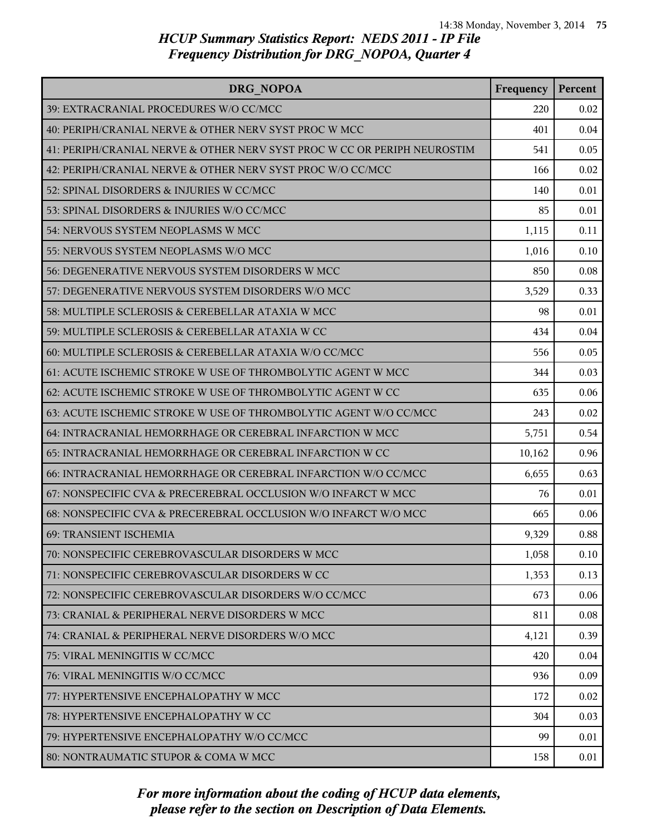| DRG NOPOA                                                                | Frequency | Percent |
|--------------------------------------------------------------------------|-----------|---------|
| 39: EXTRACRANIAL PROCEDURES W/O CC/MCC                                   | 220       | 0.02    |
| 40: PERIPH/CRANIAL NERVE & OTHER NERV SYST PROC W MCC                    | 401       | 0.04    |
| 41: PERIPH/CRANIAL NERVE & OTHER NERV SYST PROC W CC OR PERIPH NEUROSTIM | 541       | 0.05    |
| 42: PERIPH/CRANIAL NERVE & OTHER NERV SYST PROC W/O CC/MCC               | 166       | 0.02    |
| 52: SPINAL DISORDERS & INJURIES W CC/MCC                                 | 140       | 0.01    |
| 53: SPINAL DISORDERS & INJURIES W/O CC/MCC                               | 85        | 0.01    |
| 54: NERVOUS SYSTEM NEOPLASMS W MCC                                       | 1,115     | 0.11    |
| 55: NERVOUS SYSTEM NEOPLASMS W/O MCC                                     | 1,016     | 0.10    |
| 56: DEGENERATIVE NERVOUS SYSTEM DISORDERS W MCC                          | 850       | 0.08    |
| 57: DEGENERATIVE NERVOUS SYSTEM DISORDERS W/O MCC                        | 3,529     | 0.33    |
| 58: MULTIPLE SCLEROSIS & CEREBELLAR ATAXIA W MCC                         | 98        | 0.01    |
| 59: MULTIPLE SCLEROSIS & CEREBELLAR ATAXIA W CC                          | 434       | 0.04    |
| 60: MULTIPLE SCLEROSIS & CEREBELLAR ATAXIA W/O CC/MCC                    | 556       | 0.05    |
| 61: ACUTE ISCHEMIC STROKE W USE OF THROMBOLYTIC AGENT W MCC              | 344       | 0.03    |
| 62: ACUTE ISCHEMIC STROKE W USE OF THROMBOLYTIC AGENT W CC               | 635       | 0.06    |
| 63: ACUTE ISCHEMIC STROKE W USE OF THROMBOLYTIC AGENT W/O CC/MCC         | 243       | 0.02    |
| 64: INTRACRANIAL HEMORRHAGE OR CEREBRAL INFARCTION W MCC                 | 5,751     | 0.54    |
| 65: INTRACRANIAL HEMORRHAGE OR CEREBRAL INFARCTION W CC                  | 10,162    | 0.96    |
| 66: INTRACRANIAL HEMORRHAGE OR CEREBRAL INFARCTION W/O CC/MCC            | 6,655     | 0.63    |
| 67: NONSPECIFIC CVA & PRECEREBRAL OCCLUSION W/O INFARCT W MCC            | 76        | 0.01    |
| 68: NONSPECIFIC CVA & PRECEREBRAL OCCLUSION W/O INFARCT W/O MCC          | 665       | 0.06    |
| 69: TRANSIENT ISCHEMIA                                                   | 9,329     | 0.88    |
| 70: NONSPECIFIC CEREBROVASCULAR DISORDERS W MCC                          | 1,058     | 0.10    |
| 71: NONSPECIFIC CEREBROVASCULAR DISORDERS W CC                           | 1,353     | 0.13    |
| 72: NONSPECIFIC CEREBROVASCULAR DISORDERS W/O CC/MCC                     | 673       | 0.06    |
| 73: CRANIAL & PERIPHERAL NERVE DISORDERS W MCC                           | 811       | 0.08    |
| 74: CRANIAL & PERIPHERAL NERVE DISORDERS W/O MCC                         | 4,121     | 0.39    |
| 75: VIRAL MENINGITIS W CC/MCC                                            | 420       | 0.04    |
| 76: VIRAL MENINGITIS W/O CC/MCC                                          | 936       | 0.09    |
| 77: HYPERTENSIVE ENCEPHALOPATHY W MCC                                    | 172       | 0.02    |
| 78: HYPERTENSIVE ENCEPHALOPATHY W CC                                     | 304       | 0.03    |
| 79: HYPERTENSIVE ENCEPHALOPATHY W/O CC/MCC                               | 99        | 0.01    |
| 80: NONTRAUMATIC STUPOR & COMA W MCC                                     | 158       | 0.01    |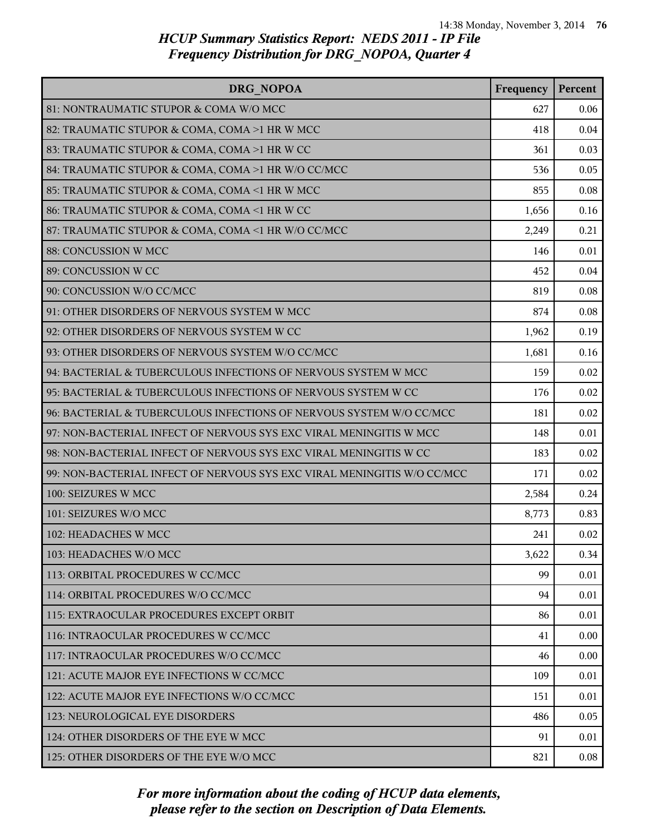| DRG NOPOA                                                               | Frequency | Percent |
|-------------------------------------------------------------------------|-----------|---------|
| 81: NONTRAUMATIC STUPOR & COMA W/O MCC                                  | 627       | 0.06    |
| 82: TRAUMATIC STUPOR & COMA, COMA >1 HR W MCC                           | 418       | 0.04    |
| 83: TRAUMATIC STUPOR & COMA, COMA >1 HR W CC                            | 361       | 0.03    |
| 84: TRAUMATIC STUPOR & COMA, COMA >1 HR W/O CC/MCC                      | 536       | 0.05    |
| 85: TRAUMATIC STUPOR & COMA, COMA <1 HR W MCC                           | 855       | 0.08    |
| 86: TRAUMATIC STUPOR & COMA, COMA <1 HR W CC                            | 1,656     | 0.16    |
| 87: TRAUMATIC STUPOR & COMA, COMA <1 HR W/O CC/MCC                      | 2,249     | 0.21    |
| 88: CONCUSSION W MCC                                                    | 146       | 0.01    |
| 89: CONCUSSION W CC                                                     | 452       | 0.04    |
| 90: CONCUSSION W/O CC/MCC                                               | 819       | 0.08    |
| 91: OTHER DISORDERS OF NERVOUS SYSTEM W MCC                             | 874       | 0.08    |
| 92: OTHER DISORDERS OF NERVOUS SYSTEM W CC                              | 1,962     | 0.19    |
| 93: OTHER DISORDERS OF NERVOUS SYSTEM W/O CC/MCC                        | 1,681     | 0.16    |
| 94: BACTERIAL & TUBERCULOUS INFECTIONS OF NERVOUS SYSTEM W MCC          | 159       | 0.02    |
| 95: BACTERIAL & TUBERCULOUS INFECTIONS OF NERVOUS SYSTEM W CC           | 176       | 0.02    |
| 96: BACTERIAL & TUBERCULOUS INFECTIONS OF NERVOUS SYSTEM W/O CC/MCC     | 181       | 0.02    |
| 97: NON-BACTERIAL INFECT OF NERVOUS SYS EXC VIRAL MENINGITIS W MCC      | 148       | 0.01    |
| 98: NON-BACTERIAL INFECT OF NERVOUS SYS EXC VIRAL MENINGITIS W CC       | 183       | 0.02    |
| 99: NON-BACTERIAL INFECT OF NERVOUS SYS EXC VIRAL MENINGITIS W/O CC/MCC | 171       | 0.02    |
| 100: SEIZURES W MCC                                                     | 2,584     | 0.24    |
| 101: SEIZURES W/O MCC                                                   | 8,773     | 0.83    |
| 102: HEADACHES W MCC                                                    | 241       | 0.02    |
| 103: HEADACHES W/O MCC                                                  | 3,622     | 0.34    |
| 113: ORBITAL PROCEDURES W CC/MCC                                        | 99        | 0.01    |
| 114: ORBITAL PROCEDURES W/O CC/MCC                                      | 94        | 0.01    |
| l 115: EXTRAOCULAR PROCEDURES EXCEPT ORBIT                              | 86        | 0.01    |
| 116: INTRAOCULAR PROCEDURES W CC/MCC                                    | 41        | 0.00    |
| 117: INTRAOCULAR PROCEDURES W/O CC/MCC                                  | 46        | 0.00    |
| 121: ACUTE MAJOR EYE INFECTIONS W CC/MCC                                | 109       | 0.01    |
| 122: ACUTE MAJOR EYE INFECTIONS W/O CC/MCC                              | 151       | 0.01    |
| 123: NEUROLOGICAL EYE DISORDERS                                         | 486       | 0.05    |
| 124: OTHER DISORDERS OF THE EYE W MCC                                   | 91        | 0.01    |
| 125: OTHER DISORDERS OF THE EYE W/O MCC                                 | 821       | 0.08    |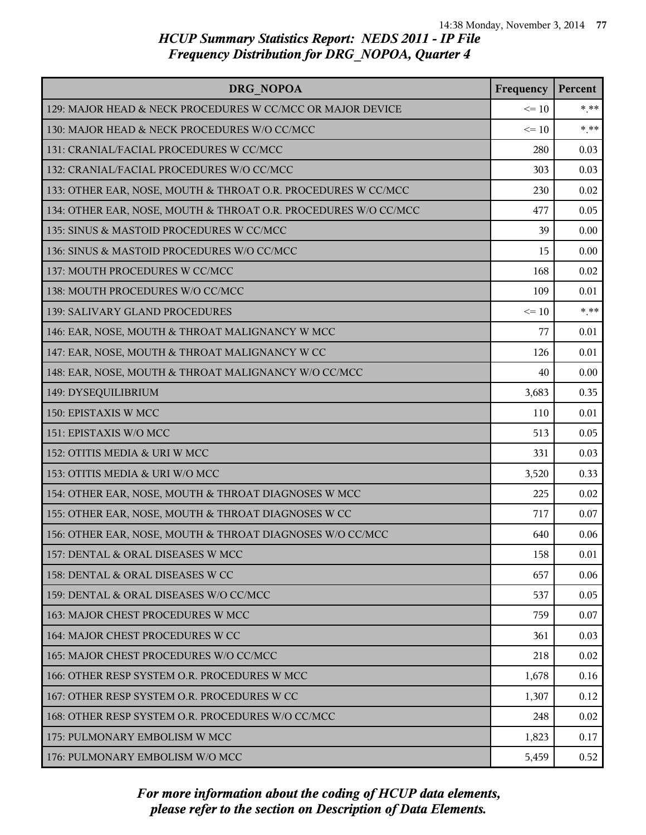| DRG NOPOA                                                       | Frequency | Percent  |
|-----------------------------------------------------------------|-----------|----------|
| 129: MAJOR HEAD & NECK PROCEDURES W CC/MCC OR MAJOR DEVICE      | $\leq 10$ | $*$ $**$ |
| 130: MAJOR HEAD & NECK PROCEDURES W/O CC/MCC                    | $\leq 10$ | $* * *$  |
| 131: CRANIAL/FACIAL PROCEDURES W CC/MCC                         | 280       | 0.03     |
| 132: CRANIAL/FACIAL PROCEDURES W/O CC/MCC                       | 303       | 0.03     |
| 133: OTHER EAR, NOSE, MOUTH & THROAT O.R. PROCEDURES W CC/MCC   | 230       | 0.02     |
| 134: OTHER EAR, NOSE, MOUTH & THROAT O.R. PROCEDURES W/O CC/MCC | 477       | 0.05     |
| 135: SINUS & MASTOID PROCEDURES W CC/MCC                        | 39        | 0.00     |
| 136: SINUS & MASTOID PROCEDURES W/O CC/MCC                      | 15        | 0.00     |
| 137: MOUTH PROCEDURES W CC/MCC                                  | 168       | 0.02     |
| 138: MOUTH PROCEDURES W/O CC/MCC                                | 109       | 0.01     |
| 139: SALIVARY GLAND PROCEDURES                                  | $\leq 10$ | $*$ **   |
| 146: EAR, NOSE, MOUTH & THROAT MALIGNANCY W MCC                 | 77        | 0.01     |
| 147: EAR, NOSE, MOUTH & THROAT MALIGNANCY W CC                  | 126       | 0.01     |
| 148: EAR, NOSE, MOUTH & THROAT MALIGNANCY W/O CC/MCC            | 40        | 0.00     |
| 149: DYSEQUILIBRIUM                                             | 3,683     | 0.35     |
| 150: EPISTAXIS W MCC                                            | 110       | 0.01     |
| 151: EPISTAXIS W/O MCC                                          | 513       | 0.05     |
| 152: OTITIS MEDIA & URI W MCC                                   | 331       | 0.03     |
| 153: OTITIS MEDIA & URI W/O MCC                                 | 3,520     | 0.33     |
| 154: OTHER EAR, NOSE, MOUTH & THROAT DIAGNOSES W MCC            | 225       | 0.02     |
| 155: OTHER EAR, NOSE, MOUTH & THROAT DIAGNOSES W CC             | 717       | 0.07     |
| 156: OTHER EAR, NOSE, MOUTH & THROAT DIAGNOSES W/O CC/MCC       | 640       | 0.06     |
| 157: DENTAL & ORAL DISEASES W MCC                               | 158       | 0.01     |
| 158: DENTAL & ORAL DISEASES W CC                                | 657       | 0.06     |
| 159: DENTAL & ORAL DISEASES W/O CC/MCC                          | 537       | 0.05     |
| 163: MAJOR CHEST PROCEDURES W MCC                               | 759       | 0.07     |
| 164: MAJOR CHEST PROCEDURES W CC                                | 361       | 0.03     |
| 165: MAJOR CHEST PROCEDURES W/O CC/MCC                          | 218       | 0.02     |
| 166: OTHER RESP SYSTEM O.R. PROCEDURES W MCC                    | 1,678     | 0.16     |
| 167: OTHER RESP SYSTEM O.R. PROCEDURES W CC                     | 1,307     | 0.12     |
| 168: OTHER RESP SYSTEM O.R. PROCEDURES W/O CC/MCC               | 248       | 0.02     |
| 175: PULMONARY EMBOLISM W MCC                                   | 1,823     | 0.17     |
| 176: PULMONARY EMBOLISM W/O MCC                                 | 5,459     | 0.52     |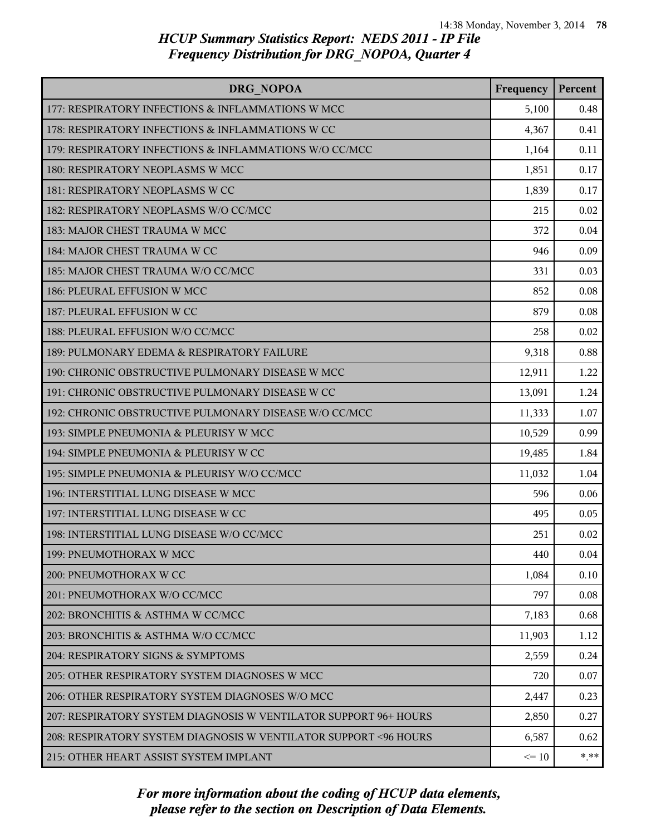| DRG NOPOA                                                         | Frequency | Percent |
|-------------------------------------------------------------------|-----------|---------|
| 177: RESPIRATORY INFECTIONS & INFLAMMATIONS W MCC                 | 5,100     | 0.48    |
| 178: RESPIRATORY INFECTIONS & INFLAMMATIONS W CC                  | 4,367     | 0.41    |
| 179: RESPIRATORY INFECTIONS & INFLAMMATIONS W/O CC/MCC            | 1,164     | 0.11    |
| 180: RESPIRATORY NEOPLASMS W MCC                                  | 1,851     | 0.17    |
| 181: RESPIRATORY NEOPLASMS W CC                                   | 1,839     | 0.17    |
| 182: RESPIRATORY NEOPLASMS W/O CC/MCC                             | 215       | 0.02    |
| 183: MAJOR CHEST TRAUMA W MCC                                     | 372       | 0.04    |
| 184: MAJOR CHEST TRAUMA W CC                                      | 946       | 0.09    |
| 185: MAJOR CHEST TRAUMA W/O CC/MCC                                | 331       | 0.03    |
| 186: PLEURAL EFFUSION W MCC                                       | 852       | 0.08    |
| 187: PLEURAL EFFUSION W CC                                        | 879       | 0.08    |
| 188: PLEURAL EFFUSION W/O CC/MCC                                  | 258       | 0.02    |
| 189: PULMONARY EDEMA & RESPIRATORY FAILURE                        | 9,318     | 0.88    |
| 190: CHRONIC OBSTRUCTIVE PULMONARY DISEASE W MCC                  | 12,911    | 1.22    |
| 191: CHRONIC OBSTRUCTIVE PULMONARY DISEASE W CC                   | 13,091    | 1.24    |
| 192: CHRONIC OBSTRUCTIVE PULMONARY DISEASE W/O CC/MCC             | 11,333    | 1.07    |
| 193: SIMPLE PNEUMONIA & PLEURISY W MCC                            | 10,529    | 0.99    |
| 194: SIMPLE PNEUMONIA & PLEURISY W CC                             | 19,485    | 1.84    |
| 195: SIMPLE PNEUMONIA & PLEURISY W/O CC/MCC                       | 11,032    | 1.04    |
| 196: INTERSTITIAL LUNG DISEASE W MCC                              | 596       | 0.06    |
| 197: INTERSTITIAL LUNG DISEASE W CC                               | 495       | 0.05    |
| 198: INTERSTITIAL LUNG DISEASE W/O CC/MCC                         | 251       | 0.02    |
| 199: PNEUMOTHORAX W MCC                                           | 440       | 0.04    |
| 200: PNEUMOTHORAX W CC                                            | 1,084     | 0.10    |
| 201: PNEUMOTHORAX W/O CC/MCC                                      | 797       | 0.08    |
| 202: BRONCHITIS & ASTHMA W CC/MCC                                 | 7,183     | 0.68    |
| 203: BRONCHITIS & ASTHMA W/O CC/MCC                               | 11,903    | 1.12    |
| 204: RESPIRATORY SIGNS & SYMPTOMS                                 | 2,559     | 0.24    |
| 205: OTHER RESPIRATORY SYSTEM DIAGNOSES W MCC                     | 720       | 0.07    |
| 206: OTHER RESPIRATORY SYSTEM DIAGNOSES W/O MCC                   | 2,447     | 0.23    |
| 207: RESPIRATORY SYSTEM DIAGNOSIS W VENTILATOR SUPPORT 96+ HOURS  | 2,850     | 0.27    |
| 208: RESPIRATORY SYSTEM DIAGNOSIS W VENTILATOR SUPPORT < 96 HOURS | 6,587     | 0.62    |
| 215: OTHER HEART ASSIST SYSTEM IMPLANT                            | $\leq 10$ | $* * *$ |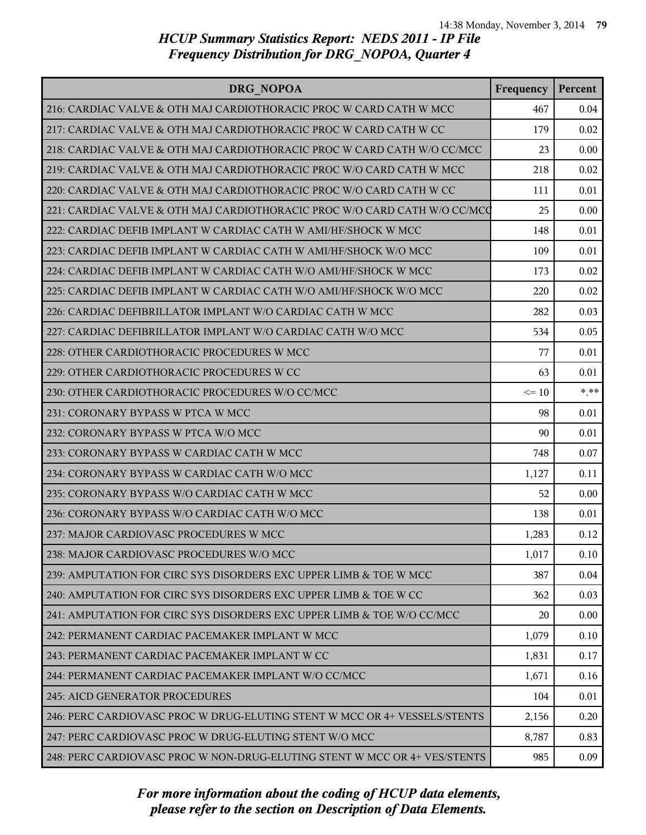| DRG NOPOA                                                                 | Frequency | Percent |
|---------------------------------------------------------------------------|-----------|---------|
| 216: CARDIAC VALVE & OTH MAJ CARDIOTHORACIC PROC W CARD CATH W MCC        | 467       | 0.04    |
| 217: CARDIAC VALVE & OTH MAJ CARDIOTHORACIC PROC W CARD CATH W CC         | 179       | 0.02    |
| 218: CARDIAC VALVE & OTH MAJ CARDIOTHORACIC PROC W CARD CATH W/O CC/MCC   | 23        | 0.00    |
| 219: CARDIAC VALVE & OTH MAJ CARDIOTHORACIC PROC W/O CARD CATH W MCC      | 218       | 0.02    |
| 220: CARDIAC VALVE & OTH MAJ CARDIOTHORACIC PROC W/O CARD CATH W CC       | 111       | 0.01    |
| 221: CARDIAC VALVE & OTH MAJ CARDIOTHORACIC PROC W/O CARD CATH W/O CC/MCQ | 25        | 0.00    |
| 222: CARDIAC DEFIB IMPLANT W CARDIAC CATH W AMI/HF/SHOCK W MCC            | 148       | 0.01    |
| 223: CARDIAC DEFIB IMPLANT W CARDIAC CATH W AMI/HF/SHOCK W/O MCC          | 109       | 0.01    |
| 224: CARDIAC DEFIB IMPLANT W CARDIAC CATH W/O AMI/HF/SHOCK W MCC          | 173       | 0.02    |
| 225: CARDIAC DEFIB IMPLANT W CARDIAC CATH W/O AMI/HF/SHOCK W/O MCC        | 220       | 0.02    |
| 226: CARDIAC DEFIBRILLATOR IMPLANT W/O CARDIAC CATH W MCC                 | 282       | 0.03    |
| 227: CARDIAC DEFIBRILLATOR IMPLANT W/O CARDIAC CATH W/O MCC               | 534       | 0.05    |
| 228: OTHER CARDIOTHORACIC PROCEDURES W MCC                                | 77        | 0.01    |
| 229: OTHER CARDIOTHORACIC PROCEDURES W CC                                 | 63        | 0.01    |
| 230: OTHER CARDIOTHORACIC PROCEDURES W/O CC/MCC                           | $\leq 10$ | $* * *$ |
| 231: CORONARY BYPASS W PTCA W MCC                                         | 98        | 0.01    |
| 232: CORONARY BYPASS W PTCA W/O MCC                                       | 90        | 0.01    |
| 233: CORONARY BYPASS W CARDIAC CATH W MCC                                 | 748       | 0.07    |
| 234: CORONARY BYPASS W CARDIAC CATH W/O MCC                               | 1,127     | 0.11    |
| 235: CORONARY BYPASS W/O CARDIAC CATH W MCC                               | 52        | 0.00    |
| 236: CORONARY BYPASS W/O CARDIAC CATH W/O MCC                             | 138       | 0.01    |
| 237: MAJOR CARDIOVASC PROCEDURES W MCC                                    | 1,283     | 0.12    |
| 238: MAJOR CARDIOVASC PROCEDURES W/O MCC                                  | 1,017     | 0.10    |
| 239: AMPUTATION FOR CIRC SYS DISORDERS EXC UPPER LIMB & TOE W MCC         | 387       | 0.04    |
| 240: AMPUTATION FOR CIRC SYS DISORDERS EXC UPPER LIMB & TOE W CC          | 362       | 0.03    |
| 241: AMPUTATION FOR CIRC SYS DISORDERS EXC UPPER LIMB & TOE W/O CC/MCC    | 20        | 0.00    |
| 242: PERMANENT CARDIAC PACEMAKER IMPLANT W MCC                            | 1,079     | 0.10    |
| 243: PERMANENT CARDIAC PACEMAKER IMPLANT W CC                             | 1,831     | 0.17    |
| 244: PERMANENT CARDIAC PACEMAKER IMPLANT W/O CC/MCC                       | 1,671     | 0.16    |
| <b>245: AICD GENERATOR PROCEDURES</b>                                     | 104       | 0.01    |
| 246: PERC CARDIOVASC PROC W DRUG-ELUTING STENT W MCC OR 4+ VESSELS/STENTS | 2,156     | 0.20    |
| 247: PERC CARDIOVASC PROC W DRUG-ELUTING STENT W/O MCC                    | 8,787     | 0.83    |
| 248: PERC CARDIOVASC PROC W NON-DRUG-ELUTING STENT W MCC OR 4+ VES/STENTS | 985       | 0.09    |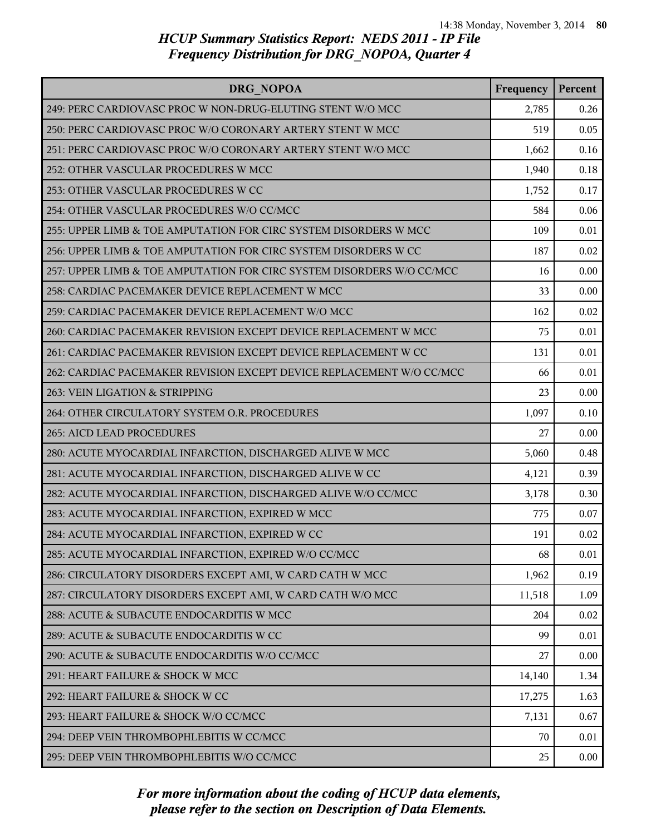| DRG NOPOA                                                             | Frequency | Percent |
|-----------------------------------------------------------------------|-----------|---------|
| 249: PERC CARDIOVASC PROC W NON-DRUG-ELUTING STENT W/O MCC            | 2,785     | 0.26    |
| 250: PERC CARDIOVASC PROC W/O CORONARY ARTERY STENT W MCC             | 519       | 0.05    |
| 251: PERC CARDIOVASC PROC W/O CORONARY ARTERY STENT W/O MCC           | 1,662     | 0.16    |
| 252: OTHER VASCULAR PROCEDURES W MCC                                  | 1,940     | 0.18    |
| 253: OTHER VASCULAR PROCEDURES W CC                                   | 1,752     | 0.17    |
| 254: OTHER VASCULAR PROCEDURES W/O CC/MCC                             | 584       | 0.06    |
| 255: UPPER LIMB & TOE AMPUTATION FOR CIRC SYSTEM DISORDERS W MCC      | 109       | 0.01    |
| 256: UPPER LIMB & TOE AMPUTATION FOR CIRC SYSTEM DISORDERS W CC       | 187       | 0.02    |
| 257: UPPER LIMB & TOE AMPUTATION FOR CIRC SYSTEM DISORDERS W/O CC/MCC | 16        | 0.00    |
| 258: CARDIAC PACEMAKER DEVICE REPLACEMENT W MCC                       | 33        | 0.00    |
| 259: CARDIAC PACEMAKER DEVICE REPLACEMENT W/O MCC                     | 162       | 0.02    |
| 260: CARDIAC PACEMAKER REVISION EXCEPT DEVICE REPLACEMENT W MCC       | 75        | 0.01    |
| 261: CARDIAC PACEMAKER REVISION EXCEPT DEVICE REPLACEMENT W CC        | 131       | 0.01    |
| 262: CARDIAC PACEMAKER REVISION EXCEPT DEVICE REPLACEMENT W/O CC/MCC  | 66        | 0.01    |
| 263: VEIN LIGATION & STRIPPING                                        | 23        | 0.00    |
| 264: OTHER CIRCULATORY SYSTEM O.R. PROCEDURES                         | 1,097     | 0.10    |
| 265: AICD LEAD PROCEDURES                                             | 27        | 0.00    |
| 280: ACUTE MYOCARDIAL INFARCTION, DISCHARGED ALIVE W MCC              | 5,060     | 0.48    |
| 281: ACUTE MYOCARDIAL INFARCTION, DISCHARGED ALIVE W CC               | 4,121     | 0.39    |
| 282: ACUTE MYOCARDIAL INFARCTION, DISCHARGED ALIVE W/O CC/MCC         | 3,178     | 0.30    |
| 283: ACUTE MYOCARDIAL INFARCTION, EXPIRED W MCC                       | 775       | 0.07    |
| 284: ACUTE MYOCARDIAL INFARCTION, EXPIRED W CC                        | 191       | 0.02    |
| 285: ACUTE MYOCARDIAL INFARCTION, EXPIRED W/O CC/MCC                  | 68        | 0.01    |
| 286: CIRCULATORY DISORDERS EXCEPT AMI, W CARD CATH W MCC              | 1,962     | 0.19    |
| 287: CIRCULATORY DISORDERS EXCEPT AMI, W CARD CATH W/O MCC            | 11,518    | 1.09    |
| 288: ACUTE & SUBACUTE ENDOCARDITIS W MCC                              | 204       | 0.02    |
| 289: ACUTE & SUBACUTE ENDOCARDITIS W CC                               | 99        | 0.01    |
| 290: ACUTE & SUBACUTE ENDOCARDITIS W/O CC/MCC                         | 27        | 0.00    |
| 291: HEART FAILURE & SHOCK W MCC                                      | 14,140    | 1.34    |
| 292: HEART FAILURE & SHOCK W CC                                       | 17,275    | 1.63    |
| 293: HEART FAILURE & SHOCK W/O CC/MCC                                 | 7,131     | 0.67    |
| 294: DEEP VEIN THROMBOPHLEBITIS W CC/MCC                              | 70        | 0.01    |
| 295: DEEP VEIN THROMBOPHLEBITIS W/O CC/MCC                            | 25        | 0.00    |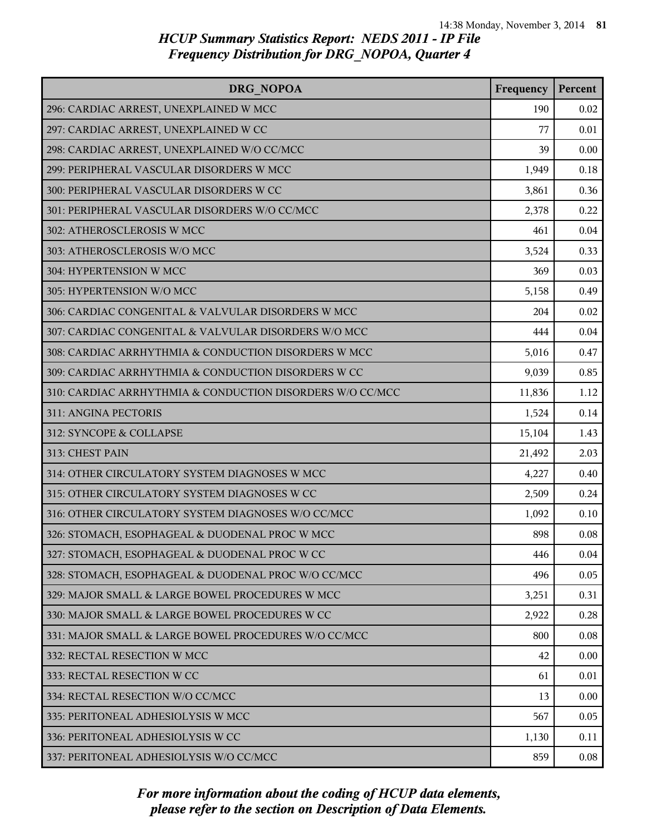| DRG NOPOA                                                 | Frequency | Percent |
|-----------------------------------------------------------|-----------|---------|
| 296: CARDIAC ARREST, UNEXPLAINED W MCC                    | 190       | 0.02    |
| 297: CARDIAC ARREST, UNEXPLAINED W CC                     | 77        | 0.01    |
| 298: CARDIAC ARREST, UNEXPLAINED W/O CC/MCC               | 39        | 0.00    |
| 299: PERIPHERAL VASCULAR DISORDERS W MCC                  | 1,949     | 0.18    |
| 300: PERIPHERAL VASCULAR DISORDERS W CC                   | 3,861     | 0.36    |
| 301: PERIPHERAL VASCULAR DISORDERS W/O CC/MCC             | 2,378     | 0.22    |
| 302: ATHEROSCLEROSIS W MCC                                | 461       | 0.04    |
| 303: ATHEROSCLEROSIS W/O MCC                              | 3,524     | 0.33    |
| 304: HYPERTENSION W MCC                                   | 369       | 0.03    |
| 305: HYPERTENSION W/O MCC                                 | 5,158     | 0.49    |
| 306: CARDIAC CONGENITAL & VALVULAR DISORDERS W MCC        | 204       | 0.02    |
| 307: CARDIAC CONGENITAL & VALVULAR DISORDERS W/O MCC      | 444       | 0.04    |
| 308: CARDIAC ARRHYTHMIA & CONDUCTION DISORDERS W MCC      | 5,016     | 0.47    |
| 309: CARDIAC ARRHYTHMIA & CONDUCTION DISORDERS W CC       | 9,039     | 0.85    |
| 310: CARDIAC ARRHYTHMIA & CONDUCTION DISORDERS W/O CC/MCC | 11,836    | 1.12    |
| 311: ANGINA PECTORIS                                      | 1,524     | 0.14    |
| 312: SYNCOPE & COLLAPSE                                   | 15,104    | 1.43    |
| 313: CHEST PAIN                                           | 21,492    | 2.03    |
| 314: OTHER CIRCULATORY SYSTEM DIAGNOSES W MCC             | 4,227     | 0.40    |
| 315: OTHER CIRCULATORY SYSTEM DIAGNOSES W CC              | 2,509     | 0.24    |
| 316: OTHER CIRCULATORY SYSTEM DIAGNOSES W/O CC/MCC        | 1,092     | 0.10    |
| 326: STOMACH, ESOPHAGEAL & DUODENAL PROC W MCC            | 898       | 0.08    |
| 327: STOMACH, ESOPHAGEAL & DUODENAL PROC W CC             | 446       | 0.04    |
| 328: STOMACH, ESOPHAGEAL & DUODENAL PROC W/O CC/MCC       | 496       | 0.05    |
| 329: MAJOR SMALL & LARGE BOWEL PROCEDURES W MCC           | 3,251     | 0.31    |
| 330: MAJOR SMALL & LARGE BOWEL PROCEDURES W CC            | 2,922     | 0.28    |
| 331: MAJOR SMALL & LARGE BOWEL PROCEDURES W/O CC/MCC      | 800       | 0.08    |
| 332: RECTAL RESECTION W MCC                               | 42        | 0.00    |
| 333: RECTAL RESECTION W CC                                | 61        | 0.01    |
| 334: RECTAL RESECTION W/O CC/MCC                          | 13        | 0.00    |
| 335: PERITONEAL ADHESIOLYSIS W MCC                        | 567       | 0.05    |
| 336: PERITONEAL ADHESIOLYSIS W CC                         | 1,130     | 0.11    |
| 337: PERITONEAL ADHESIOLYSIS W/O CC/MCC                   | 859       | 0.08    |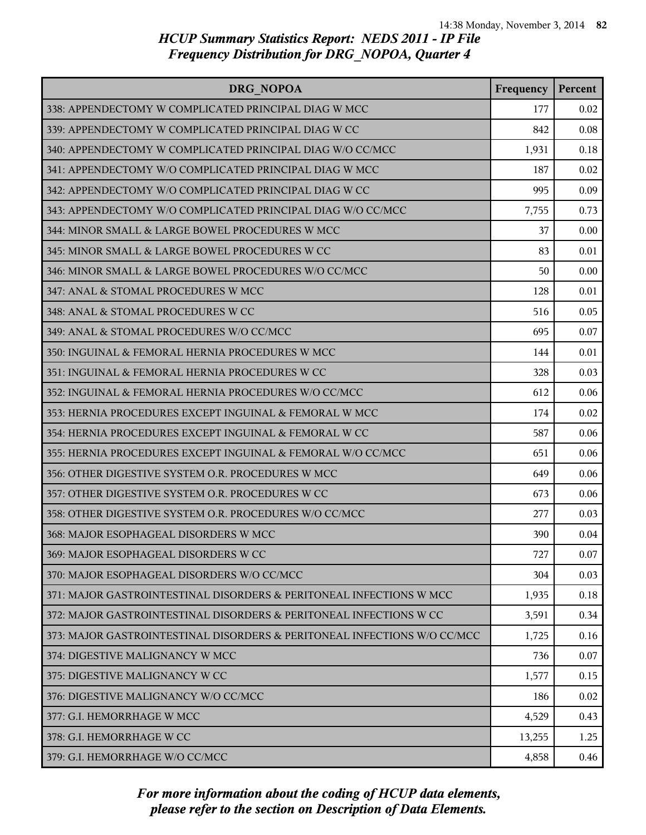| DRG NOPOA                                                                | Frequency | Percent |
|--------------------------------------------------------------------------|-----------|---------|
| 338: APPENDECTOMY W COMPLICATED PRINCIPAL DIAG W MCC                     | 177       | 0.02    |
| 339: APPENDECTOMY W COMPLICATED PRINCIPAL DIAG W CC                      | 842       | 0.08    |
| 340: APPENDECTOMY W COMPLICATED PRINCIPAL DIAG W/O CC/MCC                | 1,931     | 0.18    |
| 341: APPENDECTOMY W/O COMPLICATED PRINCIPAL DIAG W MCC                   | 187       | 0.02    |
| 342: APPENDECTOMY W/O COMPLICATED PRINCIPAL DIAG W CC                    | 995       | 0.09    |
| 343: APPENDECTOMY W/O COMPLICATED PRINCIPAL DIAG W/O CC/MCC              | 7,755     | 0.73    |
| 344: MINOR SMALL & LARGE BOWEL PROCEDURES W MCC                          | 37        | 0.00    |
| 345: MINOR SMALL & LARGE BOWEL PROCEDURES W CC                           | 83        | 0.01    |
| 346: MINOR SMALL & LARGE BOWEL PROCEDURES W/O CC/MCC                     | 50        | 0.00    |
| 347: ANAL & STOMAL PROCEDURES W MCC                                      | 128       | 0.01    |
| 348: ANAL & STOMAL PROCEDURES W CC                                       | 516       | 0.05    |
| 349: ANAL & STOMAL PROCEDURES W/O CC/MCC                                 | 695       | 0.07    |
| 350: INGUINAL & FEMORAL HERNIA PROCEDURES W MCC                          | 144       | 0.01    |
| 351: INGUINAL & FEMORAL HERNIA PROCEDURES W CC                           | 328       | 0.03    |
| 352: INGUINAL & FEMORAL HERNIA PROCEDURES W/O CC/MCC                     | 612       | 0.06    |
| 353: HERNIA PROCEDURES EXCEPT INGUINAL & FEMORAL W MCC                   | 174       | 0.02    |
| 354: HERNIA PROCEDURES EXCEPT INGUINAL & FEMORAL W CC                    | 587       | 0.06    |
| 355: HERNIA PROCEDURES EXCEPT INGUINAL & FEMORAL W/O CC/MCC              | 651       | 0.06    |
| 356: OTHER DIGESTIVE SYSTEM O.R. PROCEDURES W MCC                        | 649       | 0.06    |
| 357: OTHER DIGESTIVE SYSTEM O.R. PROCEDURES W CC                         | 673       | 0.06    |
| 358: OTHER DIGESTIVE SYSTEM O.R. PROCEDURES W/O CC/MCC                   | 277       | 0.03    |
| 368: MAJOR ESOPHAGEAL DISORDERS W MCC                                    | 390       | 0.04    |
| 369: MAJOR ESOPHAGEAL DISORDERS W CC                                     | 727       | 0.07    |
| 370: MAJOR ESOPHAGEAL DISORDERS W/O CC/MCC                               | 304       | 0.03    |
| 371: MAJOR GASTROINTESTINAL DISORDERS & PERITONEAL INFECTIONS W MCC      | 1,935     | 0.18    |
| 372: MAJOR GASTROINTESTINAL DISORDERS & PERITONEAL INFECTIONS W CC       | 3,591     | 0.34    |
| 373: MAJOR GASTROINTESTINAL DISORDERS & PERITONEAL INFECTIONS W/O CC/MCC | 1,725     | 0.16    |
| 374: DIGESTIVE MALIGNANCY W MCC                                          | 736       | 0.07    |
| 375: DIGESTIVE MALIGNANCY W CC                                           | 1,577     | 0.15    |
| 376: DIGESTIVE MALIGNANCY W/O CC/MCC                                     | 186       | 0.02    |
| 377: G.I. HEMORRHAGE W MCC                                               | 4,529     | 0.43    |
| 378: G.I. HEMORRHAGE W CC                                                | 13,255    | 1.25    |
| 379: G.I. HEMORRHAGE W/O CC/MCC                                          | 4,858     | 0.46    |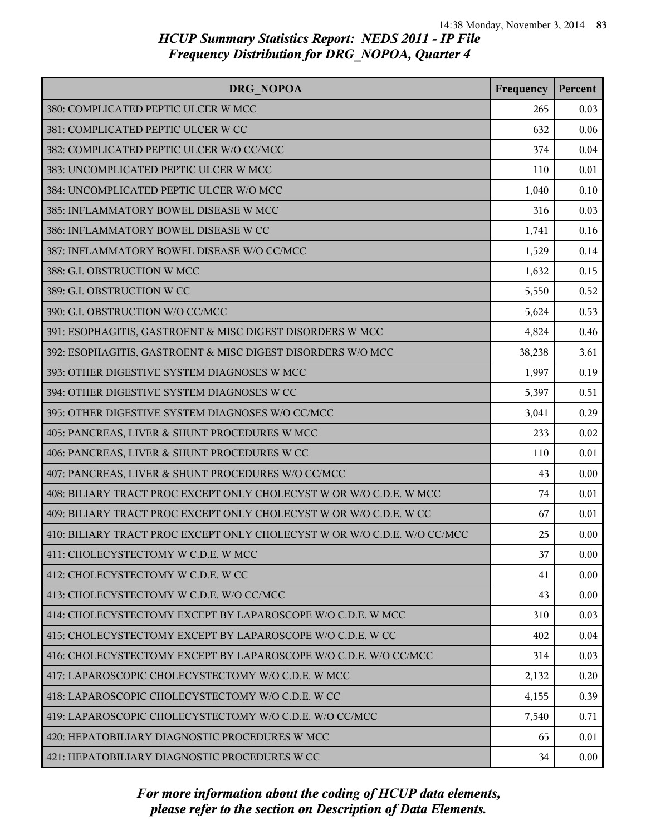| DRG NOPOA                                                                | Frequency | Percent |
|--------------------------------------------------------------------------|-----------|---------|
| 380: COMPLICATED PEPTIC ULCER W MCC                                      | 265       | 0.03    |
| 381: COMPLICATED PEPTIC ULCER W CC                                       | 632       | 0.06    |
| 382: COMPLICATED PEPTIC ULCER W/O CC/MCC                                 | 374       | 0.04    |
| 383: UNCOMPLICATED PEPTIC ULCER W MCC                                    | 110       | 0.01    |
| 384: UNCOMPLICATED PEPTIC ULCER W/O MCC                                  | 1,040     | 0.10    |
| 385: INFLAMMATORY BOWEL DISEASE W MCC                                    | 316       | 0.03    |
| 386: INFLAMMATORY BOWEL DISEASE W CC                                     | 1,741     | 0.16    |
| 387: INFLAMMATORY BOWEL DISEASE W/O CC/MCC                               | 1,529     | 0.14    |
| 388: G.I. OBSTRUCTION W MCC                                              | 1,632     | 0.15    |
| 389: G.I. OBSTRUCTION W CC                                               | 5,550     | 0.52    |
| 390: G.I. OBSTRUCTION W/O CC/MCC                                         | 5,624     | 0.53    |
| 391: ESOPHAGITIS, GASTROENT & MISC DIGEST DISORDERS W MCC                | 4,824     | 0.46    |
| 392: ESOPHAGITIS, GASTROENT & MISC DIGEST DISORDERS W/O MCC              | 38,238    | 3.61    |
| 393: OTHER DIGESTIVE SYSTEM DIAGNOSES W MCC                              | 1,997     | 0.19    |
| 394: OTHER DIGESTIVE SYSTEM DIAGNOSES W CC                               | 5,397     | 0.51    |
| 395: OTHER DIGESTIVE SYSTEM DIAGNOSES W/O CC/MCC                         | 3,041     | 0.29    |
| 405: PANCREAS, LIVER & SHUNT PROCEDURES W MCC                            | 233       | 0.02    |
| 406: PANCREAS, LIVER & SHUNT PROCEDURES W CC                             | 110       | 0.01    |
| 407: PANCREAS, LIVER & SHUNT PROCEDURES W/O CC/MCC                       | 43        | 0.00    |
| 408: BILIARY TRACT PROC EXCEPT ONLY CHOLECYST W OR W/O C.D.E. W MCC      | 74        | 0.01    |
| 409: BILIARY TRACT PROC EXCEPT ONLY CHOLECYST W OR W/O C.D.E. W CC       | 67        | 0.01    |
| 410: BILIARY TRACT PROC EXCEPT ONLY CHOLECYST W OR W/O C.D.E. W/O CC/MCC | 25        | 0.00    |
| 411: CHOLECYSTECTOMY W C.D.E. W MCC                                      | 37        | 0.00    |
| 412: CHOLECYSTECTOMY W C.D.E. W CC                                       | 41        | 0.00    |
| 413: CHOLECYSTECTOMY W C.D.E. W/O CC/MCC                                 | 43        | 0.00    |
| 414: CHOLECYSTECTOMY EXCEPT BY LAPAROSCOPE W/O C.D.E. W MCC              | 310       | 0.03    |
| 415: CHOLECYSTECTOMY EXCEPT BY LAPAROSCOPE W/O C.D.E. W CC               | 402       | 0.04    |
| 416: CHOLECYSTECTOMY EXCEPT BY LAPAROSCOPE W/O C.D.E. W/O CC/MCC         | 314       | 0.03    |
| 417: LAPAROSCOPIC CHOLECYSTECTOMY W/O C.D.E. W MCC                       | 2,132     | 0.20    |
| 418: LAPAROSCOPIC CHOLECYSTECTOMY W/O C.D.E. W CC                        | 4,155     | 0.39    |
| 419: LAPAROSCOPIC CHOLECYSTECTOMY W/O C.D.E. W/O CC/MCC                  | 7,540     | 0.71    |
| 420: HEPATOBILIARY DIAGNOSTIC PROCEDURES W MCC                           | 65        | 0.01    |
| 421: HEPATOBILIARY DIAGNOSTIC PROCEDURES W CC                            | 34        | 0.00    |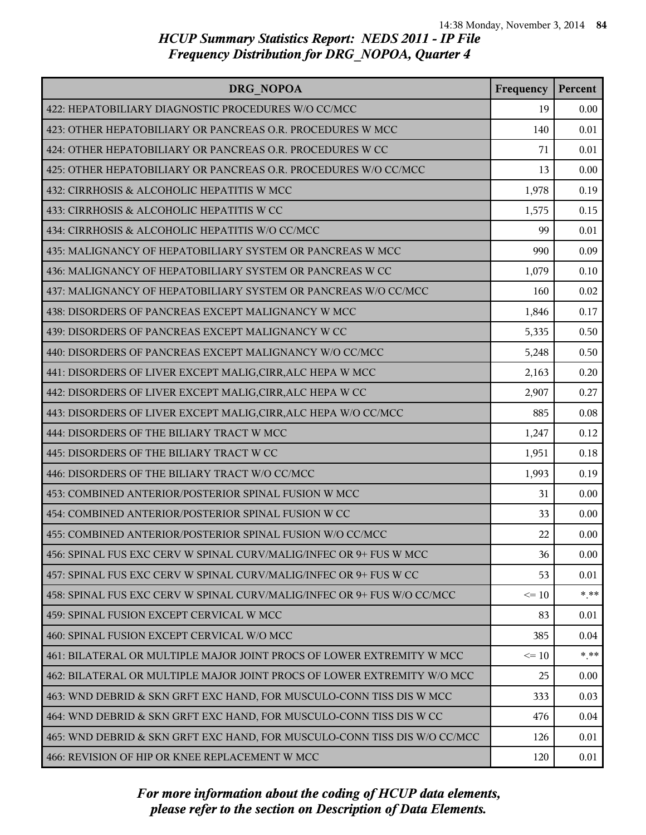| DRG NOPOA                                                                 | Frequency | Percent |
|---------------------------------------------------------------------------|-----------|---------|
| 422: HEPATOBILIARY DIAGNOSTIC PROCEDURES W/O CC/MCC                       | 19        | 0.00    |
| 423: OTHER HEPATOBILIARY OR PANCREAS O.R. PROCEDURES W MCC                | 140       | 0.01    |
| 424: OTHER HEPATOBILIARY OR PANCREAS O.R. PROCEDURES W CC                 | 71        | 0.01    |
| 425: OTHER HEPATOBILIARY OR PANCREAS O.R. PROCEDURES W/O CC/MCC           | 13        | 0.00    |
| 432: CIRRHOSIS & ALCOHOLIC HEPATITIS W MCC                                | 1,978     | 0.19    |
| 433: CIRRHOSIS & ALCOHOLIC HEPATITIS W CC                                 | 1,575     | 0.15    |
| 434: CIRRHOSIS & ALCOHOLIC HEPATITIS W/O CC/MCC                           | 99        | 0.01    |
| 435: MALIGNANCY OF HEPATOBILIARY SYSTEM OR PANCREAS W MCC                 | 990       | 0.09    |
| 436: MALIGNANCY OF HEPATOBILIARY SYSTEM OR PANCREAS W CC                  | 1,079     | 0.10    |
| 437: MALIGNANCY OF HEPATOBILIARY SYSTEM OR PANCREAS W/O CC/MCC            | 160       | 0.02    |
| 438: DISORDERS OF PANCREAS EXCEPT MALIGNANCY W MCC                        | 1,846     | 0.17    |
| 439: DISORDERS OF PANCREAS EXCEPT MALIGNANCY W CC                         | 5,335     | 0.50    |
| 440: DISORDERS OF PANCREAS EXCEPT MALIGNANCY W/O CC/MCC                   | 5,248     | 0.50    |
| 441: DISORDERS OF LIVER EXCEPT MALIG, CIRR, ALC HEPA W MCC                | 2,163     | 0.20    |
| 442: DISORDERS OF LIVER EXCEPT MALIG, CIRR, ALC HEPA W CC                 | 2,907     | 0.27    |
| 443: DISORDERS OF LIVER EXCEPT MALIG, CIRR, ALC HEPA W/O CC/MCC           | 885       | 0.08    |
| 444: DISORDERS OF THE BILIARY TRACT W MCC                                 | 1,247     | 0.12    |
| 445: DISORDERS OF THE BILIARY TRACT W CC                                  | 1,951     | 0.18    |
| 446: DISORDERS OF THE BILIARY TRACT W/O CC/MCC                            | 1,993     | 0.19    |
| 453: COMBINED ANTERIOR/POSTERIOR SPINAL FUSION W MCC                      | 31        | 0.00    |
| 454: COMBINED ANTERIOR/POSTERIOR SPINAL FUSION W CC                       | 33        | 0.00    |
| 455: COMBINED ANTERIOR/POSTERIOR SPINAL FUSION W/O CC/MCC                 | 22        | 0.00    |
| 456: SPINAL FUS EXC CERV W SPINAL CURV/MALIG/INFEC OR 9+ FUS W MCC        | 36        | 0.00    |
| 457: SPINAL FUS EXC CERV W SPINAL CURV/MALIG/INFEC OR 9+ FUS W CC         | 53        | 0.01    |
| 458: SPINAL FUS EXC CERV W SPINAL CURV/MALIG/INFEC OR 9+ FUS W/O CC/MCC   | $\leq 10$ | * **    |
| 459: SPINAL FUSION EXCEPT CERVICAL W MCC                                  | 83        | 0.01    |
| 460: SPINAL FUSION EXCEPT CERVICAL W/O MCC                                | 385       | 0.04    |
| 461: BILATERAL OR MULTIPLE MAJOR JOINT PROCS OF LOWER EXTREMITY W MCC     | $\leq 10$ | $* * *$ |
| 462: BILATERAL OR MULTIPLE MAJOR JOINT PROCS OF LOWER EXTREMITY W/O MCC   | 25        | 0.00    |
| 463: WND DEBRID & SKN GRFT EXC HAND, FOR MUSCULO-CONN TISS DIS W MCC      | 333       | 0.03    |
| 464: WND DEBRID & SKN GRFT EXC HAND, FOR MUSCULO-CONN TISS DIS W CC       | 476       | 0.04    |
| 465: WND DEBRID & SKN GRFT EXC HAND, FOR MUSCULO-CONN TISS DIS W/O CC/MCC | 126       | 0.01    |
| 466: REVISION OF HIP OR KNEE REPLACEMENT W MCC                            | 120       | 0.01    |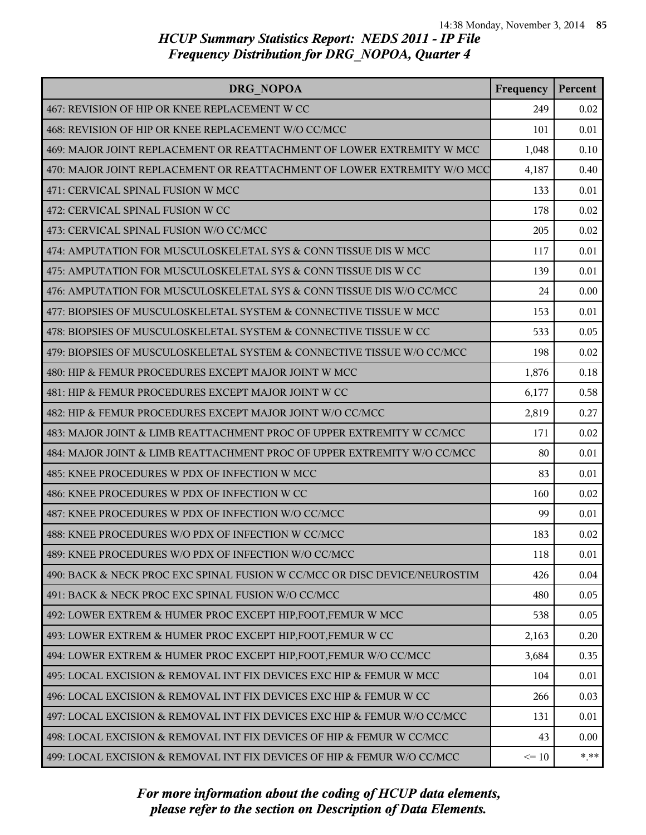| DRG NOPOA                                                                 | Frequency | Percent  |
|---------------------------------------------------------------------------|-----------|----------|
| 467: REVISION OF HIP OR KNEE REPLACEMENT W CC                             | 249       | 0.02     |
| 468: REVISION OF HIP OR KNEE REPLACEMENT W/O CC/MCC                       | 101       | 0.01     |
| 469: MAJOR JOINT REPLACEMENT OR REATTACHMENT OF LOWER EXTREMITY W MCC     | 1,048     | 0.10     |
| 470: MAJOR JOINT REPLACEMENT OR REATTACHMENT OF LOWER EXTREMITY W/O MCC   | 4,187     | 0.40     |
| 471: CERVICAL SPINAL FUSION W MCC                                         | 133       | 0.01     |
| 472: CERVICAL SPINAL FUSION W CC                                          | 178       | 0.02     |
| 473: CERVICAL SPINAL FUSION W/O CC/MCC                                    | 205       | 0.02     |
| 474: AMPUTATION FOR MUSCULOSKELETAL SYS & CONN TISSUE DIS W MCC           | 117       | 0.01     |
| 475: AMPUTATION FOR MUSCULOSKELETAL SYS & CONN TISSUE DIS W CC            | 139       | 0.01     |
| 476: AMPUTATION FOR MUSCULOSKELETAL SYS & CONN TISSUE DIS W/O CC/MCC      | 24        | 0.00     |
| 477: BIOPSIES OF MUSCULOSKELETAL SYSTEM & CONNECTIVE TISSUE W MCC         | 153       | 0.01     |
| 478: BIOPSIES OF MUSCULOSKELETAL SYSTEM & CONNECTIVE TISSUE W CC          | 533       | 0.05     |
| 479: BIOPSIES OF MUSCULOSKELETAL SYSTEM & CONNECTIVE TISSUE W/O CC/MCC    | 198       | 0.02     |
| 480: HIP & FEMUR PROCEDURES EXCEPT MAJOR JOINT W MCC                      | 1,876     | 0.18     |
| 481: HIP & FEMUR PROCEDURES EXCEPT MAJOR JOINT W CC                       | 6,177     | 0.58     |
| 482: HIP & FEMUR PROCEDURES EXCEPT MAJOR JOINT W/O CC/MCC                 | 2,819     | 0.27     |
| 483: MAJOR JOINT & LIMB REATTACHMENT PROC OF UPPER EXTREMITY W CC/MCC     | 171       | 0.02     |
| 484: MAJOR JOINT & LIMB REATTACHMENT PROC OF UPPER EXTREMITY W/O CC/MCC   | 80        | 0.01     |
| 485: KNEE PROCEDURES W PDX OF INFECTION W MCC                             | 83        | 0.01     |
| 486: KNEE PROCEDURES W PDX OF INFECTION W CC                              | 160       | 0.02     |
| 487: KNEE PROCEDURES W PDX OF INFECTION W/O CC/MCC                        | 99        | 0.01     |
| 488: KNEE PROCEDURES W/O PDX OF INFECTION W CC/MCC                        | 183       | 0.02     |
| 489: KNEE PROCEDURES W/O PDX OF INFECTION W/O CC/MCC                      | 118       | 0.01     |
| 490: BACK & NECK PROC EXC SPINAL FUSION W CC/MCC OR DISC DEVICE/NEUROSTIM | 426       | 0.04     |
| 491: BACK & NECK PROC EXC SPINAL FUSION W/O CC/MCC                        | 480       | 0.05     |
| 492: LOWER EXTREM & HUMER PROC EXCEPT HIP, FOOT, FEMUR W MCC              | 538       | 0.05     |
| 493: LOWER EXTREM & HUMER PROC EXCEPT HIP, FOOT, FEMUR W CC               | 2,163     | 0.20     |
| 494: LOWER EXTREM & HUMER PROC EXCEPT HIP, FOOT, FEMUR W/O CC/MCC         | 3,684     | 0.35     |
| 495: LOCAL EXCISION & REMOVAL INT FIX DEVICES EXC HIP & FEMUR W MCC       | 104       | 0.01     |
| 496: LOCAL EXCISION & REMOVAL INT FIX DEVICES EXC HIP & FEMUR W CC        | 266       | 0.03     |
| 497: LOCAL EXCISION & REMOVAL INT FIX DEVICES EXC HIP & FEMUR W/O CC/MCC  | 131       | 0.01     |
| 498: LOCAL EXCISION & REMOVAL INT FIX DEVICES OF HIP & FEMUR W CC/MCC     | 43        | 0.00     |
| 499: LOCAL EXCISION & REMOVAL INT FIX DEVICES OF HIP & FEMUR W/O CC/MCC   | $\leq 10$ | $*$ $**$ |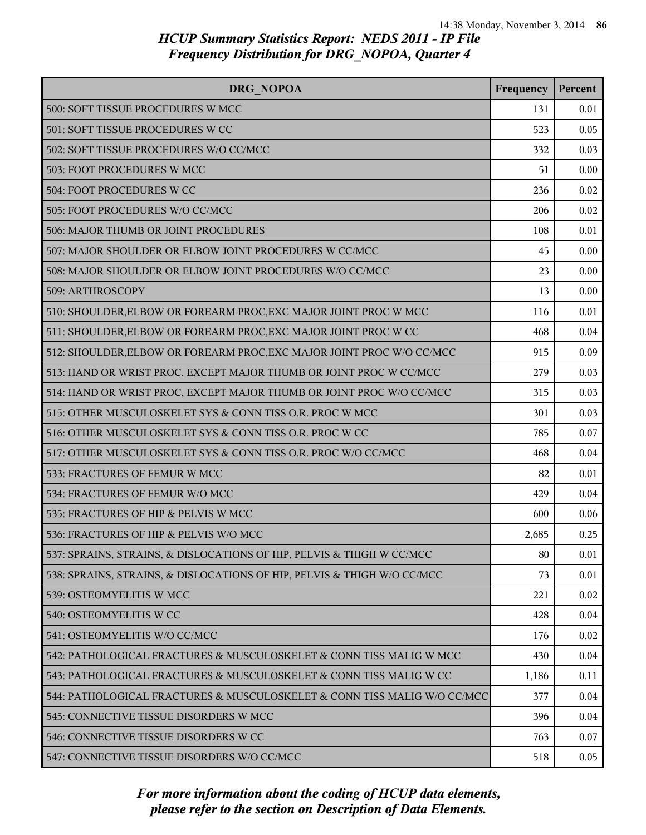| DRG NOPOA                                                                | Frequency | Percent |
|--------------------------------------------------------------------------|-----------|---------|
| 500: SOFT TISSUE PROCEDURES W MCC                                        | 131       | 0.01    |
| 501: SOFT TISSUE PROCEDURES W CC                                         | 523       | 0.05    |
| 502: SOFT TISSUE PROCEDURES W/O CC/MCC                                   | 332       | 0.03    |
| 503: FOOT PROCEDURES W MCC                                               | 51        | 0.00    |
| 504: FOOT PROCEDURES W CC                                                | 236       | 0.02    |
| 505: FOOT PROCEDURES W/O CC/MCC                                          | 206       | 0.02    |
| 506: MAJOR THUMB OR JOINT PROCEDURES                                     | 108       | 0.01    |
| 507: MAJOR SHOULDER OR ELBOW JOINT PROCEDURES W CC/MCC                   | 45        | 0.00    |
| 508: MAJOR SHOULDER OR ELBOW JOINT PROCEDURES W/O CC/MCC                 | 23        | 0.00    |
| 509: ARTHROSCOPY                                                         | 13        | 0.00    |
| 510: SHOULDER, ELBOW OR FOREARM PROC, EXC MAJOR JOINT PROC W MCC         | 116       | 0.01    |
| 511: SHOULDER, ELBOW OR FOREARM PROC, EXC MAJOR JOINT PROC W CC          | 468       | 0.04    |
| 512: SHOULDER, ELBOW OR FOREARM PROC, EXC MAJOR JOINT PROC W/O CC/MCC    | 915       | 0.09    |
| 513: HAND OR WRIST PROC, EXCEPT MAJOR THUMB OR JOINT PROC W CC/MCC       | 279       | 0.03    |
| 514: HAND OR WRIST PROC, EXCEPT MAJOR THUMB OR JOINT PROC W/O CC/MCC     | 315       | 0.03    |
| 515: OTHER MUSCULOSKELET SYS & CONN TISS O.R. PROC W MCC                 | 301       | 0.03    |
| 516: OTHER MUSCULOSKELET SYS & CONN TISS O.R. PROC W CC                  | 785       | 0.07    |
| 517: OTHER MUSCULOSKELET SYS & CONN TISS O.R. PROC W/O CC/MCC            | 468       | 0.04    |
| 533: FRACTURES OF FEMUR W MCC                                            | 82        | 0.01    |
| 534: FRACTURES OF FEMUR W/O MCC                                          | 429       | 0.04    |
| 535: FRACTURES OF HIP & PELVIS W MCC                                     | 600       | 0.06    |
| 536: FRACTURES OF HIP & PELVIS W/O MCC                                   | 2,685     | 0.25    |
| 537: SPRAINS, STRAINS, & DISLOCATIONS OF HIP, PELVIS & THIGH W CC/MCC    | 80        | 0.01    |
| 538: SPRAINS, STRAINS, & DISLOCATIONS OF HIP, PELVIS & THIGH W/O CC/MCC  | 73        | 0.01    |
| 539: OSTEOMYELITIS W MCC                                                 | 221       | 0.02    |
| 540: OSTEOMYELITIS W CC                                                  | 428       | 0.04    |
| 541: OSTEOMYELITIS W/O CC/MCC                                            | 176       | 0.02    |
| 542: PATHOLOGICAL FRACTURES & MUSCULOSKELET & CONN TISS MALIG W MCC      | 430       | 0.04    |
| 543: PATHOLOGICAL FRACTURES & MUSCULOSKELET & CONN TISS MALIG W CC       | 1,186     | 0.11    |
| 544: PATHOLOGICAL FRACTURES & MUSCULOSKELET & CONN TISS MALIG W/O CC/MCC | 377       | 0.04    |
| 545: CONNECTIVE TISSUE DISORDERS W MCC                                   | 396       | 0.04    |
| 546: CONNECTIVE TISSUE DISORDERS W CC                                    | 763       | 0.07    |
| 547: CONNECTIVE TISSUE DISORDERS W/O CC/MCC                              | 518       | 0.05    |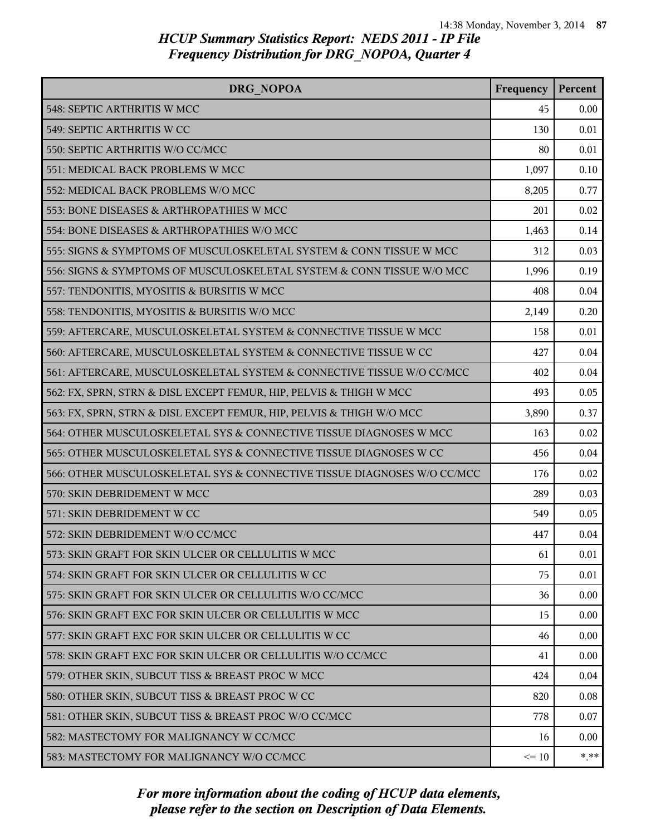| DRG NOPOA                                                               | Frequency | Percent  |
|-------------------------------------------------------------------------|-----------|----------|
| 548: SEPTIC ARTHRITIS W MCC                                             | 45        | 0.00     |
| 549: SEPTIC ARTHRITIS W CC                                              | 130       | 0.01     |
| 550: SEPTIC ARTHRITIS W/O CC/MCC                                        | 80        | 0.01     |
| 551: MEDICAL BACK PROBLEMS W MCC                                        | 1,097     | 0.10     |
| 552: MEDICAL BACK PROBLEMS W/O MCC                                      | 8,205     | 0.77     |
| 553: BONE DISEASES & ARTHROPATHIES W MCC                                | 201       | 0.02     |
| 554: BONE DISEASES & ARTHROPATHIES W/O MCC                              | 1,463     | 0.14     |
| 555: SIGNS & SYMPTOMS OF MUSCULOSKELETAL SYSTEM & CONN TISSUE W MCC     | 312       | 0.03     |
| 556: SIGNS & SYMPTOMS OF MUSCULOSKELETAL SYSTEM & CONN TISSUE W/O MCC   | 1,996     | 0.19     |
| 557: TENDONITIS, MYOSITIS & BURSITIS W MCC                              | 408       | 0.04     |
| 558: TENDONITIS, MYOSITIS & BURSITIS W/O MCC                            | 2,149     | 0.20     |
| 559: AFTERCARE, MUSCULOSKELETAL SYSTEM & CONNECTIVE TISSUE W MCC        | 158       | 0.01     |
| 560: AFTERCARE, MUSCULOSKELETAL SYSTEM & CONNECTIVE TISSUE W CC         | 427       | 0.04     |
| 561: AFTERCARE, MUSCULOSKELETAL SYSTEM & CONNECTIVE TISSUE W/O CC/MCC   | 402       | 0.04     |
| 562: FX, SPRN, STRN & DISL EXCEPT FEMUR, HIP, PELVIS & THIGH W MCC      | 493       | 0.05     |
| 563: FX, SPRN, STRN & DISL EXCEPT FEMUR, HIP, PELVIS & THIGH W/O MCC    | 3,890     | 0.37     |
| 564: OTHER MUSCULOSKELETAL SYS & CONNECTIVE TISSUE DIAGNOSES W MCC      | 163       | 0.02     |
| 565: OTHER MUSCULOSKELETAL SYS & CONNECTIVE TISSUE DIAGNOSES W CC       | 456       | 0.04     |
| 566: OTHER MUSCULOSKELETAL SYS & CONNECTIVE TISSUE DIAGNOSES W/O CC/MCC | 176       | 0.02     |
| 570: SKIN DEBRIDEMENT W MCC                                             | 289       | 0.03     |
| 571: SKIN DEBRIDEMENT W CC                                              | 549       | 0.05     |
| 572: SKIN DEBRIDEMENT W/O CC/MCC                                        | 447       | 0.04     |
| 573: SKIN GRAFT FOR SKIN ULCER OR CELLULITIS W MCC                      | 61        | 0.01     |
| 574: SKIN GRAFT FOR SKIN ULCER OR CELLULITIS W CC                       | 75        | 0.01     |
| 575: SKIN GRAFT FOR SKIN ULCER OR CELLULITIS W/O CC/MCC                 | 36        | 0.00     |
| 576: SKIN GRAFT EXC FOR SKIN ULCER OR CELLULITIS W MCC                  | 15        | 0.00     |
| 577: SKIN GRAFT EXC FOR SKIN ULCER OR CELLULITIS W CC                   | 46        | 0.00     |
| 578: SKIN GRAFT EXC FOR SKIN ULCER OR CELLULITIS W/O CC/MCC             | 41        | 0.00     |
| 579: OTHER SKIN, SUBCUT TISS & BREAST PROC W MCC                        | 424       | 0.04     |
| 580: OTHER SKIN, SUBCUT TISS & BREAST PROC W CC                         | 820       | 0.08     |
| 581: OTHER SKIN, SUBCUT TISS & BREAST PROC W/O CC/MCC                   | 778       | 0.07     |
| 582: MASTECTOMY FOR MALIGNANCY W CC/MCC                                 | 16        | 0.00     |
| 583: MASTECTOMY FOR MALIGNANCY W/O CC/MCC                               | $\leq 10$ | $*$ $**$ |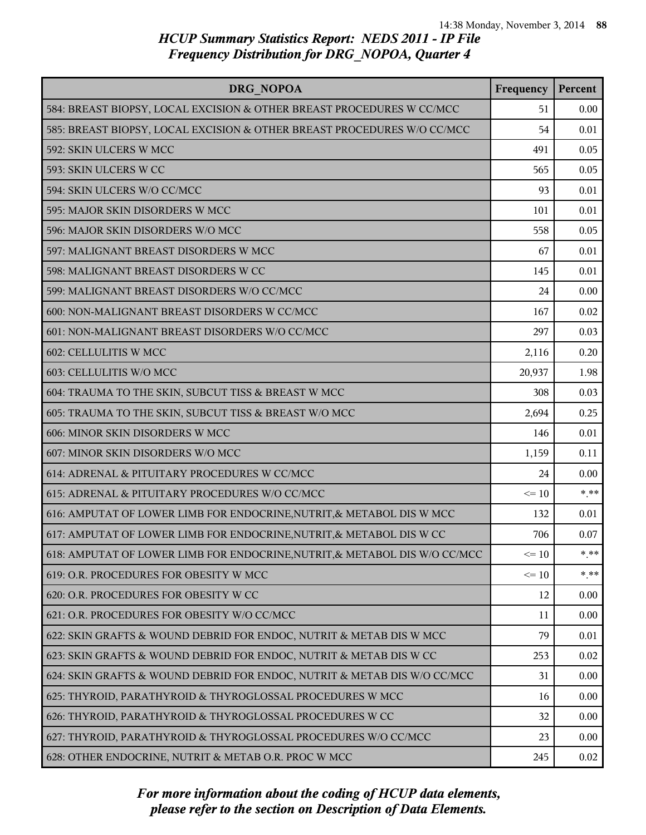| DRG NOPOA                                                                  | Frequency | Percent |
|----------------------------------------------------------------------------|-----------|---------|
| 584: BREAST BIOPSY, LOCAL EXCISION & OTHER BREAST PROCEDURES W CC/MCC      | 51        | 0.00    |
| 585: BREAST BIOPSY, LOCAL EXCISION & OTHER BREAST PROCEDURES W/O CC/MCC    | 54        | 0.01    |
| 592: SKIN ULCERS W MCC                                                     | 491       | 0.05    |
| 593: SKIN ULCERS W CC                                                      | 565       | 0.05    |
| 594: SKIN ULCERS W/O CC/MCC                                                | 93        | 0.01    |
| 595: MAJOR SKIN DISORDERS W MCC                                            | 101       | 0.01    |
| 596: MAJOR SKIN DISORDERS W/O MCC                                          | 558       | 0.05    |
| 597: MALIGNANT BREAST DISORDERS W MCC                                      | 67        | 0.01    |
| 598: MALIGNANT BREAST DISORDERS W CC                                       | 145       | 0.01    |
| 599: MALIGNANT BREAST DISORDERS W/O CC/MCC                                 | 24        | 0.00    |
| 600: NON-MALIGNANT BREAST DISORDERS W CC/MCC                               | 167       | 0.02    |
| 601: NON-MALIGNANT BREAST DISORDERS W/O CC/MCC                             | 297       | 0.03    |
| 602: CELLULITIS W MCC                                                      | 2,116     | 0.20    |
| 603: CELLULITIS W/O MCC                                                    | 20,937    | 1.98    |
| 604: TRAUMA TO THE SKIN, SUBCUT TISS & BREAST W MCC                        | 308       | 0.03    |
| 605: TRAUMA TO THE SKIN, SUBCUT TISS & BREAST W/O MCC                      | 2,694     | 0.25    |
| 606: MINOR SKIN DISORDERS W MCC                                            | 146       | 0.01    |
| 607: MINOR SKIN DISORDERS W/O MCC                                          | 1,159     | 0.11    |
| 614: ADRENAL & PITUITARY PROCEDURES W CC/MCC                               | 24        | 0.00    |
| 615: ADRENAL & PITUITARY PROCEDURES W/O CC/MCC                             | $\leq 10$ | $* * *$ |
| 616: AMPUTAT OF LOWER LIMB FOR ENDOCRINE, NUTRIT, & METABOL DIS W MCC      | 132       | 0.01    |
| 617: AMPUTAT OF LOWER LIMB FOR ENDOCRINE, NUTRIT, & METABOL DIS W CC       | 706       | 0.07    |
| 618: AMPUTAT OF LOWER LIMB FOR ENDOCRINE, NUTRIT, & METABOL DIS W/O CC/MCC | $\leq 10$ | * **    |
| 619: O.R. PROCEDURES FOR OBESITY W MCC                                     | $\leq 10$ | $* * *$ |
| 620: O.R. PROCEDURES FOR OBESITY W CC                                      | 12        | 0.00    |
| 621: O.R. PROCEDURES FOR OBESITY W/O CC/MCC                                | 11        | 0.00    |
| 622: SKIN GRAFTS & WOUND DEBRID FOR ENDOC, NUTRIT & METAB DIS W MCC        | 79        | 0.01    |
| 623: SKIN GRAFTS & WOUND DEBRID FOR ENDOC, NUTRIT & METAB DIS W CC         | 253       | 0.02    |
| 624: SKIN GRAFTS & WOUND DEBRID FOR ENDOC, NUTRIT & METAB DIS W/O CC/MCC   | 31        | 0.00    |
| 625: THYROID, PARATHYROID & THYROGLOSSAL PROCEDURES W MCC                  | 16        | 0.00    |
| 626: THYROID, PARATHYROID & THYROGLOSSAL PROCEDURES W CC                   | 32        | 0.00    |
| 627: THYROID, PARATHYROID & THYROGLOSSAL PROCEDURES W/O CC/MCC             | 23        | 0.00    |
| 628: OTHER ENDOCRINE, NUTRIT & METAB O.R. PROC W MCC                       | 245       | 0.02    |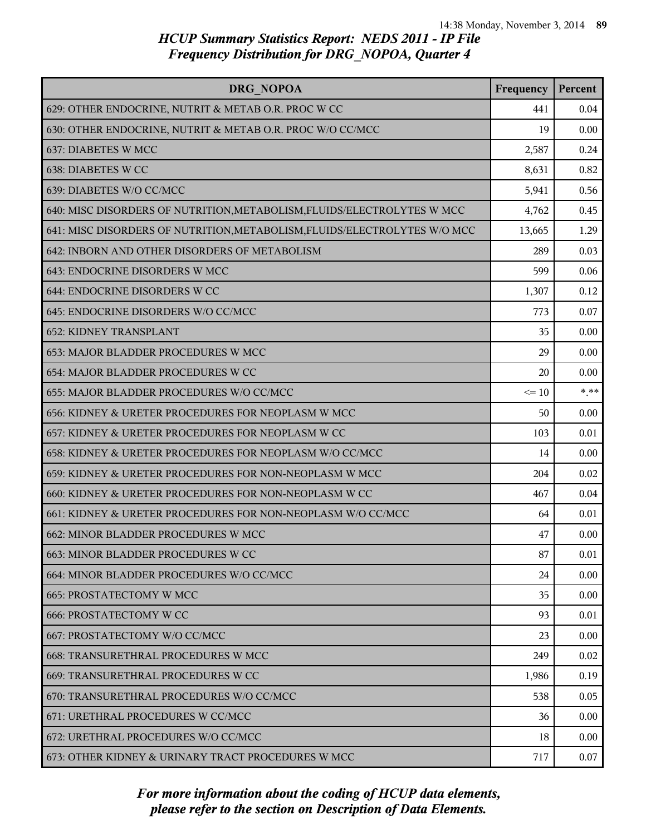| DRG NOPOA                                                                 | Frequency | Percent |
|---------------------------------------------------------------------------|-----------|---------|
| 629: OTHER ENDOCRINE, NUTRIT & METAB O.R. PROC W CC                       | 441       | 0.04    |
| 630: OTHER ENDOCRINE, NUTRIT & METAB O.R. PROC W/O CC/MCC                 | 19        | 0.00    |
| 637: DIABETES W MCC                                                       | 2,587     | 0.24    |
| 638: DIABETES W CC                                                        | 8,631     | 0.82    |
| 639: DIABETES W/O CC/MCC                                                  | 5,941     | 0.56    |
| 640: MISC DISORDERS OF NUTRITION, METABOLISM, FLUIDS/ELECTROLYTES W MCC   | 4,762     | 0.45    |
| 641: MISC DISORDERS OF NUTRITION, METABOLISM, FLUIDS/ELECTROLYTES W/O MCC | 13,665    | 1.29    |
| 642: INBORN AND OTHER DISORDERS OF METABOLISM                             | 289       | 0.03    |
| 643: ENDOCRINE DISORDERS W MCC                                            | 599       | 0.06    |
| 644: ENDOCRINE DISORDERS W CC                                             | 1,307     | 0.12    |
| 645: ENDOCRINE DISORDERS W/O CC/MCC                                       | 773       | 0.07    |
| <b>652: KIDNEY TRANSPLANT</b>                                             | 35        | 0.00    |
| 653: MAJOR BLADDER PROCEDURES W MCC                                       | 29        | 0.00    |
| 654: MAJOR BLADDER PROCEDURES W CC                                        | 20        | 0.00    |
| 655: MAJOR BLADDER PROCEDURES W/O CC/MCC                                  | $\leq 10$ | $*$ **  |
| 656: KIDNEY & URETER PROCEDURES FOR NEOPLASM W MCC                        | 50        | 0.00    |
| 657: KIDNEY & URETER PROCEDURES FOR NEOPLASM W CC                         | 103       | 0.01    |
| 658: KIDNEY & URETER PROCEDURES FOR NEOPLASM W/O CC/MCC                   | 14        | 0.00    |
| 659: KIDNEY & URETER PROCEDURES FOR NON-NEOPLASM W MCC                    | 204       | 0.02    |
| 660: KIDNEY & URETER PROCEDURES FOR NON-NEOPLASM W CC                     | 467       | 0.04    |
| 661: KIDNEY & URETER PROCEDURES FOR NON-NEOPLASM W/O CC/MCC               | 64        | 0.01    |
| 662: MINOR BLADDER PROCEDURES W MCC                                       | 47        | 0.00    |
| 663: MINOR BLADDER PROCEDURES W CC                                        | 87        | 0.01    |
| 664: MINOR BLADDER PROCEDURES W/O CC/MCC                                  | 24        | 0.00    |
| <b>665: PROSTATECTOMY W MCC</b>                                           | 35        | 0.00    |
| <b>666: PROSTATECTOMY W CC</b>                                            | 93        | 0.01    |
| 667: PROSTATECTOMY W/O CC/MCC                                             | 23        | 0.00    |
| 668: TRANSURETHRAL PROCEDURES W MCC                                       | 249       | 0.02    |
| 669: TRANSURETHRAL PROCEDURES W CC                                        | 1,986     | 0.19    |
| 670: TRANSURETHRAL PROCEDURES W/O CC/MCC                                  | 538       | 0.05    |
| 671: URETHRAL PROCEDURES W CC/MCC                                         | 36        | 0.00    |
| 672: URETHRAL PROCEDURES W/O CC/MCC                                       | 18        | 0.00    |
| 673: OTHER KIDNEY & URINARY TRACT PROCEDURES W MCC                        | 717       | 0.07    |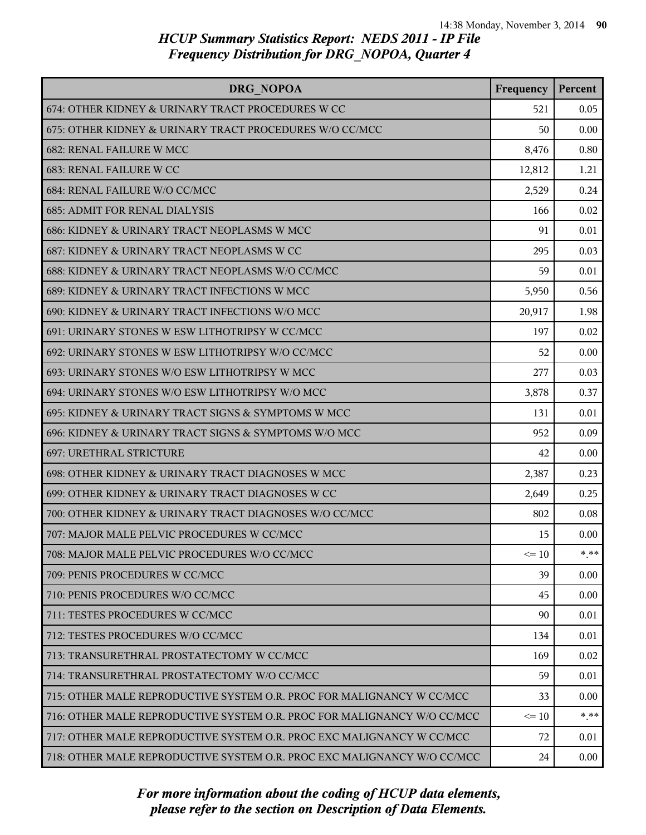| DRG NOPOA                                                               | Frequency | Percent |
|-------------------------------------------------------------------------|-----------|---------|
| 674: OTHER KIDNEY & URINARY TRACT PROCEDURES W CC                       | 521       | 0.05    |
| 675: OTHER KIDNEY & URINARY TRACT PROCEDURES W/O CC/MCC                 | 50        | 0.00    |
| 682: RENAL FAILURE W MCC                                                | 8,476     | 0.80    |
| 683: RENAL FAILURE W CC                                                 | 12,812    | 1.21    |
| 684: RENAL FAILURE W/O CC/MCC                                           | 2,529     | 0.24    |
| <b>685: ADMIT FOR RENAL DIALYSIS</b>                                    | 166       | 0.02    |
| 686: KIDNEY & URINARY TRACT NEOPLASMS W MCC                             | 91        | 0.01    |
| 687: KIDNEY & URINARY TRACT NEOPLASMS W CC                              | 295       | 0.03    |
| 688: KIDNEY & URINARY TRACT NEOPLASMS W/O CC/MCC                        | 59        | 0.01    |
| 689: KIDNEY & URINARY TRACT INFECTIONS W MCC                            | 5,950     | 0.56    |
| 690: KIDNEY & URINARY TRACT INFECTIONS W/O MCC                          | 20,917    | 1.98    |
| 691: URINARY STONES W ESW LITHOTRIPSY W CC/MCC                          | 197       | 0.02    |
| 692: URINARY STONES W ESW LITHOTRIPSY W/O CC/MCC                        | 52        | 0.00    |
| 693: URINARY STONES W/O ESW LITHOTRIPSY W MCC                           | 277       | 0.03    |
| 694: URINARY STONES W/O ESW LITHOTRIPSY W/O MCC                         | 3,878     | 0.37    |
| 695: KIDNEY & URINARY TRACT SIGNS & SYMPTOMS W MCC                      | 131       | 0.01    |
| 696: KIDNEY & URINARY TRACT SIGNS & SYMPTOMS W/O MCC                    | 952       | 0.09    |
| 697: URETHRAL STRICTURE                                                 | 42        | 0.00    |
| 698: OTHER KIDNEY & URINARY TRACT DIAGNOSES W MCC                       | 2,387     | 0.23    |
| 699: OTHER KIDNEY & URINARY TRACT DIAGNOSES W CC                        | 2,649     | 0.25    |
| 700: OTHER KIDNEY & URINARY TRACT DIAGNOSES W/O CC/MCC                  | 802       | 0.08    |
| 707: MAJOR MALE PELVIC PROCEDURES W CC/MCC                              | 15        | 0.00    |
| 708: MAJOR MALE PELVIC PROCEDURES W/O CC/MCC                            | $\leq$ 10 | * **    |
| 709: PENIS PROCEDURES W CC/MCC                                          | 39        | 0.00    |
| 710: PENIS PROCEDURES W/O CC/MCC                                        | 45        | 0.00    |
| 711: TESTES PROCEDURES W CC/MCC                                         | 90        | 0.01    |
| 712: TESTES PROCEDURES W/O CC/MCC                                       | 134       | 0.01    |
| 713: TRANSURETHRAL PROSTATECTOMY W CC/MCC                               | 169       | 0.02    |
| 714: TRANSURETHRAL PROSTATECTOMY W/O CC/MCC                             | 59        | 0.01    |
| 715: OTHER MALE REPRODUCTIVE SYSTEM O.R. PROC FOR MALIGNANCY W CC/MCC   | 33        | 0.00    |
| 716: OTHER MALE REPRODUCTIVE SYSTEM O.R. PROC FOR MALIGNANCY W/O CC/MCC | $\leq 10$ | * **    |
| 717: OTHER MALE REPRODUCTIVE SYSTEM O.R. PROC EXC MALIGNANCY W CC/MCC   | 72        | 0.01    |
| 718: OTHER MALE REPRODUCTIVE SYSTEM O.R. PROC EXC MALIGNANCY W/O CC/MCC | 24        | 0.00    |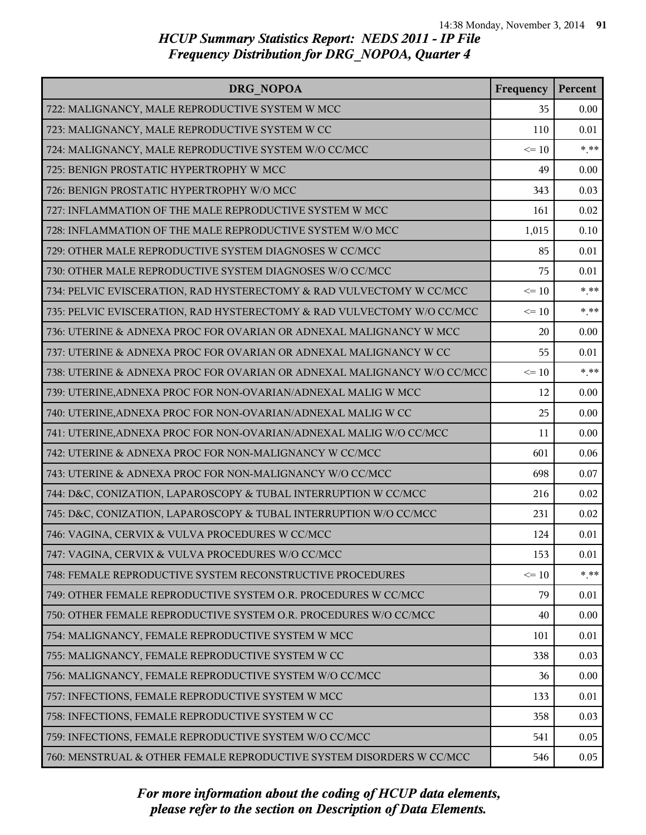| DRG NOPOA                                                               | Frequency | Percent |
|-------------------------------------------------------------------------|-----------|---------|
| 722: MALIGNANCY, MALE REPRODUCTIVE SYSTEM W MCC                         | 35        | 0.00    |
| 723: MALIGNANCY, MALE REPRODUCTIVE SYSTEM W CC                          | 110       | 0.01    |
| 724: MALIGNANCY, MALE REPRODUCTIVE SYSTEM W/O CC/MCC                    | $\leq 10$ | $* * *$ |
| 725: BENIGN PROSTATIC HYPERTROPHY W MCC                                 | 49        | 0.00    |
| 726: BENIGN PROSTATIC HYPERTROPHY W/O MCC                               | 343       | 0.03    |
| 727: INFLAMMATION OF THE MALE REPRODUCTIVE SYSTEM W MCC                 | 161       | 0.02    |
| 728: INFLAMMATION OF THE MALE REPRODUCTIVE SYSTEM W/O MCC               | 1,015     | 0.10    |
| 729: OTHER MALE REPRODUCTIVE SYSTEM DIAGNOSES W CC/MCC                  | 85        | 0.01    |
| 730: OTHER MALE REPRODUCTIVE SYSTEM DIAGNOSES W/O CC/MCC                | 75        | 0.01    |
| 734: PELVIC EVISCERATION, RAD HYSTERECTOMY & RAD VULVECTOMY W CC/MCC    | $\leq 10$ | $***$   |
| 735: PELVIC EVISCERATION, RAD HYSTERECTOMY & RAD VULVECTOMY W/O CC/MCC  | $\leq 10$ | $* * *$ |
| 736: UTERINE & ADNEXA PROC FOR OVARIAN OR ADNEXAL MALIGNANCY W MCC      | 20        | 0.00    |
| 737: UTERINE & ADNEXA PROC FOR OVARIAN OR ADNEXAL MALIGNANCY W CC       | 55        | 0.01    |
| 738: UTERINE & ADNEXA PROC FOR OVARIAN OR ADNEXAL MALIGNANCY W/O CC/MCC | $\leq 10$ | $***$   |
| 739: UTERINE, ADNEXA PROC FOR NON-OVARIAN/ADNEXAL MALIG W MCC           | 12        | 0.00    |
| 740: UTERINE, ADNEXA PROC FOR NON-OVARIAN/ADNEXAL MALIG W CC            | 25        | 0.00    |
| 741: UTERINE, ADNEXA PROC FOR NON-OVARIAN/ADNEXAL MALIG W/O CC/MCC      | 11        | 0.00    |
| 742: UTERINE & ADNEXA PROC FOR NON-MALIGNANCY W CC/MCC                  | 601       | 0.06    |
| 743: UTERINE & ADNEXA PROC FOR NON-MALIGNANCY W/O CC/MCC                | 698       | 0.07    |
| 744: D&C, CONIZATION, LAPAROSCOPY & TUBAL INTERRUPTION W CC/MCC         | 216       | 0.02    |
| 745: D&C, CONIZATION, LAPAROSCOPY & TUBAL INTERRUPTION W/O CC/MCC       | 231       | 0.02    |
| 746: VAGINA, CERVIX & VULVA PROCEDURES W CC/MCC                         | 124       | 0.01    |
| 747: VAGINA, CERVIX & VULVA PROCEDURES W/O CC/MCC                       | 153       | 0.01    |
| 748: FEMALE REPRODUCTIVE SYSTEM RECONSTRUCTIVE PROCEDURES               | $\leq 10$ | $* * *$ |
| 749: OTHER FEMALE REPRODUCTIVE SYSTEM O.R. PROCEDURES W CC/MCC          | 79        | 0.01    |
| 750: OTHER FEMALE REPRODUCTIVE SYSTEM O.R. PROCEDURES W/O CC/MCC        | 40        | 0.00    |
| 754: MALIGNANCY, FEMALE REPRODUCTIVE SYSTEM W MCC                       | 101       | 0.01    |
| 755: MALIGNANCY, FEMALE REPRODUCTIVE SYSTEM W CC                        | 338       | 0.03    |
| 756: MALIGNANCY, FEMALE REPRODUCTIVE SYSTEM W/O CC/MCC                  | 36        | 0.00    |
| 757: INFECTIONS, FEMALE REPRODUCTIVE SYSTEM W MCC                       | 133       | 0.01    |
| 758: INFECTIONS, FEMALE REPRODUCTIVE SYSTEM W CC                        | 358       | 0.03    |
| 759: INFECTIONS, FEMALE REPRODUCTIVE SYSTEM W/O CC/MCC                  | 541       | 0.05    |
| 760: MENSTRUAL & OTHER FEMALE REPRODUCTIVE SYSTEM DISORDERS W CC/MCC    | 546       | 0.05    |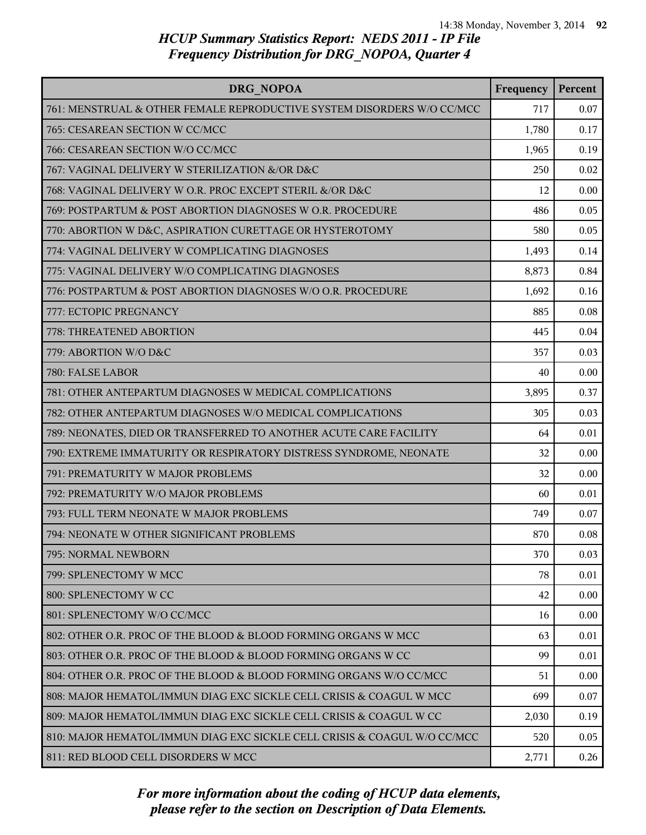| DRG NOPOA                                                                | Frequency | Percent |
|--------------------------------------------------------------------------|-----------|---------|
| 761: MENSTRUAL & OTHER FEMALE REPRODUCTIVE SYSTEM DISORDERS W/O CC/MCC   | 717       | 0.07    |
| 765: CESAREAN SECTION W CC/MCC                                           | 1,780     | 0.17    |
| 766: CESAREAN SECTION W/O CC/MCC                                         | 1,965     | 0.19    |
| 767: VAGINAL DELIVERY W STERILIZATION &/OR D&C                           | 250       | 0.02    |
| 768: VAGINAL DELIVERY W O.R. PROC EXCEPT STERIL &/OR D&C                 | 12        | 0.00    |
| 769: POSTPARTUM & POST ABORTION DIAGNOSES W O.R. PROCEDURE               | 486       | 0.05    |
| 770: ABORTION W D&C, ASPIRATION CURETTAGE OR HYSTEROTOMY                 | 580       | 0.05    |
| 774: VAGINAL DELIVERY W COMPLICATING DIAGNOSES                           | 1,493     | 0.14    |
| 775: VAGINAL DELIVERY W/O COMPLICATING DIAGNOSES                         | 8,873     | 0.84    |
| 776: POSTPARTUM & POST ABORTION DIAGNOSES W/O O.R. PROCEDURE             | 1,692     | 0.16    |
| 777: ECTOPIC PREGNANCY                                                   | 885       | 0.08    |
| 778: THREATENED ABORTION                                                 | 445       | 0.04    |
| 779: ABORTION W/O D&C                                                    | 357       | 0.03    |
| 780: FALSE LABOR                                                         | 40        | 0.00    |
| 781: OTHER ANTEPARTUM DIAGNOSES W MEDICAL COMPLICATIONS                  | 3,895     | 0.37    |
| 782: OTHER ANTEPARTUM DIAGNOSES W/O MEDICAL COMPLICATIONS                | 305       | 0.03    |
| 789: NEONATES, DIED OR TRANSFERRED TO ANOTHER ACUTE CARE FACILITY        | 64        | 0.01    |
| 790: EXTREME IMMATURITY OR RESPIRATORY DISTRESS SYNDROME, NEONATE        | 32        | 0.00    |
| 791: PREMATURITY W MAJOR PROBLEMS                                        | 32        | 0.00    |
| 792: PREMATURITY W/O MAJOR PROBLEMS                                      | 60        | 0.01    |
| 793: FULL TERM NEONATE W MAJOR PROBLEMS                                  | 749       | 0.07    |
| 794: NEONATE W OTHER SIGNIFICANT PROBLEMS                                | 870       | 0.08    |
| 795: NORMAL NEWBORN                                                      | 370       | 0.03    |
| 799: SPLENECTOMY W MCC                                                   | 78        | 0.01    |
| 800: SPLENECTOMY W CC                                                    | 42        | 0.00    |
| 801: SPLENECTOMY W/O CC/MCC                                              | 16        | 0.00    |
| 802: OTHER O.R. PROC OF THE BLOOD & BLOOD FORMING ORGANS W MCC           | 63        | 0.01    |
| 803: OTHER O.R. PROC OF THE BLOOD & BLOOD FORMING ORGANS W CC            | 99        | 0.01    |
| 804: OTHER O.R. PROC OF THE BLOOD & BLOOD FORMING ORGANS W/O CC/MCC      | 51        | 0.00    |
| 808: MAJOR HEMATOL/IMMUN DIAG EXC SICKLE CELL CRISIS & COAGUL W MCC      | 699       | 0.07    |
| 809: MAJOR HEMATOL/IMMUN DIAG EXC SICKLE CELL CRISIS & COAGUL W CC       | 2,030     | 0.19    |
| 810: MAJOR HEMATOL/IMMUN DIAG EXC SICKLE CELL CRISIS & COAGUL W/O CC/MCC | 520       | 0.05    |
| 811: RED BLOOD CELL DISORDERS W MCC                                      | 2,771     | 0.26    |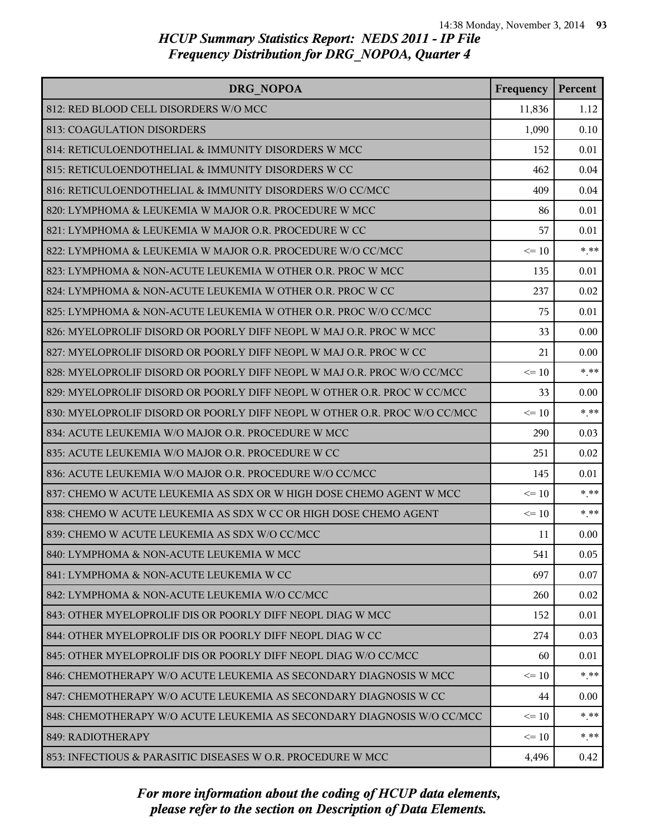| <b>DRG NOPOA</b>                                                          | Frequency | Percent |
|---------------------------------------------------------------------------|-----------|---------|
| 812: RED BLOOD CELL DISORDERS W/O MCC                                     | 11,836    | 1.12    |
| 813: COAGULATION DISORDERS                                                | 1,090     | 0.10    |
| 814: RETICULOENDOTHELIAL & IMMUNITY DISORDERS W MCC                       | 152       | 0.01    |
| 815: RETICULOENDOTHELIAL & IMMUNITY DISORDERS W CC                        | 462       | 0.04    |
| 816: RETICULOENDOTHELIAL & IMMUNITY DISORDERS W/O CC/MCC                  | 409       | 0.04    |
| 820: LYMPHOMA & LEUKEMIA W MAJOR O.R. PROCEDURE W MCC                     | 86        | 0.01    |
| 821: LYMPHOMA & LEUKEMIA W MAJOR O.R. PROCEDURE W CC                      | 57        | 0.01    |
| 822: LYMPHOMA & LEUKEMIA W MAJOR O.R. PROCEDURE W/O CC/MCC                | $\leq 10$ | $***$   |
| 823: LYMPHOMA & NON-ACUTE LEUKEMIA W OTHER O.R. PROC W MCC                | 135       | 0.01    |
| 824: LYMPHOMA & NON-ACUTE LEUKEMIA W OTHER O.R. PROC W CC                 | 237       | 0.02    |
| 825: LYMPHOMA & NON-ACUTE LEUKEMIA W OTHER O.R. PROC W/O CC/MCC           | 75        | 0.01    |
| 826: MYELOPROLIF DISORD OR POORLY DIFF NEOPL W MAJ O.R. PROC W MCC        | 33        | 0.00    |
| 827: MYELOPROLIF DISORD OR POORLY DIFF NEOPL W MAJ O.R. PROC W CC         | 21        | 0.00    |
| 828: MYELOPROLIF DISORD OR POORLY DIFF NEOPL W MAJ O.R. PROC W/O CC/MCC   | $\leq 10$ | $*$ **  |
| 829: MYELOPROLIF DISORD OR POORLY DIFF NEOPL W OTHER O.R. PROC W CC/MCC   | 33        | 0.00    |
| 830: MYELOPROLIF DISORD OR POORLY DIFF NEOPL W OTHER O.R. PROC W/O CC/MCC | $\leq 10$ | $* * *$ |
| 834: ACUTE LEUKEMIA W/O MAJOR O.R. PROCEDURE W MCC                        | 290       | 0.03    |
| 835: ACUTE LEUKEMIA W/O MAJOR O.R. PROCEDURE W CC                         | 251       | 0.02    |
| 836: ACUTE LEUKEMIA W/O MAJOR O.R. PROCEDURE W/O CC/MCC                   | 145       | 0.01    |
| 837: CHEMO W ACUTE LEUKEMIA AS SDX OR W HIGH DOSE CHEMO AGENT W MCC       | $\leq$ 10 | $***$   |
| 838: CHEMO W ACUTE LEUKEMIA AS SDX W CC OR HIGH DOSE CHEMO AGENT          | $\leq 10$ | $***$   |
| 839: CHEMO W ACUTE LEUKEMIA AS SDX W/O CC/MCC                             | 11        | 0.00    |
| 840: LYMPHOMA & NON-ACUTE LEUKEMIA W MCC                                  | 541       | 0.05    |
| 841: LYMPHOMA & NON-ACUTE LEUKEMIA W CC                                   | 697       | 0.07    |
| 842: LYMPHOMA & NON-ACUTE LEUKEMIA W/O CC/MCC                             | 260       | 0.02    |
| 843: OTHER MYELOPROLIF DIS OR POORLY DIFF NEOPL DIAG W MCC                | 152       | 0.01    |
| 844: OTHER MYELOPROLIF DIS OR POORLY DIFF NEOPL DIAG W CC                 | 274       | 0.03    |
| 845: OTHER MYELOPROLIF DIS OR POORLY DIFF NEOPL DIAG W/O CC/MCC           | 60        | 0.01    |
| 846: CHEMOTHERAPY W/O ACUTE LEUKEMIA AS SECONDARY DIAGNOSIS W MCC         | $\leq 10$ | $*$ **  |
| 847: CHEMOTHERAPY W/O ACUTE LEUKEMIA AS SECONDARY DIAGNOSIS W CC          | 44        | 0.00    |
| 848: CHEMOTHERAPY W/O ACUTE LEUKEMIA AS SECONDARY DIAGNOSIS W/O CC/MCC    | $\leq 10$ | * **    |
| 849: RADIOTHERAPY                                                         | $\leq 10$ | * **    |
| 853: INFECTIOUS & PARASITIC DISEASES W O.R. PROCEDURE W MCC               | 4,496     | 0.42    |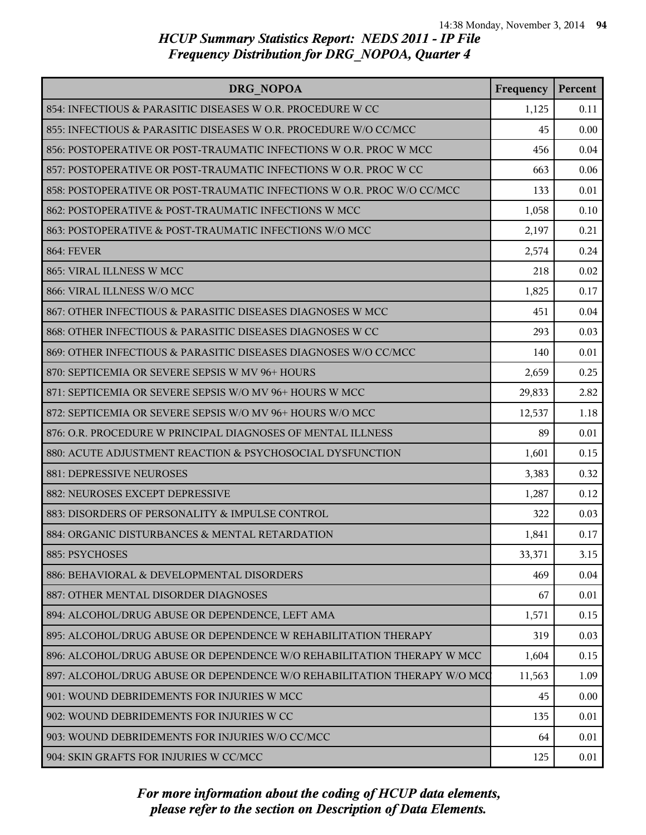| <b>DRG NOPOA</b>                                                         | Frequency | Percent |
|--------------------------------------------------------------------------|-----------|---------|
| 854: INFECTIOUS & PARASITIC DISEASES W O.R. PROCEDURE W CC               | 1,125     | 0.11    |
| 855: INFECTIOUS & PARASITIC DISEASES W O.R. PROCEDURE W/O CC/MCC         | 45        | 0.00    |
| 856: POSTOPERATIVE OR POST-TRAUMATIC INFECTIONS W O.R. PROC W MCC        | 456       | 0.04    |
| 857: POSTOPERATIVE OR POST-TRAUMATIC INFECTIONS W O.R. PROC W CC         | 663       | 0.06    |
| 858: POSTOPERATIVE OR POST-TRAUMATIC INFECTIONS W O.R. PROC W/O CC/MCC   | 133       | 0.01    |
| 862: POSTOPERATIVE & POST-TRAUMATIC INFECTIONS W MCC                     | 1,058     | 0.10    |
| 863: POSTOPERATIVE & POST-TRAUMATIC INFECTIONS W/O MCC                   | 2,197     | 0.21    |
| <b>864: FEVER</b>                                                        | 2,574     | 0.24    |
| 865: VIRAL ILLNESS W MCC                                                 | 218       | 0.02    |
| 866: VIRAL ILLNESS W/O MCC                                               | 1,825     | 0.17    |
| 867: OTHER INFECTIOUS & PARASITIC DISEASES DIAGNOSES W MCC               | 451       | 0.04    |
| 868: OTHER INFECTIOUS & PARASITIC DISEASES DIAGNOSES W CC                | 293       | 0.03    |
| 869: OTHER INFECTIOUS & PARASITIC DISEASES DIAGNOSES W/O CC/MCC          | 140       | 0.01    |
| 870: SEPTICEMIA OR SEVERE SEPSIS W MV 96+ HOURS                          | 2,659     | 0.25    |
| 871: SEPTICEMIA OR SEVERE SEPSIS W/O MV 96+ HOURS W MCC                  | 29,833    | 2.82    |
| 872: SEPTICEMIA OR SEVERE SEPSIS W/O MV 96+ HOURS W/O MCC                | 12,537    | 1.18    |
| 876: O.R. PROCEDURE W PRINCIPAL DIAGNOSES OF MENTAL ILLNESS              | 89        | 0.01    |
| 880: ACUTE ADJUSTMENT REACTION & PSYCHOSOCIAL DYSFUNCTION                | 1,601     | 0.15    |
| 881: DEPRESSIVE NEUROSES                                                 | 3,383     | 0.32    |
| 882: NEUROSES EXCEPT DEPRESSIVE                                          | 1,287     | 0.12    |
| 883: DISORDERS OF PERSONALITY & IMPULSE CONTROL                          | 322       | 0.03    |
| 884: ORGANIC DISTURBANCES & MENTAL RETARDATION                           | 1,841     | 0.17    |
| 885: PSYCHOSES                                                           | 33,371    | 3.15    |
| 886: BEHAVIORAL & DEVELOPMENTAL DISORDERS                                | 469       | 0.04    |
| 887: OTHER MENTAL DISORDER DIAGNOSES                                     | 67        | 0.01    |
| 894: ALCOHOL/DRUG ABUSE OR DEPENDENCE, LEFT AMA                          | 1,571     | 0.15    |
| 895: ALCOHOL/DRUG ABUSE OR DEPENDENCE W REHABILITATION THERAPY           | 319       | 0.03    |
| 896: ALCOHOL/DRUG ABUSE OR DEPENDENCE W/O REHABILITATION THERAPY W MCC   | 1,604     | 0.15    |
| 897: ALCOHOL/DRUG ABUSE OR DEPENDENCE W/O REHABILITATION THERAPY W/O MCC | 11,563    | 1.09    |
| 901: WOUND DEBRIDEMENTS FOR INJURIES W MCC                               | 45        | 0.00    |
| 902: WOUND DEBRIDEMENTS FOR INJURIES W CC                                | 135       | 0.01    |
| 903: WOUND DEBRIDEMENTS FOR INJURIES W/O CC/MCC                          | 64        | 0.01    |
| 904: SKIN GRAFTS FOR INJURIES W CC/MCC                                   | 125       | 0.01    |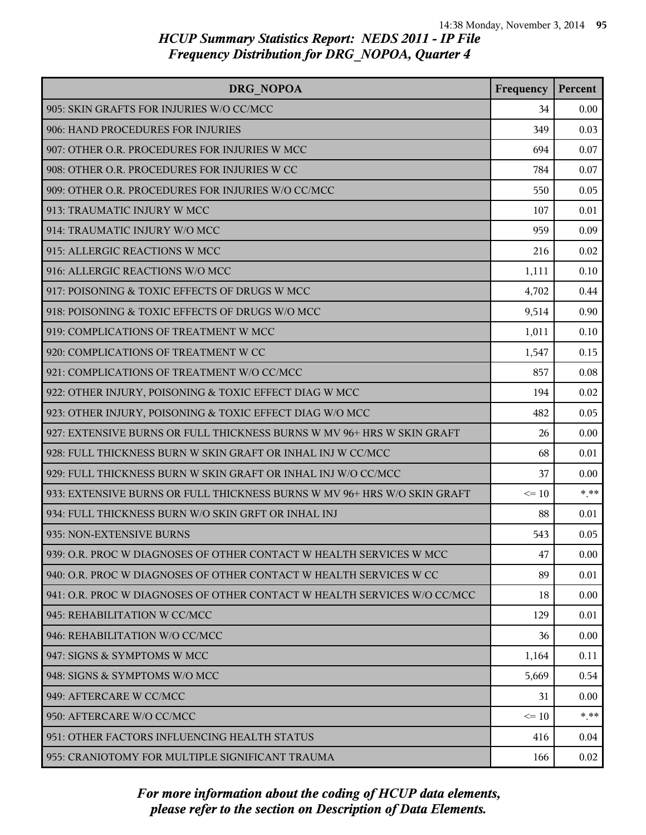| DRG NOPOA                                                                | Frequency | Percent |
|--------------------------------------------------------------------------|-----------|---------|
| 905: SKIN GRAFTS FOR INJURIES W/O CC/MCC                                 | 34        | 0.00    |
| 906: HAND PROCEDURES FOR INJURIES                                        | 349       | 0.03    |
| 907: OTHER O.R. PROCEDURES FOR INJURIES W MCC                            | 694       | 0.07    |
| 908: OTHER O.R. PROCEDURES FOR INJURIES W CC                             | 784       | 0.07    |
| 909: OTHER O.R. PROCEDURES FOR INJURIES W/O CC/MCC                       | 550       | 0.05    |
| 913: TRAUMATIC INJURY W MCC                                              | 107       | 0.01    |
| 914: TRAUMATIC INJURY W/O MCC                                            | 959       | 0.09    |
| 915: ALLERGIC REACTIONS W MCC                                            | 216       | 0.02    |
| 916: ALLERGIC REACTIONS W/O MCC                                          | 1,111     | 0.10    |
| 917: POISONING & TOXIC EFFECTS OF DRUGS W MCC                            | 4,702     | 0.44    |
| 918: POISONING & TOXIC EFFECTS OF DRUGS W/O MCC                          | 9,514     | 0.90    |
| 919: COMPLICATIONS OF TREATMENT W MCC                                    | 1,011     | 0.10    |
| 920: COMPLICATIONS OF TREATMENT W CC                                     | 1,547     | 0.15    |
| 921: COMPLICATIONS OF TREATMENT W/O CC/MCC                               | 857       | 0.08    |
| 922: OTHER INJURY, POISONING & TOXIC EFFECT DIAG W MCC                   | 194       | 0.02    |
| 923: OTHER INJURY, POISONING & TOXIC EFFECT DIAG W/O MCC                 | 482       | 0.05    |
| 927: EXTENSIVE BURNS OR FULL THICKNESS BURNS W MV 96+ HRS W SKIN GRAFT   | 26        | 0.00    |
| 928: FULL THICKNESS BURN W SKIN GRAFT OR INHAL INJ W CC/MCC              | 68        | 0.01    |
| 929: FULL THICKNESS BURN W SKIN GRAFT OR INHAL INJ W/O CC/MCC            | 37        | 0.00    |
| 933: EXTENSIVE BURNS OR FULL THICKNESS BURNS W MV 96+ HRS W/O SKIN GRAFT | $\leq 10$ | $* * *$ |
| 934: FULL THICKNESS BURN W/O SKIN GRFT OR INHAL INJ                      | 88        | 0.01    |
| 935: NON-EXTENSIVE BURNS                                                 | 543       | 0.05    |
| 939: O.R. PROC W DIAGNOSES OF OTHER CONTACT W HEALTH SERVICES W MCC      | 47        | 0.00    |
| 940: O.R. PROC W DIAGNOSES OF OTHER CONTACT W HEALTH SERVICES W CC       | 89        | 0.01    |
| 941: O.R. PROC W DIAGNOSES OF OTHER CONTACT W HEALTH SERVICES W/O CC/MCC | 18        | 0.00    |
| 945: REHABILITATION W CC/MCC                                             | 129       | 0.01    |
| 946: REHABILITATION W/O CC/MCC                                           | 36        | 0.00    |
| 947: SIGNS & SYMPTOMS W MCC                                              | 1,164     | 0.11    |
| 948: SIGNS & SYMPTOMS W/O MCC                                            | 5,669     | 0.54    |
| 949: AFTERCARE W CC/MCC                                                  | 31        | 0.00    |
| 950: AFTERCARE W/O CC/MCC                                                | $\leq 10$ | * **    |
| 951: OTHER FACTORS INFLUENCING HEALTH STATUS                             | 416       | 0.04    |
| 955: CRANIOTOMY FOR MULTIPLE SIGNIFICANT TRAUMA                          | 166       | 0.02    |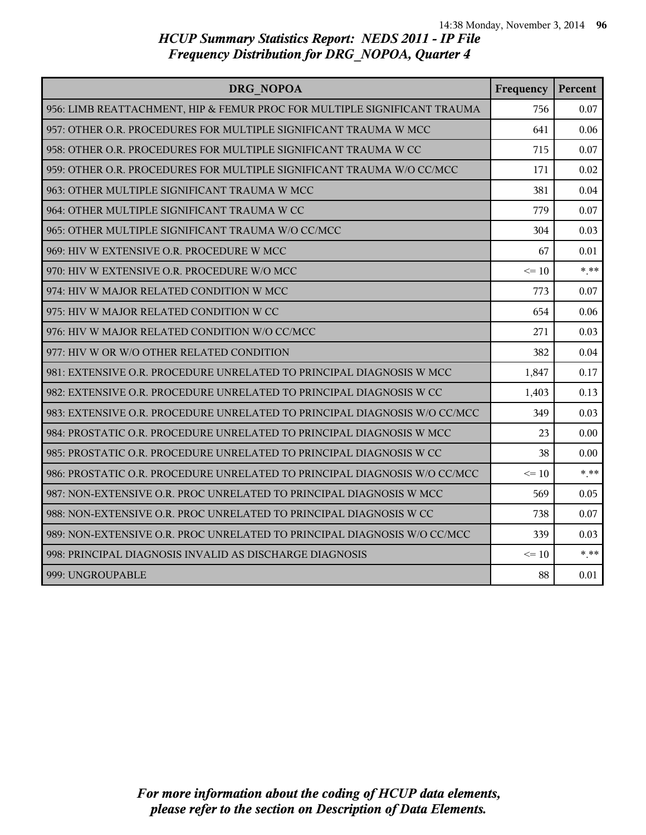| DRG NOPOA                                                                 | Frequency | Percent |
|---------------------------------------------------------------------------|-----------|---------|
| 956: LIMB REATTACHMENT, HIP & FEMUR PROC FOR MULTIPLE SIGNIFICANT TRAUMA  | 756       | 0.07    |
| 957: OTHER O.R. PROCEDURES FOR MULTIPLE SIGNIFICANT TRAUMA W MCC          | 641       | 0.06    |
| 958: OTHER O.R. PROCEDURES FOR MULTIPLE SIGNIFICANT TRAUMA W CC           | 715       | 0.07    |
| 959: OTHER O.R. PROCEDURES FOR MULTIPLE SIGNIFICANT TRAUMA W/O CC/MCC     | 171       | 0.02    |
| 963: OTHER MULTIPLE SIGNIFICANT TRAUMA W MCC                              | 381       | 0.04    |
| 964: OTHER MULTIPLE SIGNIFICANT TRAUMA W CC                               | 779       | 0.07    |
| 965: OTHER MULTIPLE SIGNIFICANT TRAUMA W/O CC/MCC                         | 304       | 0.03    |
| 969: HIV W EXTENSIVE O.R. PROCEDURE W MCC                                 | 67        | 0.01    |
| 970: HIV W EXTENSIVE O.R. PROCEDURE W/O MCC                               | $\leq 10$ | $* * *$ |
| 974: HIV W MAJOR RELATED CONDITION W MCC                                  | 773       | 0.07    |
| 975: HIV W MAJOR RELATED CONDITION W CC                                   | 654       | 0.06    |
| 976: HIV W MAJOR RELATED CONDITION W/O CC/MCC                             | 271       | 0.03    |
| 977: HIV W OR W/O OTHER RELATED CONDITION                                 | 382       | 0.04    |
| 981: EXTENSIVE O.R. PROCEDURE UNRELATED TO PRINCIPAL DIAGNOSIS W MCC      | 1,847     | 0.17    |
| 982: EXTENSIVE O.R. PROCEDURE UNRELATED TO PRINCIPAL DIAGNOSIS W CC       | 1,403     | 0.13    |
| 983: EXTENSIVE O.R. PROCEDURE UNRELATED TO PRINCIPAL DIAGNOSIS W/O CC/MCC | 349       | 0.03    |
| 984: PROSTATIC O.R. PROCEDURE UNRELATED TO PRINCIPAL DIAGNOSIS W MCC      | 23        | 0.00    |
| 985: PROSTATIC O.R. PROCEDURE UNRELATED TO PRINCIPAL DIAGNOSIS W CC       | 38        | 0.00    |
| 986: PROSTATIC O.R. PROCEDURE UNRELATED TO PRINCIPAL DIAGNOSIS W/O CC/MCC | $\leq 10$ | $***$   |
| 987: NON-EXTENSIVE O.R. PROC UNRELATED TO PRINCIPAL DIAGNOSIS W MCC       | 569       | 0.05    |
| 988: NON-EXTENSIVE O.R. PROC UNRELATED TO PRINCIPAL DIAGNOSIS W CC        | 738       | 0.07    |
| 989: NON-EXTENSIVE O.R. PROC UNRELATED TO PRINCIPAL DIAGNOSIS W/O CC/MCC  | 339       | 0.03    |
| 998: PRINCIPAL DIAGNOSIS INVALID AS DISCHARGE DIAGNOSIS                   | $\leq 10$ | $* * *$ |
| 999: UNGROUPABLE                                                          | 88        | 0.01    |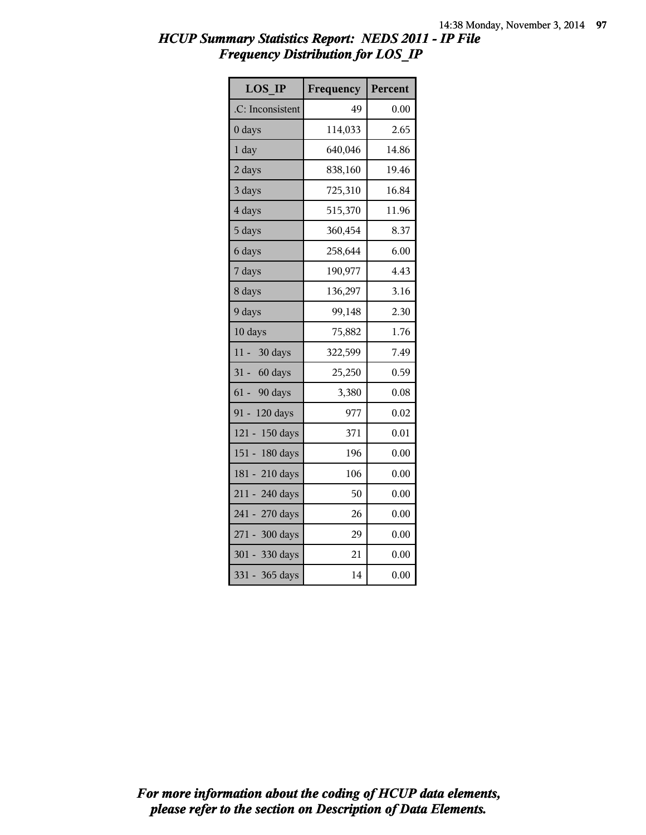| <b>LOS IP</b>       | Frequency | Percent |
|---------------------|-----------|---------|
| .C: Inconsistent    | 49        | 0.00    |
| $0$ days            | 114,033   | 2.65    |
| 1 day               | 640,046   | 14.86   |
| 2 days              | 838,160   | 19.46   |
| 3 days              | 725,310   | 16.84   |
| 4 days              | 515,370   | 11.96   |
| 5 days              | 360,454   | 8.37    |
| 6 days              | 258,644   | 6.00    |
| 7 days              | 190,977   | 4.43    |
| 8 days              | 136,297   | 3.16    |
| 9 days              | 99,148    | 2.30    |
| 10 days             | 75,882    | 1.76    |
| $11 -$<br>30 days   | 322,599   | 7.49    |
| 31 - 60 days        | 25,250    | 0.59    |
| $61 -$<br>90 days   | 3,380     | 0.08    |
| $91 -$<br>120 days  | 977       | 0.02    |
| $121 -$<br>150 days | 371       | 0.01    |
| 151 - 180 days      | 196       | 0.00    |
| 181 - 210 days      | 106       | 0.00    |
| 211 - 240 days      | 50        | 0.00    |
| $241 -$<br>270 days | 26        | 0.00    |
| 271 - 300 days      | 29        | 0.00    |
| $301 -$<br>330 days | 21        | 0.00    |
| $331 -$<br>365 days | 14        | 0.00    |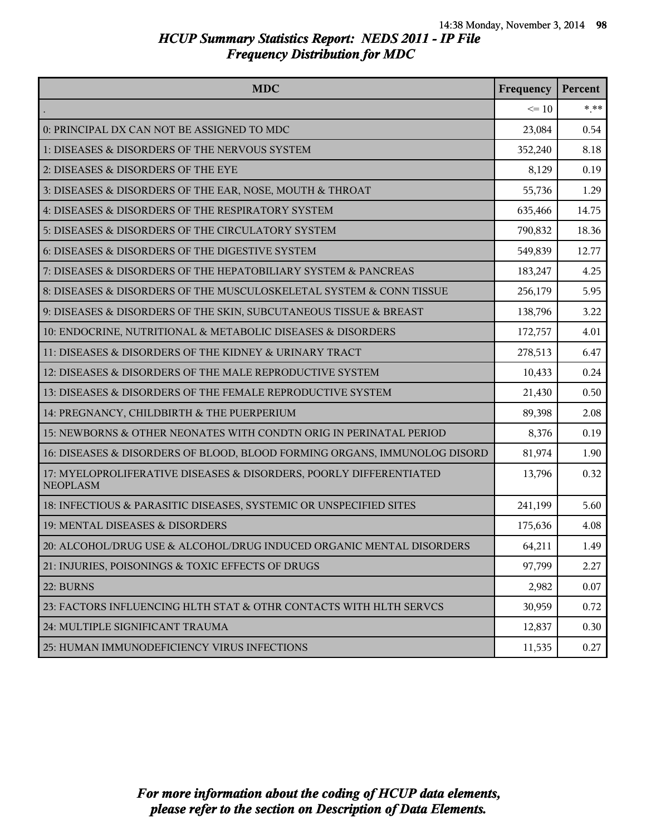| <b>MDC</b>                                                                            | Frequency | Percent |
|---------------------------------------------------------------------------------------|-----------|---------|
|                                                                                       | $\leq 10$ | $* * *$ |
| 0: PRINCIPAL DX CAN NOT BE ASSIGNED TO MDC                                            | 23,084    | 0.54    |
| 1: DISEASES & DISORDERS OF THE NERVOUS SYSTEM                                         | 352,240   | 8.18    |
| 2: DISEASES & DISORDERS OF THE EYE                                                    | 8,129     | 0.19    |
| 3: DISEASES & DISORDERS OF THE EAR, NOSE, MOUTH & THROAT                              | 55,736    | 1.29    |
| 4: DISEASES & DISORDERS OF THE RESPIRATORY SYSTEM                                     | 635,466   | 14.75   |
| 5: DISEASES & DISORDERS OF THE CIRCULATORY SYSTEM                                     | 790,832   | 18.36   |
| 6: DISEASES & DISORDERS OF THE DIGESTIVE SYSTEM                                       | 549,839   | 12.77   |
| 7: DISEASES & DISORDERS OF THE HEPATOBILIARY SYSTEM & PANCREAS                        | 183,247   | 4.25    |
| 8: DISEASES & DISORDERS OF THE MUSCULOSKELETAL SYSTEM & CONN TISSUE                   | 256,179   | 5.95    |
| 9: DISEASES & DISORDERS OF THE SKIN, SUBCUTANEOUS TISSUE & BREAST                     | 138,796   | 3.22    |
| 10: ENDOCRINE, NUTRITIONAL & METABOLIC DISEASES & DISORDERS                           | 172,757   | 4.01    |
| 11: DISEASES & DISORDERS OF THE KIDNEY & URINARY TRACT                                | 278,513   | 6.47    |
| 12: DISEASES & DISORDERS OF THE MALE REPRODUCTIVE SYSTEM                              | 10,433    | 0.24    |
| 13: DISEASES & DISORDERS OF THE FEMALE REPRODUCTIVE SYSTEM                            | 21,430    | 0.50    |
| 14: PREGNANCY, CHILDBIRTH & THE PUERPERIUM                                            | 89,398    | 2.08    |
| 15: NEWBORNS & OTHER NEONATES WITH CONDTN ORIG IN PERINATAL PERIOD                    | 8,376     | 0.19    |
| 16: DISEASES & DISORDERS OF BLOOD, BLOOD FORMING ORGANS, IMMUNOLOG DISORD             | 81,974    | 1.90    |
| 17: MYELOPROLIFERATIVE DISEASES & DISORDERS, POORLY DIFFERENTIATED<br><b>NEOPLASM</b> | 13,796    | 0.32    |
| 18: INFECTIOUS & PARASITIC DISEASES, SYSTEMIC OR UNSPECIFIED SITES                    | 241,199   | 5.60    |
| 19: MENTAL DISEASES & DISORDERS                                                       | 175,636   | 4.08    |
| 20: ALCOHOL/DRUG USE & ALCOHOL/DRUG INDUCED ORGANIC MENTAL DISORDERS                  | 64,211    | 1.49    |
| 21: INJURIES, POISONINGS & TOXIC EFFECTS OF DRUGS                                     | 97,799    | 2.27    |
| 22: BURNS                                                                             | 2,982     | 0.07    |
| 23: FACTORS INFLUENCING HLTH STAT & OTHR CONTACTS WITH HLTH SERVCS                    | 30,959    | 0.72    |
| 24: MULTIPLE SIGNIFICANT TRAUMA                                                       | 12,837    | 0.30    |
| 25: HUMAN IMMUNODEFICIENCY VIRUS INFECTIONS                                           | 11,535    | 0.27    |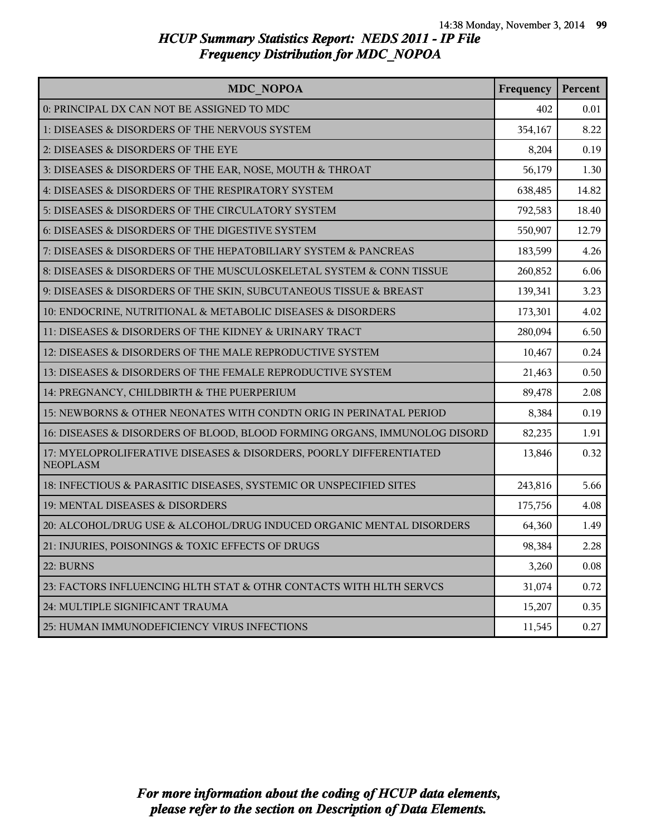| <b>MDC NOPOA</b>                                                                      | Frequency | Percent |
|---------------------------------------------------------------------------------------|-----------|---------|
| 0: PRINCIPAL DX CAN NOT BE ASSIGNED TO MDC                                            | 402       | 0.01    |
| 1: DISEASES & DISORDERS OF THE NERVOUS SYSTEM                                         | 354,167   | 8.22    |
| 2: DISEASES & DISORDERS OF THE EYE                                                    | 8,204     | 0.19    |
| 3: DISEASES & DISORDERS OF THE EAR, NOSE, MOUTH & THROAT                              | 56,179    | 1.30    |
| 4: DISEASES & DISORDERS OF THE RESPIRATORY SYSTEM                                     | 638,485   | 14.82   |
| 5: DISEASES & DISORDERS OF THE CIRCULATORY SYSTEM                                     | 792,583   | 18.40   |
| 6: DISEASES & DISORDERS OF THE DIGESTIVE SYSTEM                                       | 550,907   | 12.79   |
| 7: DISEASES & DISORDERS OF THE HEPATOBILIARY SYSTEM & PANCREAS                        | 183,599   | 4.26    |
| 8: DISEASES & DISORDERS OF THE MUSCULOSKELETAL SYSTEM & CONN TISSUE                   | 260,852   | 6.06    |
| 9: DISEASES & DISORDERS OF THE SKIN, SUBCUTANEOUS TISSUE & BREAST                     | 139,341   | 3.23    |
| 10: ENDOCRINE, NUTRITIONAL & METABOLIC DISEASES & DISORDERS                           | 173,301   | 4.02    |
| 11: DISEASES & DISORDERS OF THE KIDNEY & URINARY TRACT                                | 280,094   | 6.50    |
| 12: DISEASES & DISORDERS OF THE MALE REPRODUCTIVE SYSTEM                              | 10,467    | 0.24    |
| 13: DISEASES & DISORDERS OF THE FEMALE REPRODUCTIVE SYSTEM                            | 21,463    | 0.50    |
| 14: PREGNANCY, CHILDBIRTH & THE PUERPERIUM                                            | 89,478    | 2.08    |
| 15: NEWBORNS & OTHER NEONATES WITH CONDTN ORIG IN PERINATAL PERIOD                    | 8,384     | 0.19    |
| 16: DISEASES & DISORDERS OF BLOOD, BLOOD FORMING ORGANS, IMMUNOLOG DISORD             | 82,235    | 1.91    |
| 17: MYELOPROLIFERATIVE DISEASES & DISORDERS, POORLY DIFFERENTIATED<br><b>NEOPLASM</b> | 13,846    | 0.32    |
| 18: INFECTIOUS & PARASITIC DISEASES, SYSTEMIC OR UNSPECIFIED SITES                    | 243,816   | 5.66    |
| 19: MENTAL DISEASES & DISORDERS                                                       | 175,756   | 4.08    |
| 20: ALCOHOL/DRUG USE & ALCOHOL/DRUG INDUCED ORGANIC MENTAL DISORDERS                  | 64,360    | 1.49    |
| 21: INJURIES, POISONINGS & TOXIC EFFECTS OF DRUGS                                     | 98,384    | 2.28    |
| 22: BURNS                                                                             | 3,260     | 0.08    |
| 23: FACTORS INFLUENCING HLTH STAT & OTHR CONTACTS WITH HLTH SERVCS                    | 31,074    | 0.72    |
| 24: MULTIPLE SIGNIFICANT TRAUMA                                                       | 15,207    | 0.35    |
| 25: HUMAN IMMUNODEFICIENCY VIRUS INFECTIONS                                           | 11,545    | 0.27    |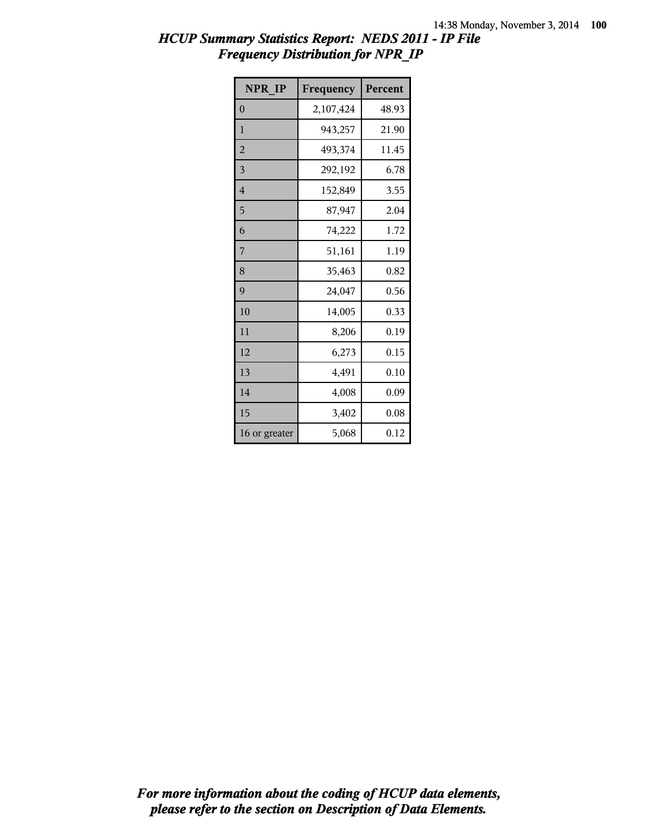| <b>NPR IP</b>  | Frequency | Percent |
|----------------|-----------|---------|
| $\overline{0}$ | 2,107,424 | 48.93   |
| $\mathbf{1}$   | 943,257   | 21.90   |
| $\overline{c}$ | 493,374   | 11.45   |
| 3              | 292,192   | 6.78    |
| 4              | 152,849   | 3.55    |
| 5              | 87,947    | 2.04    |
| 6              | 74,222    | 1.72    |
| 7              | 51,161    | 1.19    |
| 8              | 35,463    | 0.82    |
| 9              | 24,047    | 0.56    |
| 10             | 14,005    | 0.33    |
| 11             | 8,206     | 0.19    |
| 12             | 6,273     | 0.15    |
| 13             | 4,491     | 0.10    |
| 14             | 4,008     | 0.09    |
| 15             | 3,402     | 0.08    |
| 16 or greater  | 5,068     | 0.12    |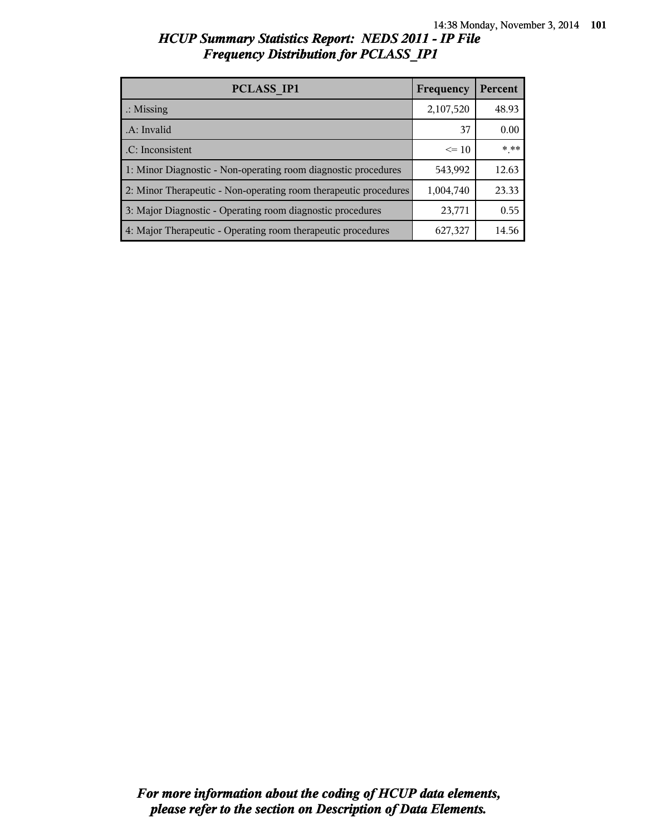| <b>PCLASS IP1</b>                                                | Frequency | Percent |
|------------------------------------------------------------------|-----------|---------|
| $\therefore$ Missing                                             | 2,107,520 | 48.93   |
| .A: Invalid                                                      | 37        | 0.00    |
| .C: Inconsistent                                                 | $\leq 10$ | $***$   |
| 1: Minor Diagnostic - Non-operating room diagnostic procedures   | 543,992   | 12.63   |
| 2: Minor Therapeutic - Non-operating room therapeutic procedures | 1,004,740 | 23.33   |
| 3: Major Diagnostic - Operating room diagnostic procedures       | 23,771    | 0.55    |
| 4: Major Therapeutic - Operating room therapeutic procedures     | 627,327   | 14.56   |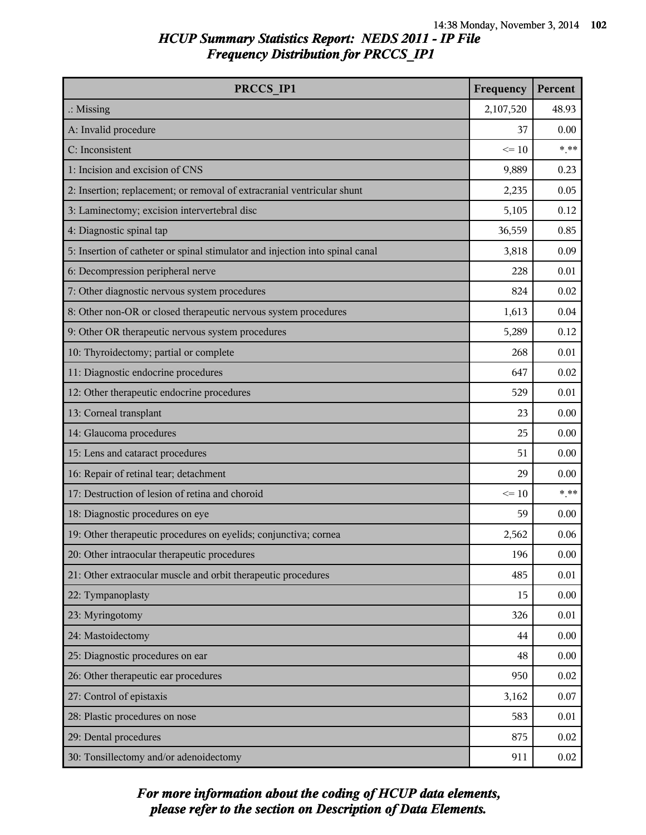| PRCCS IP1                                                                     | Frequency | Percent |
|-------------------------------------------------------------------------------|-----------|---------|
| $\therefore$ Missing                                                          | 2,107,520 | 48.93   |
| A: Invalid procedure                                                          | 37        | 0.00    |
| C: Inconsistent                                                               | $\leq 10$ | $* * *$ |
| 1: Incision and excision of CNS                                               | 9,889     | 0.23    |
| 2: Insertion; replacement; or removal of extracranial ventricular shunt       | 2,235     | 0.05    |
| 3: Laminectomy; excision intervertebral disc                                  | 5,105     | 0.12    |
| 4: Diagnostic spinal tap                                                      | 36,559    | 0.85    |
| 5: Insertion of catheter or spinal stimulator and injection into spinal canal | 3,818     | 0.09    |
| 6: Decompression peripheral nerve                                             | 228       | 0.01    |
| 7: Other diagnostic nervous system procedures                                 | 824       | 0.02    |
| 8: Other non-OR or closed therapeutic nervous system procedures               | 1,613     | 0.04    |
| 9: Other OR therapeutic nervous system procedures                             | 5,289     | 0.12    |
| 10: Thyroidectomy; partial or complete                                        | 268       | 0.01    |
| 11: Diagnostic endocrine procedures                                           | 647       | 0.02    |
| 12: Other therapeutic endocrine procedures                                    | 529       | 0.01    |
| 13: Corneal transplant                                                        | 23        | 0.00    |
| 14: Glaucoma procedures                                                       | 25        | 0.00    |
| 15: Lens and cataract procedures                                              | 51        | 0.00    |
| 16: Repair of retinal tear; detachment                                        | 29        | 0.00    |
| 17: Destruction of lesion of retina and choroid                               | $\leq 10$ | $***$   |
| 18: Diagnostic procedures on eye                                              | 59        | 0.00    |
| 19: Other therapeutic procedures on eyelids; conjunctiva; cornea              | 2,562     | 0.06    |
| 20: Other intraocular therapeutic procedures                                  | 196       | 0.00    |
| 21: Other extraocular muscle and orbit therapeutic procedures                 | 485       | 0.01    |
| 22: Tympanoplasty                                                             | 15        | 0.00    |
| 23: Myringotomy                                                               | 326       | 0.01    |
| 24: Mastoidectomy                                                             | 44        | 0.00    |
| 25: Diagnostic procedures on ear                                              | 48        | 0.00    |
| 26: Other therapeutic ear procedures                                          | 950       | 0.02    |
| 27: Control of epistaxis                                                      | 3,162     | 0.07    |
| 28: Plastic procedures on nose                                                | 583       | 0.01    |
| 29: Dental procedures                                                         | 875       | 0.02    |
| 30: Tonsillectomy and/or adenoidectomy                                        | 911       | 0.02    |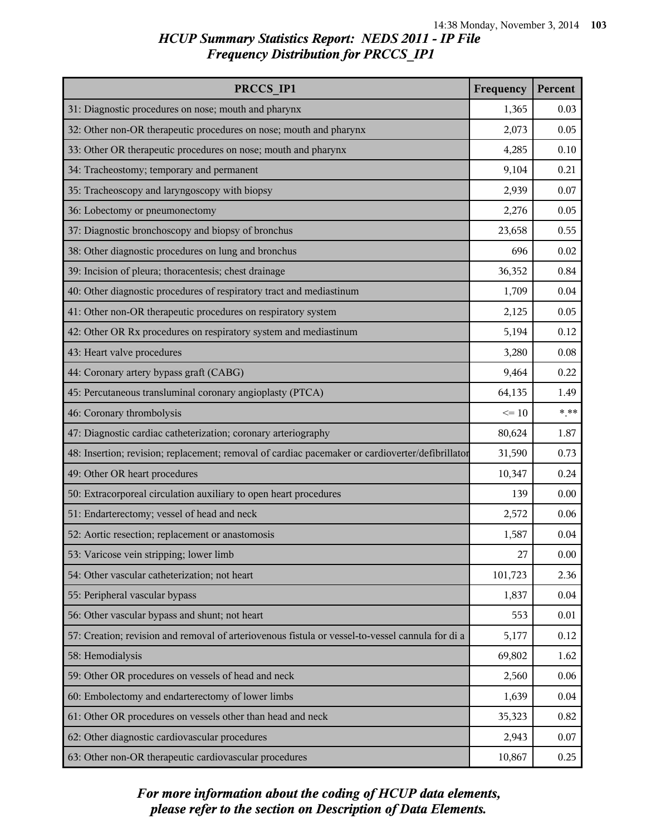| PRCCS IP1                                                                                        | Frequency | Percent |
|--------------------------------------------------------------------------------------------------|-----------|---------|
| 31: Diagnostic procedures on nose; mouth and pharynx                                             | 1,365     | 0.03    |
| 32: Other non-OR therapeutic procedures on nose; mouth and pharynx                               | 2,073     | 0.05    |
| 33: Other OR therapeutic procedures on nose; mouth and pharynx                                   | 4,285     | 0.10    |
| 34: Tracheostomy; temporary and permanent                                                        | 9,104     | 0.21    |
| 35: Tracheoscopy and laryngoscopy with biopsy                                                    | 2,939     | 0.07    |
| 36: Lobectomy or pneumonectomy                                                                   | 2,276     | 0.05    |
| 37: Diagnostic bronchoscopy and biopsy of bronchus                                               | 23,658    | 0.55    |
| 38: Other diagnostic procedures on lung and bronchus                                             | 696       | 0.02    |
| 39: Incision of pleura; thoracentesis; chest drainage                                            | 36,352    | 0.84    |
| 40: Other diagnostic procedures of respiratory tract and mediastinum                             | 1,709     | 0.04    |
| 41: Other non-OR therapeutic procedures on respiratory system                                    | 2,125     | 0.05    |
| 42: Other OR Rx procedures on respiratory system and mediastinum                                 | 5,194     | 0.12    |
| 43: Heart valve procedures                                                                       | 3,280     | 0.08    |
| 44: Coronary artery bypass graft (CABG)                                                          | 9,464     | 0.22    |
| 45: Percutaneous transluminal coronary angioplasty (PTCA)                                        | 64,135    | 1.49    |
| 46: Coronary thrombolysis                                                                        | $\leq 10$ | $***$   |
| 47: Diagnostic cardiac catheterization; coronary arteriography                                   | 80,624    | 1.87    |
| 48: Insertion; revision; replacement; removal of cardiac pacemaker or cardioverter/defibrillator | 31,590    | 0.73    |
| 49: Other OR heart procedures                                                                    | 10,347    | 0.24    |
| 50: Extracorporeal circulation auxiliary to open heart procedures                                | 139       | 0.00    |
| 51: Endarterectomy; vessel of head and neck                                                      | 2,572     | 0.06    |
| 52: Aortic resection; replacement or anastomosis                                                 | 1,587     | 0.04    |
| 53: Varicose vein stripping; lower limb                                                          | 27        | 0.00    |
| 54: Other vascular catheterization; not heart                                                    | 101,723   | 2.36    |
| 55: Peripheral vascular bypass                                                                   | 1,837     | 0.04    |
| 56: Other vascular bypass and shunt; not heart                                                   | 553       | 0.01    |
| 57: Creation; revision and removal of arteriovenous fistula or vessel-to-vessel cannula for di a | 5,177     | 0.12    |
| 58: Hemodialysis                                                                                 | 69,802    | 1.62    |
| 59: Other OR procedures on vessels of head and neck                                              | 2,560     | 0.06    |
| 60: Embolectomy and endarterectomy of lower limbs                                                | 1,639     | 0.04    |
| 61: Other OR procedures on vessels other than head and neck                                      | 35,323    | 0.82    |
| 62: Other diagnostic cardiovascular procedures                                                   | 2,943     | 0.07    |
| 63: Other non-OR therapeutic cardiovascular procedures                                           | 10,867    | 0.25    |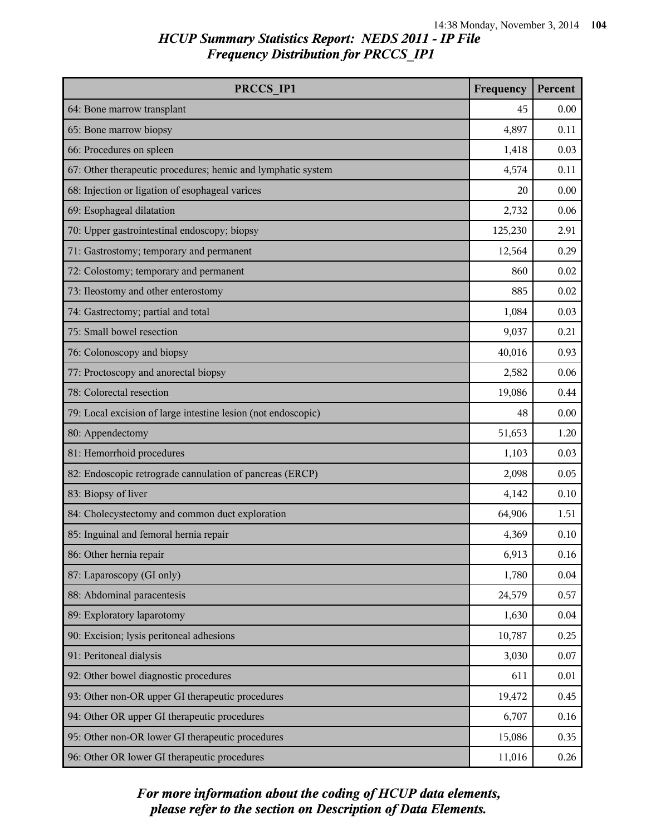| PRCCS IP1                                                     | Frequency | Percent |
|---------------------------------------------------------------|-----------|---------|
| 64: Bone marrow transplant                                    | 45        | 0.00    |
| 65: Bone marrow biopsy                                        | 4,897     | 0.11    |
| 66: Procedures on spleen                                      | 1,418     | 0.03    |
| 67: Other therapeutic procedures; hemic and lymphatic system  | 4,574     | 0.11    |
| 68: Injection or ligation of esophageal varices               | 20        | 0.00    |
| 69: Esophageal dilatation                                     | 2,732     | 0.06    |
| 70: Upper gastrointestinal endoscopy; biopsy                  | 125,230   | 2.91    |
| 71: Gastrostomy; temporary and permanent                      | 12,564    | 0.29    |
| 72: Colostomy; temporary and permanent                        | 860       | 0.02    |
| 73: Ileostomy and other enterostomy                           | 885       | 0.02    |
| 74: Gastrectomy; partial and total                            | 1,084     | 0.03    |
| 75: Small bowel resection                                     | 9,037     | 0.21    |
| 76: Colonoscopy and biopsy                                    | 40,016    | 0.93    |
| 77: Proctoscopy and anorectal biopsy                          | 2,582     | 0.06    |
| 78: Colorectal resection                                      | 19,086    | 0.44    |
| 79: Local excision of large intestine lesion (not endoscopic) | 48        | 0.00    |
| 80: Appendectomy                                              | 51,653    | 1.20    |
| 81: Hemorrhoid procedures                                     | 1,103     | 0.03    |
| 82: Endoscopic retrograde cannulation of pancreas (ERCP)      | 2,098     | 0.05    |
| 83: Biopsy of liver                                           | 4,142     | 0.10    |
| 84: Cholecystectomy and common duct exploration               | 64,906    | 1.51    |
| 85: Inguinal and femoral hernia repair                        | 4,369     | 0.10    |
| 86: Other hernia repair                                       | 6,913     | 0.16    |
| 87: Laparoscopy (GI only)                                     | 1,780     | 0.04    |
| 88: Abdominal paracentesis                                    | 24,579    | 0.57    |
| 89: Exploratory laparotomy                                    | 1,630     | 0.04    |
| 90: Excision; lysis peritoneal adhesions                      | 10,787    | 0.25    |
| 91: Peritoneal dialysis                                       | 3,030     | 0.07    |
| 92: Other bowel diagnostic procedures                         | 611       | 0.01    |
| 93: Other non-OR upper GI therapeutic procedures              | 19,472    | 0.45    |
| 94: Other OR upper GI therapeutic procedures                  | 6,707     | 0.16    |
| 95: Other non-OR lower GI therapeutic procedures              | 15,086    | 0.35    |
| 96: Other OR lower GI therapeutic procedures                  | 11,016    | 0.26    |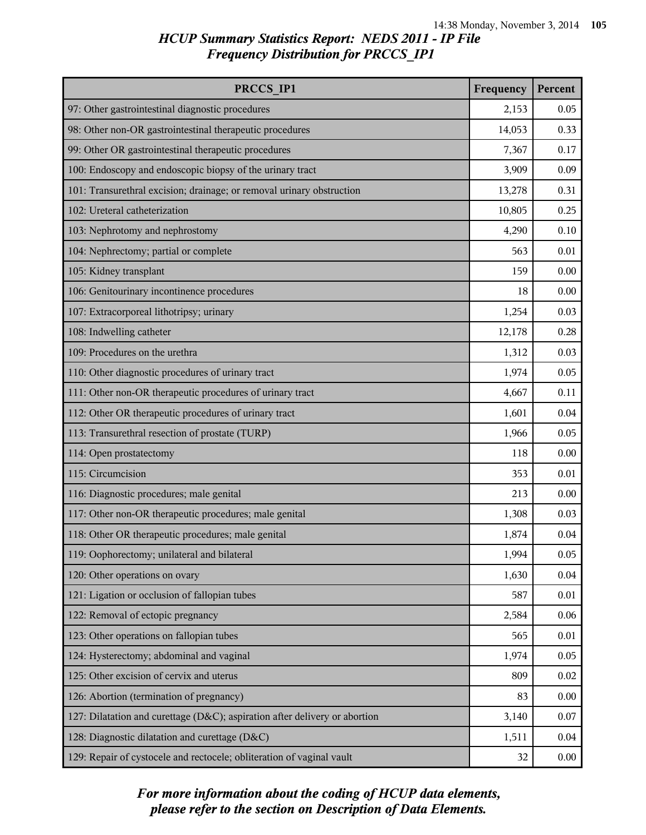| PRCCS IP1                                                                  | Frequency | Percent |
|----------------------------------------------------------------------------|-----------|---------|
| 97: Other gastrointestinal diagnostic procedures                           | 2,153     | 0.05    |
| 98: Other non-OR gastrointestinal therapeutic procedures                   | 14,053    | 0.33    |
| 99: Other OR gastrointestinal therapeutic procedures                       | 7,367     | 0.17    |
| 100: Endoscopy and endoscopic biopsy of the urinary tract                  | 3,909     | 0.09    |
| 101: Transurethral excision; drainage; or removal urinary obstruction      | 13,278    | 0.31    |
| 102: Ureteral catheterization                                              | 10,805    | 0.25    |
| 103: Nephrotomy and nephrostomy                                            | 4,290     | 0.10    |
| 104: Nephrectomy; partial or complete                                      | 563       | 0.01    |
| 105: Kidney transplant                                                     | 159       | 0.00    |
| 106: Genitourinary incontinence procedures                                 | 18        | 0.00    |
| 107: Extracorporeal lithotripsy; urinary                                   | 1,254     | 0.03    |
| 108: Indwelling catheter                                                   | 12,178    | 0.28    |
| 109: Procedures on the urethra                                             | 1,312     | 0.03    |
| 110: Other diagnostic procedures of urinary tract                          | 1,974     | 0.05    |
| 111: Other non-OR therapeutic procedures of urinary tract                  | 4,667     | 0.11    |
| 112: Other OR therapeutic procedures of urinary tract                      | 1,601     | 0.04    |
| 113: Transurethral resection of prostate (TURP)                            | 1,966     | 0.05    |
| 114: Open prostatectomy                                                    | 118       | 0.00    |
| 115: Circumcision                                                          | 353       | 0.01    |
| 116: Diagnostic procedures; male genital                                   | 213       | 0.00    |
| 117: Other non-OR therapeutic procedures; male genital                     | 1,308     | 0.03    |
| 118: Other OR therapeutic procedures; male genital                         | 1,874     | 0.04    |
| 119: Oophorectomy; unilateral and bilateral                                | 1,994     | 0.05    |
| 120: Other operations on ovary                                             | 1,630     | 0.04    |
| 121: Ligation or occlusion of fallopian tubes                              | 587       | 0.01    |
| 122: Removal of ectopic pregnancy                                          | 2,584     | 0.06    |
| 123: Other operations on fallopian tubes                                   | 565       | 0.01    |
| 124: Hysterectomy; abdominal and vaginal                                   | 1,974     | 0.05    |
| 125: Other excision of cervix and uterus                                   | 809       | 0.02    |
| 126: Abortion (termination of pregnancy)                                   | 83        | 0.00    |
| 127: Dilatation and curettage (D&C); aspiration after delivery or abortion | 3,140     | 0.07    |
| 128: Diagnostic dilatation and curettage (D&C)                             | 1,511     | 0.04    |
| 129: Repair of cystocele and rectocele; obliteration of vaginal vault      | 32        | 0.00    |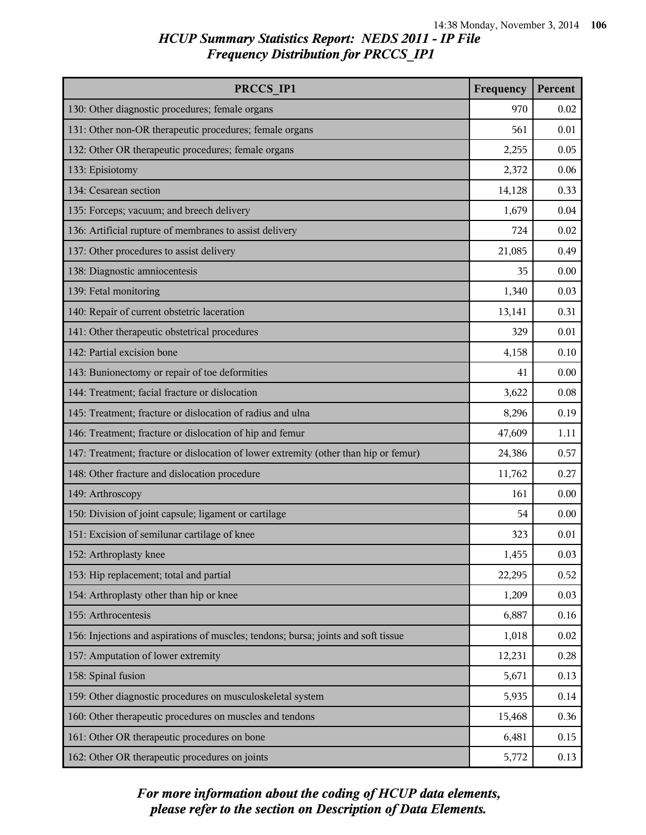| PRCCS IP1                                                                            | Frequency | Percent |
|--------------------------------------------------------------------------------------|-----------|---------|
| 130: Other diagnostic procedures; female organs                                      | 970       | 0.02    |
| 131: Other non-OR therapeutic procedures; female organs                              | 561       | 0.01    |
| 132: Other OR therapeutic procedures; female organs                                  | 2,255     | 0.05    |
| 133: Episiotomy                                                                      | 2,372     | 0.06    |
| 134: Cesarean section                                                                | 14,128    | 0.33    |
| 135: Forceps; vacuum; and breech delivery                                            | 1,679     | 0.04    |
| 136: Artificial rupture of membranes to assist delivery                              | 724       | 0.02    |
| 137: Other procedures to assist delivery                                             | 21,085    | 0.49    |
| 138: Diagnostic amniocentesis                                                        | 35        | 0.00    |
| 139: Fetal monitoring                                                                | 1,340     | 0.03    |
| 140: Repair of current obstetric laceration                                          | 13,141    | 0.31    |
| 141: Other therapeutic obstetrical procedures                                        | 329       | 0.01    |
| 142: Partial excision bone                                                           | 4,158     | 0.10    |
| 143: Bunionectomy or repair of toe deformities                                       | 41        | 0.00    |
| 144: Treatment; facial fracture or dislocation                                       | 3,622     | 0.08    |
| 145: Treatment; fracture or dislocation of radius and ulna                           | 8,296     | 0.19    |
| 146: Treatment; fracture or dislocation of hip and femur                             | 47,609    | 1.11    |
| 147: Treatment; fracture or dislocation of lower extremity (other than hip or femur) | 24,386    | 0.57    |
| 148: Other fracture and dislocation procedure                                        | 11,762    | 0.27    |
| 149: Arthroscopy                                                                     | 161       | 0.00    |
| 150: Division of joint capsule; ligament or cartilage                                | 54        | 0.00    |
| 151: Excision of semilunar cartilage of knee                                         | 323       | 0.01    |
| 152: Arthroplasty knee                                                               | 1,455     | 0.03    |
| 153: Hip replacement; total and partial                                              | 22,295    | 0.52    |
| 154: Arthroplasty other than hip or knee                                             | 1,209     | 0.03    |
| 155: Arthrocentesis                                                                  | 6,887     | 0.16    |
| 156: Injections and aspirations of muscles; tendons; bursa; joints and soft tissue   | 1,018     | 0.02    |
| 157: Amputation of lower extremity                                                   | 12,231    | 0.28    |
| 158: Spinal fusion                                                                   | 5,671     | 0.13    |
| 159: Other diagnostic procedures on musculoskeletal system                           | 5,935     | 0.14    |
| 160: Other therapeutic procedures on muscles and tendons                             | 15,468    | 0.36    |
| 161: Other OR therapeutic procedures on bone                                         | 6,481     | 0.15    |
| 162: Other OR therapeutic procedures on joints                                       | 5,772     | 0.13    |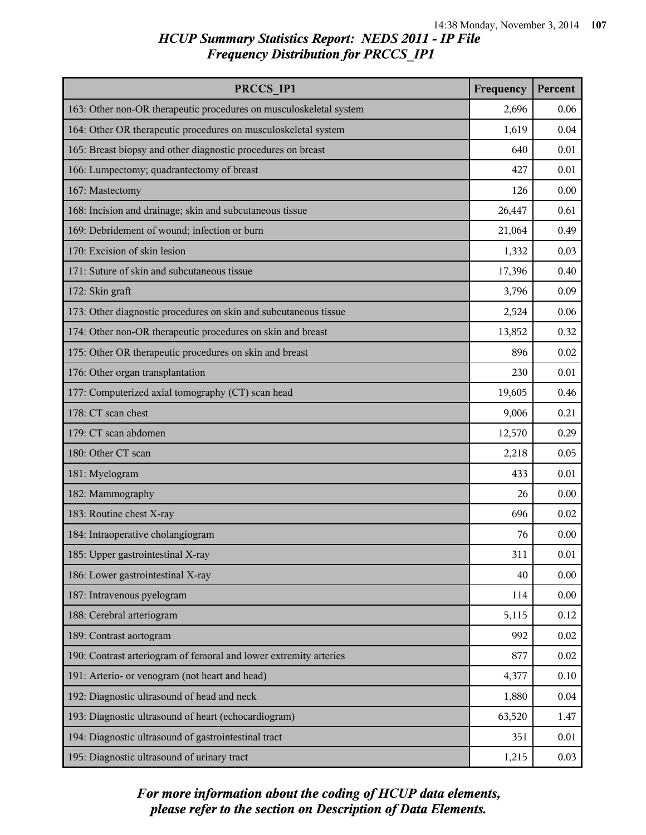| PRCCS_IP1                                                          | Frequency | Percent |
|--------------------------------------------------------------------|-----------|---------|
| 163: Other non-OR therapeutic procedures on musculoskeletal system | 2,696     | 0.06    |
| 164: Other OR therapeutic procedures on musculoskeletal system     | 1,619     | 0.04    |
| 165: Breast biopsy and other diagnostic procedures on breast       | 640       | 0.01    |
| 166: Lumpectomy; quadrantectomy of breast                          | 427       | 0.01    |
| 167: Mastectomy                                                    | 126       | 0.00    |
| 168: Incision and drainage; skin and subcutaneous tissue           | 26,447    | 0.61    |
| 169: Debridement of wound; infection or burn                       | 21,064    | 0.49    |
| 170: Excision of skin lesion                                       | 1,332     | 0.03    |
| 171: Suture of skin and subcutaneous tissue                        | 17,396    | 0.40    |
| 172: Skin graft                                                    | 3,796     | 0.09    |
| 173: Other diagnostic procedures on skin and subcutaneous tissue   | 2,524     | 0.06    |
| 174: Other non-OR therapeutic procedures on skin and breast        | 13,852    | 0.32    |
| 175: Other OR therapeutic procedures on skin and breast            | 896       | 0.02    |
| 176: Other organ transplantation                                   | 230       | 0.01    |
| 177: Computerized axial tomography (CT) scan head                  | 19,605    | 0.46    |
| 178: CT scan chest                                                 | 9,006     | 0.21    |
| 179: CT scan abdomen                                               | 12,570    | 0.29    |
| 180: Other CT scan                                                 | 2,218     | 0.05    |
| 181: Myelogram                                                     | 433       | 0.01    |
| 182: Mammography                                                   | 26        | 0.00    |
| 183: Routine chest X-ray                                           | 696       | 0.02    |
| 184: Intraoperative cholangiogram                                  | 76        | 0.00    |
| 185: Upper gastrointestinal X-ray                                  | 311       | 0.01    |
| 186: Lower gastrointestinal X-ray                                  | 40        | 0.00    |
| 187: Intravenous pyelogram                                         | 114       | 0.00    |
| 188: Cerebral arteriogram                                          | 5,115     | 0.12    |
| 189: Contrast aortogram                                            | 992       | 0.02    |
| 190: Contrast arteriogram of femoral and lower extremity arteries  | 877       | 0.02    |
| 191: Arterio- or venogram (not heart and head)                     | 4,377     | 0.10    |
| 192: Diagnostic ultrasound of head and neck                        | 1,880     | 0.04    |
| 193: Diagnostic ultrasound of heart (echocardiogram)               | 63,520    | 1.47    |
| 194: Diagnostic ultrasound of gastrointestinal tract               | 351       | 0.01    |
| 195: Diagnostic ultrasound of urinary tract                        | 1,215     | 0.03    |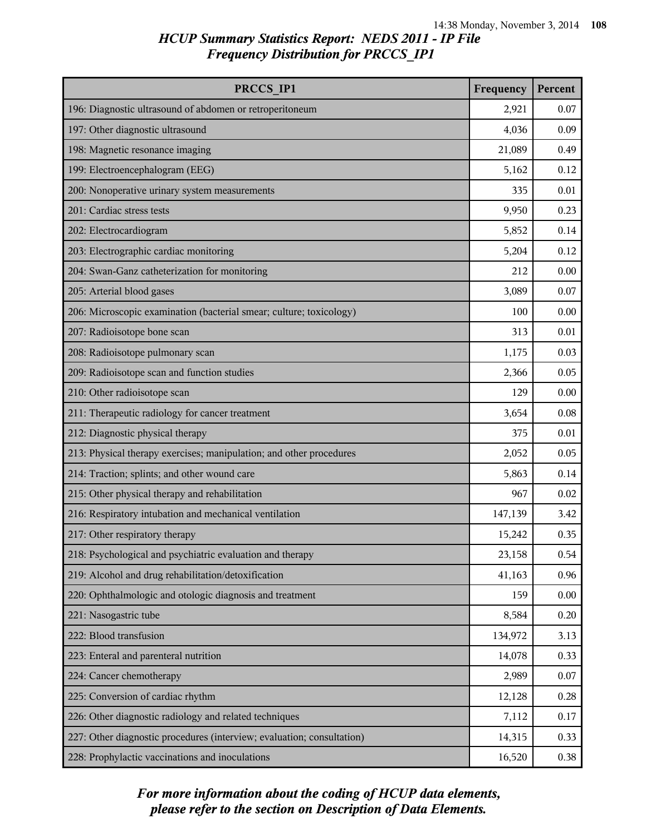| PRCCS IP1                                                              | Frequency | Percent |
|------------------------------------------------------------------------|-----------|---------|
| 196: Diagnostic ultrasound of abdomen or retroperitoneum               | 2,921     | 0.07    |
| 197: Other diagnostic ultrasound                                       | 4,036     | 0.09    |
| 198: Magnetic resonance imaging                                        | 21,089    | 0.49    |
| 199: Electroencephalogram (EEG)                                        | 5,162     | 0.12    |
| 200: Nonoperative urinary system measurements                          | 335       | 0.01    |
| 201: Cardiac stress tests                                              | 9,950     | 0.23    |
| 202: Electrocardiogram                                                 | 5,852     | 0.14    |
| 203: Electrographic cardiac monitoring                                 | 5,204     | 0.12    |
| 204: Swan-Ganz catheterization for monitoring                          | 212       | 0.00    |
| 205: Arterial blood gases                                              | 3,089     | 0.07    |
| 206: Microscopic examination (bacterial smear; culture; toxicology)    | 100       | 0.00    |
| 207: Radioisotope bone scan                                            | 313       | 0.01    |
| 208: Radioisotope pulmonary scan                                       | 1,175     | 0.03    |
| 209: Radioisotope scan and function studies                            | 2,366     | 0.05    |
| 210: Other radioisotope scan                                           | 129       | 0.00    |
| 211: Therapeutic radiology for cancer treatment                        | 3,654     | 0.08    |
| 212: Diagnostic physical therapy                                       | 375       | 0.01    |
| 213: Physical therapy exercises; manipulation; and other procedures    | 2,052     | 0.05    |
| 214: Traction; splints; and other wound care                           | 5,863     | 0.14    |
| 215: Other physical therapy and rehabilitation                         | 967       | 0.02    |
| 216: Respiratory intubation and mechanical ventilation                 | 147,139   | 3.42    |
| 217: Other respiratory therapy                                         | 15,242    | 0.35    |
| 218: Psychological and psychiatric evaluation and therapy              | 23,158    | 0.54    |
| 219: Alcohol and drug rehabilitation/detoxification                    | 41,163    | 0.96    |
| 220: Ophthalmologic and otologic diagnosis and treatment               | 159       | 0.00    |
| 221: Nasogastric tube                                                  | 8,584     | 0.20    |
| 222: Blood transfusion                                                 | 134,972   | 3.13    |
| 223: Enteral and parenteral nutrition                                  | 14,078    | 0.33    |
| 224: Cancer chemotherapy                                               | 2,989     | 0.07    |
| 225: Conversion of cardiac rhythm                                      | 12,128    | 0.28    |
| 226: Other diagnostic radiology and related techniques                 | 7,112     | 0.17    |
| 227: Other diagnostic procedures (interview; evaluation; consultation) | 14,315    | 0.33    |
| 228: Prophylactic vaccinations and inoculations                        | 16,520    | 0.38    |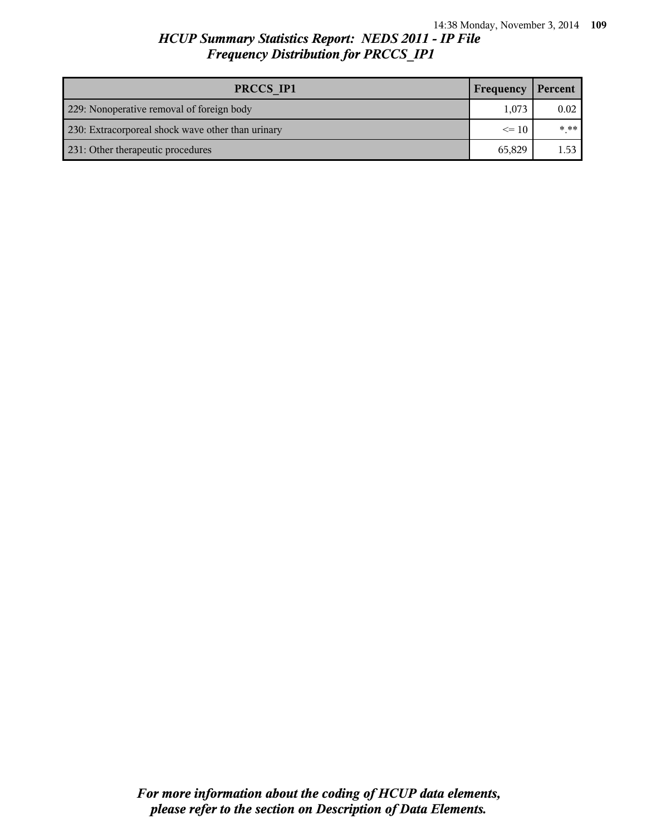# *HCUP Summary Statistics Report: NEDS 2011 - IP File Frequency Distribution for PRCCS\_IP1*

| PRCCS IP1                                         | Frequency | Percent  |
|---------------------------------------------------|-----------|----------|
| 229: Nonoperative removal of foreign body         | 1,073     | 0.02     |
| 230: Extracorporeal shock wave other than urinary | $\leq$ 10 | $* * * $ |
| 231: Other therapeutic procedures                 | 65,829    | 1.53     |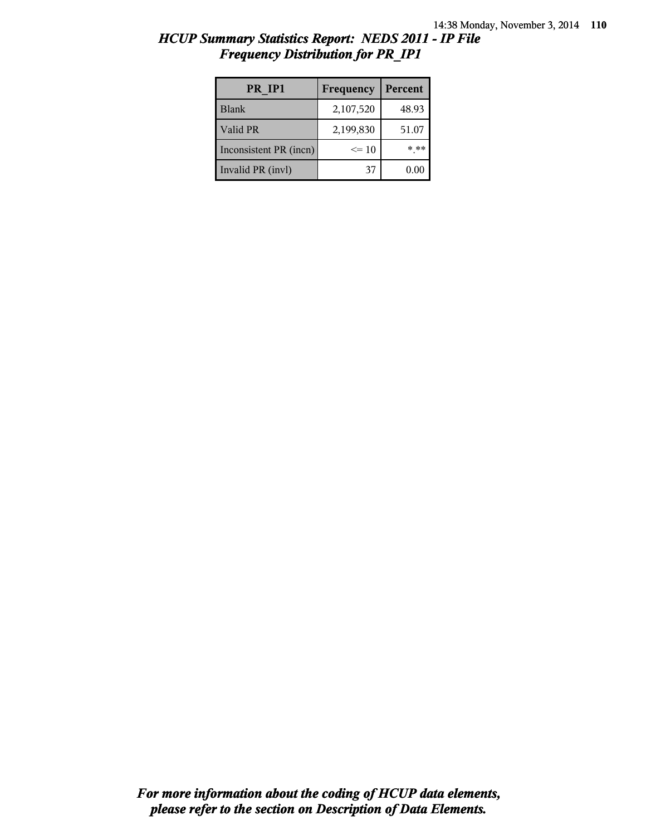| HCUP Summary Statistics Report: NEDS 2011 - IP File |  |  |
|-----------------------------------------------------|--|--|
| <b>Frequency Distribution for PR IP1</b>            |  |  |

| PR IP1                 | Frequency | Percent |
|------------------------|-----------|---------|
| <b>Blank</b>           | 2,107,520 | 48.93   |
| Valid PR               | 2,199,830 | 51.07   |
| Inconsistent PR (incn) | $\leq 10$ | * **    |
| Invalid PR (invl)      | 37        | 0.00    |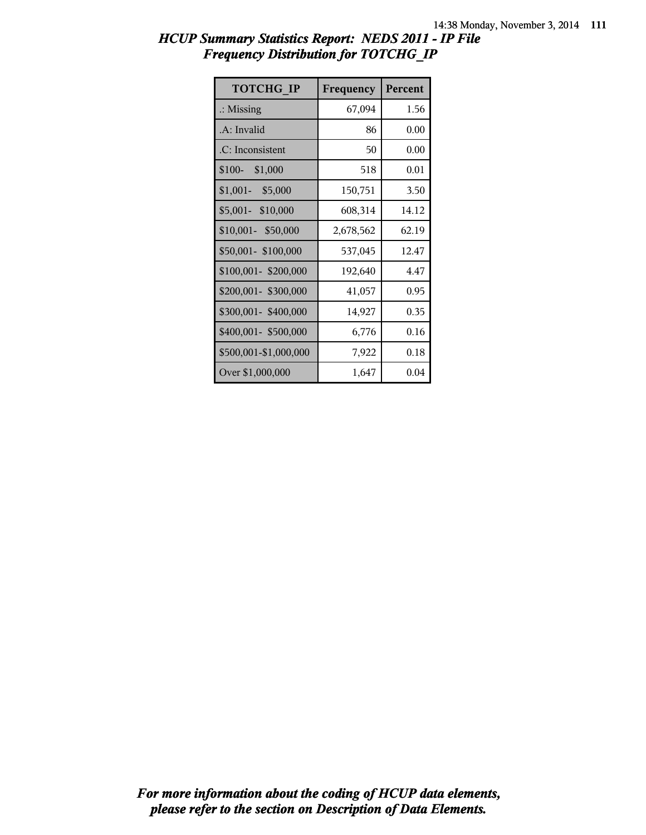| <b>TOTCHG IP</b>      | Frequency | Percent |
|-----------------------|-----------|---------|
| $\therefore$ Missing  | 67,094    | 1.56    |
| .A: Invalid           | 86        | 0.00    |
| .C: Inconsistent      | 50        | 0.00    |
| $$100-$<br>\$1,000    | 518       | 0.01    |
| $$1,001-$ \$5,000     | 150,751   | 3.50    |
| \$5,001- \$10,000     | 608,314   | 14.12   |
| \$10,001- \$50,000    | 2,678,562 | 62.19   |
| \$50,001- \$100,000   | 537,045   | 12.47   |
| \$100,001-\$200,000   | 192,640   | 4.47    |
| \$200,001- \$300,000  | 41,057    | 0.95    |
| \$300,001-\$400,000   | 14,927    | 0.35    |
| \$400,001-\$500,000   | 6,776     | 0.16    |
| \$500,001-\$1,000,000 | 7,922     | 0.18    |
| Over \$1,000,000      | 1,647     | 0.04    |

## *HCUP Summary Statistics Report: NEDS 2011 - IP File Frequency Distribution for TOTCHG\_IP*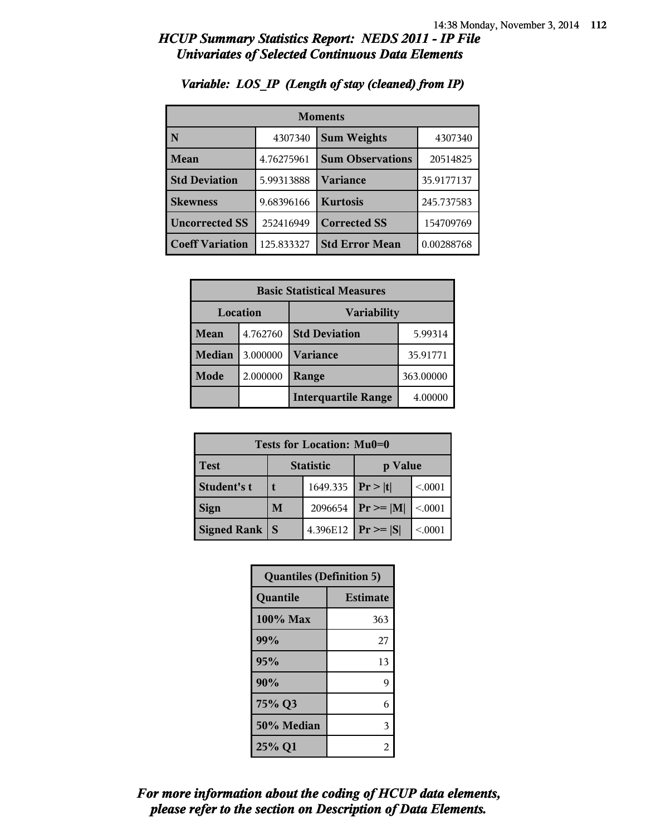| <b>Moments</b>         |            |                         |            |
|------------------------|------------|-------------------------|------------|
| N                      | 4307340    | <b>Sum Weights</b>      | 4307340    |
| Mean                   | 4.76275961 | <b>Sum Observations</b> | 20514825   |
| <b>Std Deviation</b>   | 5.99313888 | <b>Variance</b>         | 35.9177137 |
| <b>Skewness</b>        | 9.68396166 | <b>Kurtosis</b>         | 245.737583 |
| <b>Uncorrected SS</b>  | 252416949  | <b>Corrected SS</b>     | 154709769  |
| <b>Coeff Variation</b> | 125.833327 | <b>Std Error Mean</b>   | 0.00288768 |

### *Variable: LOS\_IP (Length of stay (cleaned) from IP)*

| <b>Basic Statistical Measures</b> |          |                            |           |
|-----------------------------------|----------|----------------------------|-----------|
| Location<br><b>Variability</b>    |          |                            |           |
| Mean                              | 4.762760 | <b>Std Deviation</b>       | 5.99314   |
| <b>Median</b>                     | 3.000000 | <b>Variance</b>            | 35.91771  |
| Mode                              | 2.000000 | Range                      | 363.00000 |
|                                   |          | <b>Interquartile Range</b> | 4.00000   |

| Tests for Location: Mu0=0 |                             |          |                |         |
|---------------------------|-----------------------------|----------|----------------|---------|
| Test                      | <b>Statistic</b><br>p Value |          |                |         |
| Student's t               | 1649.335   $Pr >  t $       |          |                | < 0.001 |
| <b>Sign</b>               | M                           | 2096654  | $Pr \geq  M $  | < 0001  |
| <b>Signed Rank</b>        | <sub>S</sub>                | 4.396E12 | $ Pr \geq  S $ | < 0.001 |

| <b>Quantiles (Definition 5)</b> |                 |  |
|---------------------------------|-----------------|--|
| Quantile                        | <b>Estimate</b> |  |
| 100% Max                        | 363             |  |
| 99%                             | 27              |  |
| 95%                             | 13              |  |
| 90%                             | 9               |  |
| 75% Q3                          | 6               |  |
| 50% Median                      | 3               |  |
| 25% Q1                          | 2               |  |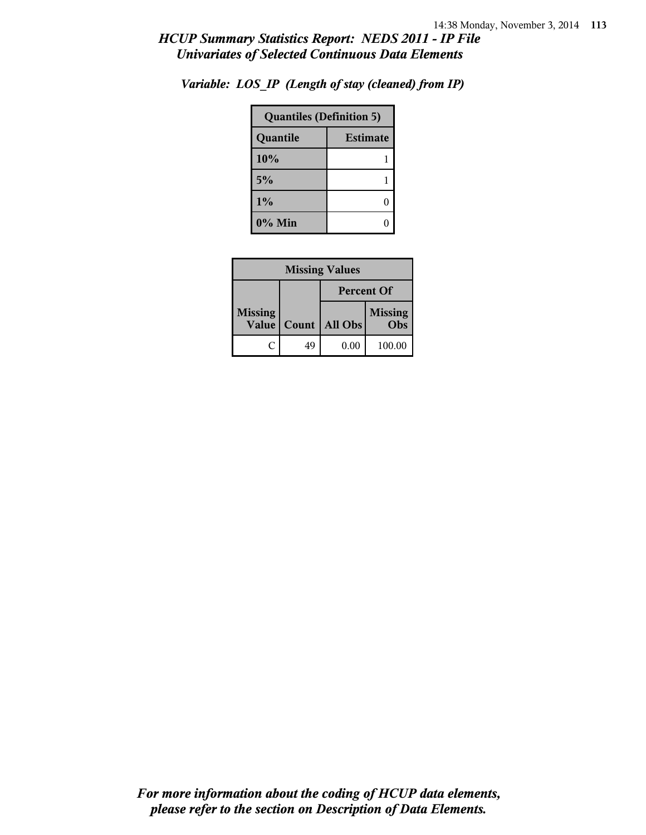| <b>Quantiles (Definition 5)</b> |                 |  |
|---------------------------------|-----------------|--|
| Quantile                        | <b>Estimate</b> |  |
| 10%                             |                 |  |
| 5%                              |                 |  |
| 1%                              | 0               |  |
| $0\%$ Min                       |                 |  |

*Variable: LOS\_IP (Length of stay (cleaned) from IP)*

| <b>Missing Values</b>   |                   |                |                       |  |
|-------------------------|-------------------|----------------|-----------------------|--|
|                         | <b>Percent Of</b> |                |                       |  |
| <b>Missing</b><br>Value | Count             | <b>All Obs</b> | <b>Missing</b><br>Obs |  |
|                         | 49                | 0.00           | 100.00                |  |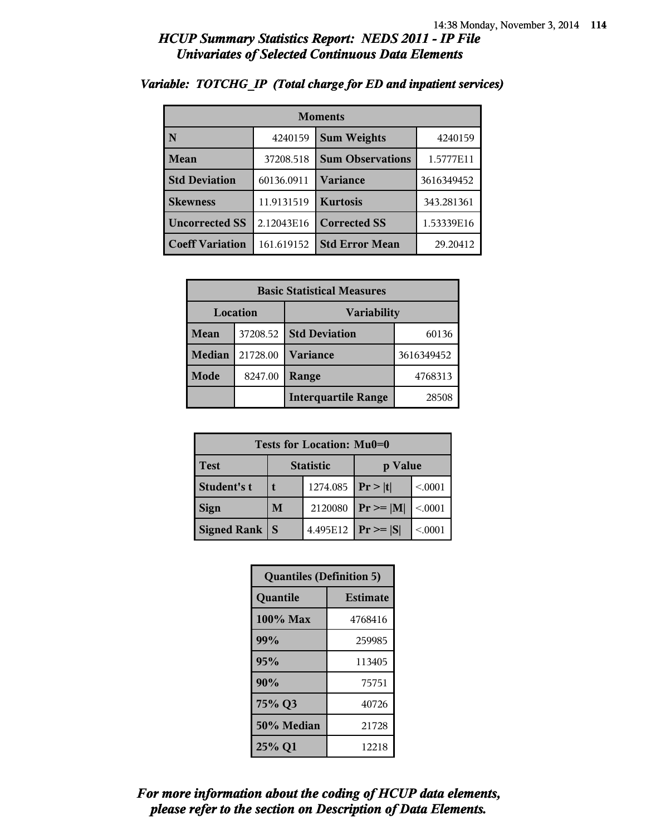| <b>Moments</b>         |            |                         |            |
|------------------------|------------|-------------------------|------------|
| N                      | 4240159    | <b>Sum Weights</b>      | 4240159    |
| Mean                   | 37208.518  | <b>Sum Observations</b> | 1.5777E11  |
| <b>Std Deviation</b>   | 60136.0911 | Variance                | 3616349452 |
| <b>Skewness</b>        | 11.9131519 | <b>Kurtosis</b>         | 343.281361 |
| <b>Uncorrected SS</b>  | 2.12043E16 | <b>Corrected SS</b>     | 1.53339E16 |
| <b>Coeff Variation</b> | 161.619152 | <b>Std Error Mean</b>   | 29.20412   |

#### *Variable: TOTCHG\_IP (Total charge for ED and inpatient services)*

| <b>Basic Statistical Measures</b> |          |                            |            |
|-----------------------------------|----------|----------------------------|------------|
| Location<br><b>Variability</b>    |          |                            |            |
| Mean                              | 37208.52 | <b>Std Deviation</b>       | 60136      |
| <b>Median</b>                     | 21728.00 | <b>Variance</b>            | 3616349452 |
| <b>Mode</b>                       | 8247.00  | Range                      | 4768313    |
|                                   |          | <b>Interquartile Range</b> | 28508      |

| Tests for Location: Mu0=0 |                  |          |                 |         |  |  |  |
|---------------------------|------------------|----------|-----------------|---------|--|--|--|
| <b>Test</b>               | <b>Statistic</b> |          | p Value         |         |  |  |  |
| Student's t               |                  | 1274.085 | Pr> t           | < 0.001 |  |  |  |
| <b>Sign</b>               | M                | 2120080  | $ Pr \ge =  M $ | < 0001  |  |  |  |
| <b>Signed Rank</b>        | S                | 4.495E12 | $ Pr \ge  S $   | < 0.001 |  |  |  |

| <b>Quantiles (Definition 5)</b> |                 |  |  |  |
|---------------------------------|-----------------|--|--|--|
| Quantile                        | <b>Estimate</b> |  |  |  |
| 100% Max                        | 4768416         |  |  |  |
| 99%                             | 259985          |  |  |  |
| 95%                             | 113405          |  |  |  |
| 90%                             | 75751           |  |  |  |
| 75% Q3                          | 40726           |  |  |  |
| 50% Median                      | 21728           |  |  |  |
| 25% Q1                          | 12218           |  |  |  |